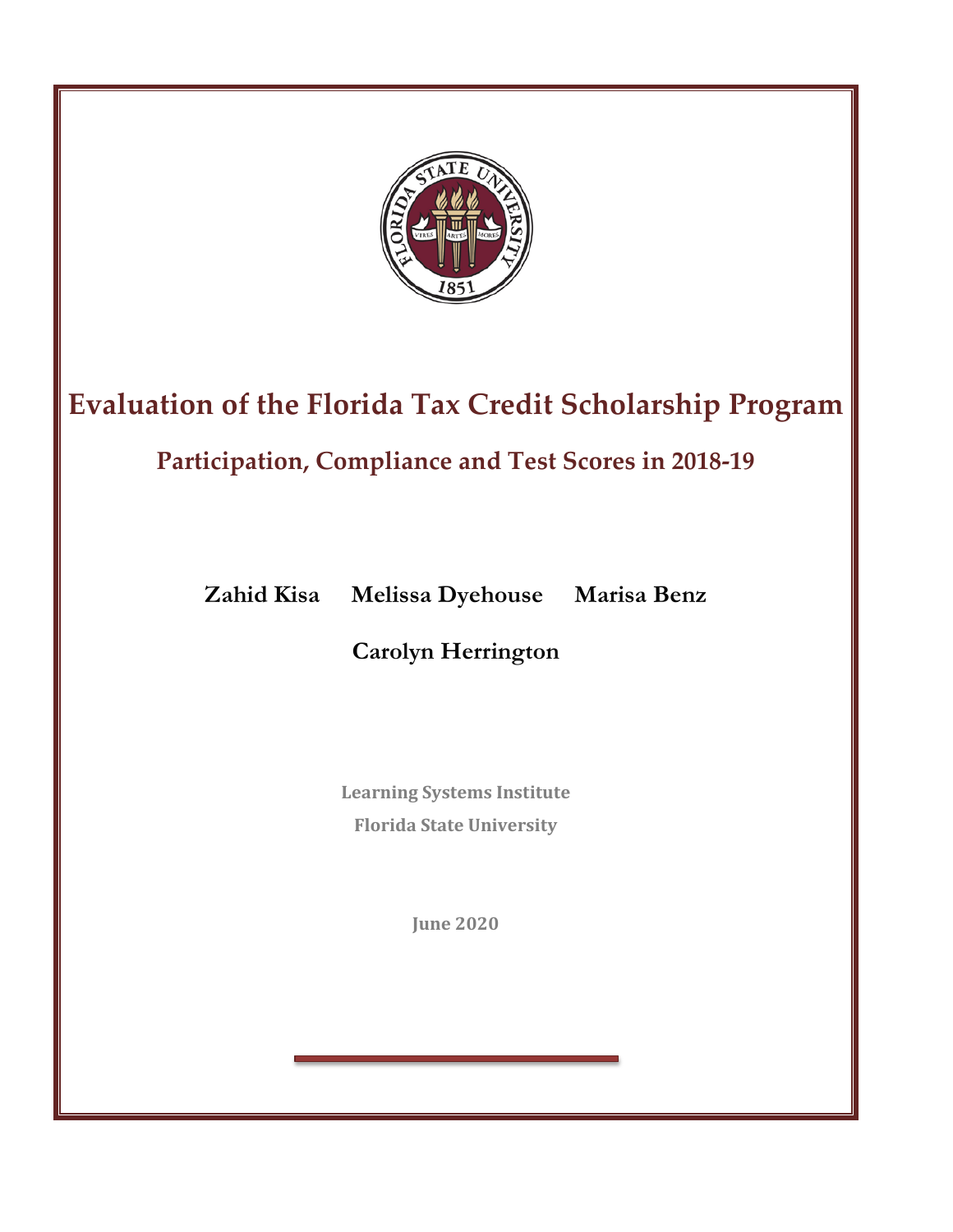

# **Evaluation of the Florida Tax Credit Scholarship Program**

# **Participation, Compliance and Test Scores in 2018-19**

**Zahid Kisa Melissa Dyehouse Marisa Benz** 

**Carolyn Herrington**

**Learning Systems Institute Florida State University**

**June 2020**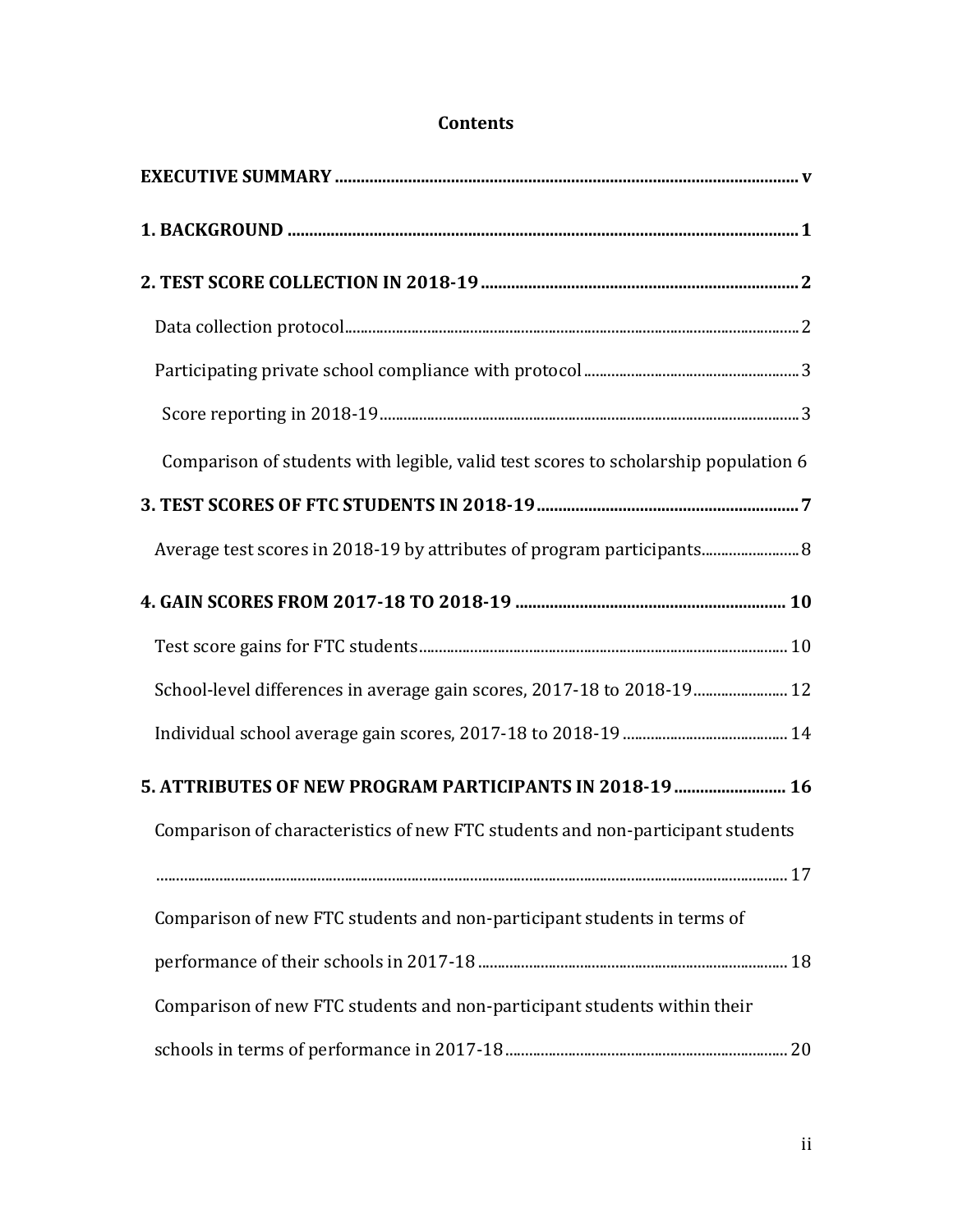| Comparison of students with legible, valid test scores to scholarship population 6 |  |
|------------------------------------------------------------------------------------|--|
|                                                                                    |  |
|                                                                                    |  |
|                                                                                    |  |
|                                                                                    |  |
| School-level differences in average gain scores, 2017-18 to 2018-19 12             |  |
|                                                                                    |  |
| 5. ATTRIBUTES OF NEW PROGRAM PARTICIPANTS IN 2018-19  16                           |  |
| Comparison of characteristics of new FTC students and non-participant students     |  |
|                                                                                    |  |
| Comparison of new FTC students and non-participant students in terms of            |  |
|                                                                                    |  |
| Comparison of new FTC students and non-participant students within their           |  |
|                                                                                    |  |

## **Contents**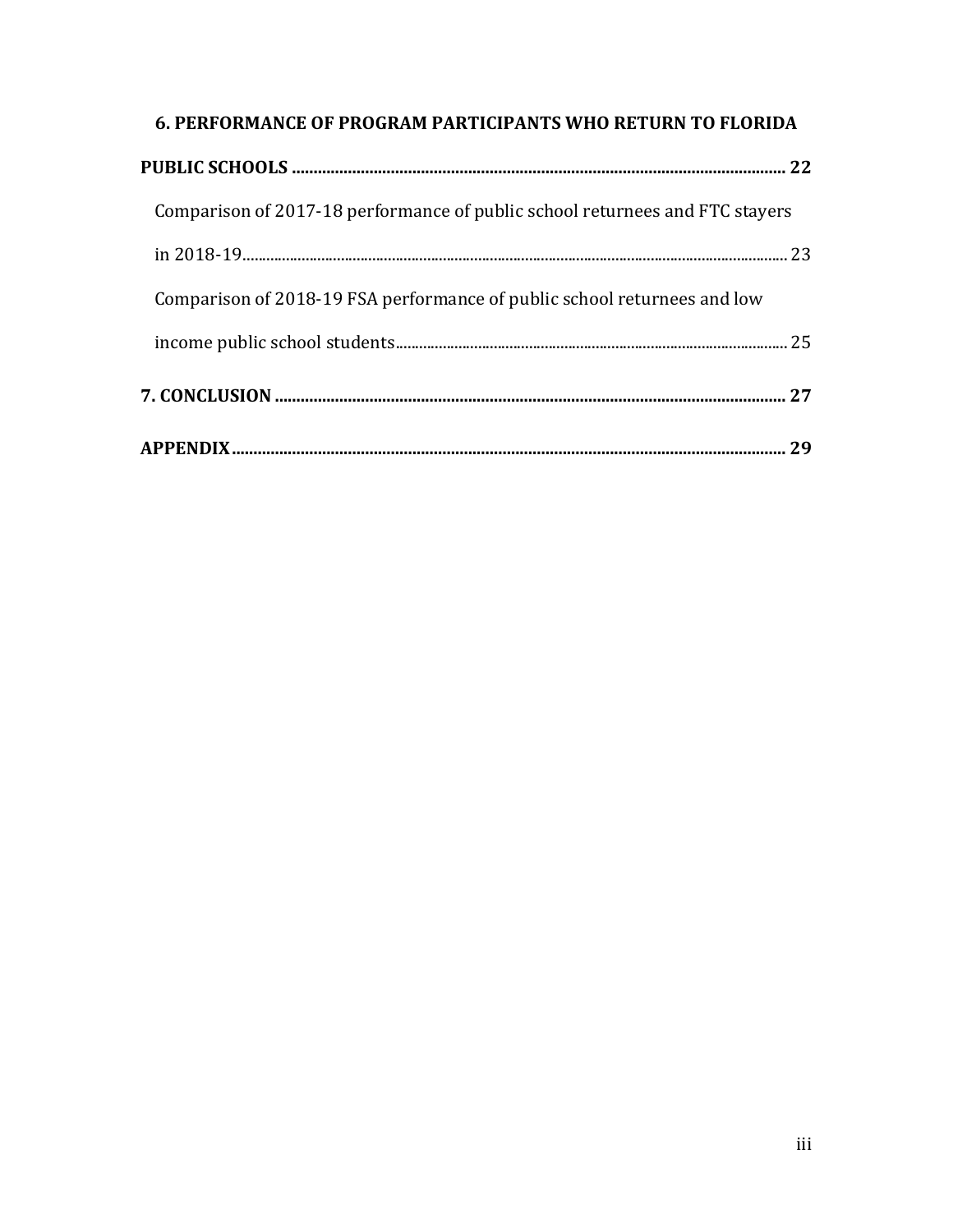| <b>6. PERFORMANCE OF PROGRAM PARTICIPANTS WHO RETURN TO FLORIDA</b>          |  |
|------------------------------------------------------------------------------|--|
|                                                                              |  |
| Comparison of 2017-18 performance of public school returnees and FTC stayers |  |
|                                                                              |  |
| Comparison of 2018-19 FSA performance of public school returnees and low     |  |
|                                                                              |  |
|                                                                              |  |
|                                                                              |  |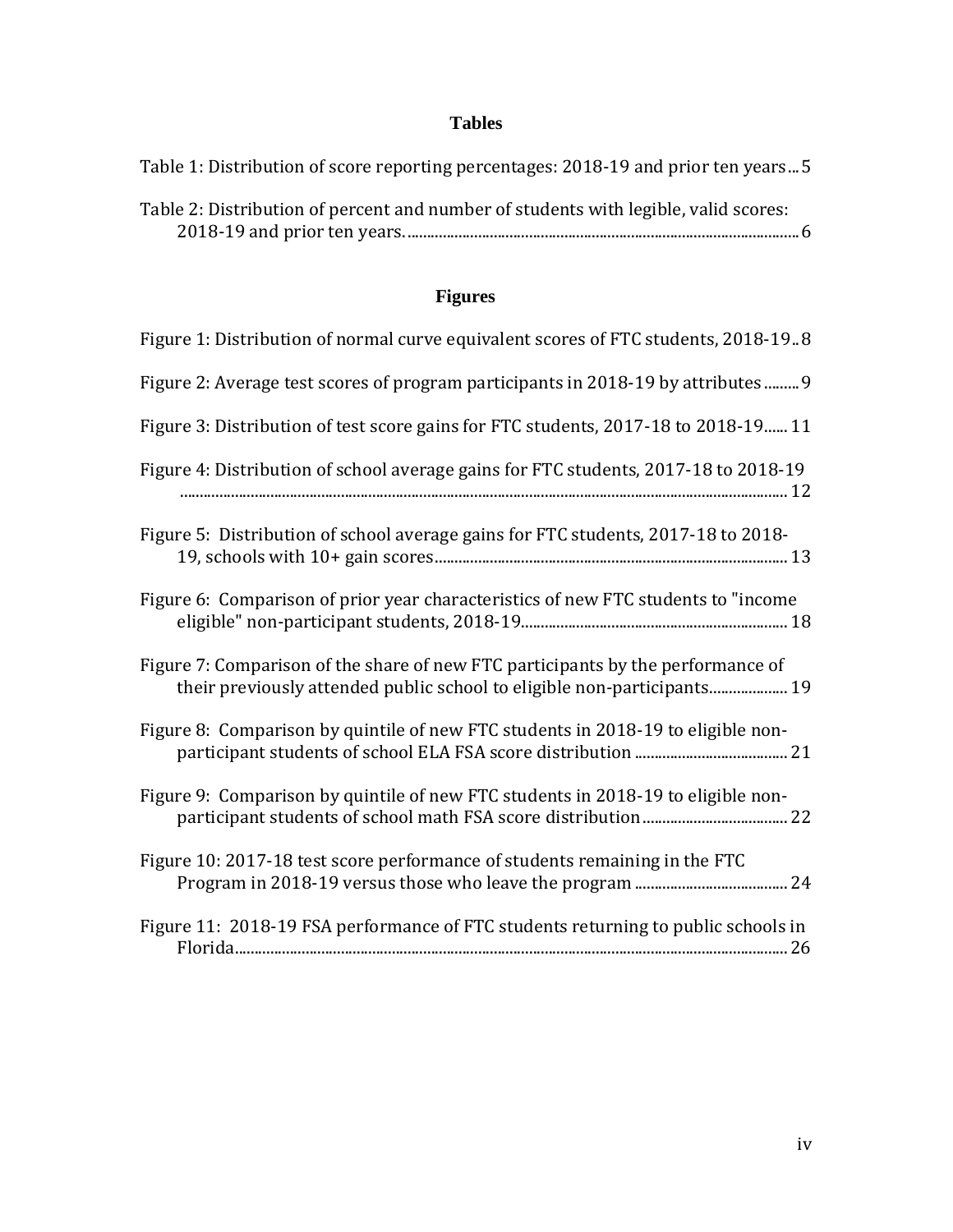## **Tables**

| Table 1: Distribution of score reporting percentages: 2018-19 and prior ten years 5 |
|-------------------------------------------------------------------------------------|
| Table 2: Distribution of percent and number of students with legible, valid scores: |

## **Figures**

| Figure 1: Distribution of normal curve equivalent scores of FTC students, 2018-19.8                                                                        |
|------------------------------------------------------------------------------------------------------------------------------------------------------------|
| Figure 2: Average test scores of program participants in 2018-19 by attributes 9                                                                           |
| Figure 3: Distribution of test score gains for FTC students, 2017-18 to 2018-19 11                                                                         |
| Figure 4: Distribution of school average gains for FTC students, 2017-18 to 2018-19                                                                        |
| Figure 5: Distribution of school average gains for FTC students, 2017-18 to 2018-                                                                          |
| Figure 6: Comparison of prior year characteristics of new FTC students to "income                                                                          |
| Figure 7: Comparison of the share of new FTC participants by the performance of<br>their previously attended public school to eligible non-participants 19 |
| Figure 8: Comparison by quintile of new FTC students in 2018-19 to eligible non-                                                                           |
| Figure 9: Comparison by quintile of new FTC students in 2018-19 to eligible non-                                                                           |
| Figure 10: 2017-18 test score performance of students remaining in the FTC                                                                                 |
| Figure 11: 2018-19 FSA performance of FTC students returning to public schools in                                                                          |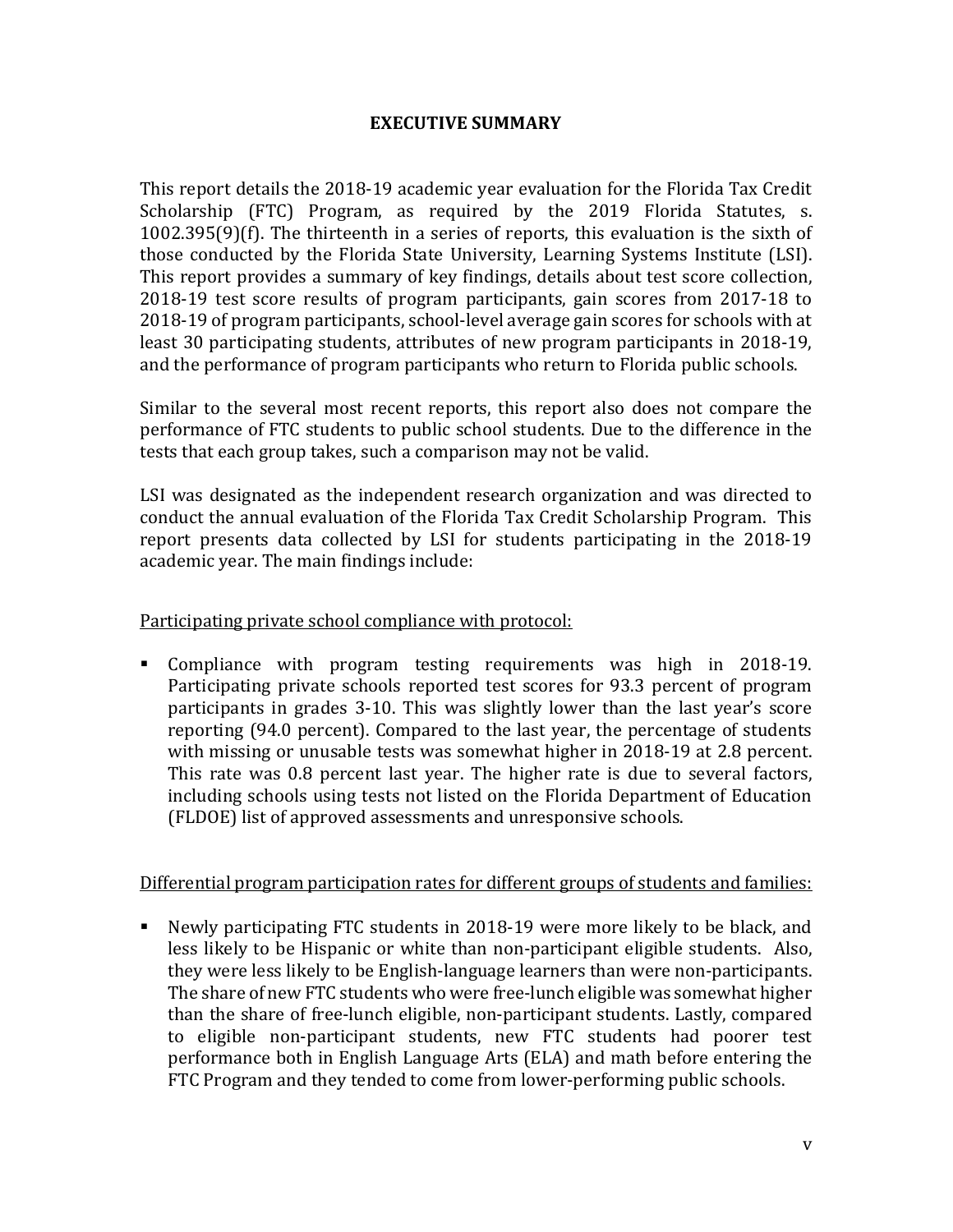## **EXECUTIVE SUMMARY**

This report details the 2018-19 academic year evaluation for the Florida Tax Credit Scholarship (FTC) Program, as required by the 2019 Florida Statutes, s. 1002.395(9)(f). The thirteenth in a series of reports, this evaluation is the sixth of those conducted by the Florida State University, Learning Systems Institute (LSI). This report provides a summary of key findings, details about test score collection, 2018-19 test score results of program participants, gain scores from 2017-18 to 2018-19 of program participants, school-level average gain scores for schools with at least 30 participating students, attributes of new program participants in 2018-19, and the performance of program participants who return to Florida public schools.

Similar to the several most recent reports, this report also does not compare the performance of FTC students to public school students. Due to the difference in the tests that each group takes, such a comparison may not be valid.

LSI was designated as the independent research organization and was directed to conduct the annual evaluation of the Florida Tax Credit Scholarship Program. This report presents data collected by LSI for students participating in the 2018-19 academic year. The main findings include:

## Participating private school compliance with protocol:

 Compliance with program testing requirements was high in 2018-19. Participating private schools reported test scores for 93.3 percent of program participants in grades 3-10. This was slightly lower than the last year's score reporting (94.0 percent). Compared to the last year, the percentage of students with missing or unusable tests was somewhat higher in 2018-19 at 2.8 percent. This rate was 0.8 percent last year. The higher rate is due to several factors, including schools using tests not listed on the Florida Department of Education (FLDOE) list of approved assessments and unresponsive schools.

## Differential program participation rates for different groups of students and families:

 Newly participating FTC students in 2018-19 were more likely to be black, and less likely to be Hispanic or white than non-participant eligible students. Also, they were less likely to be English-language learners than were non-participants. The share of new FTC students who were free-lunch eligible was somewhat higher than the share of free-lunch eligible, non-participant students. Lastly, compared to eligible non-participant students, new FTC students had poorer test performance both in English Language Arts (ELA) and math before entering the FTC Program and they tended to come from lower-performing public schools.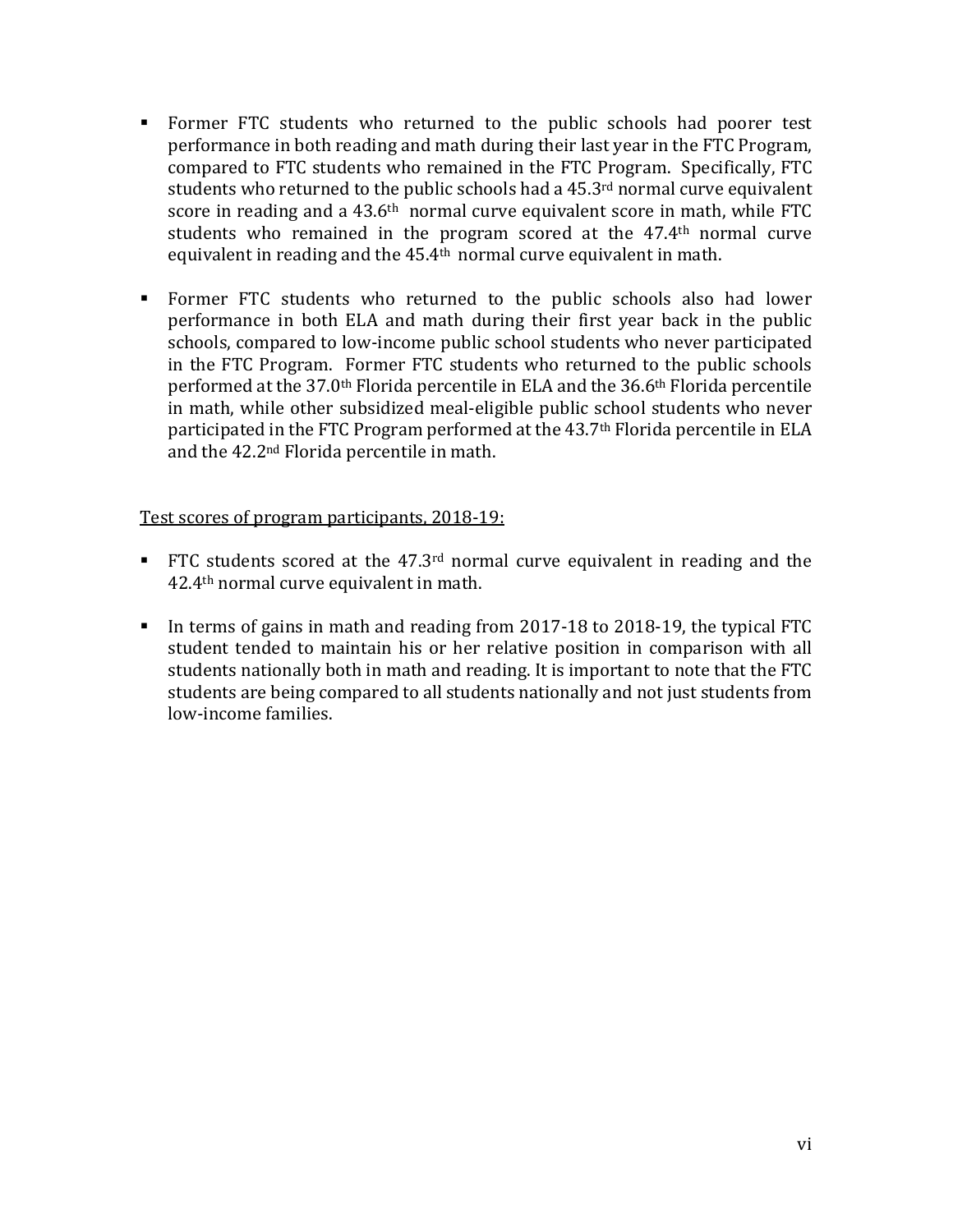- Former FTC students who returned to the public schools had poorer test performance in both reading and math during their last year in the FTC Program, compared to FTC students who remained in the FTC Program. Specifically, FTC students who returned to the public schools had a 45.3<sup>rd</sup> normal curve equivalent score in reading and a 43.6<sup>th</sup> normal curve equivalent score in math, while FTC students who remained in the program scored at the 47.4th normal curve equivalent in reading and the 45.4<sup>th</sup> normal curve equivalent in math.
- Former FTC students who returned to the public schools also had lower performance in both ELA and math during their first year back in the public schools, compared to low-income public school students who never participated in the FTC Program. Former FTC students who returned to the public schools performed at the 37.0th Florida percentile in ELA and the 36.6th Florida percentile in math, while other subsidized meal-eligible public school students who never participated in the FTC Program performed at the 43.7<sup>th</sup> Florida percentile in ELA and the 42.2nd Florida percentile in math.

## Test scores of program participants, 2018-19:

- FTC students scored at the  $47.3<sup>rd</sup>$  normal curve equivalent in reading and the 42.4th normal curve equivalent in math.
- In terms of gains in math and reading from 2017-18 to 2018-19, the typical FTC student tended to maintain his or her relative position in comparison with all students nationally both in math and reading. It is important to note that the FTC students are being compared to all students nationally and not just students from low-income families.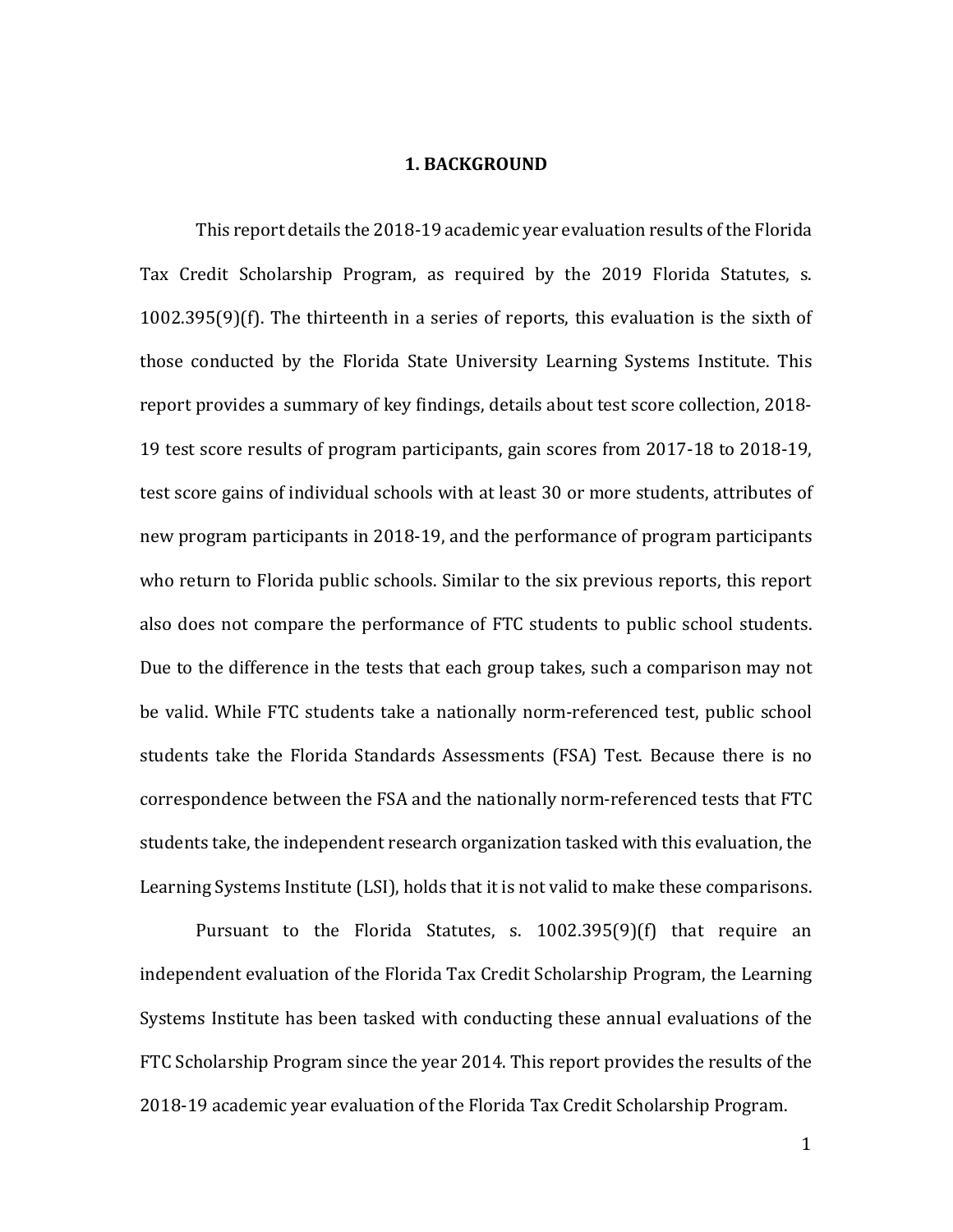#### **1. BACKGROUND**

This report details the 2018-19 academic year evaluation results of the Florida Tax Credit Scholarship Program, as required by the 2019 Florida Statutes, s. 1002.395(9)(f). The thirteenth in a series of reports, this evaluation is the sixth of those conducted by the Florida State University Learning Systems Institute. This report provides a summary of key findings, details about test score collection, 2018- 19 test score results of program participants, gain scores from 2017-18 to 2018-19, test score gains of individual schools with at least 30 or more students, attributes of new program participants in 2018-19, and the performance of program participants who return to Florida public schools. Similar to the six previous reports, this report also does not compare the performance of FTC students to public school students. Due to the difference in the tests that each group takes, such a comparison may not be valid. While FTC students take a nationally norm-referenced test, public school students take the Florida Standards Assessments (FSA) Test. Because there is no correspondence between the FSA and the nationally norm-referenced tests that FTC students take, the independent research organization tasked with this evaluation, the Learning Systems Institute (LSI), holds that it is not valid to make these comparisons.

Pursuant to the Florida Statutes, s. 1002.395(9)(f) that require an independent evaluation of the Florida Tax Credit Scholarship Program, the Learning Systems Institute has been tasked with conducting these annual evaluations of the FTC Scholarship Program since the year 2014. This report provides the results of the 2018-19 academic year evaluation of the Florida Tax Credit Scholarship Program.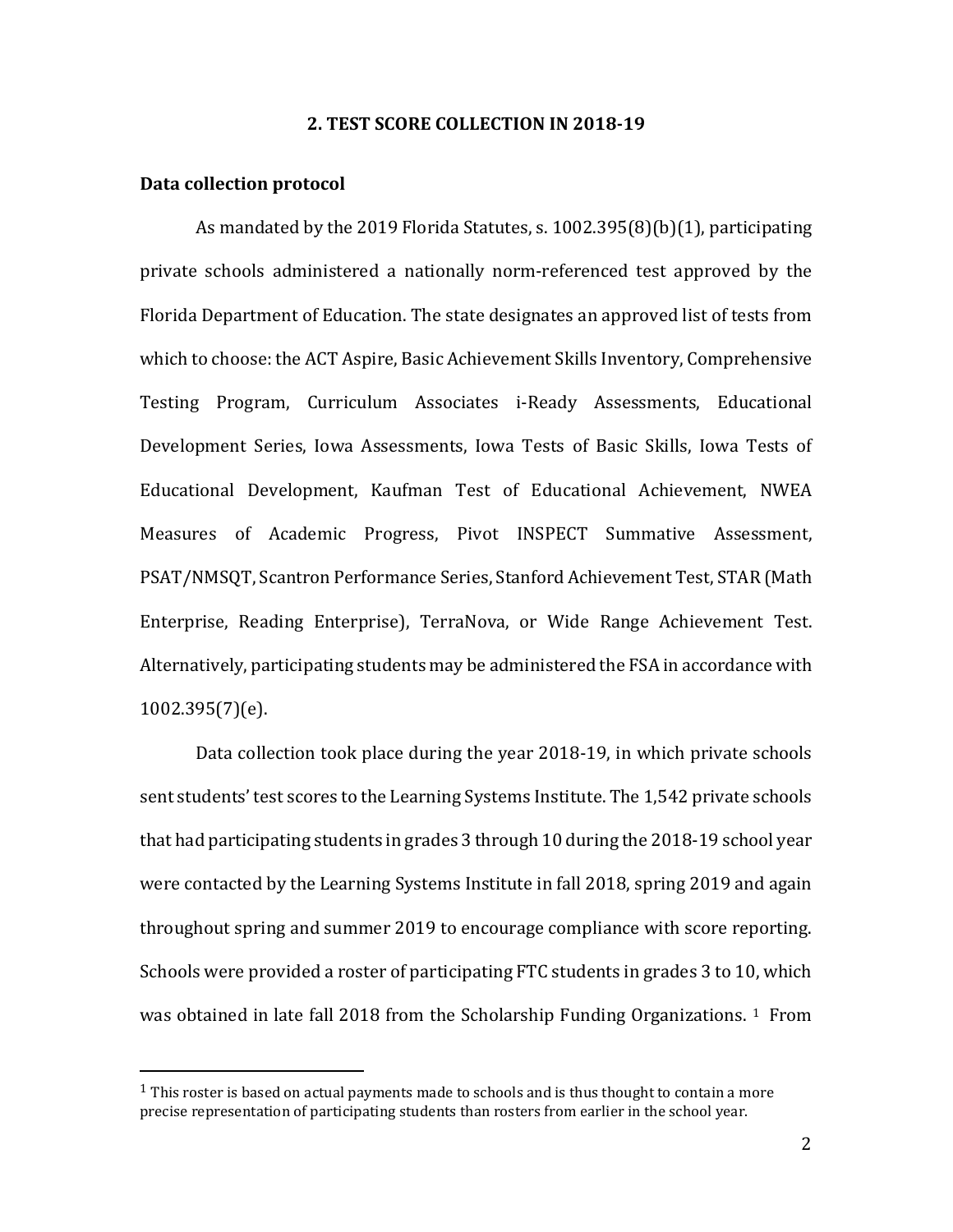#### **2. TEST SCORE COLLECTION IN 2018-19**

#### **Data collection protocol**

 $\overline{a}$ 

As mandated by the 2019 Florida Statutes, s. 1002.395(8)(b)(1), participating private schools administered a nationally norm-referenced test approved by the Florida Department of Education. The state designates an approved list of tests from which to choose: the ACT Aspire, Basic Achievement Skills Inventory, Comprehensive Testing Program, Curriculum Associates i-Ready Assessments, Educational Development Series, Iowa Assessments, Iowa Tests of Basic Skills, Iowa Tests of Educational Development, Kaufman Test of Educational Achievement, NWEA Measures of Academic Progress, Pivot INSPECT Summative Assessment, PSAT/NMSQT, Scantron Performance Series, Stanford Achievement Test, STAR (Math Enterprise, Reading Enterprise), TerraNova, or Wide Range Achievement Test. Alternatively, participating students may be administered the FSA in accordance with 1002.395(7)(e).

Data collection took place during the year 2018-19, in which private schools sent students' test scores to the Learning Systems Institute. The 1,542 private schools that had participating students in grades 3 through 10 during the 2018-19 school year were contacted by the Learning Systems Institute in fall 2018, spring 2019 and again throughout spring and summer 2019 to encourage compliance with score reporting. Schools were provided a roster of participating FTC students in grades 3 to 10, which was obtained in late fall 20[1](#page-7-0)8 from the Scholarship Funding Organizations.  $1$  From

<span id="page-7-0"></span> $<sup>1</sup>$  This roster is based on actual payments made to schools and is thus thought to contain a more</sup> precise representation of participating students than rosters from earlier in the school year.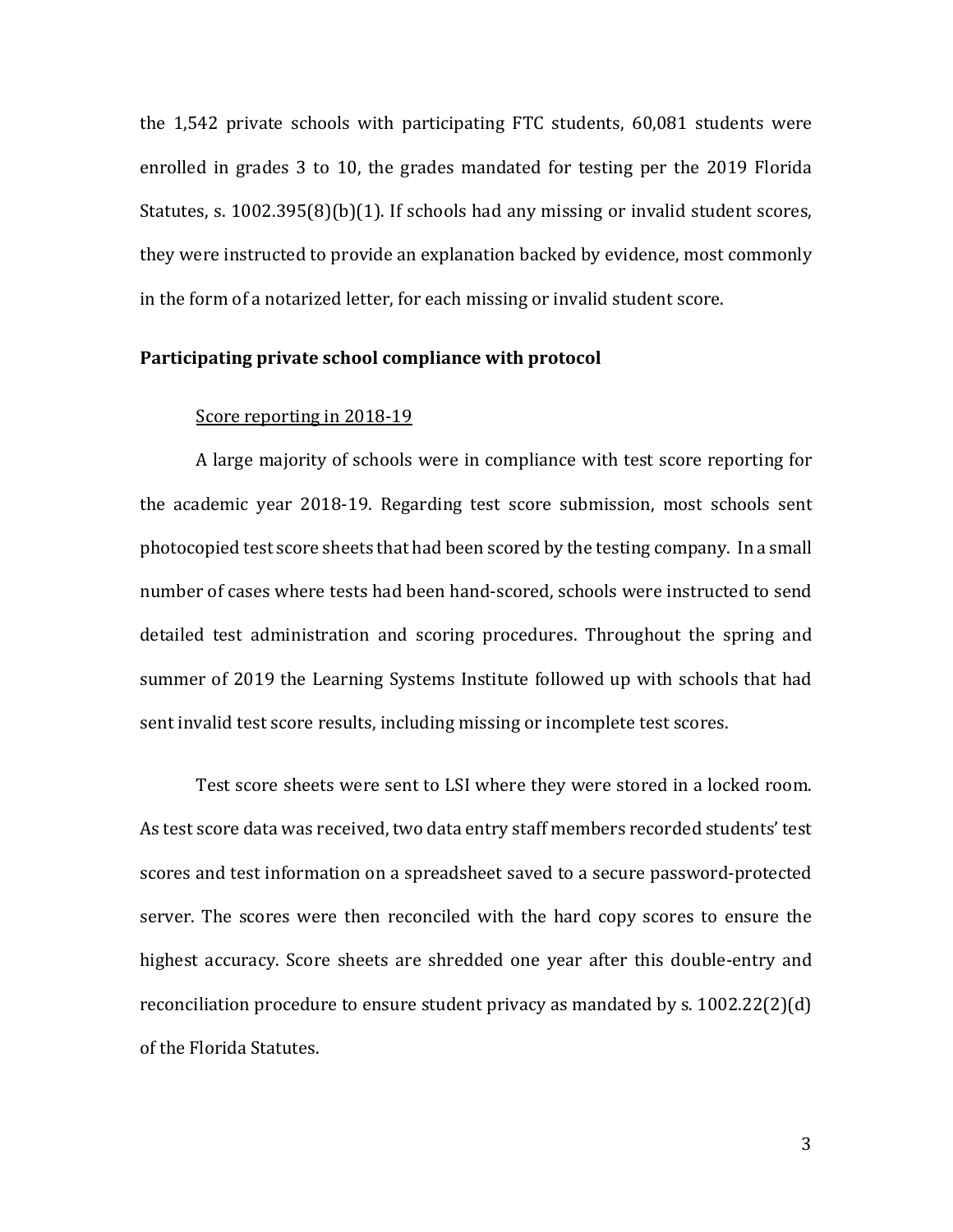the 1,542 private schools with participating FTC students, 60,081 students were enrolled in grades 3 to 10, the grades mandated for testing per the 2019 Florida Statutes, s. 1002.395(8)(b)(1). If schools had any missing or invalid student scores, they were instructed to provide an explanation backed by evidence, most commonly in the form of a notarized letter, for each missing or invalid student score.

#### **Participating private school compliance with protocol**

#### Score reporting in 2018-19

A large majority of schools were in compliance with test score reporting for the academic year 2018-19. Regarding test score submission, most schools sent photocopied test score sheets that had been scored by the testing company. In a small number of cases where tests had been hand-scored, schools were instructed to send detailed test administration and scoring procedures. Throughout the spring and summer of 2019 the Learning Systems Institute followed up with schools that had sent invalid test score results, including missing or incomplete test scores.

Test score sheets were sent to LSI where they were stored in a locked room. As test score data was received, two data entry staff members recorded students' test scores and test information on a spreadsheet saved to a secure password-protected server. The scores were then reconciled with the hard copy scores to ensure the highest accuracy. Score sheets are shredded one year after this double-entry and reconciliation procedure to ensure student privacy as mandated by s. 1002.22(2)(d) of the Florida Statutes.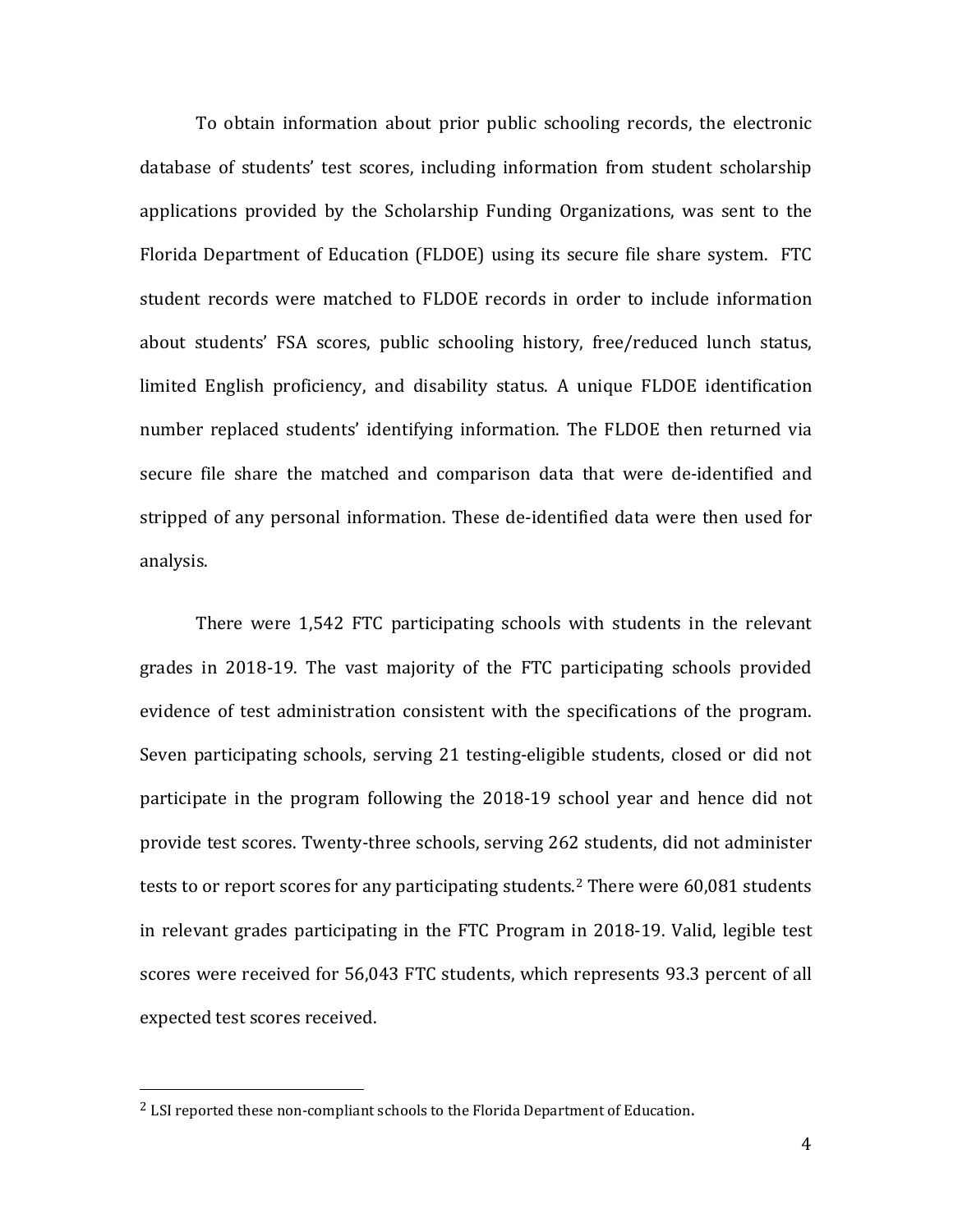To obtain information about prior public schooling records, the electronic database of students' test scores, including information from student scholarship applications provided by the Scholarship Funding Organizations, was sent to the Florida Department of Education (FLDOE) using its secure file share system. FTC student records were matched to FLDOE records in order to include information about students' FSA scores, public schooling history, free/reduced lunch status, limited English proficiency, and disability status. A unique FLDOE identification number replaced students' identifying information. The FLDOE then returned via secure file share the matched and comparison data that were de-identified and stripped of any personal information. These de-identified data were then used for analysis.

There were 1,542 FTC participating schools with students in the relevant grades in 2018-19. The vast majority of the FTC participating schools provided evidence of test administration consistent with the specifications of the program. Seven participating schools, serving 21 testing-eligible students, closed or did not participate in the program following the 2018-19 school year and hence did not provide test scores. Twenty-three schools, serving 262 students, did not administer tests to or report scores for any participating students. [2](#page-9-0) There were 60,081 students in relevant grades participating in the FTC Program in 2018-19. Valid, legible test scores were received for 56,043 FTC students, which represents 93.3 percent of all expected test scores received.

 $\overline{a}$ 

<span id="page-9-0"></span><sup>&</sup>lt;sup>2</sup> LSI reported these non-compliant schools to the Florida Department of Education.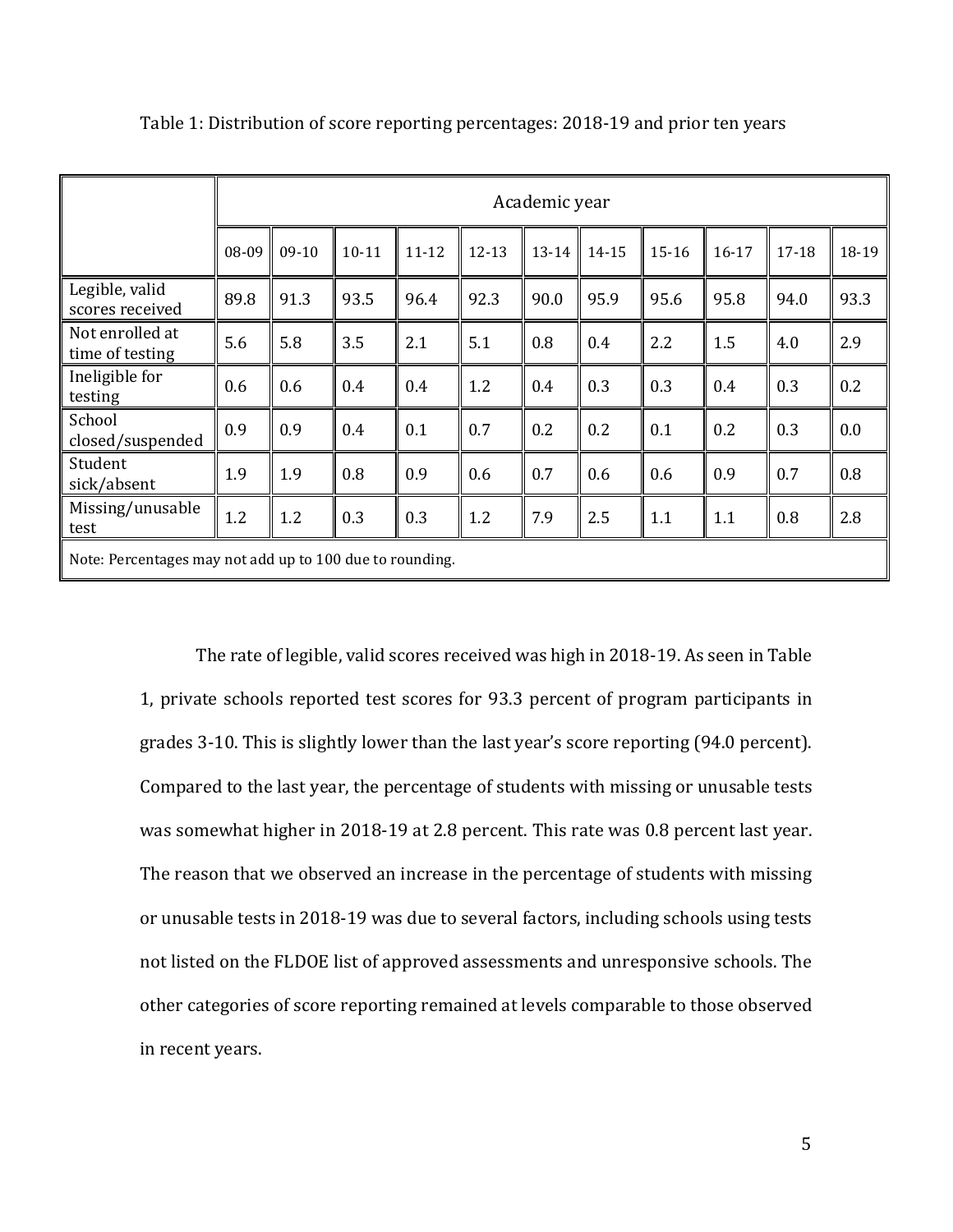|                                                          | Academic year |         |           |           |           |       |       |         |           |       |       |
|----------------------------------------------------------|---------------|---------|-----------|-----------|-----------|-------|-------|---------|-----------|-------|-------|
|                                                          |               |         |           |           |           |       |       |         |           |       |       |
|                                                          | 08-09         | $09-10$ | $10 - 11$ | $11 - 12$ | $12 - 13$ | 13-14 | 14-15 | $15-16$ | $16 - 17$ | 17-18 | 18-19 |
| Legible, valid<br>scores received                        | 89.8          | 91.3    | 93.5      | 96.4      | 92.3      | 90.0  | 95.9  | 95.6    | 95.8      | 94.0  | 93.3  |
| Not enrolled at<br>time of testing                       | 5.6           | 5.8     | 3.5       | 2.1       | 5.1       | 0.8   | 0.4   | 2.2     | 1.5       | 4.0   | 2.9   |
| Ineligible for<br>testing                                | 0.6           | 0.6     | 0.4       | 0.4       | 1.2       | 0.4   | 0.3   | 0.3     | 0.4       | 0.3   | 0.2   |
| School<br>closed/suspended                               | 0.9           | 0.9     | 0.4       | 0.1       | 0.7       | 0.2   | 0.2   | 0.1     | 0.2       | 0.3   | 0.0   |
| Student<br>sick/absent                                   | 1.9           | 1.9     | 0.8       | 0.9       | 0.6       | 0.7   | 0.6   | 0.6     | 0.9       | 0.7   | 0.8   |
| Missing/unusable<br>test                                 | 1.2           | 1.2     | 0.3       | 0.3       | 1.2       | 7.9   | 2.5   | 1.1     | 1.1       | 0.8   | 2.8   |
| Note: Percentages may not add up to 100 due to rounding. |               |         |           |           |           |       |       |         |           |       |       |

Table 1: Distribution of score reporting percentages: 2018-19 and prior ten years

The rate of legible, valid scores received was high in 2018-19. As seen in Table 1, private schools reported test scores for 93.3 percent of program participants in grades 3-10. This is slightly lower than the last year's score reporting (94.0 percent). Compared to the last year, the percentage of students with missing or unusable tests was somewhat higher in 2018-19 at 2.8 percent. This rate was 0.8 percent last year. The reason that we observed an increase in the percentage of students with missing or unusable tests in 2018-19 was due to several factors, including schools using tests not listed on the FLDOE list of approved assessments and unresponsive schools. The other categories of score reporting remained at levels comparable to those observed in recent years.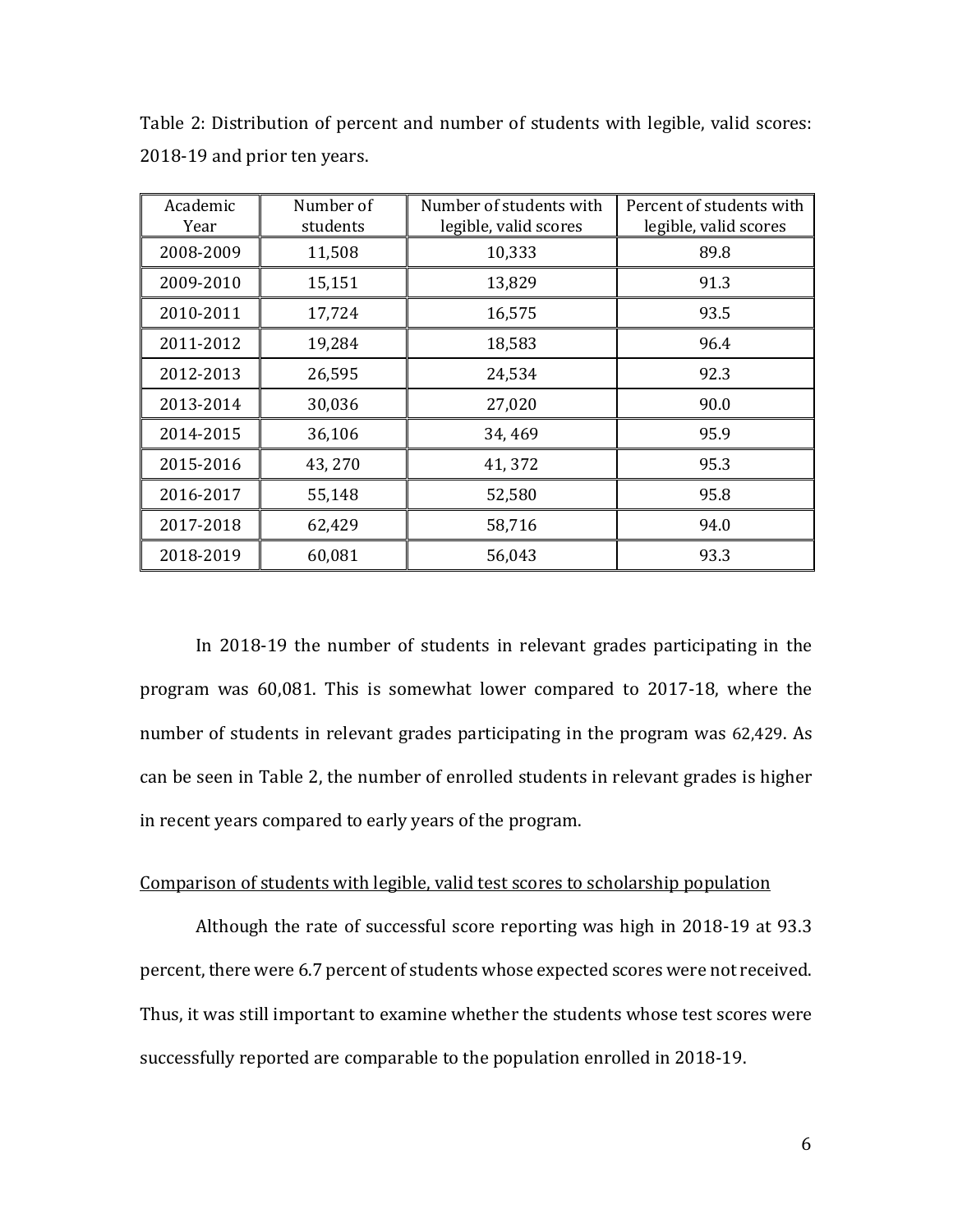| Academic<br>Year | Number of<br>students | Number of students with<br>legible, valid scores | Percent of students with<br>legible, valid scores |  |  |
|------------------|-----------------------|--------------------------------------------------|---------------------------------------------------|--|--|
| 2008-2009        | 11,508                | 10,333                                           | 89.8                                              |  |  |
| 2009-2010        | 15,151                | 13,829                                           | 91.3                                              |  |  |
| 2010-2011        | 17,724                | 16,575                                           | 93.5                                              |  |  |
| 2011-2012        | 19,284                | 18,583                                           | 96.4                                              |  |  |
| 2012-2013        | 26,595                | 24,534                                           | 92.3                                              |  |  |
| 2013-2014        | 30,036                | 27,020                                           | 90.0                                              |  |  |
| 2014-2015        | 36,106                | 34,469                                           | 95.9                                              |  |  |
| 2015-2016        | 43,270                | 41,372                                           | 95.3                                              |  |  |
| 2016-2017        | 55,148                | 52,580                                           | 95.8                                              |  |  |
| 2017-2018        | 62,429                | 58,716                                           | 94.0                                              |  |  |
| 2018-2019        | 60,081                | 56,043                                           | 93.3                                              |  |  |

Table 2: Distribution of percent and number of students with legible, valid scores: 2018-19 and prior ten years.

In 2018-19 the number of students in relevant grades participating in the program was 60,081. This is somewhat lower compared to 2017-18, where the number of students in relevant grades participating in the program was 62,429. As can be seen in Table 2, the number of enrolled students in relevant grades is higher in recent years compared to early years of the program.

#### Comparison of students with legible, valid test scores to scholarship population

Although the rate of successful score reporting was high in 2018-19 at 93.3 percent, there were 6.7 percent of students whose expected scores were not received. Thus, it was still important to examine whether the students whose test scores were successfully reported are comparable to the population enrolled in 2018-19.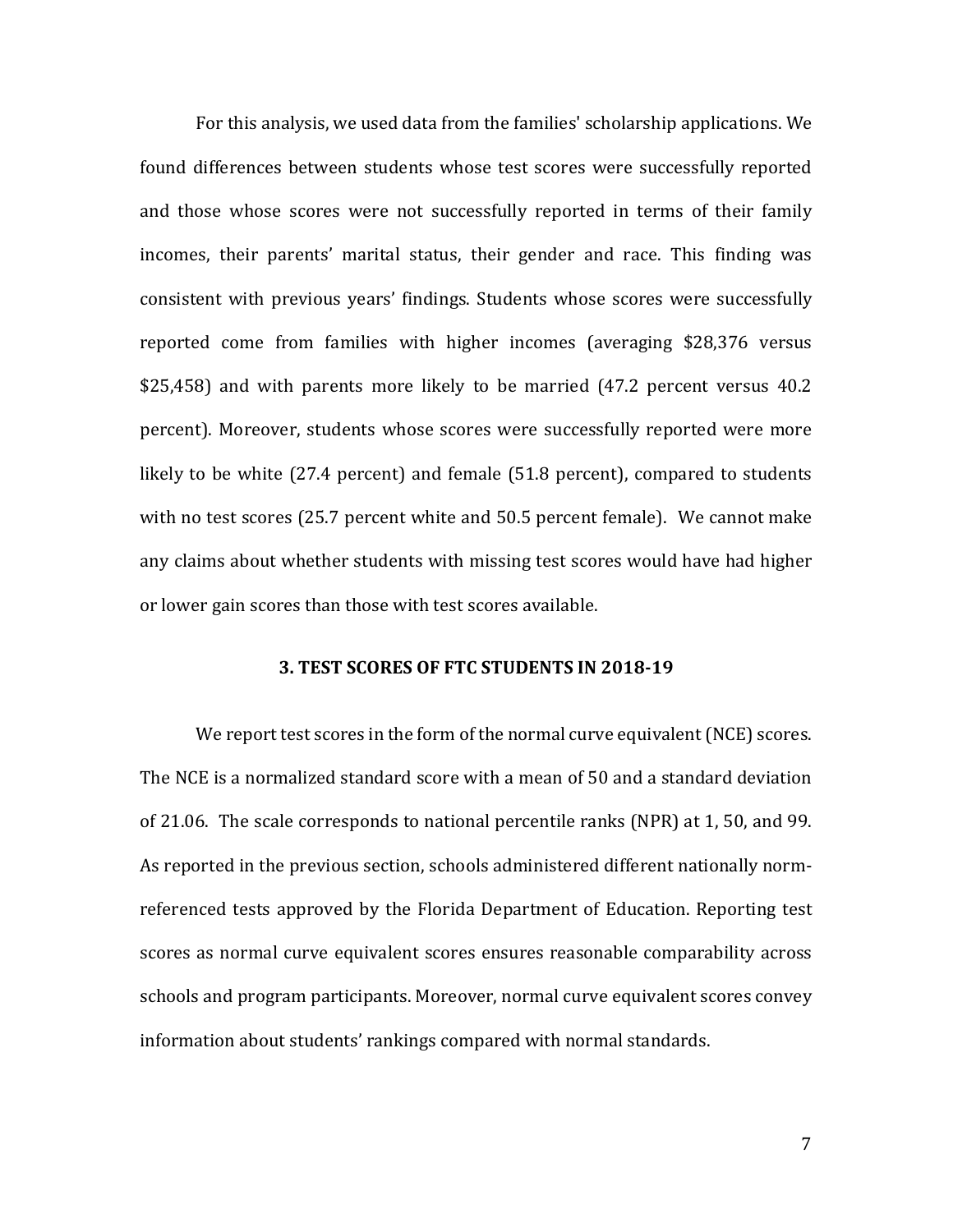For this analysis, we used data from the families' scholarship applications. We found differences between students whose test scores were successfully reported and those whose scores were not successfully reported in terms of their family incomes, their parents' marital status, their gender and race. This finding was consistent with previous years' findings. Students whose scores were successfully reported come from families with higher incomes (averaging \$28,376 versus \$25,458) and with parents more likely to be married (47.2 percent versus 40.2 percent). Moreover, students whose scores were successfully reported were more likely to be white (27.4 percent) and female (51.8 percent), compared to students with no test scores (25.7 percent white and 50.5 percent female). We cannot make any claims about whether students with missing test scores would have had higher or lower gain scores than those with test scores available.

#### **3. TEST SCORES OF FTC STUDENTS IN 2018-19**

We report test scores in the form of the normal curve equivalent (NCE) scores. The NCE is a normalized standard score with a mean of 50 and a standard deviation of 21.06. The scale corresponds to national percentile ranks (NPR) at 1, 50, and 99. As reported in the previous section, schools administered different nationally normreferenced tests approved by the Florida Department of Education. Reporting test scores as normal curve equivalent scores ensures reasonable comparability across schools and program participants. Moreover, normal curve equivalent scores convey information about students' rankings compared with normal standards.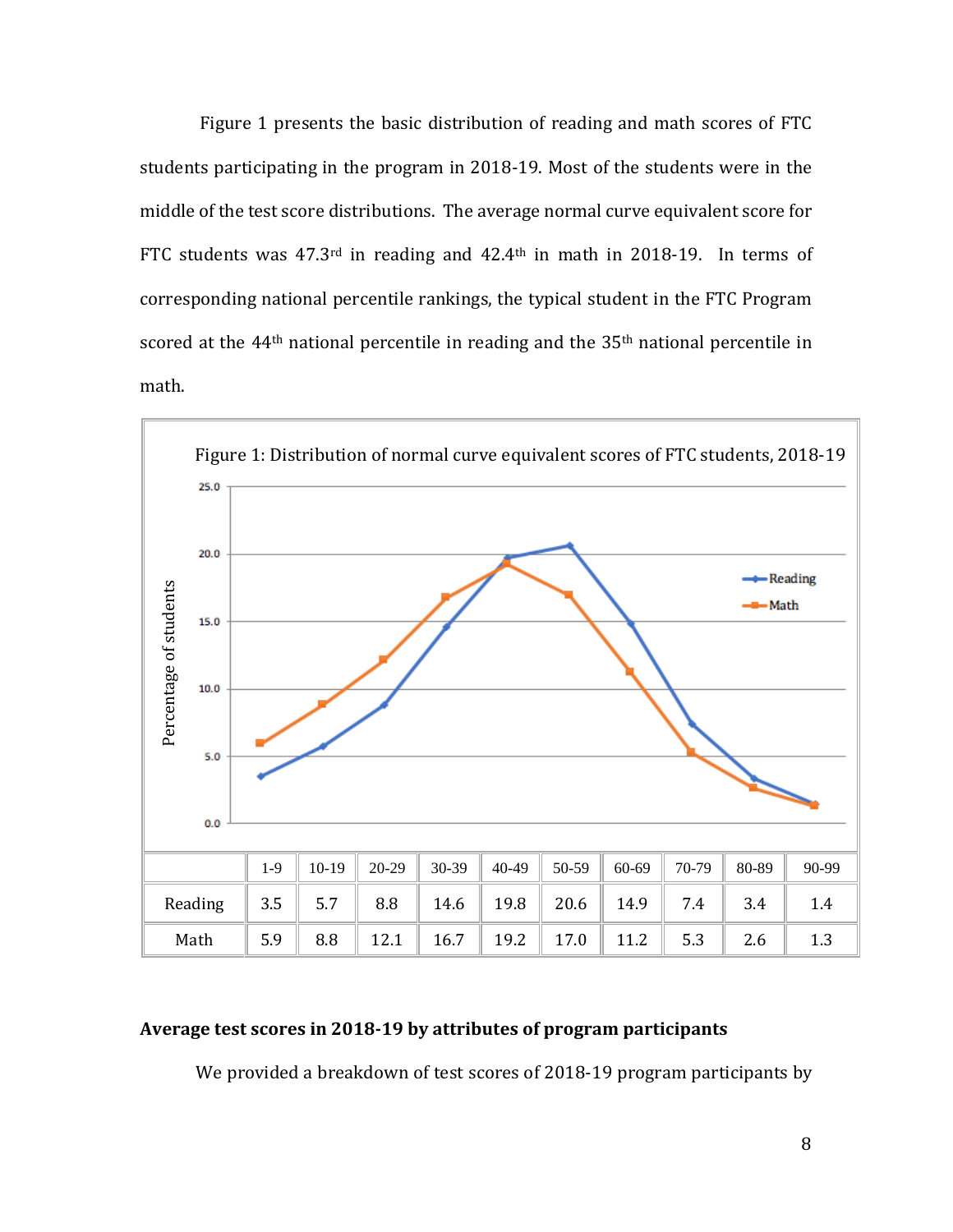Figure 1 presents the basic distribution of reading and math scores of FTC students participating in the program in 2018-19. Most of the students were in the middle of the test score distributions. The average normal curve equivalent score for FTC students was 47.3rd in reading and 42.4th in math in 2018-19. In terms of corresponding national percentile rankings, the typical student in the FTC Program scored at the  $44<sup>th</sup>$  national percentile in reading and the  $35<sup>th</sup>$  national percentile in math.



### **Average test scores in 2018-19 by attributes of program participants**

We provided a breakdown of test scores of 2018-19 program participants by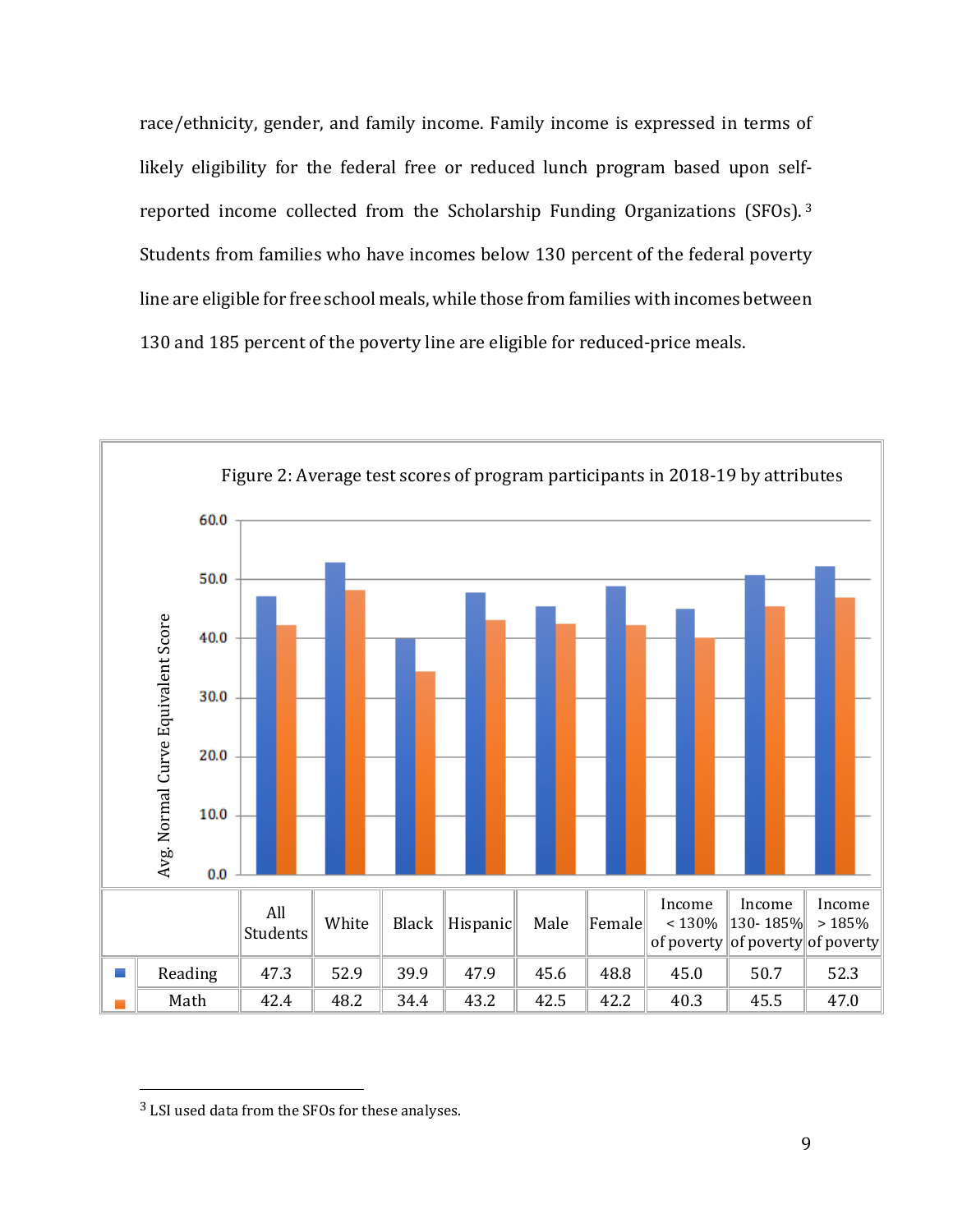race/ethnicity, gender, and family income. Family income is expressed in terms of likely eligibility for the federal free or reduced lunch program based upon self-reported income collected from the Scholarship Funding Organizations (SFOs).<sup>[3](#page-14-0)</sup> Students from families who have incomes below 130 percent of the federal poverty line are eligible for free school meals, while those from families with incomes between 130 and 185 percent of the poverty line are eligible for reduced-price meals.



<span id="page-14-0"></span><sup>3</sup> LSI used data from the SFOs for these analyses.

 $\overline{a}$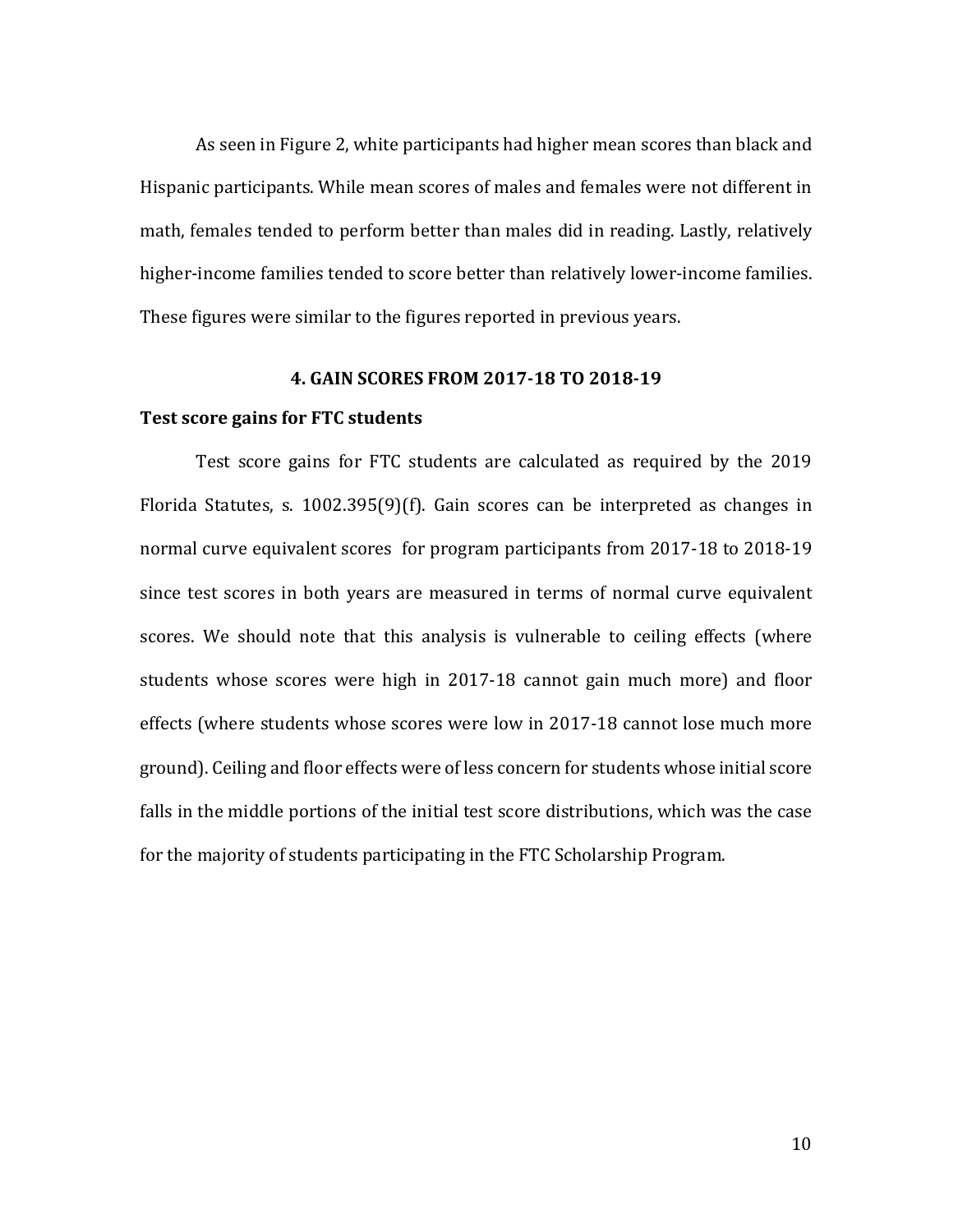As seen in Figure 2, white participants had higher mean scores than black and Hispanic participants. While mean scores of males and females were not different in math, females tended to perform better than males did in reading. Lastly, relatively higher-income families tended to score better than relatively lower-income families. These figures were similar to the figures reported in previous years.

#### **4. GAIN SCORES FROM 2017-18 TO 2018-19**

#### **Test score gains for FTC students**

Test score gains for FTC students are calculated as required by the 2019 Florida Statutes, s. 1002.395(9)(f). Gain scores can be interpreted as changes in normal curve equivalent scores for program participants from 2017-18 to 2018-19 since test scores in both years are measured in terms of normal curve equivalent scores. We should note that this analysis is vulnerable to ceiling effects (where students whose scores were high in 2017-18 cannot gain much more) and floor effects (where students whose scores were low in 2017-18 cannot lose much more ground). Ceiling and floor effects were of less concern for students whose initial score falls in the middle portions of the initial test score distributions, which was the case for the majority of students participating in the FTC Scholarship Program.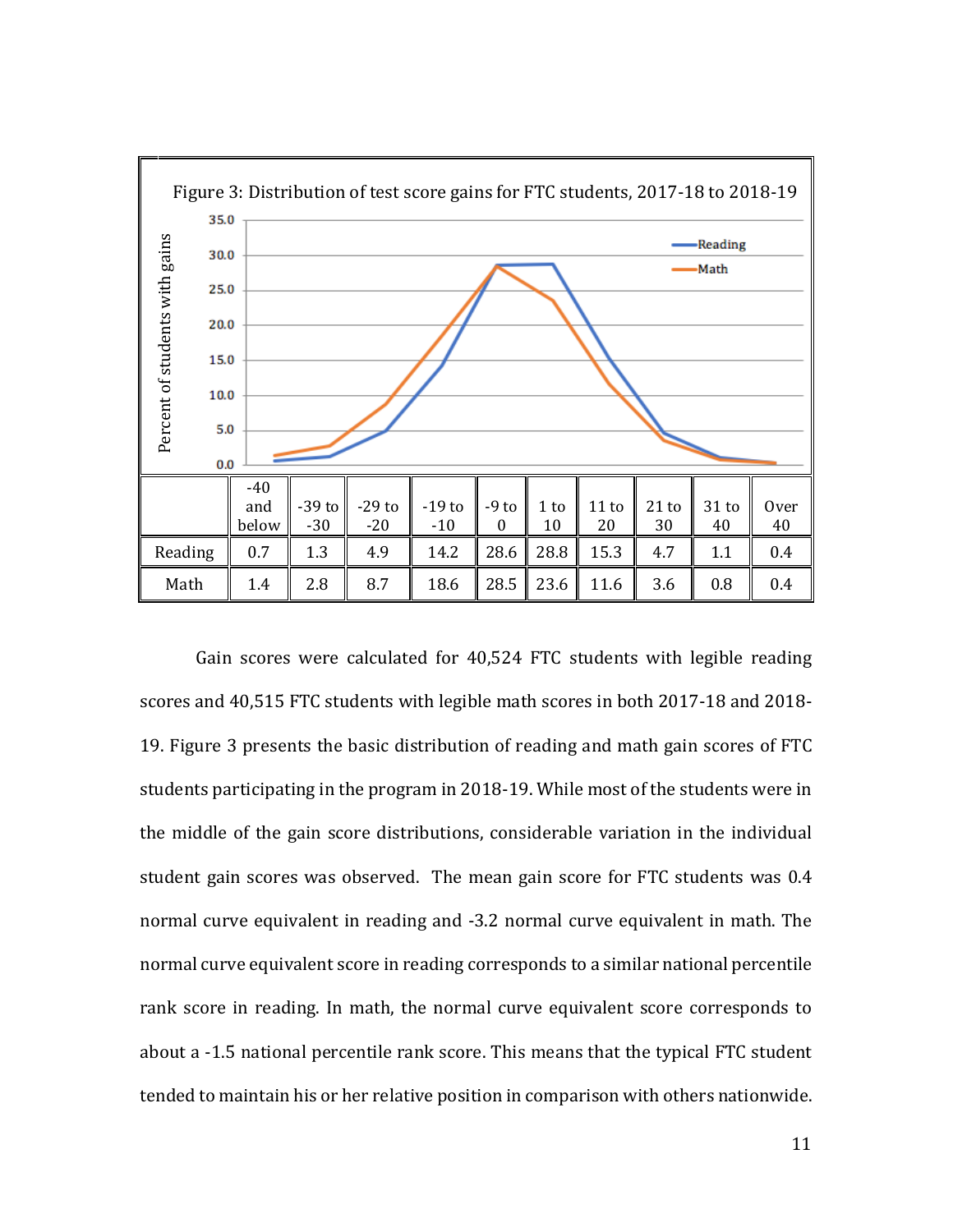

Gain scores were calculated for 40,524 FTC students with legible reading scores and 40,515 FTC students with legible math scores in both 2017-18 and 2018- 19. Figure 3 presents the basic distribution of reading and math gain scores of FTC students participating in the program in 2018-19. While most of the students were in the middle of the gain score distributions, considerable variation in the individual student gain scores was observed. The mean gain score for FTC students was 0.4 normal curve equivalent in reading and -3.2 normal curve equivalent in math. The normal curve equivalent score in reading corresponds to a similar national percentile rank score in reading. In math, the normal curve equivalent score corresponds to about a -1.5 national percentile rank score. This means that the typical FTC student tended to maintain his or her relative position in comparison with others nationwide.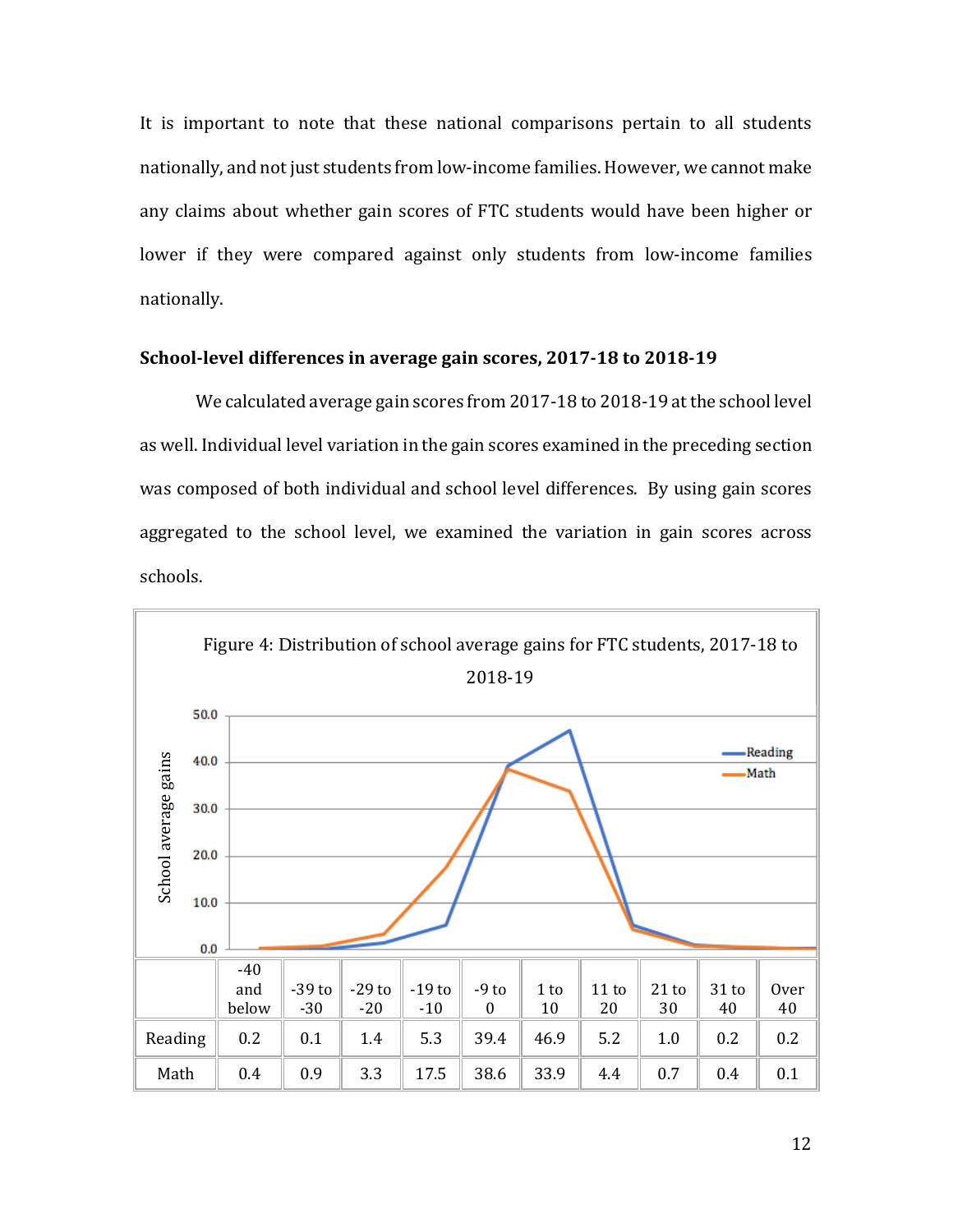It is important to note that these national comparisons pertain to all students nationally, and not just students from low-income families. However, we cannot make any claims about whether gain scores of FTC students would have been higher or lower if they were compared against only students from low-income families nationally.

#### **School-level differences in average gain scores, 2017-18 to 2018-19**

We calculated average gain scores from 2017-18 to 2018-19 at the school level as well. Individual level variation in the gain scores examined in the preceding section was composed of both individual and school level differences. By using gain scores aggregated to the school level, we examined the variation in gain scores across schools.

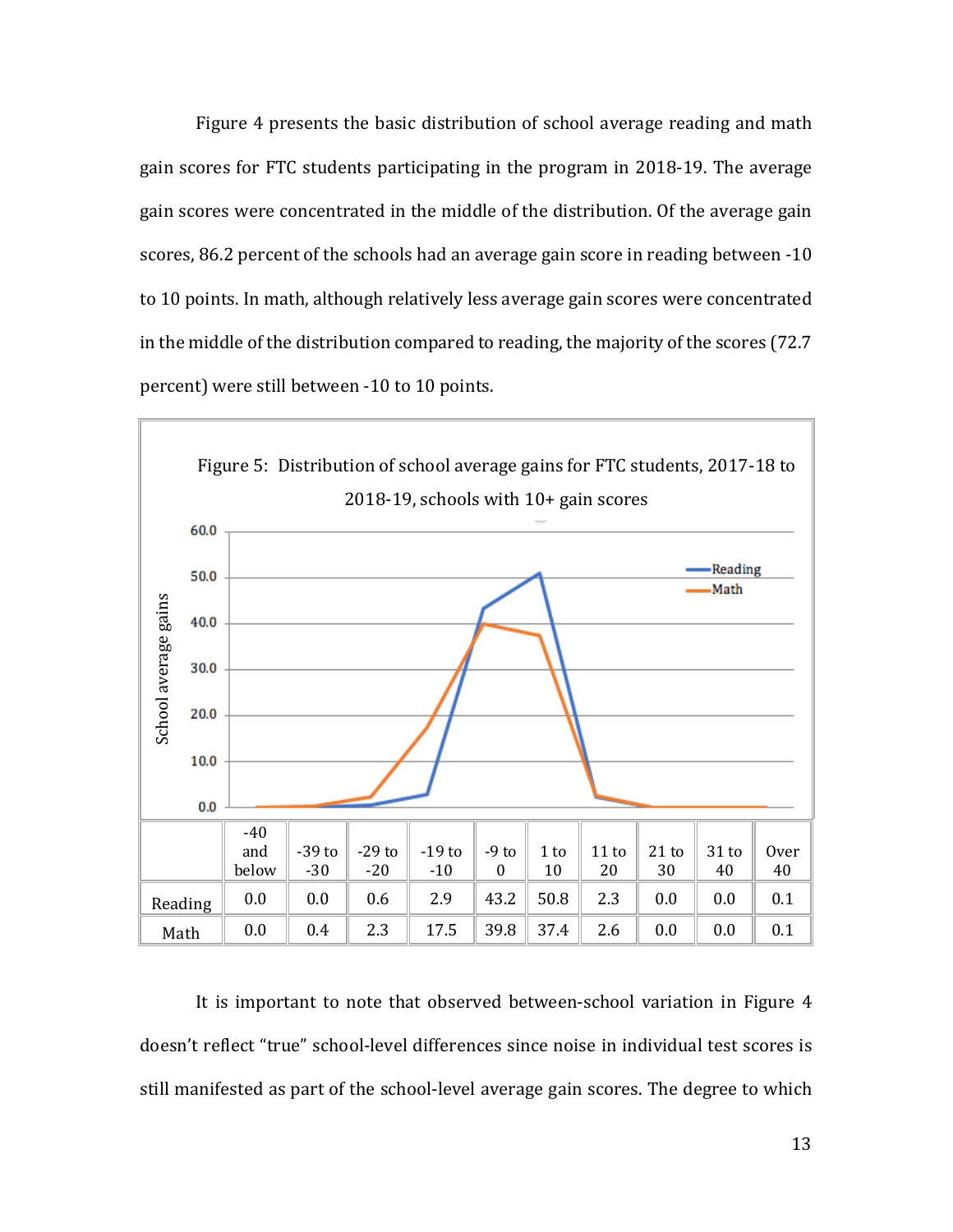Figure 4 presents the basic distribution of school average reading and math gain scores for FTC students participating in the program in 2018-19. The average gain scores were concentrated in the middle of the distribution. Of the average gain scores, 86.2 percent of the schools had an average gain score in reading between -10 to 10 points. In math, although relatively less average gain scores were concentrated in the middle of the distribution compared to reading, the majority of the scores (72.7 percent) were still between -10 to 10 points.



It is important to note that observed between-school variation in Figure 4 doesn't reflect "true" school-level differences since noise in individual test scores is still manifested as part of the school-level average gain scores. The degree to which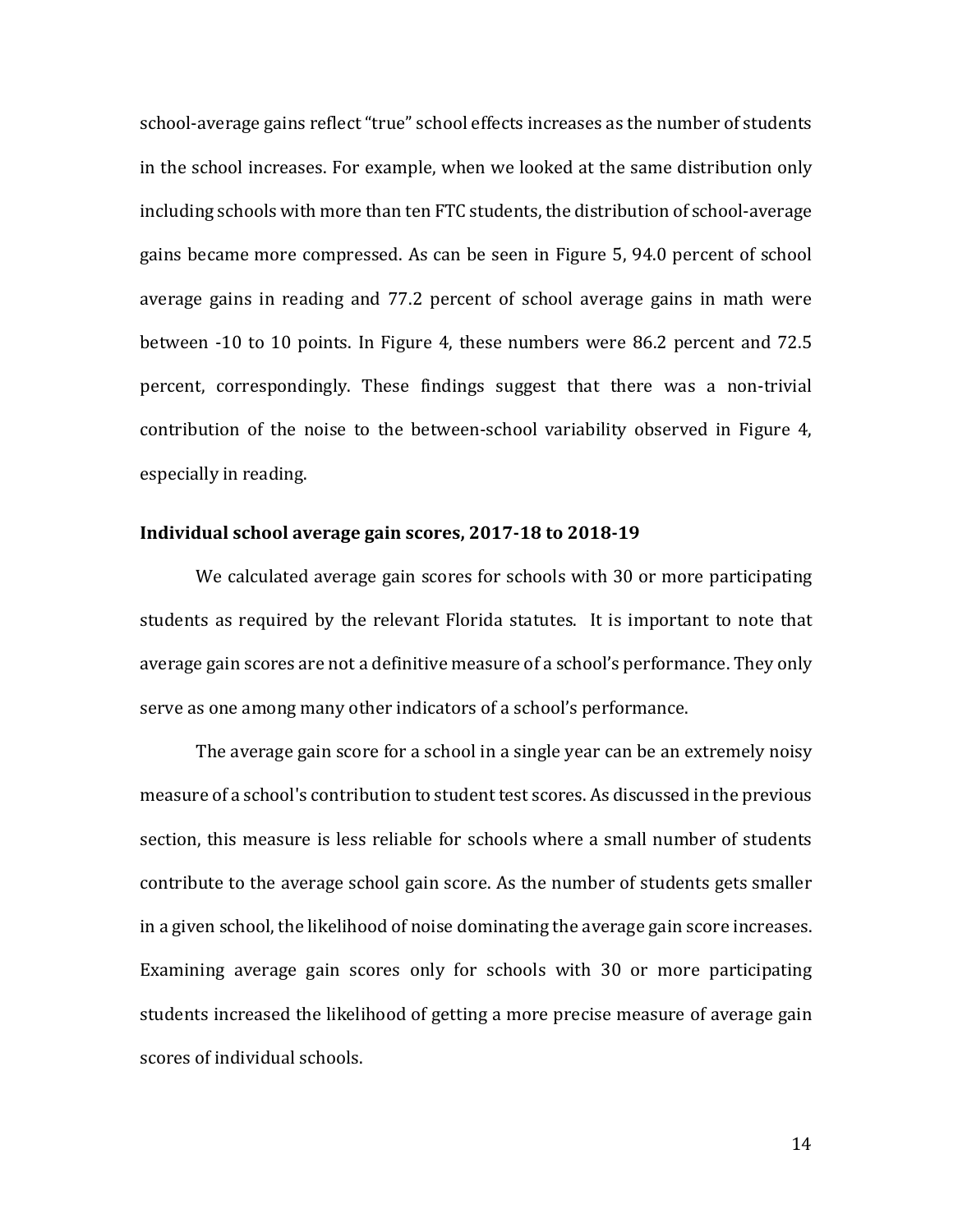school-average gains reflect "true" school effects increases as the number of students in the school increases. For example, when we looked at the same distribution only including schools with more than ten FTC students, the distribution of school-average gains became more compressed. As can be seen in Figure 5, 94.0 percent of school average gains in reading and 77.2 percent of school average gains in math were between -10 to 10 points. In Figure 4, these numbers were 86.2 percent and 72.5 percent, correspondingly. These findings suggest that there was a non-trivial contribution of the noise to the between-school variability observed in Figure 4, especially in reading.

#### **Individual school average gain scores, 2017-18 to 2018-19**

We calculated average gain scores for schools with 30 or more participating students as required by the relevant Florida statutes. It is important to note that average gain scores are not a definitive measure of a school's performance. They only serve as one among many other indicators of a school's performance.

The average gain score for a school in a single year can be an extremely noisy measure of a school's contribution to student test scores. As discussed in the previous section, this measure is less reliable for schools where a small number of students contribute to the average school gain score. As the number of students gets smaller in a given school, the likelihood of noise dominating the average gain score increases. Examining average gain scores only for schools with 30 or more participating students increased the likelihood of getting a more precise measure of average gain scores of individual schools.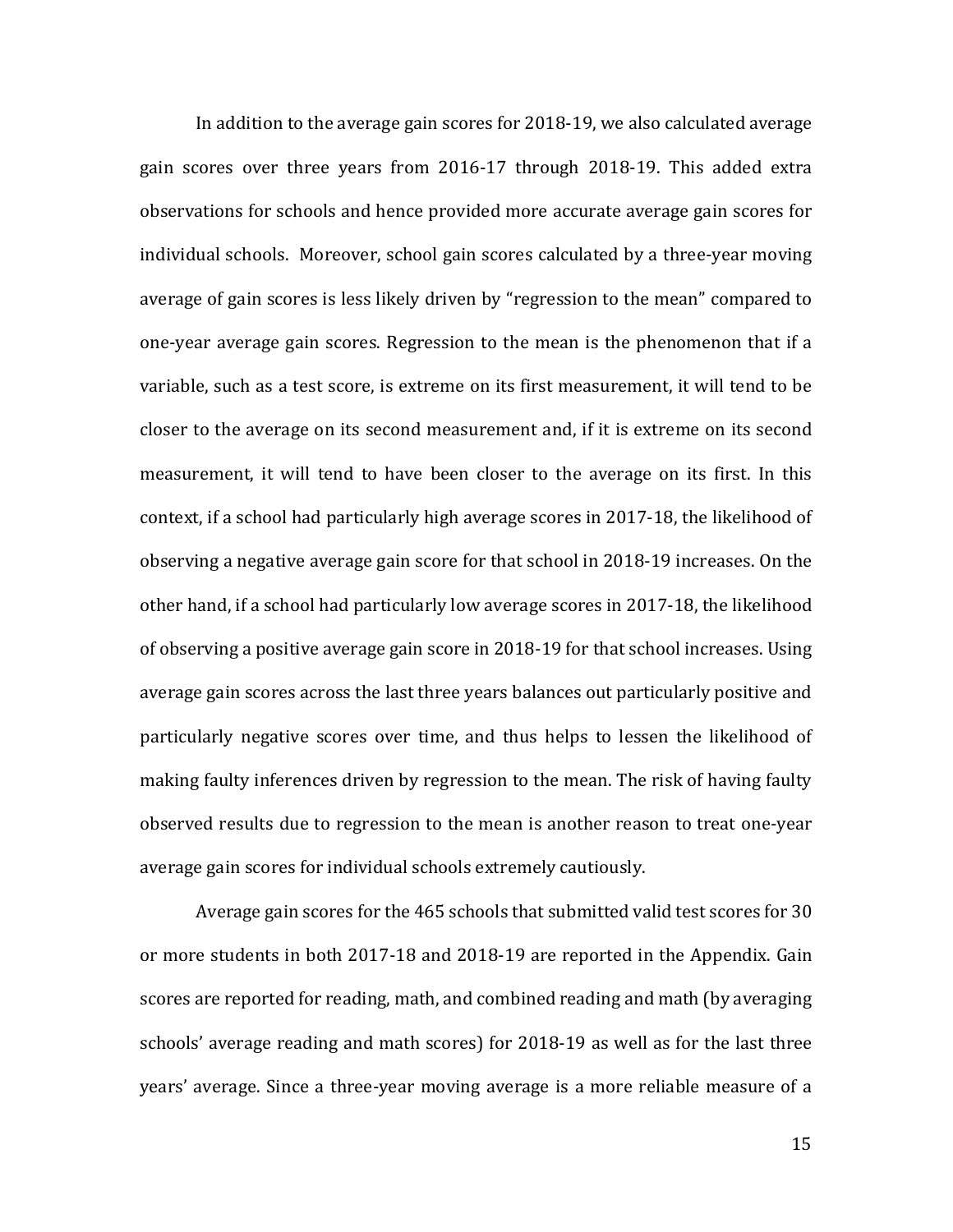In addition to the average gain scores for 2018-19, we also calculated average gain scores over three years from 2016-17 through 2018-19. This added extra observations for schools and hence provided more accurate average gain scores for individual schools. Moreover, school gain scores calculated by a three-year moving average of gain scores is less likely driven by "regression to the mean" compared to one-year average gain scores. Regression to the mean is the phenomenon that if a variable, such as a test score, is extreme on its first measurement, it will tend to be closer to the average on its second measurement and, if it is extreme on its second measurement, it will tend to have been closer to the average on its first. In this context, if a school had particularly high average scores in 2017-18, the likelihood of observing a negative average gain score for that school in 2018-19 increases. On the other hand, if a school had particularly low average scores in 2017-18, the likelihood of observing a positive average gain score in 2018-19 for that school increases. Using average gain scores across the last three years balances out particularly positive and particularly negative scores over time, and thus helps to lessen the likelihood of making faulty inferences driven by regression to the mean. The risk of having faulty observed results due to regression to the mean is another reason to treat one-year average gain scores for individual schools extremely cautiously.

Average gain scores for the 465 schools that submitted valid test scores for 30 or more students in both 2017-18 and 2018-19 are reported in the Appendix. Gain scores are reported for reading, math, and combined reading and math (by averaging schools' average reading and math scores) for 2018-19 as well as for the last three years' average. Since a three-year moving average is a more reliable measure of a

15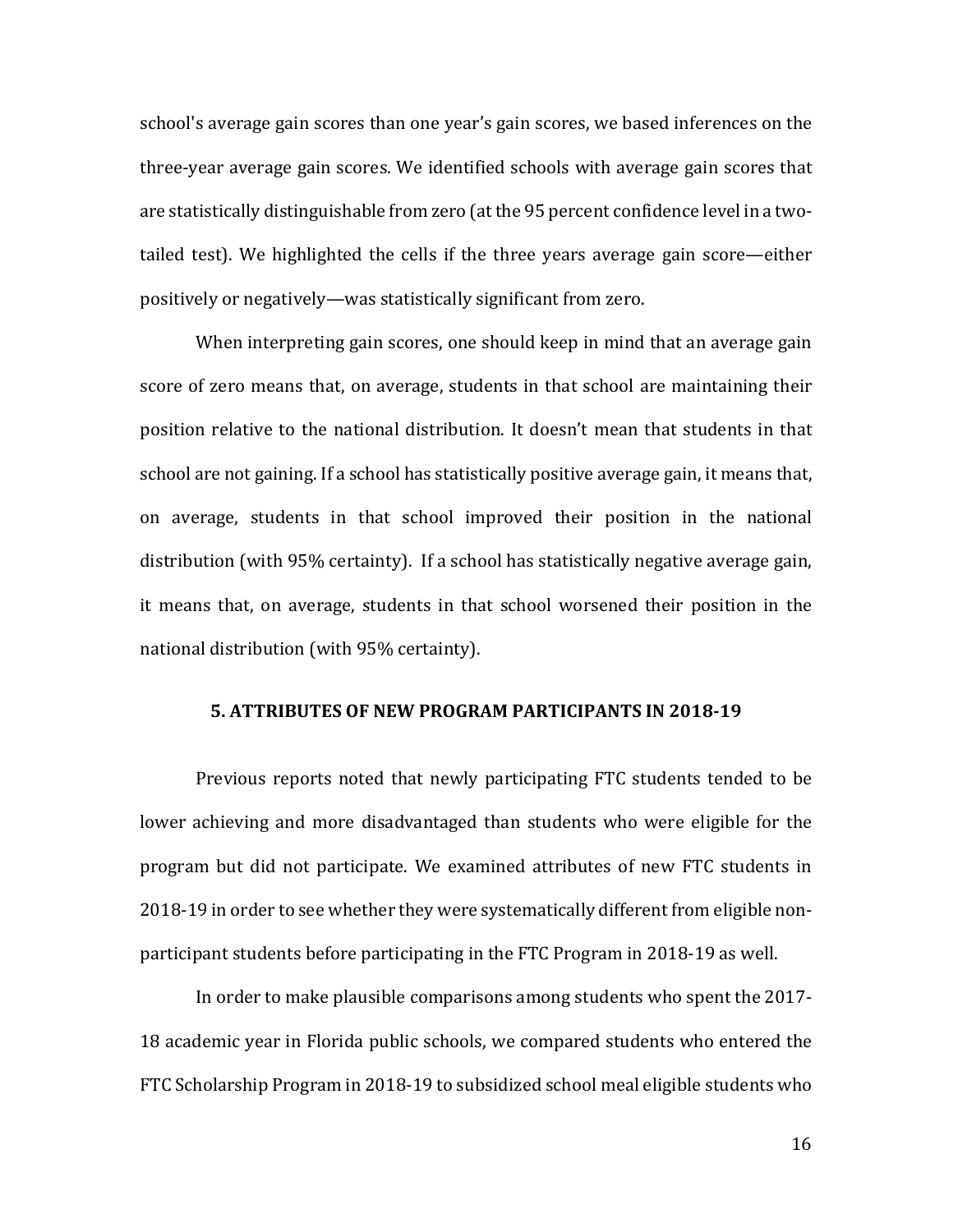school's average gain scores than one year's gain scores, we based inferences on the three-year average gain scores. We identified schools with average gain scores that are statistically distinguishable from zero (at the 95 percent confidence level in a twotailed test). We highlighted the cells if the three years average gain score—either positively or negatively—was statistically significant from zero.

When interpreting gain scores, one should keep in mind that an average gain score of zero means that, on average, students in that school are maintaining their position relative to the national distribution. It doesn't mean that students in that school are not gaining. If a school has statistically positive average gain, it means that, on average, students in that school improved their position in the national distribution (with 95% certainty). If a school has statistically negative average gain, it means that, on average, students in that school worsened their position in the national distribution (with 95% certainty).

#### **5. ATTRIBUTES OF NEW PROGRAM PARTICIPANTS IN 2018-19**

Previous reports noted that newly participating FTC students tended to be lower achieving and more disadvantaged than students who were eligible for the program but did not participate. We examined attributes of new FTC students in 2018-19 in order to see whether they were systematically different from eligible nonparticipant students before participating in the FTC Program in 2018-19 as well.

In order to make plausible comparisons among students who spent the 2017- 18 academic year in Florida public schools, we compared students who entered the FTC Scholarship Program in 2018-19 to subsidized school meal eligible students who

16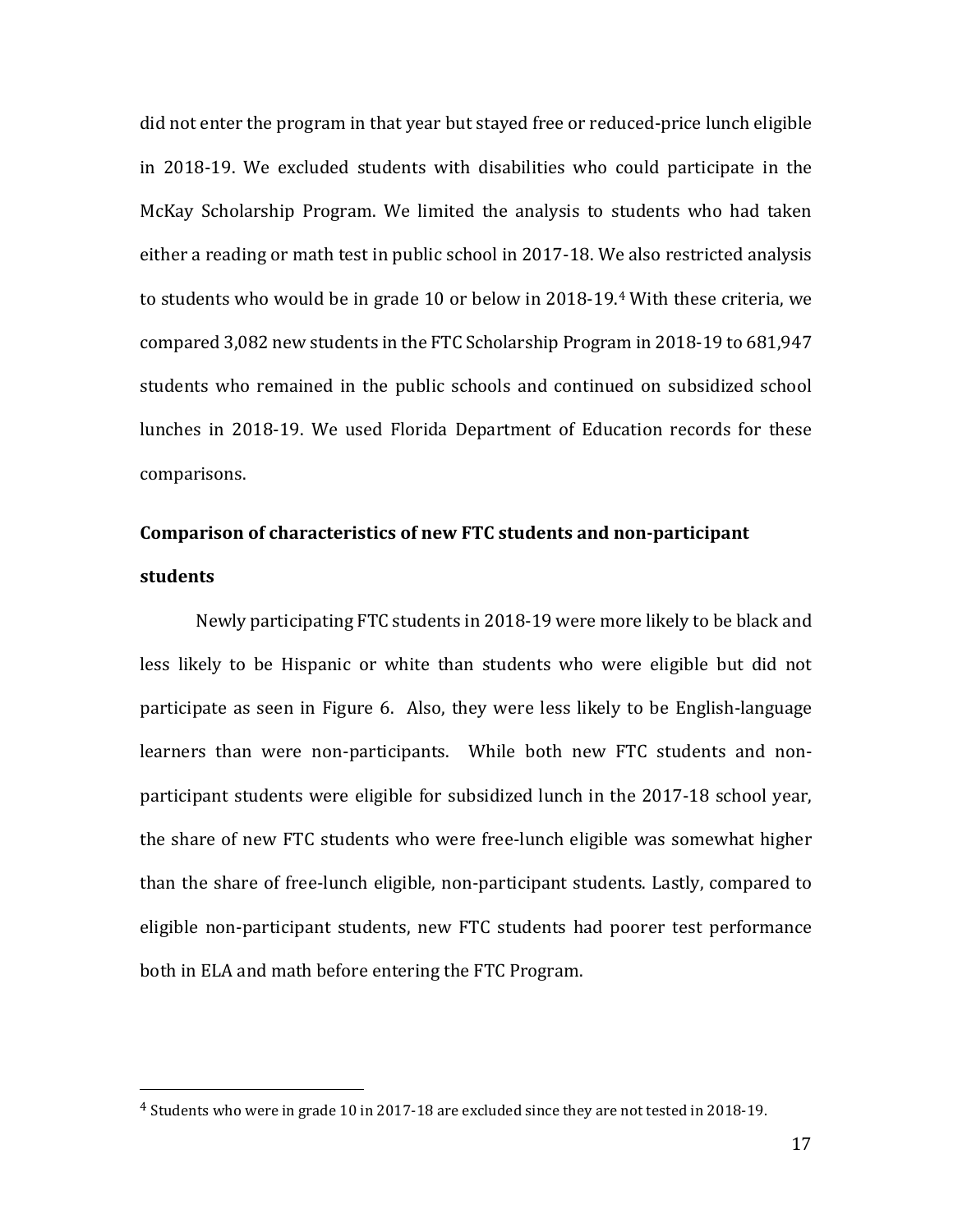did not enter the program in that year but stayed free or reduced-price lunch eligible in 2018-19. We excluded students with disabilities who could participate in the McKay Scholarship Program. We limited the analysis to students who had taken either a reading or math test in public school in 2017-18. We also restricted analysis to students who would be in grade 10 or below in 2018-19.[4](#page-22-0) With these criteria, we compared 3,082 new students in the FTC Scholarship Program in 2018-19 to 681,947 students who remained in the public schools and continued on subsidized school lunches in 2018-19. We used Florida Department of Education records for these comparisons.

# **Comparison of characteristics of new FTC students and non-participant students**

Newly participating FTC students in 2018-19 were more likely to be black and less likely to be Hispanic or white than students who were eligible but did not participate as seen in Figure 6. Also, they were less likely to be English-language learners than were non-participants. While both new FTC students and nonparticipant students were eligible for subsidized lunch in the 2017-18 school year, the share of new FTC students who were free-lunch eligible was somewhat higher than the share of free-lunch eligible, non-participant students. Lastly, compared to eligible non-participant students, new FTC students had poorer test performance both in ELA and math before entering the FTC Program.

 $\overline{a}$ 

<span id="page-22-0"></span><sup>4</sup> Students who were in grade 10 in 2017-18 are excluded since they are not tested in 2018-19.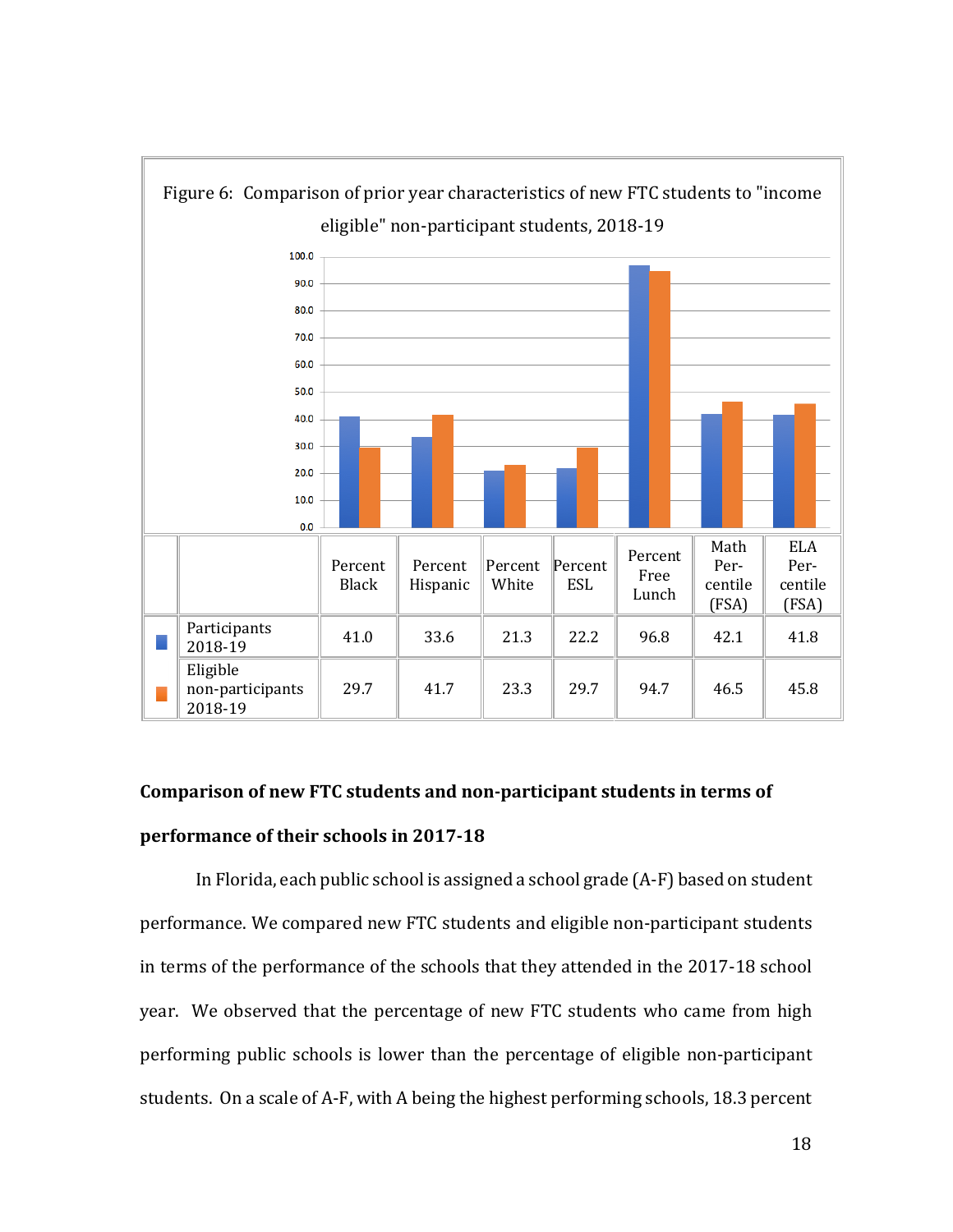

# **Comparison of new FTC students and non-participant students in terms of performance of their schools in 2017-18**

In Florida, each public school is assigned a school grade (A-F) based on student performance. We compared new FTC students and eligible non-participant students in terms of the performance of the schools that they attended in the 2017-18 school year. We observed that the percentage of new FTC students who came from high performing public schools is lower than the percentage of eligible non-participant students. On a scale of A-F, with A being the highest performing schools, 18.3 percent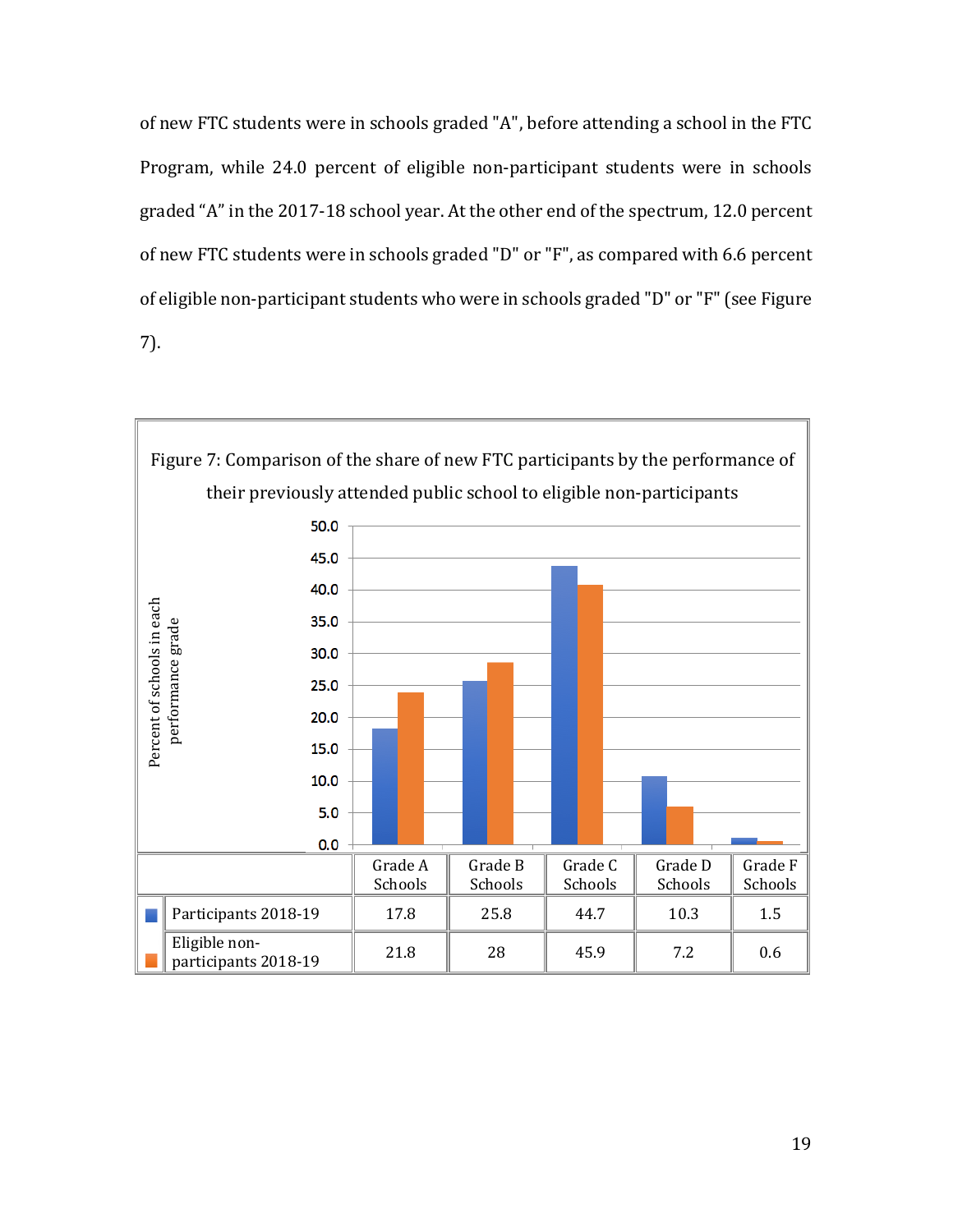of new FTC students were in schools graded "A", before attending a school in the FTC Program, while 24.0 percent of eligible non-participant students were in schools graded "A" in the 2017-18 school year. At the other end of the spectrum, 12.0 percent of new FTC students were in schools graded "D" or "F", as compared with 6.6 percent of eligible non-participant students who were in schools graded "D" or "F"(see Figure 7).

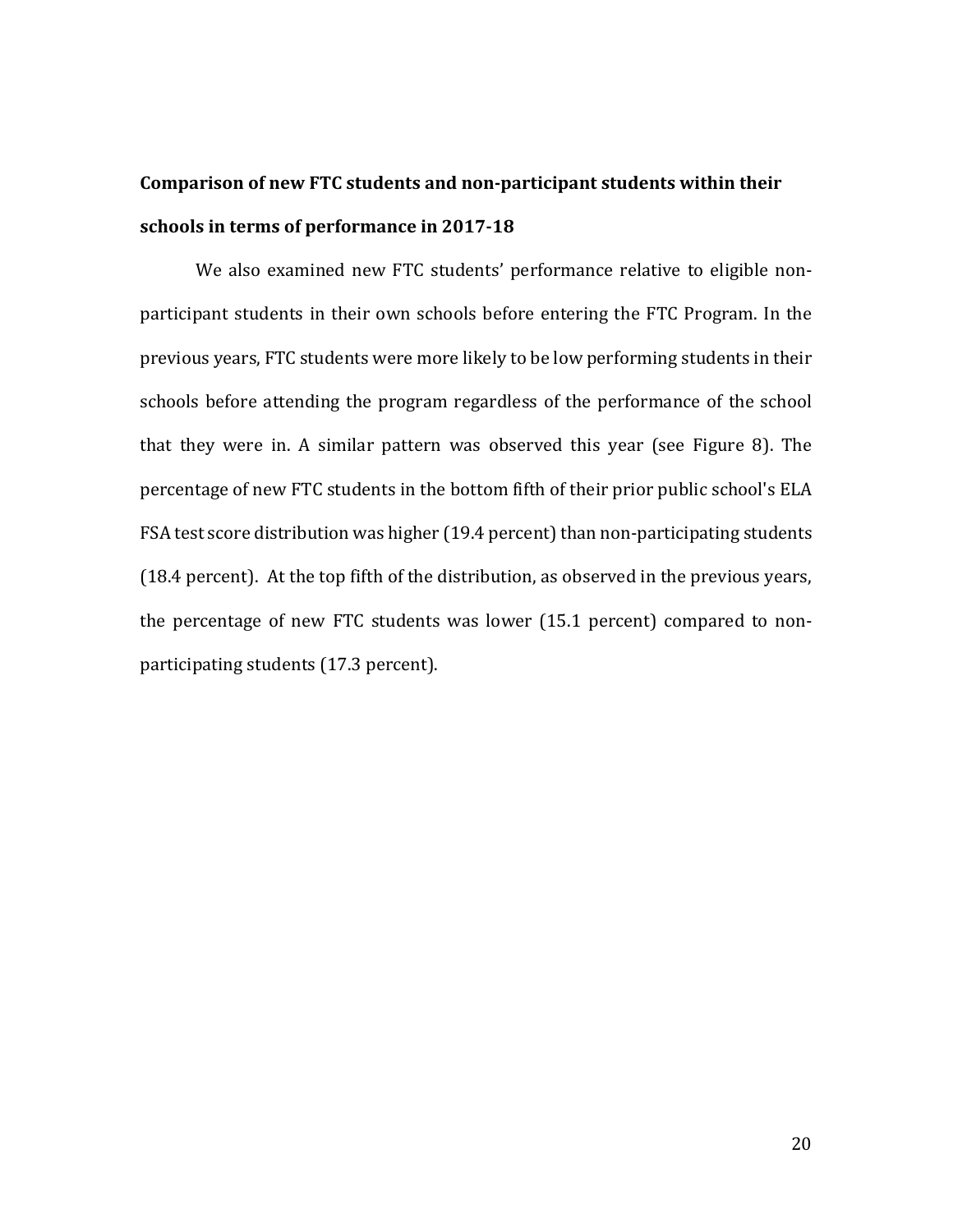# **Comparison of new FTC students and non-participant students within their schools in terms of performance in 2017-18**

We also examined new FTC students' performance relative to eligible nonparticipant students in their own schools before entering the FTC Program. In the previous years, FTC students were more likely to be low performing students in their schools before attending the program regardless of the performance of the school that they were in. A similar pattern was observed this year (see Figure 8). The percentage of new FTC students in the bottom fifth of their prior public school's ELA FSA test score distribution was higher (19.4 percent) than non-participating students (18.4 percent). At the top fifth of the distribution, as observed in the previous years, the percentage of new FTC students was lower (15.1 percent) compared to nonparticipating students (17.3 percent).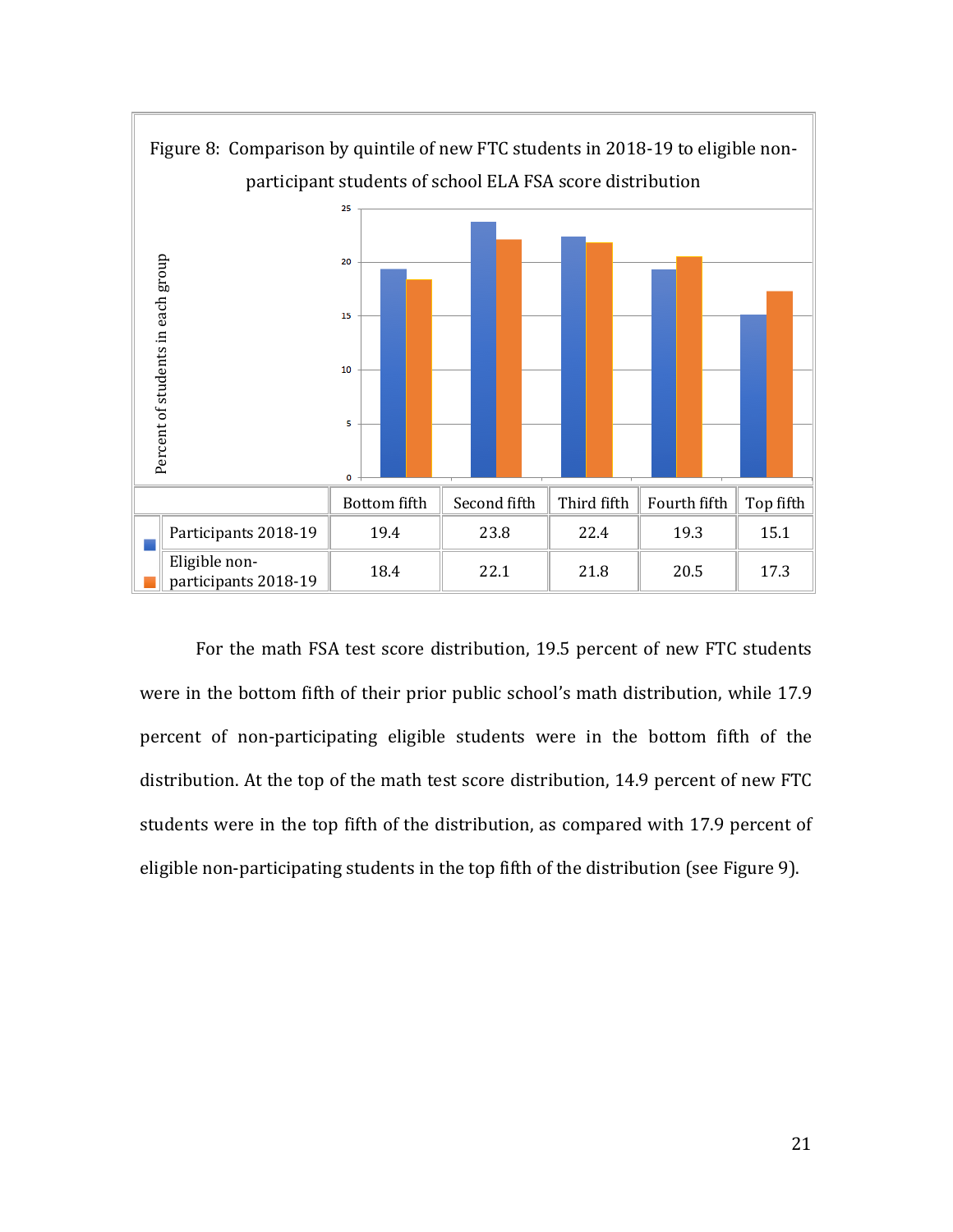

For the math FSA test score distribution, 19.5 percent of new FTC students were in the bottom fifth of their prior public school's math distribution, while 17.9 percent of non-participating eligible students were in the bottom fifth of the distribution. At the top of the math test score distribution, 14.9 percent of new FTC students were in the top fifth of the distribution, as compared with 17.9 percent of eligible non-participating students in the top fifth of the distribution (see Figure 9).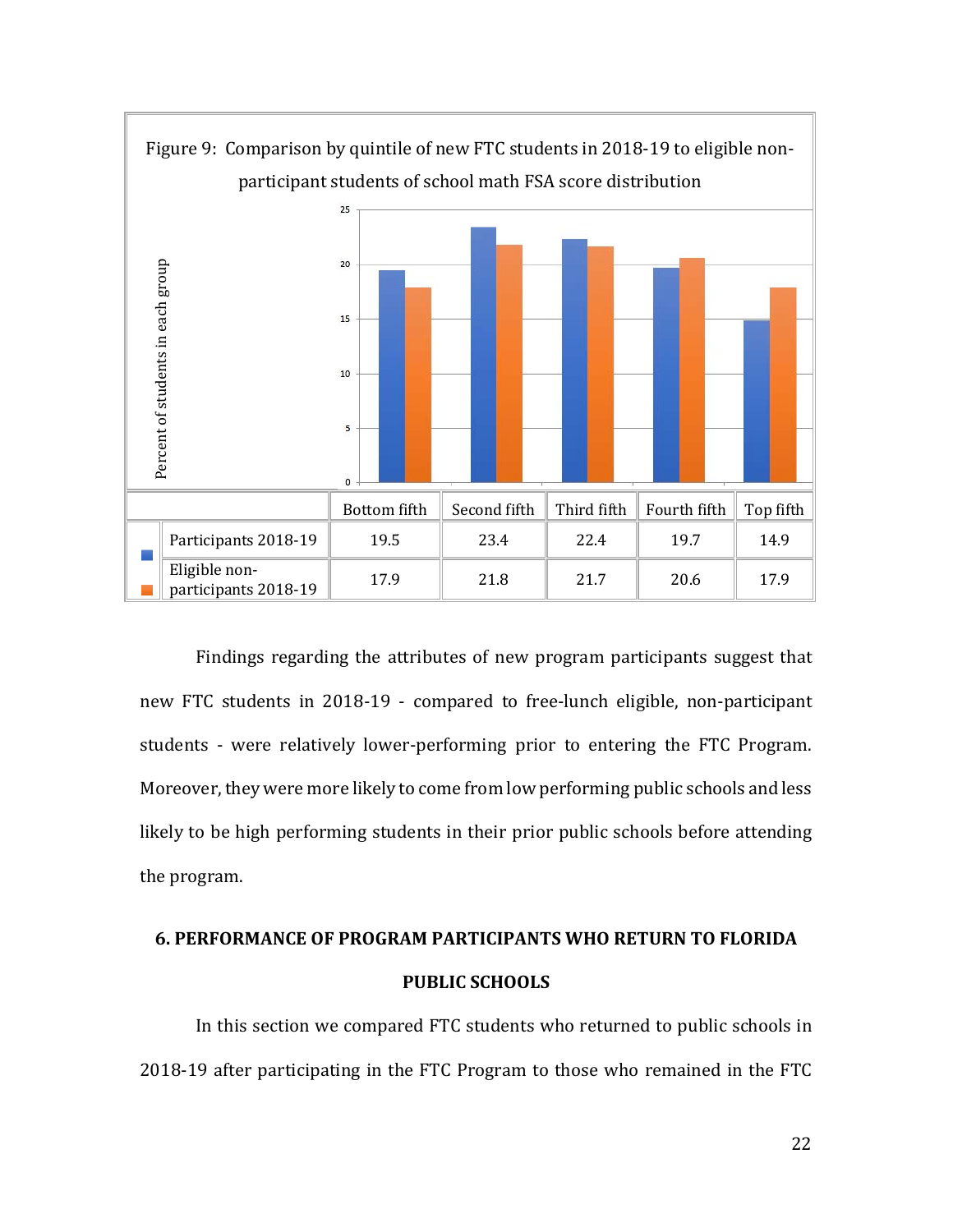

Findings regarding the attributes of new program participants suggest that new FTC students in 2018-19 - compared to free-lunch eligible, non-participant students - were relatively lower-performing prior to entering the FTC Program. Moreover, they were more likely to come from low performing public schools and less likely to be high performing students in their prior public schools before attending the program.

## **6. PERFORMANCE OF PROGRAM PARTICIPANTS WHO RETURN TO FLORIDA PUBLIC SCHOOLS**

In this section we compared FTC students who returned to public schools in 2018-19 after participating in the FTC Program to those who remained in the FTC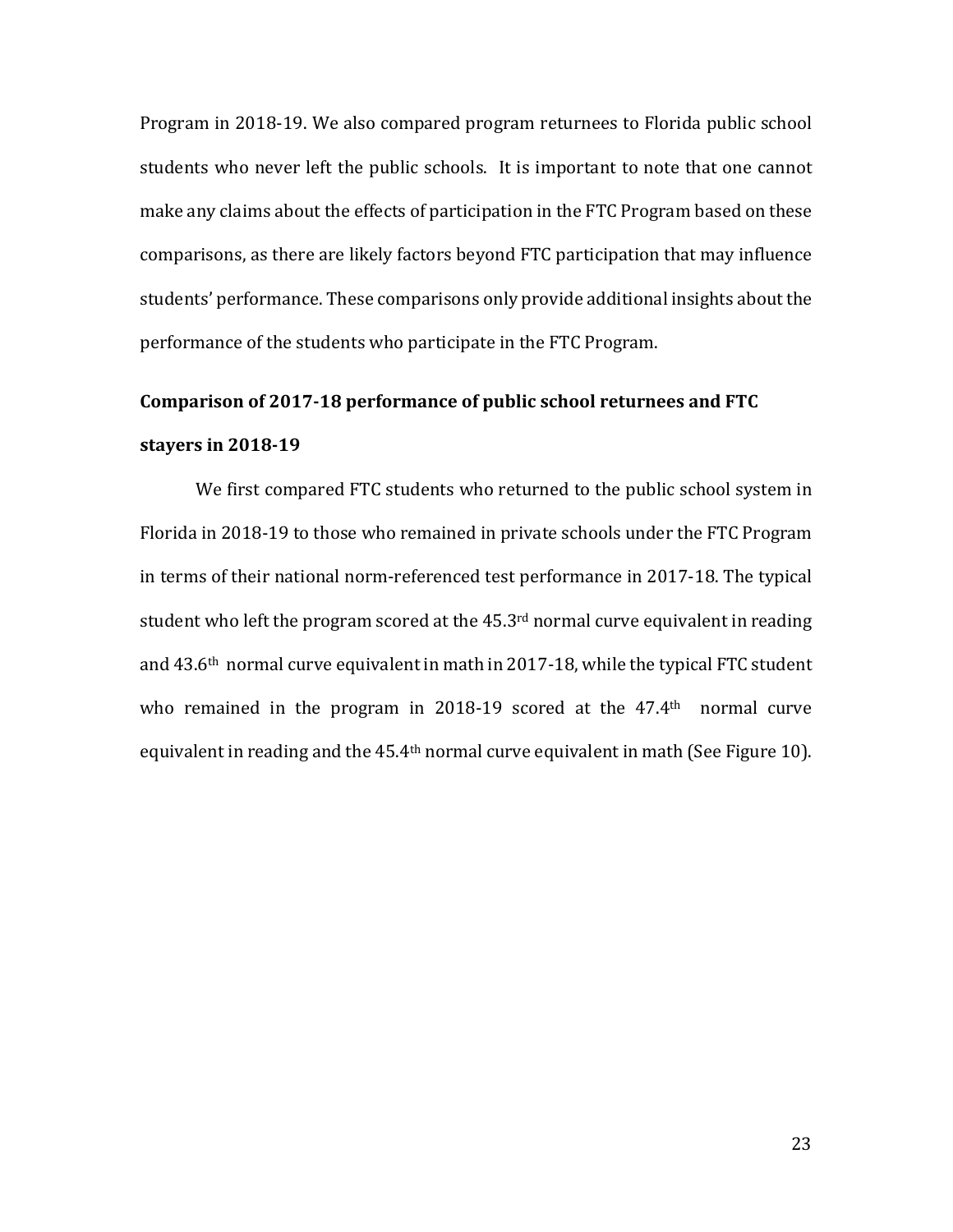Program in 2018-19. We also compared program returnees to Florida public school students who never left the public schools. It is important to note that one cannot make any claims about the effects of participation in the FTC Program based on these comparisons, as there are likely factors beyond FTC participation that may influence students' performance. These comparisons only provide additional insights about the performance of the students who participate in the FTC Program.

# **Comparison of 2017-18 performance of public school returnees and FTC stayers in 2018-19**

We first compared FTC students who returned to the public school system in Florida in 2018-19 to those who remained in private schools under the FTC Program in terms of their national norm-referenced test performance in 2017-18. The typical student who left the program scored at the  $45.3<sup>rd</sup>$  normal curve equivalent in reading and 43.6th normal curve equivalent in math in 2017-18, while the typical FTC student who remained in the program in 2018-19 scored at the 47.4<sup>th</sup> normal curve equivalent in reading and the 45.4<sup>th</sup> normal curve equivalent in math (See Figure 10).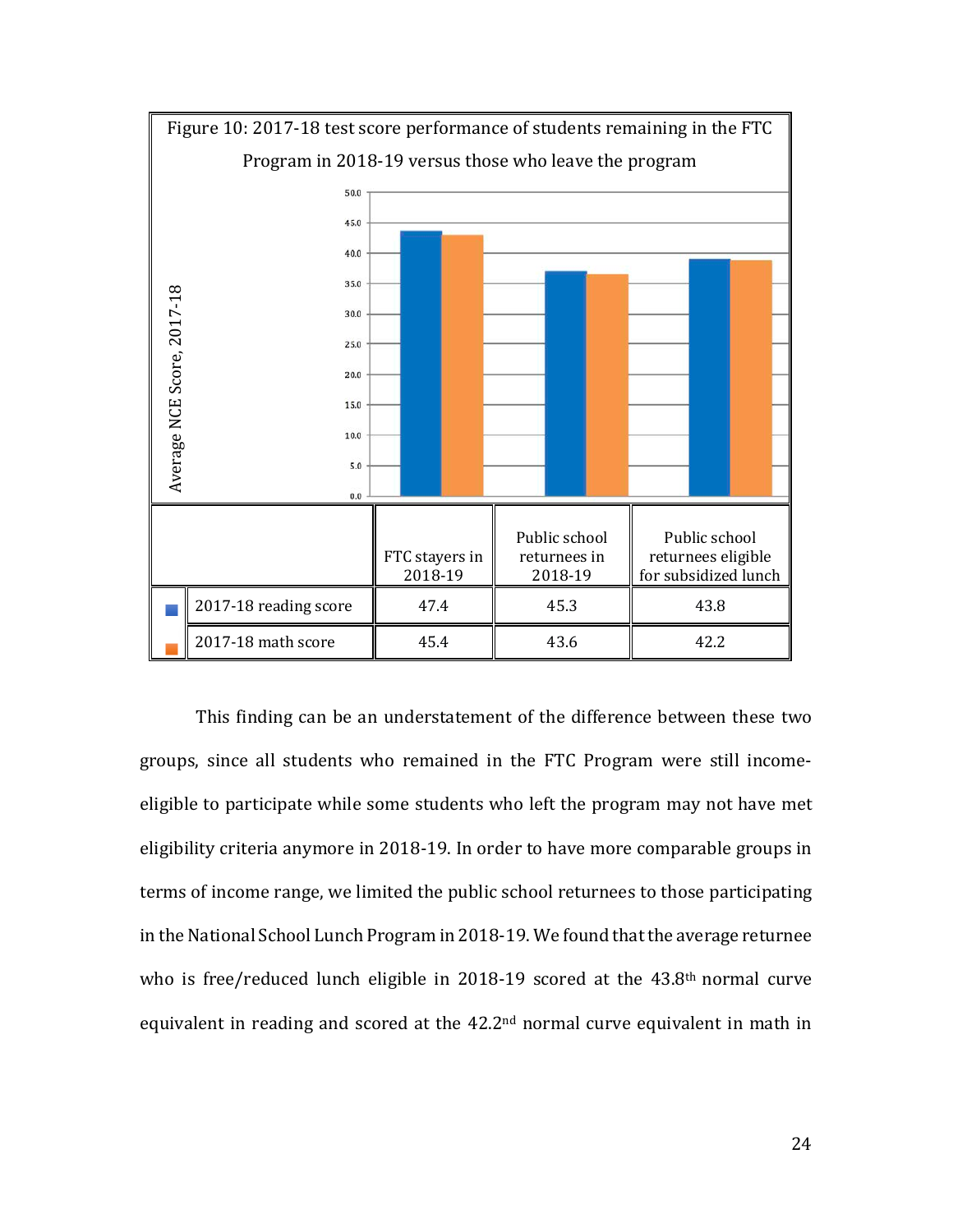

This finding can be an understatement of the difference between these two groups, since all students who remained in the FTC Program were still incomeeligible to participate while some students who left the program may not have met eligibility criteria anymore in 2018-19. In order to have more comparable groups in terms of income range, we limited the public school returnees to those participating in the National School Lunch Program in 2018-19. We found that the average returnee who is free/reduced lunch eligible in 2018-19 scored at the 43.8<sup>th</sup> normal curve equivalent in reading and scored at the 42.2nd normal curve equivalent in math in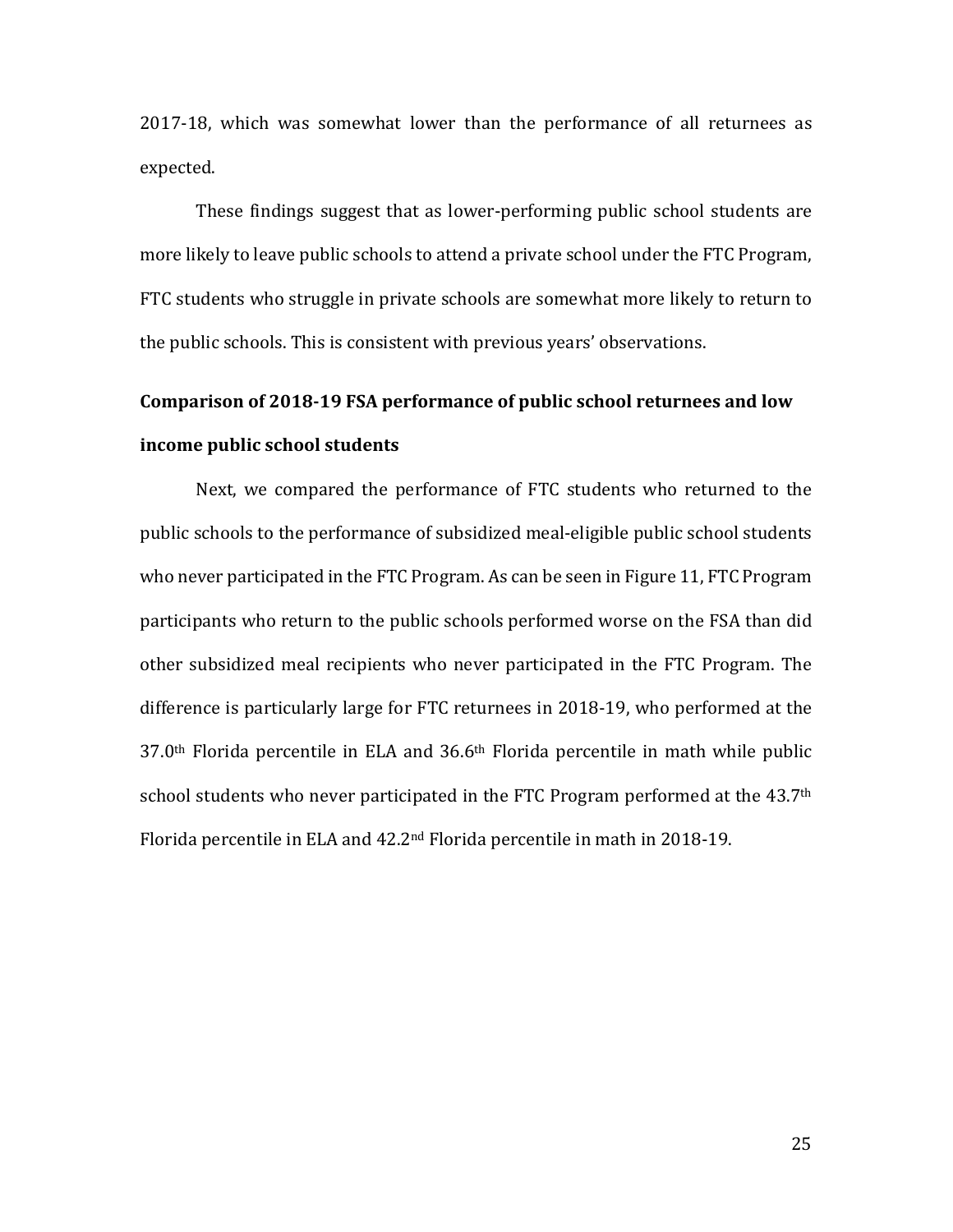2017-18, which was somewhat lower than the performance of all returnees as expected.

These findings suggest that as lower-performing public school students are more likely to leave public schools to attend a private school under the FTC Program, FTC students who struggle in private schools are somewhat more likely to return to the public schools. This is consistent with previous years' observations.

# **Comparison of 2018-19 FSA performance of public school returnees and low income public school students**

Next, we compared the performance of FTC students who returned to the public schools to the performance of subsidized meal-eligible public school students who never participated in the FTC Program. As can be seen in Figure 11, FTC Program participants who return to the public schools performed worse on the FSA than did other subsidized meal recipients who never participated in the FTC Program. The difference is particularly large for FTC returnees in 2018-19, who performed at the 37.0th Florida percentile in ELA and 36.6th Florida percentile in math while public school students who never participated in the FTC Program performed at the 43.7<sup>th</sup> Florida percentile in ELA and 42.2nd Florida percentile in math in 2018-19.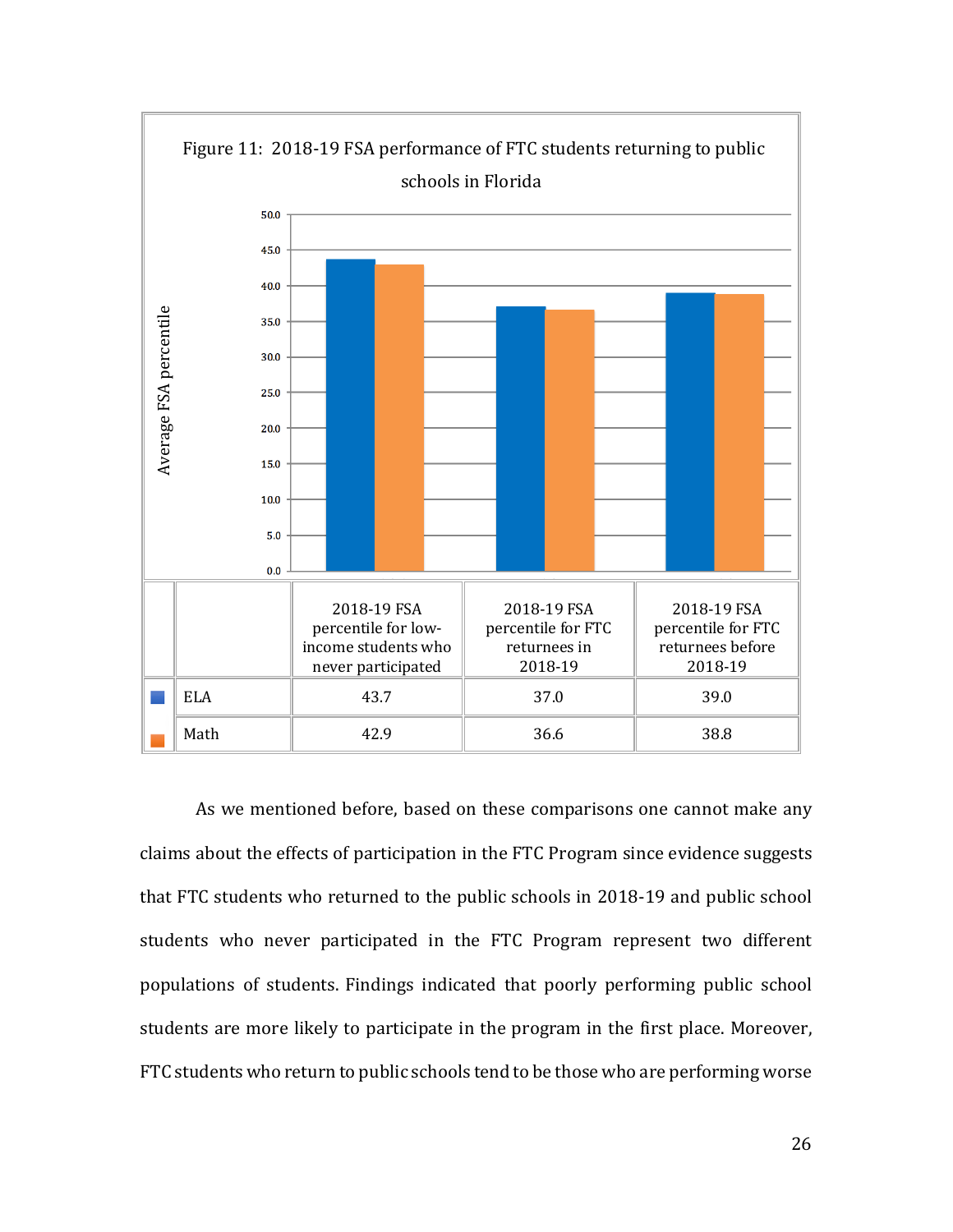

As we mentioned before, based on these comparisons one cannot make any claims about the effects of participation in the FTC Program since evidence suggests that FTC students who returned to the public schools in 2018-19 and public school students who never participated in the FTC Program represent two different populations of students. Findings indicated that poorly performing public school students are more likely to participate in the program in the first place. Moreover, FTC students who return to public schools tend to be those who are performing worse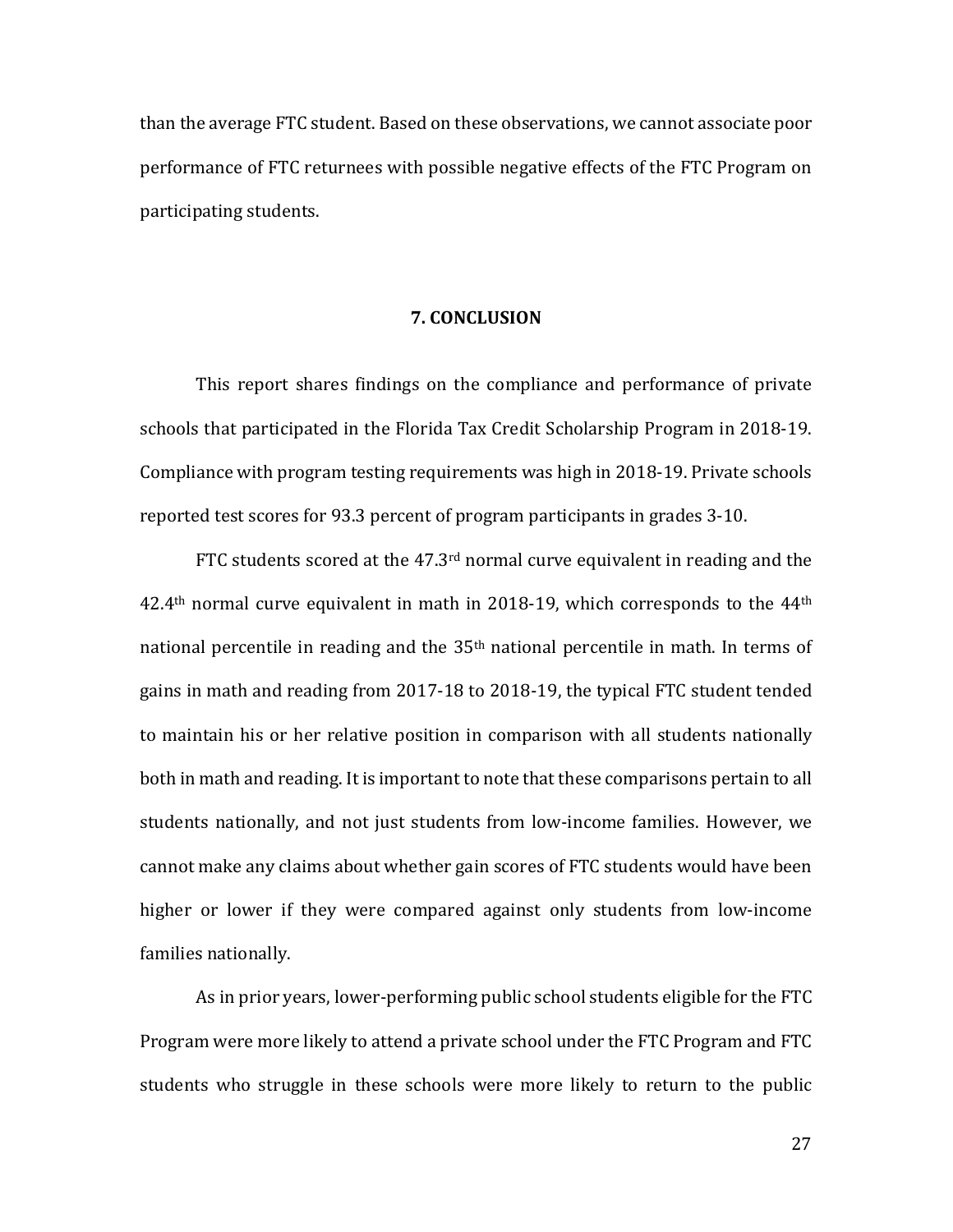than the average FTC student. Based on these observations, we cannot associate poor performance of FTC returnees with possible negative effects of the FTC Program on participating students.

### **7. CONCLUSION**

This report shares findings on the compliance and performance of private schools that participated in the Florida Tax Credit Scholarship Program in 2018-19. Compliance with program testing requirements was high in 2018-19. Private schools reported test scores for 93.3 percent of program participants in grades 3-10.

FTC students scored at the 47.3<sup>rd</sup> normal curve equivalent in reading and the  $42.4<sup>th</sup>$  normal curve equivalent in math in 2018-19, which corresponds to the  $44<sup>th</sup>$ national percentile in reading and the 35<sup>th</sup> national percentile in math. In terms of gains in math and reading from 2017-18 to 2018-19, the typical FTC student tended to maintain his or her relative position in comparison with all students nationally both in math and reading. It is important to note that these comparisons pertain to all students nationally, and not just students from low-income families. However, we cannot make any claims about whether gain scores of FTC students would have been higher or lower if they were compared against only students from low-income families nationally.

As in prior years, lower-performing public school students eligible for the FTC Program were more likely to attend a private school under the FTC Program and FTC students who struggle in these schools were more likely to return to the public

27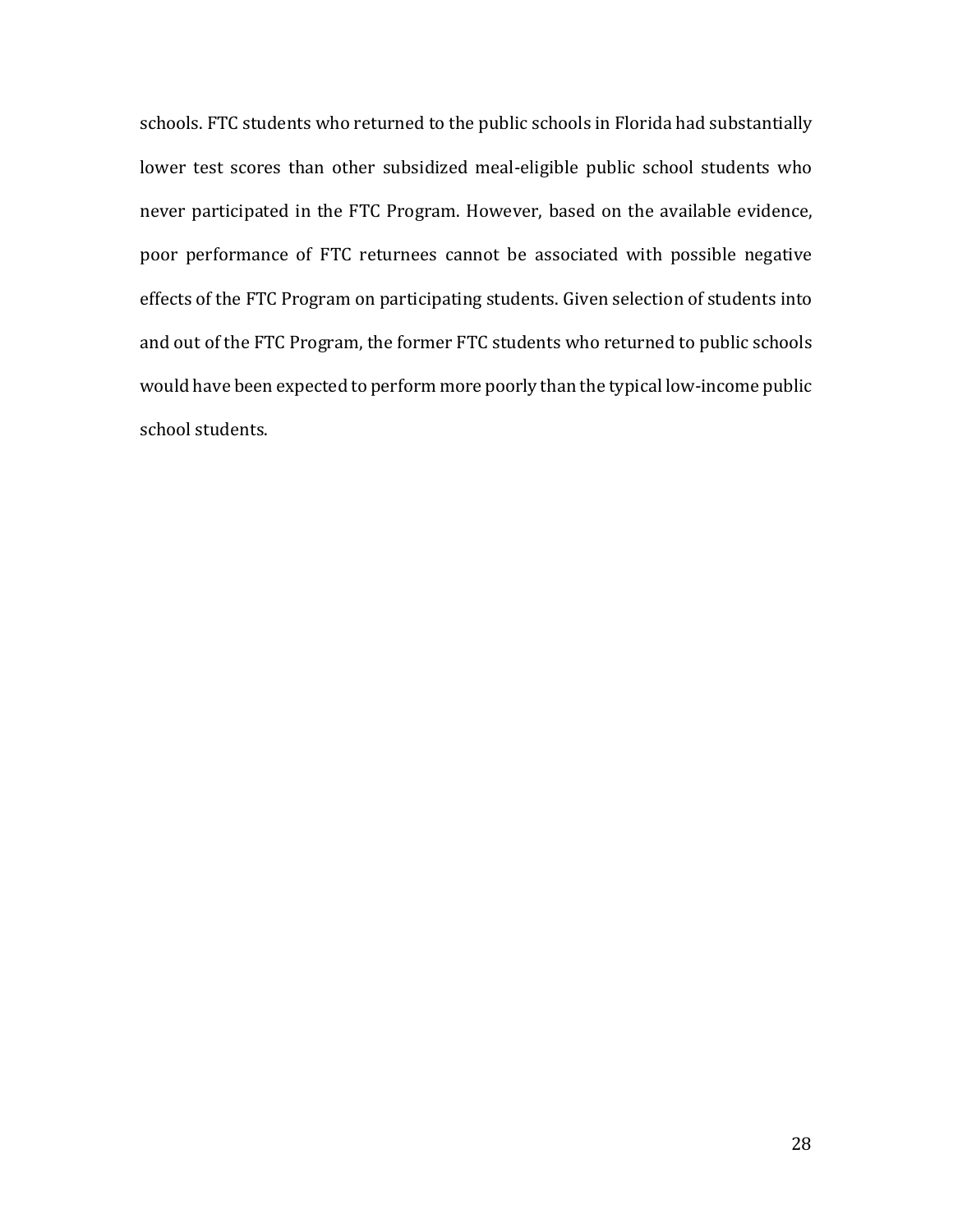schools. FTC students who returned to the public schools in Florida had substantially lower test scores than other subsidized meal-eligible public school students who never participated in the FTC Program. However, based on the available evidence, poor performance of FTC returnees cannot be associated with possible negative effects of the FTC Program on participating students. Given selection of students into and out of the FTC Program, the former FTC students who returned to public schools would have been expected to perform more poorly than the typical low-income public school students.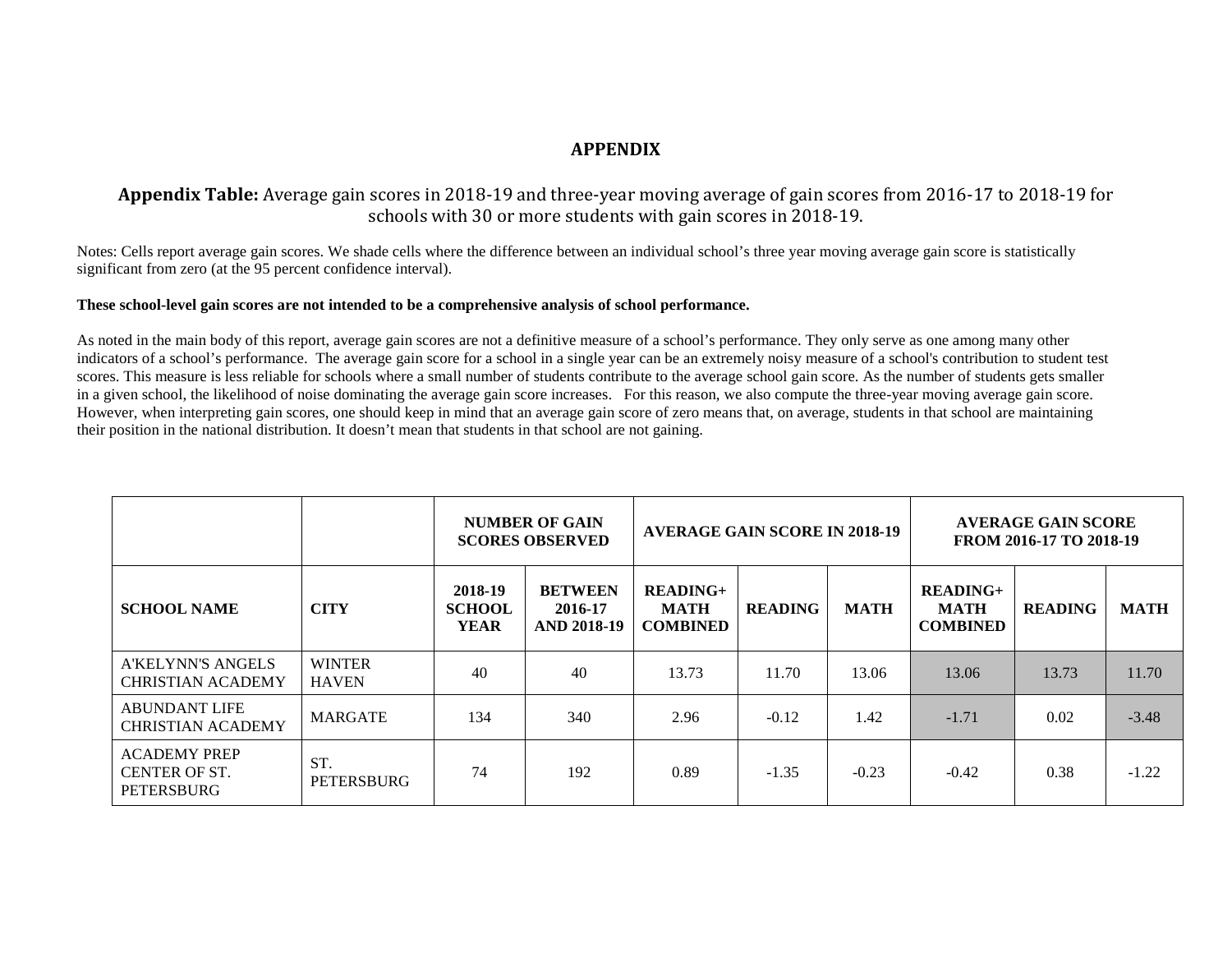## **APPENDIX**

## **Appendix Table:** Average gain scores in 2018-19 and three-year moving average of gain scores from 2016-17 to 2018-19 for schools with 30 or more students with gain scores in 2018-19.

Notes: Cells report average gain scores. We shade cells where the difference between an individual school's three year moving average gain score is statistically significant from zero (at the 95 percent confidence interval).

#### **These school-level gain scores are not intended to be a comprehensive analysis of school performance.**

As noted in the main body of this report, average gain scores are not a definitive measure of a school's performance. They only serve as one among many other indicators of a school's performance. The average gain score for a school in a single year can be an extremely noisy measure of a school's contribution to student test scores. This measure is less reliable for schools where a small number of students contribute to the average school gain score. As the number of students gets smaller in a given school, the likelihood of noise dominating the average gain score increases. For this reason, we also compute the three-year moving average gain score. However, when interpreting gain scores, one should keep in mind that an average gain score of zero means that, on average, students in that school are maintaining their position in the national distribution. It doesn't mean that students in that school are not gaining.

|                                                                  |                               |                                         | <b>NUMBER OF GAIN</b><br><b>SCORES OBSERVED</b> | <b>AVERAGE GAIN SCORE IN 2018-19</b>         |                |             | <b>AVERAGE GAIN SCORE</b><br>FROM 2016-17 TO 2018-19 |                |             |
|------------------------------------------------------------------|-------------------------------|-----------------------------------------|-------------------------------------------------|----------------------------------------------|----------------|-------------|------------------------------------------------------|----------------|-------------|
| <b>SCHOOL NAME</b>                                               | <b>CITY</b>                   | 2018-19<br><b>SCHOOL</b><br><b>YEAR</b> | <b>BETWEEN</b><br>2016-17<br><b>AND 2018-19</b> | $READING+$<br><b>MATH</b><br><b>COMBINED</b> | <b>READING</b> | <b>MATH</b> | <b>READING+</b><br><b>MATH</b><br><b>COMBINED</b>    | <b>READING</b> | <b>MATH</b> |
| A'KELYNN'S ANGELS<br><b>CHRISTIAN ACADEMY</b>                    | <b>WINTER</b><br><b>HAVEN</b> | 40                                      | 40                                              | 13.73                                        | 11.70          | 13.06       | 13.06                                                | 13.73          | 11.70       |
| <b>ABUNDANT LIFE</b><br><b>CHRISTIAN ACADEMY</b>                 | <b>MARGATE</b>                | 134                                     | 340                                             | 2.96                                         | $-0.12$        | 1.42        | $-1.71$                                              | 0.02           | $-3.48$     |
| <b>ACADEMY PREP</b><br><b>CENTER OF ST.</b><br><b>PETERSBURG</b> | ST.<br><b>PETERSBURG</b>      | 74                                      | 192                                             | 0.89                                         | $-1.35$        | $-0.23$     | $-0.42$                                              | 0.38           | $-1.22$     |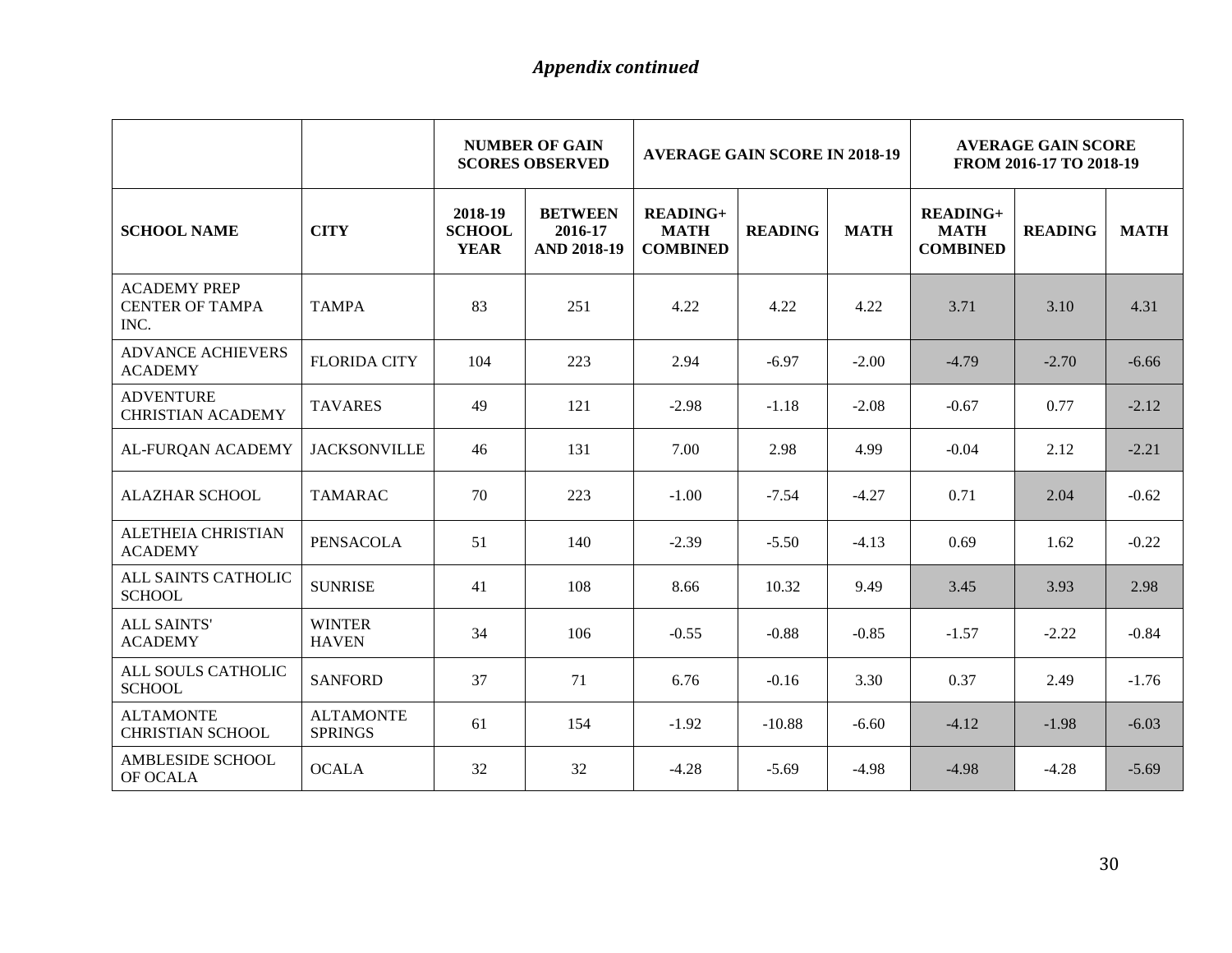|                                                       |                                    |                                         | <b>NUMBER OF GAIN</b><br><b>SCORES OBSERVED</b> | <b>AVERAGE GAIN SCORE IN 2018-19</b>              |                |             | <b>AVERAGE GAIN SCORE</b><br>FROM 2016-17 TO 2018-19 |                |             |
|-------------------------------------------------------|------------------------------------|-----------------------------------------|-------------------------------------------------|---------------------------------------------------|----------------|-------------|------------------------------------------------------|----------------|-------------|
| <b>SCHOOL NAME</b>                                    | <b>CITY</b>                        | 2018-19<br><b>SCHOOL</b><br><b>YEAR</b> | <b>BETWEEN</b><br>2016-17<br><b>AND 2018-19</b> | <b>READING+</b><br><b>MATH</b><br><b>COMBINED</b> | <b>READING</b> | <b>MATH</b> | <b>READING+</b><br><b>MATH</b><br><b>COMBINED</b>    | <b>READING</b> | <b>MATH</b> |
| <b>ACADEMY PREP</b><br><b>CENTER OF TAMPA</b><br>INC. | <b>TAMPA</b>                       | 83                                      | 251                                             | 4.22                                              | 4.22           | 4.22        | 3.71                                                 | 3.10           | 4.31        |
| <b>ADVANCE ACHIEVERS</b><br><b>ACADEMY</b>            | <b>FLORIDA CITY</b>                | 104                                     | 223                                             | 2.94                                              | $-6.97$        | $-2.00$     | $-4.79$                                              | $-2.70$        | $-6.66$     |
| <b>ADVENTURE</b><br><b>CHRISTIAN ACADEMY</b>          | <b>TAVARES</b>                     | 49                                      | 121                                             | $-2.98$                                           | $-1.18$        | $-2.08$     | $-0.67$                                              | 0.77           | $-2.12$     |
| AL-FURQAN ACADEMY                                     | <b>JACKSONVILLE</b>                | 46                                      | 131                                             | 7.00                                              | 2.98           | 4.99        | $-0.04$                                              | 2.12           | $-2.21$     |
| <b>ALAZHAR SCHOOL</b>                                 | <b>TAMARAC</b>                     | 70                                      | 223                                             | $-1.00$                                           | $-7.54$        | $-4.27$     | 0.71                                                 | 2.04           | $-0.62$     |
| ALETHEIA CHRISTIAN<br><b>ACADEMY</b>                  | <b>PENSACOLA</b>                   | 51                                      | 140                                             | $-2.39$                                           | $-5.50$        | $-4.13$     | 0.69                                                 | 1.62           | $-0.22$     |
| ALL SAINTS CATHOLIC<br><b>SCHOOL</b>                  | <b>SUNRISE</b>                     | 41                                      | 108                                             | 8.66                                              | 10.32          | 9.49        | 3.45                                                 | 3.93           | 2.98        |
| <b>ALL SAINTS'</b><br><b>ACADEMY</b>                  | <b>WINTER</b><br><b>HAVEN</b>      | 34                                      | 106                                             | $-0.55$                                           | $-0.88$        | $-0.85$     | $-1.57$                                              | $-2.22$        | $-0.84$     |
| ALL SOULS CATHOLIC<br><b>SCHOOL</b>                   | <b>SANFORD</b>                     | 37                                      | 71                                              | 6.76                                              | $-0.16$        | 3.30        | 0.37                                                 | 2.49           | $-1.76$     |
| <b>ALTAMONTE</b><br><b>CHRISTIAN SCHOOL</b>           | <b>ALTAMONTE</b><br><b>SPRINGS</b> | 61                                      | 154                                             | $-1.92$                                           | $-10.88$       | $-6.60$     | $-4.12$                                              | $-1.98$        | $-6.03$     |
| <b>AMBLESIDE SCHOOL</b><br>OF OCALA                   | <b>OCALA</b>                       | 32                                      | 32                                              | $-4.28$                                           | $-5.69$        | $-4.98$     | $-4.98$                                              | $-4.28$        | $-5.69$     |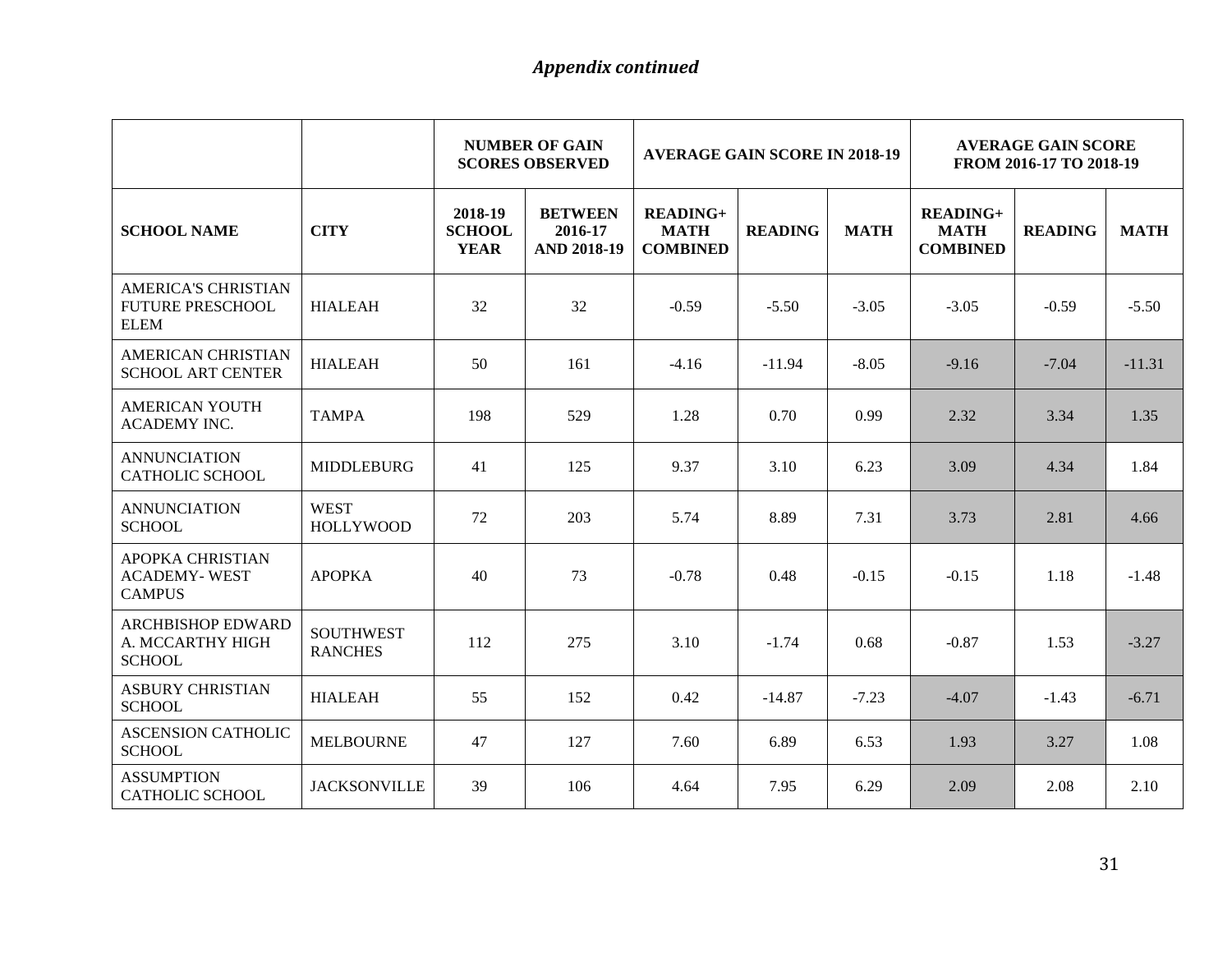|                                                               |                                    |                                         | <b>NUMBER OF GAIN</b><br><b>SCORES OBSERVED</b> | <b>AVERAGE GAIN SCORE IN 2018-19</b>              |                |             | <b>AVERAGE GAIN SCORE</b><br>FROM 2016-17 TO 2018-19 |                |             |  |
|---------------------------------------------------------------|------------------------------------|-----------------------------------------|-------------------------------------------------|---------------------------------------------------|----------------|-------------|------------------------------------------------------|----------------|-------------|--|
| <b>SCHOOL NAME</b>                                            | <b>CITY</b>                        | 2018-19<br><b>SCHOOL</b><br><b>YEAR</b> | <b>BETWEEN</b><br>2016-17<br><b>AND 2018-19</b> | <b>READING+</b><br><b>MATH</b><br><b>COMBINED</b> | <b>READING</b> | <b>MATH</b> | <b>READING+</b><br><b>MATH</b><br><b>COMBINED</b>    | <b>READING</b> | <b>MATH</b> |  |
| AMERICA'S CHRISTIAN<br><b>FUTURE PRESCHOOL</b><br>ELEM        | <b>HIALEAH</b>                     | 32                                      | 32                                              | $-0.59$                                           | $-5.50$        | $-3.05$     | $-3.05$                                              | $-0.59$        | $-5.50$     |  |
| <b>AMERICAN CHRISTIAN</b><br><b>SCHOOL ART CENTER</b>         | <b>HIALEAH</b>                     | 50                                      | 161                                             | $-4.16$                                           | $-11.94$       | $-8.05$     | $-9.16$                                              | $-7.04$        | $-11.31$    |  |
| <b>AMERICAN YOUTH</b><br><b>ACADEMY INC.</b>                  | <b>TAMPA</b>                       | 198                                     | 529                                             | 1.28                                              | 0.70           | 0.99        | 2.32                                                 | 3.34           | 1.35        |  |
| <b>ANNUNCIATION</b><br><b>CATHOLIC SCHOOL</b>                 | <b>MIDDLEBURG</b>                  | 41                                      | 125                                             | 9.37                                              | 3.10           | 6.23        | 3.09                                                 | 4.34           | 1.84        |  |
| <b>ANNUNCIATION</b><br><b>SCHOOL</b>                          | <b>WEST</b><br><b>HOLLYWOOD</b>    | 72                                      | 203                                             | 5.74                                              | 8.89           | 7.31        | 3.73                                                 | 2.81           | 4.66        |  |
| APOPKA CHRISTIAN<br><b>ACADEMY-WEST</b><br><b>CAMPUS</b>      | <b>APOPKA</b>                      | 40                                      | 73                                              | $-0.78$                                           | 0.48           | $-0.15$     | $-0.15$                                              | 1.18           | $-1.48$     |  |
| <b>ARCHBISHOP EDWARD</b><br>A. MCCARTHY HIGH<br><b>SCHOOL</b> | <b>SOUTHWEST</b><br><b>RANCHES</b> | 112                                     | 275                                             | 3.10                                              | $-1.74$        | 0.68        | $-0.87$                                              | 1.53           | $-3.27$     |  |
| <b>ASBURY CHRISTIAN</b><br><b>SCHOOL</b>                      | <b>HIALEAH</b>                     | 55                                      | 152                                             | 0.42                                              | $-14.87$       | $-7.23$     | $-4.07$                                              | $-1.43$        | $-6.71$     |  |
| <b>ASCENSION CATHOLIC</b><br><b>SCHOOL</b>                    | <b>MELBOURNE</b>                   | 47                                      | 127                                             | 7.60                                              | 6.89           | 6.53        | 1.93                                                 | 3.27           | 1.08        |  |
| <b>ASSUMPTION</b><br><b>CATHOLIC SCHOOL</b>                   | <b>JACKSONVILLE</b>                | 39                                      | 106                                             | 4.64                                              | 7.95           | 6.29        | 2.09                                                 | 2.08           | 2.10        |  |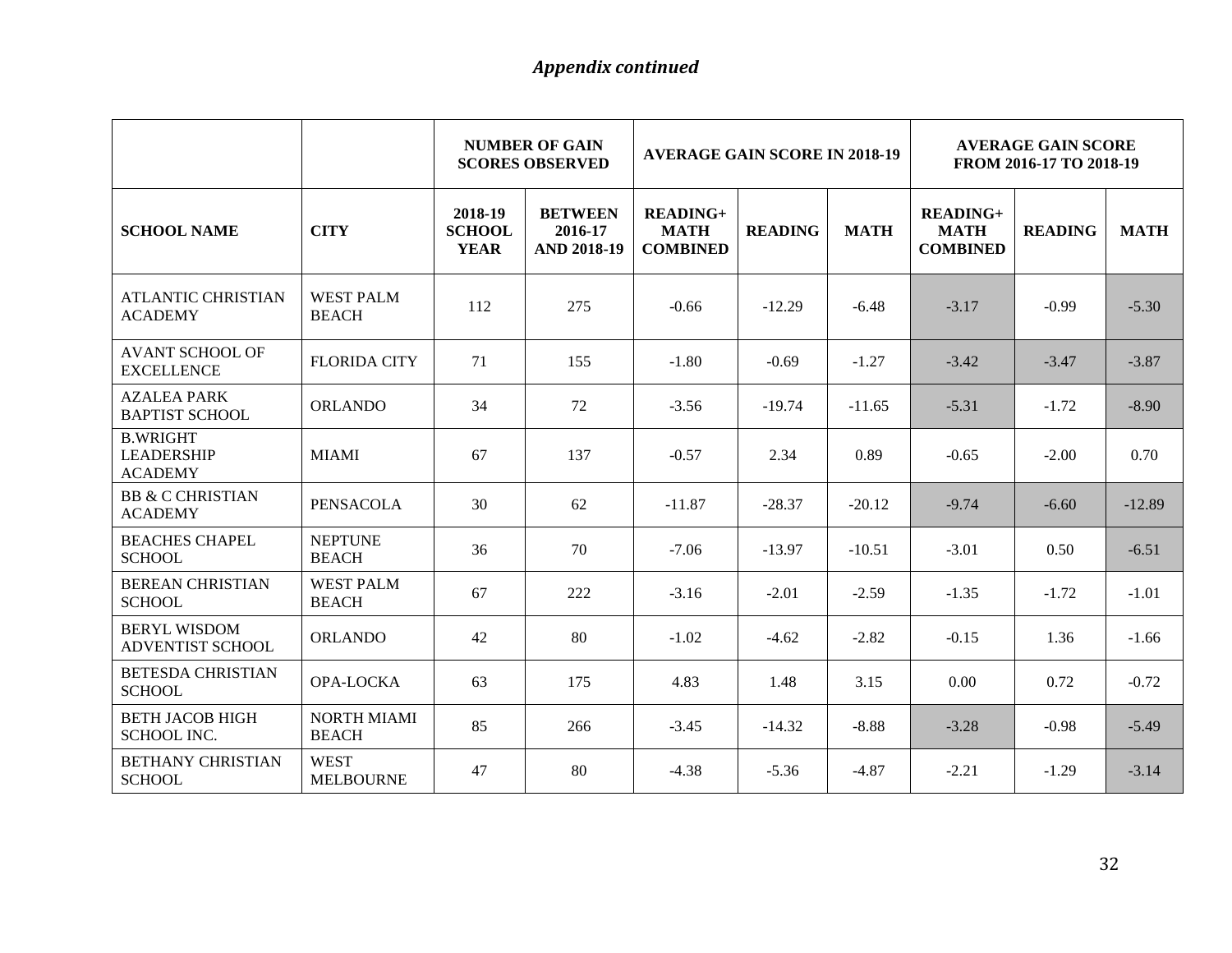|                                                        |                                    | <b>NUMBER OF GAIN</b><br><b>AVERAGE GAIN SCORE IN 2018-19</b><br><b>SCORES OBSERVED</b> |                                                 |                                                   | <b>AVERAGE GAIN SCORE</b><br>FROM 2016-17 TO 2018-19 |             |                                                   |                |             |
|--------------------------------------------------------|------------------------------------|-----------------------------------------------------------------------------------------|-------------------------------------------------|---------------------------------------------------|------------------------------------------------------|-------------|---------------------------------------------------|----------------|-------------|
| <b>SCHOOL NAME</b>                                     | <b>CITY</b>                        | 2018-19<br><b>SCHOOL</b><br><b>YEAR</b>                                                 | <b>BETWEEN</b><br>2016-17<br><b>AND 2018-19</b> | <b>READING+</b><br><b>MATH</b><br><b>COMBINED</b> | <b>READING</b>                                       | <b>MATH</b> | <b>READING+</b><br><b>MATH</b><br><b>COMBINED</b> | <b>READING</b> | <b>MATH</b> |
| <b>ATLANTIC CHRISTIAN</b><br><b>ACADEMY</b>            | <b>WEST PALM</b><br><b>BEACH</b>   | 112                                                                                     | 275                                             | $-0.66$                                           | $-12.29$                                             | $-6.48$     | $-3.17$                                           | $-0.99$        | $-5.30$     |
| <b>AVANT SCHOOL OF</b><br><b>EXCELLENCE</b>            | <b>FLORIDA CITY</b>                | 71                                                                                      | 155                                             | $-1.80$                                           | $-0.69$                                              | $-1.27$     | $-3.42$                                           | $-3.47$        | $-3.87$     |
| <b>AZALEA PARK</b><br><b>BAPTIST SCHOOL</b>            | <b>ORLANDO</b>                     | 34                                                                                      | 72                                              | $-3.56$                                           | $-19.74$                                             | $-11.65$    | $-5.31$                                           | $-1.72$        | $-8.90$     |
| <b>B.WRIGHT</b><br><b>LEADERSHIP</b><br><b>ACADEMY</b> | <b>MIAMI</b>                       | 67                                                                                      | 137                                             | $-0.57$                                           | 2.34                                                 | 0.89        | $-0.65$                                           | $-2.00$        | 0.70        |
| <b>BB &amp; C CHRISTIAN</b><br><b>ACADEMY</b>          | <b>PENSACOLA</b>                   | 30                                                                                      | 62                                              | $-11.87$                                          | $-28.37$                                             | $-20.12$    | $-9.74$                                           | $-6.60$        | $-12.89$    |
| <b>BEACHES CHAPEL</b><br><b>SCHOOL</b>                 | <b>NEPTUNE</b><br><b>BEACH</b>     | 36                                                                                      | 70                                              | $-7.06$                                           | $-13.97$                                             | $-10.51$    | $-3.01$                                           | 0.50           | $-6.51$     |
| <b>BEREAN CHRISTIAN</b><br><b>SCHOOL</b>               | <b>WEST PALM</b><br><b>BEACH</b>   | 67                                                                                      | 222                                             | $-3.16$                                           | $-2.01$                                              | $-2.59$     | $-1.35$                                           | $-1.72$        | $-1.01$     |
| <b>BERYL WISDOM</b><br><b>ADVENTIST SCHOOL</b>         | <b>ORLANDO</b>                     | 42                                                                                      | 80                                              | $-1.02$                                           | $-4.62$                                              | $-2.82$     | $-0.15$                                           | 1.36           | $-1.66$     |
| <b>BETESDA CHRISTIAN</b><br><b>SCHOOL</b>              | OPA-LOCKA                          | 63                                                                                      | 175                                             | 4.83                                              | 1.48                                                 | 3.15        | 0.00                                              | 0.72           | $-0.72$     |
| <b>BETH JACOB HIGH</b><br><b>SCHOOL INC.</b>           | <b>NORTH MIAMI</b><br><b>BEACH</b> | 85                                                                                      | 266                                             | $-3.45$                                           | $-14.32$                                             | $-8.88$     | $-3.28$                                           | $-0.98$        | $-5.49$     |
| <b>BETHANY CHRISTIAN</b><br><b>SCHOOL</b>              | <b>WEST</b><br><b>MELBOURNE</b>    | 47                                                                                      | 80                                              | $-4.38$                                           | $-5.36$                                              | $-4.87$     | $-2.21$                                           | $-1.29$        | $-3.14$     |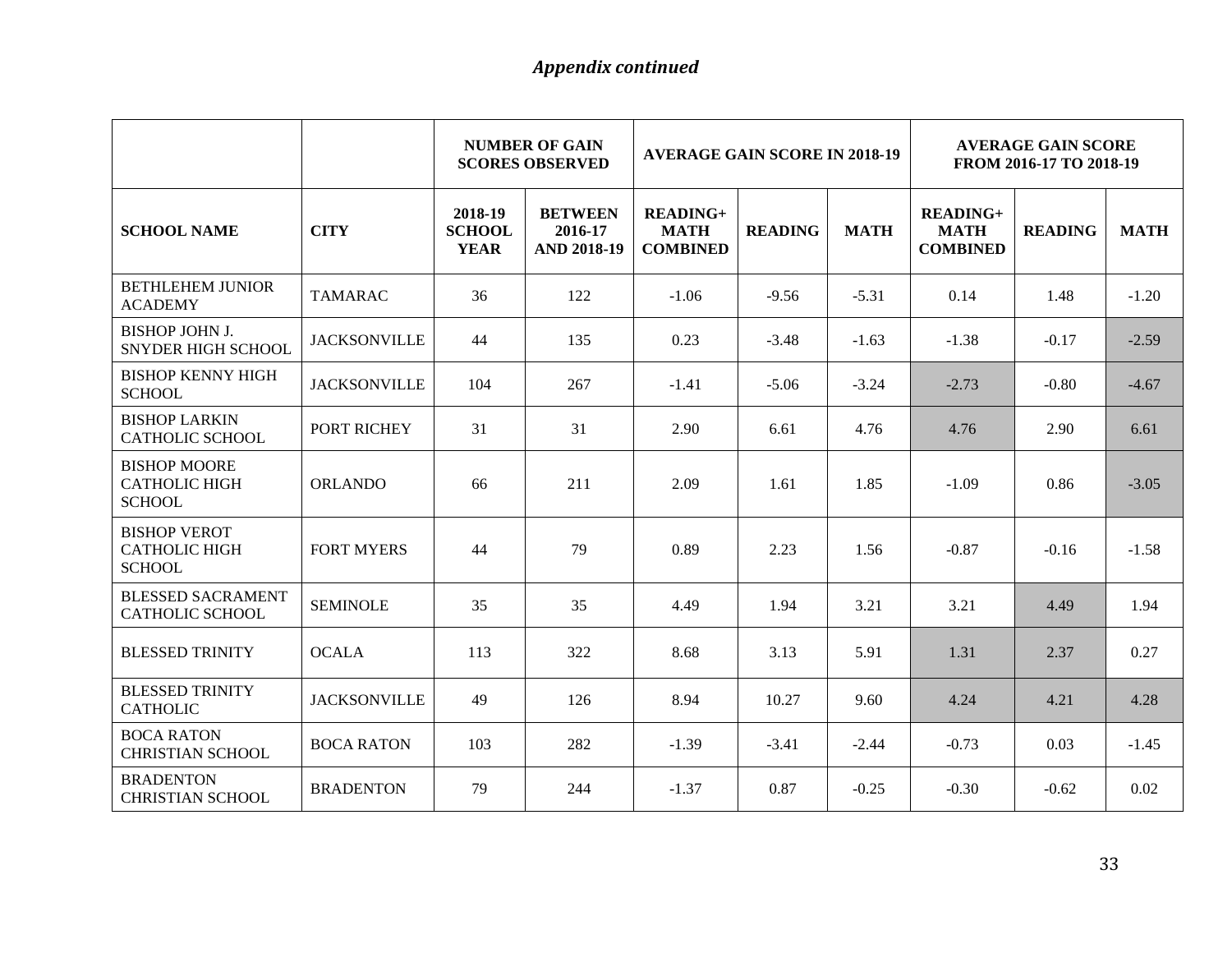|                                                              |                     | <b>NUMBER OF GAIN</b><br><b>AVERAGE GAIN SCORE IN 2018-19</b><br><b>SCORES OBSERVED</b> |                                                 |                                                   | <b>AVERAGE GAIN SCORE</b><br>FROM 2016-17 TO 2018-19 |             |                                                   |                |             |
|--------------------------------------------------------------|---------------------|-----------------------------------------------------------------------------------------|-------------------------------------------------|---------------------------------------------------|------------------------------------------------------|-------------|---------------------------------------------------|----------------|-------------|
| <b>SCHOOL NAME</b>                                           | <b>CITY</b>         | 2018-19<br><b>SCHOOL</b><br><b>YEAR</b>                                                 | <b>BETWEEN</b><br>2016-17<br><b>AND 2018-19</b> | <b>READING+</b><br><b>MATH</b><br><b>COMBINED</b> | <b>READING</b>                                       | <b>MATH</b> | <b>READING+</b><br><b>MATH</b><br><b>COMBINED</b> | <b>READING</b> | <b>MATH</b> |
| <b>BETHLEHEM JUNIOR</b><br><b>ACADEMY</b>                    | <b>TAMARAC</b>      | 36                                                                                      | 122                                             | $-1.06$                                           | $-9.56$                                              | $-5.31$     | 0.14                                              | 1.48           | $-1.20$     |
| <b>BISHOP JOHN J.</b><br><b>SNYDER HIGH SCHOOL</b>           | <b>JACKSONVILLE</b> | 44                                                                                      | 135                                             | 0.23                                              | $-3.48$                                              | $-1.63$     | $-1.38$                                           | $-0.17$        | $-2.59$     |
| <b>BISHOP KENNY HIGH</b><br><b>SCHOOL</b>                    | <b>JACKSONVILLE</b> | 104                                                                                     | 267                                             | $-1.41$                                           | $-5.06$                                              | $-3.24$     | $-2.73$                                           | $-0.80$        | $-4.67$     |
| <b>BISHOP LARKIN</b><br>CATHOLIC SCHOOL                      | PORT RICHEY         | 31                                                                                      | 31                                              | 2.90                                              | 6.61                                                 | 4.76        | 4.76                                              | 2.90           | 6.61        |
| <b>BISHOP MOORE</b><br><b>CATHOLIC HIGH</b><br><b>SCHOOL</b> | <b>ORLANDO</b>      | 66                                                                                      | 211                                             | 2.09                                              | 1.61                                                 | 1.85        | $-1.09$                                           | 0.86           | $-3.05$     |
| <b>BISHOP VEROT</b><br><b>CATHOLIC HIGH</b><br><b>SCHOOL</b> | <b>FORT MYERS</b>   | 44                                                                                      | 79                                              | 0.89                                              | 2.23                                                 | 1.56        | $-0.87$                                           | $-0.16$        | $-1.58$     |
| <b>BLESSED SACRAMENT</b><br><b>CATHOLIC SCHOOL</b>           | <b>SEMINOLE</b>     | 35                                                                                      | 35                                              | 4.49                                              | 1.94                                                 | 3.21        | 3.21                                              | 4.49           | 1.94        |
| <b>BLESSED TRINITY</b>                                       | <b>OCALA</b>        | 113                                                                                     | 322                                             | 8.68                                              | 3.13                                                 | 5.91        | 1.31                                              | 2.37           | 0.27        |
| <b>BLESSED TRINITY</b><br><b>CATHOLIC</b>                    | <b>JACKSONVILLE</b> | 49                                                                                      | 126                                             | 8.94                                              | 10.27                                                | 9.60        | 4.24                                              | 4.21           | 4.28        |
| <b>BOCA RATON</b><br><b>CHRISTIAN SCHOOL</b>                 | <b>BOCA RATON</b>   | 103                                                                                     | 282                                             | $-1.39$                                           | $-3.41$                                              | $-2.44$     | $-0.73$                                           | 0.03           | $-1.45$     |
| <b>BRADENTON</b><br><b>CHRISTIAN SCHOOL</b>                  | <b>BRADENTON</b>    | 79                                                                                      | 244                                             | $-1.37$                                           | 0.87                                                 | $-0.25$     | $-0.30$                                           | $-0.62$        | 0.02        |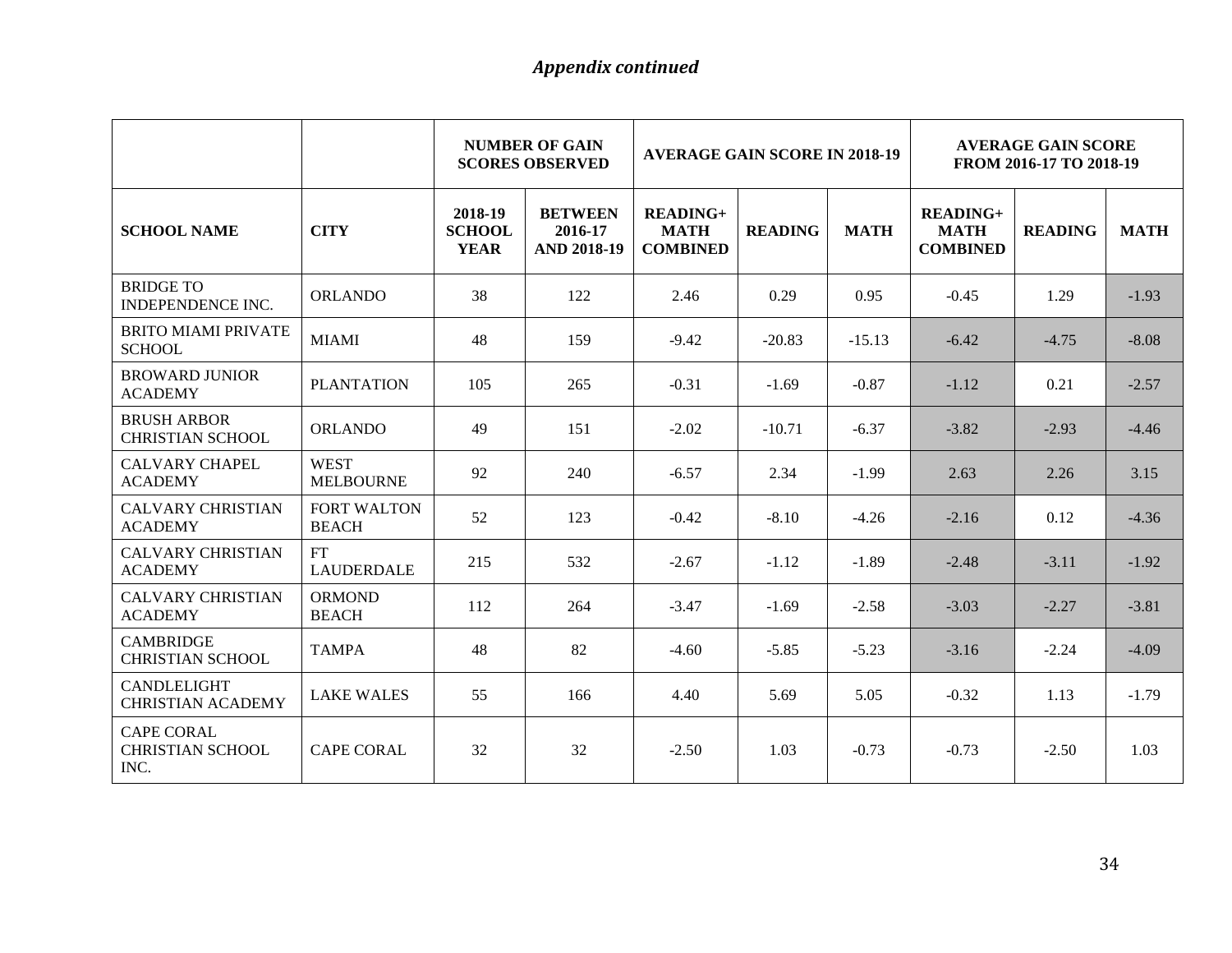|                                                      |                                    | <b>NUMBER OF GAIN</b><br><b>AVERAGE GAIN SCORE IN 2018-19</b><br><b>SCORES OBSERVED</b> |                                                 |                                              |                |             | <b>AVERAGE GAIN SCORE</b><br>FROM 2016-17 TO 2018-19 |                |             |
|------------------------------------------------------|------------------------------------|-----------------------------------------------------------------------------------------|-------------------------------------------------|----------------------------------------------|----------------|-------------|------------------------------------------------------|----------------|-------------|
| <b>SCHOOL NAME</b>                                   | <b>CITY</b>                        | 2018-19<br><b>SCHOOL</b><br><b>YEAR</b>                                                 | <b>BETWEEN</b><br>2016-17<br><b>AND 2018-19</b> | $READING+$<br><b>MATH</b><br><b>COMBINED</b> | <b>READING</b> | <b>MATH</b> | $READING+$<br><b>MATH</b><br><b>COMBINED</b>         | <b>READING</b> | <b>MATH</b> |
| <b>BRIDGE TO</b><br><b>INDEPENDENCE INC.</b>         | <b>ORLANDO</b>                     | 38                                                                                      | 122                                             | 2.46                                         | 0.29           | 0.95        | $-0.45$                                              | 1.29           | $-1.93$     |
| <b>BRITO MIAMI PRIVATE</b><br><b>SCHOOL</b>          | <b>MIAMI</b>                       | 48                                                                                      | 159                                             | $-9.42$                                      | $-20.83$       | $-15.13$    | $-6.42$                                              | $-4.75$        | $-8.08$     |
| <b>BROWARD JUNIOR</b><br><b>ACADEMY</b>              | <b>PLANTATION</b>                  | 105                                                                                     | 265                                             | $-0.31$                                      | $-1.69$        | $-0.87$     | $-1.12$                                              | 0.21           | $-2.57$     |
| <b>BRUSH ARBOR</b><br><b>CHRISTIAN SCHOOL</b>        | <b>ORLANDO</b>                     | 49                                                                                      | 151                                             | $-2.02$                                      | $-10.71$       | $-6.37$     | $-3.82$                                              | $-2.93$        | $-4.46$     |
| <b>CALVARY CHAPEL</b><br><b>ACADEMY</b>              | <b>WEST</b><br><b>MELBOURNE</b>    | 92                                                                                      | 240                                             | $-6.57$                                      | 2.34           | $-1.99$     | 2.63                                                 | 2.26           | 3.15        |
| <b>CALVARY CHRISTIAN</b><br><b>ACADEMY</b>           | <b>FORT WALTON</b><br><b>BEACH</b> | 52                                                                                      | 123                                             | $-0.42$                                      | $-8.10$        | $-4.26$     | $-2.16$                                              | 0.12           | $-4.36$     |
| <b>CALVARY CHRISTIAN</b><br><b>ACADEMY</b>           | <b>FT</b><br><b>LAUDERDALE</b>     | 215                                                                                     | 532                                             | $-2.67$                                      | $-1.12$        | $-1.89$     | $-2.48$                                              | $-3.11$        | $-1.92$     |
| <b>CALVARY CHRISTIAN</b><br><b>ACADEMY</b>           | <b>ORMOND</b><br><b>BEACH</b>      | 112                                                                                     | 264                                             | $-3.47$                                      | $-1.69$        | $-2.58$     | $-3.03$                                              | $-2.27$        | $-3.81$     |
| <b>CAMBRIDGE</b><br><b>CHRISTIAN SCHOOL</b>          | <b>TAMPA</b>                       | 48                                                                                      | 82                                              | $-4.60$                                      | $-5.85$        | $-5.23$     | $-3.16$                                              | $-2.24$        | $-4.09$     |
| <b>CANDLELIGHT</b><br><b>CHRISTIAN ACADEMY</b>       | <b>LAKE WALES</b>                  | 55                                                                                      | 166                                             | 4.40                                         | 5.69           | 5.05        | $-0.32$                                              | 1.13           | $-1.79$     |
| <b>CAPE CORAL</b><br><b>CHRISTIAN SCHOOL</b><br>INC. | <b>CAPE CORAL</b>                  | 32                                                                                      | 32                                              | $-2.50$                                      | 1.03           | $-0.73$     | $-0.73$                                              | $-2.50$        | 1.03        |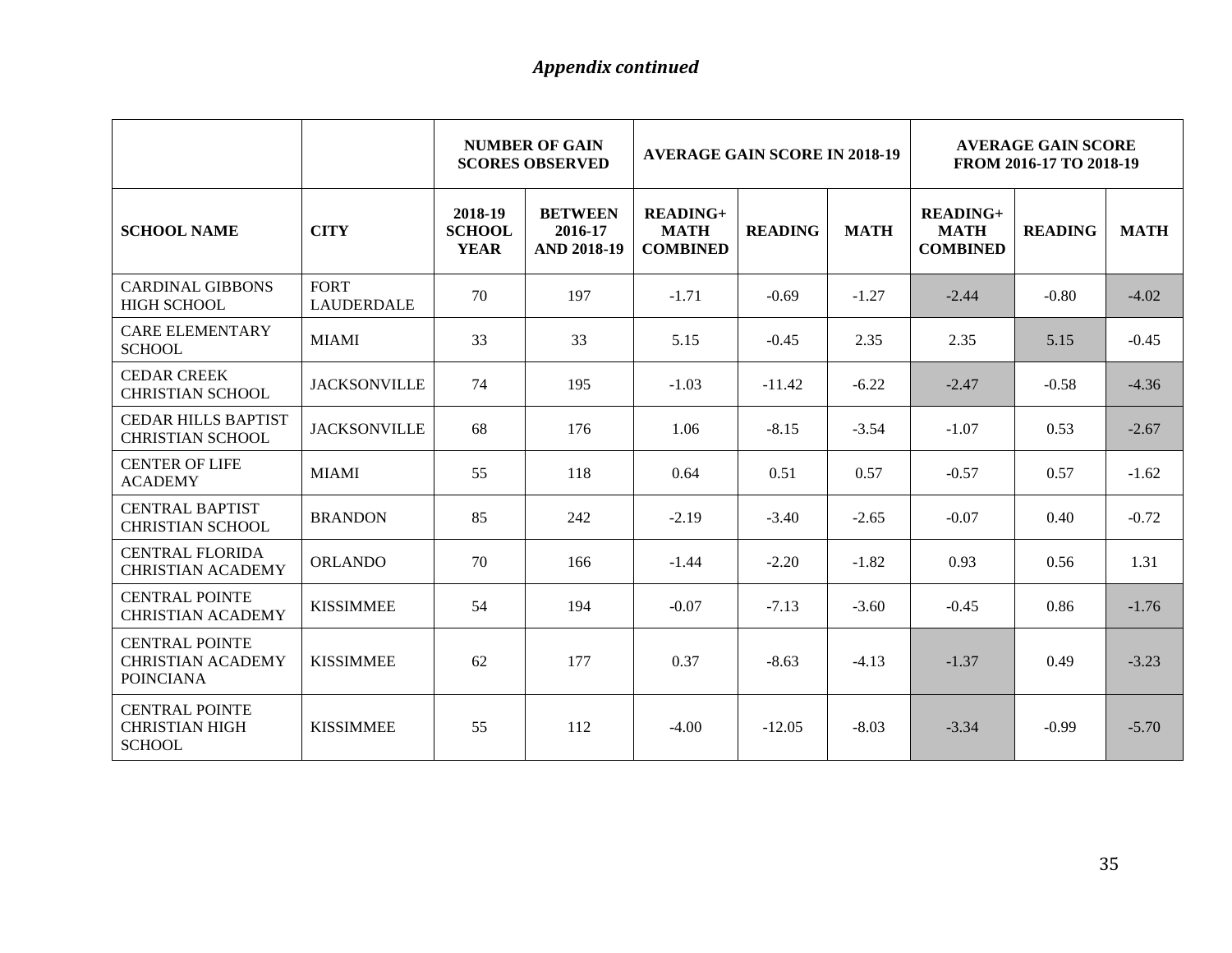|                                                                       |                                  | <b>NUMBER OF GAIN</b><br><b>AVERAGE GAIN SCORE IN 2018-19</b><br><b>SCORES OBSERVED</b> |                                                 |                                              | <b>AVERAGE GAIN SCORE</b><br>FROM 2016-17 TO 2018-19 |             |                                              |                |             |
|-----------------------------------------------------------------------|----------------------------------|-----------------------------------------------------------------------------------------|-------------------------------------------------|----------------------------------------------|------------------------------------------------------|-------------|----------------------------------------------|----------------|-------------|
| <b>SCHOOL NAME</b>                                                    | <b>CITY</b>                      | 2018-19<br><b>SCHOOL</b><br><b>YEAR</b>                                                 | <b>BETWEEN</b><br>2016-17<br><b>AND 2018-19</b> | $READING+$<br><b>MATH</b><br><b>COMBINED</b> | <b>READING</b>                                       | <b>MATH</b> | $READING+$<br><b>MATH</b><br><b>COMBINED</b> | <b>READING</b> | <b>MATH</b> |
| <b>CARDINAL GIBBONS</b><br><b>HIGH SCHOOL</b>                         | <b>FORT</b><br><b>LAUDERDALE</b> | 70                                                                                      | 197                                             | $-1.71$                                      | $-0.69$                                              | $-1.27$     | $-2.44$                                      | $-0.80$        | $-4.02$     |
| <b>CARE ELEMENTARY</b><br><b>SCHOOL</b>                               | <b>MIAMI</b>                     | 33                                                                                      | 33                                              | 5.15                                         | $-0.45$                                              | 2.35        | 2.35                                         | 5.15           | $-0.45$     |
| <b>CEDAR CREEK</b><br><b>CHRISTIAN SCHOOL</b>                         | <b>JACKSONVILLE</b>              | 74                                                                                      | 195                                             | $-1.03$                                      | $-11.42$                                             | $-6.22$     | $-2.47$                                      | $-0.58$        | $-4.36$     |
| <b>CEDAR HILLS BAPTIST</b><br><b>CHRISTIAN SCHOOL</b>                 | <b>JACKSONVILLE</b>              | 68                                                                                      | 176                                             | 1.06                                         | $-8.15$                                              | $-3.54$     | $-1.07$                                      | 0.53           | $-2.67$     |
| <b>CENTER OF LIFE</b><br><b>ACADEMY</b>                               | <b>MIAMI</b>                     | 55                                                                                      | 118                                             | 0.64                                         | 0.51                                                 | 0.57        | $-0.57$                                      | 0.57           | $-1.62$     |
| <b>CENTRAL BAPTIST</b><br><b>CHRISTIAN SCHOOL</b>                     | <b>BRANDON</b>                   | 85                                                                                      | 242                                             | $-2.19$                                      | $-3.40$                                              | $-2.65$     | $-0.07$                                      | 0.40           | $-0.72$     |
| <b>CENTRAL FLORIDA</b><br><b>CHRISTIAN ACADEMY</b>                    | <b>ORLANDO</b>                   | 70                                                                                      | 166                                             | $-1.44$                                      | $-2.20$                                              | $-1.82$     | 0.93                                         | 0.56           | 1.31        |
| <b>CENTRAL POINTE</b><br><b>CHRISTIAN ACADEMY</b>                     | <b>KISSIMMEE</b>                 | 54                                                                                      | 194                                             | $-0.07$                                      | $-7.13$                                              | $-3.60$     | $-0.45$                                      | 0.86           | $-1.76$     |
| <b>CENTRAL POINTE</b><br><b>CHRISTIAN ACADEMY</b><br><b>POINCIANA</b> | <b>KISSIMMEE</b>                 | 62                                                                                      | 177                                             | 0.37                                         | $-8.63$                                              | $-4.13$     | $-1.37$                                      | 0.49           | $-3.23$     |
| <b>CENTRAL POINTE</b><br><b>CHRISTIAN HIGH</b><br><b>SCHOOL</b>       | <b>KISSIMMEE</b>                 | 55                                                                                      | 112                                             | $-4.00$                                      | $-12.05$                                             | $-8.03$     | $-3.34$                                      | $-0.99$        | $-5.70$     |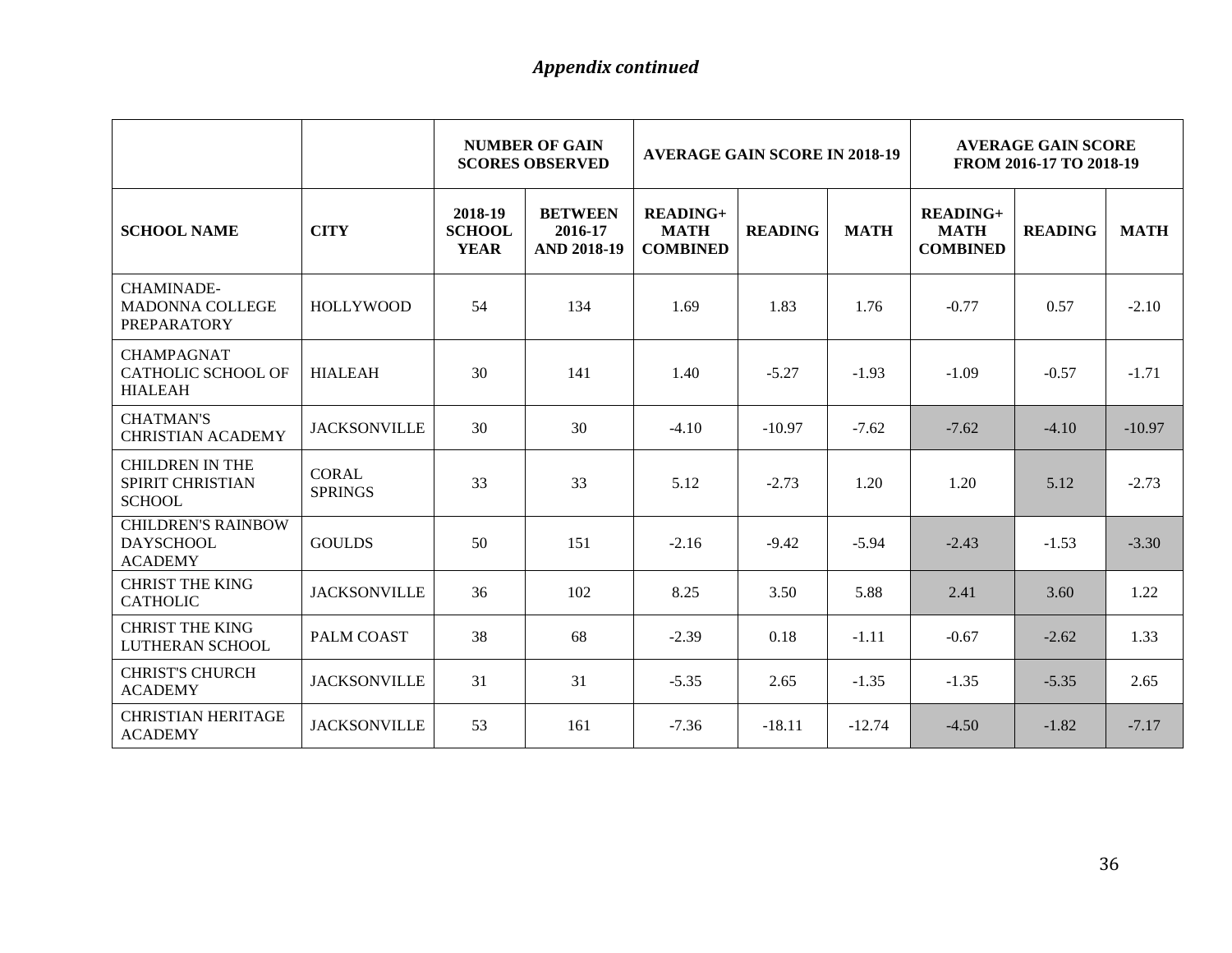|                                                                   |                                | <b>NUMBER OF GAIN</b><br><b>AVERAGE GAIN SCORE IN 2018-19</b><br><b>SCORES OBSERVED</b> |                                                 |                                                   | <b>AVERAGE GAIN SCORE</b><br>FROM 2016-17 TO 2018-19 |             |                                                   |                |             |
|-------------------------------------------------------------------|--------------------------------|-----------------------------------------------------------------------------------------|-------------------------------------------------|---------------------------------------------------|------------------------------------------------------|-------------|---------------------------------------------------|----------------|-------------|
| <b>SCHOOL NAME</b>                                                | <b>CITY</b>                    | 2018-19<br><b>SCHOOL</b><br><b>YEAR</b>                                                 | <b>BETWEEN</b><br>2016-17<br><b>AND 2018-19</b> | <b>READING+</b><br><b>MATH</b><br><b>COMBINED</b> | <b>READING</b>                                       | <b>MATH</b> | <b>READING+</b><br><b>MATH</b><br><b>COMBINED</b> | <b>READING</b> | <b>MATH</b> |
| <b>CHAMINADE-</b><br><b>MADONNA COLLEGE</b><br><b>PREPARATORY</b> | <b>HOLLYWOOD</b>               | 54                                                                                      | 134                                             | 1.69                                              | 1.83                                                 | 1.76        | $-0.77$                                           | 0.57           | $-2.10$     |
| <b>CHAMPAGNAT</b><br><b>CATHOLIC SCHOOL OF</b><br><b>HIALEAH</b>  | <b>HIALEAH</b>                 | 30                                                                                      | 141                                             | 1.40                                              | $-5.27$                                              | $-1.93$     | $-1.09$                                           | $-0.57$        | $-1.71$     |
| <b>CHATMAN'S</b><br><b>CHRISTIAN ACADEMY</b>                      | <b>JACKSONVILLE</b>            | 30                                                                                      | 30                                              | $-4.10$                                           | $-10.97$                                             | $-7.62$     | $-7.62$                                           | $-4.10$        | $-10.97$    |
| <b>CHILDREN IN THE</b><br>SPIRIT CHRISTIAN<br><b>SCHOOL</b>       | <b>CORAL</b><br><b>SPRINGS</b> | 33                                                                                      | 33                                              | 5.12                                              | $-2.73$                                              | 1.20        | 1.20                                              | 5.12           | $-2.73$     |
| <b>CHILDREN'S RAINBOW</b><br><b>DAYSCHOOL</b><br><b>ACADEMY</b>   | <b>GOULDS</b>                  | 50                                                                                      | 151                                             | $-2.16$                                           | $-9.42$                                              | $-5.94$     | $-2.43$                                           | $-1.53$        | $-3.30$     |
| <b>CHRIST THE KING</b><br><b>CATHOLIC</b>                         | <b>JACKSONVILLE</b>            | 36                                                                                      | 102                                             | 8.25                                              | 3.50                                                 | 5.88        | 2.41                                              | 3.60           | 1.22        |
| <b>CHRIST THE KING</b><br>LUTHERAN SCHOOL                         | PALM COAST                     | 38                                                                                      | 68                                              | $-2.39$                                           | 0.18                                                 | $-1.11$     | $-0.67$                                           | $-2.62$        | 1.33        |
| <b>CHRIST'S CHURCH</b><br><b>ACADEMY</b>                          | <b>JACKSONVILLE</b>            | 31                                                                                      | 31                                              | $-5.35$                                           | 2.65                                                 | $-1.35$     | $-1.35$                                           | $-5.35$        | 2.65        |
| <b>CHRISTIAN HERITAGE</b><br><b>ACADEMY</b>                       | <b>JACKSONVILLE</b>            | 53                                                                                      | 161                                             | $-7.36$                                           | $-18.11$                                             | $-12.74$    | $-4.50$                                           | $-1.82$        | $-7.17$     |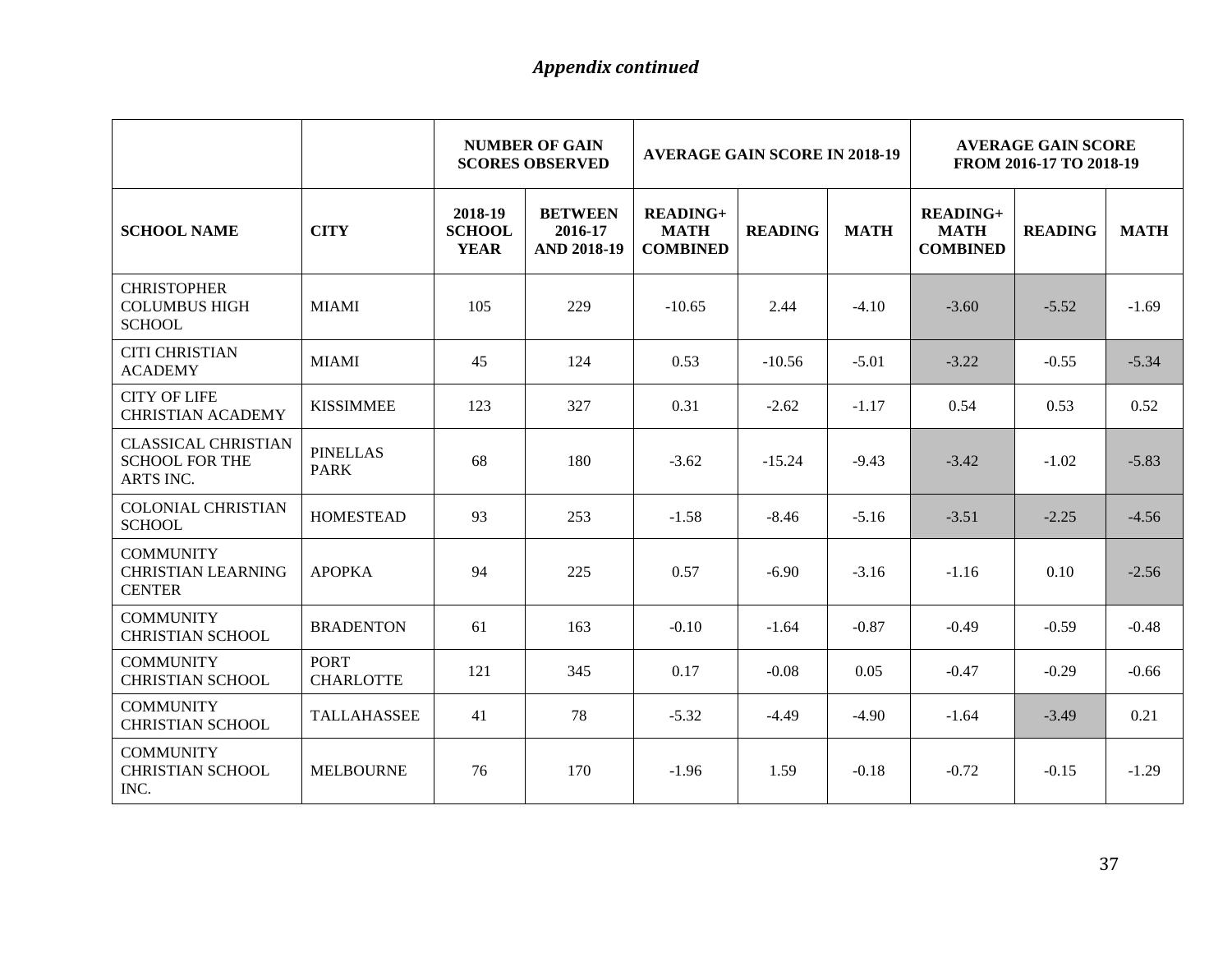|                                                                  |                                 | <b>NUMBER OF GAIN</b><br><b>AVERAGE GAIN SCORE IN 2018-19</b><br><b>SCORES OBSERVED</b> |                                                 |                                                   | <b>AVERAGE GAIN SCORE</b><br>FROM 2016-17 TO 2018-19 |             |                                                   |                |             |
|------------------------------------------------------------------|---------------------------------|-----------------------------------------------------------------------------------------|-------------------------------------------------|---------------------------------------------------|------------------------------------------------------|-------------|---------------------------------------------------|----------------|-------------|
| <b>SCHOOL NAME</b>                                               | <b>CITY</b>                     | 2018-19<br><b>SCHOOL</b><br><b>YEAR</b>                                                 | <b>BETWEEN</b><br>2016-17<br><b>AND 2018-19</b> | <b>READING+</b><br><b>MATH</b><br><b>COMBINED</b> | <b>READING</b>                                       | <b>MATH</b> | <b>READING+</b><br><b>MATH</b><br><b>COMBINED</b> | <b>READING</b> | <b>MATH</b> |
| <b>CHRISTOPHER</b><br><b>COLUMBUS HIGH</b><br><b>SCHOOL</b>      | <b>MIAMI</b>                    | 105                                                                                     | 229                                             | $-10.65$                                          | 2.44                                                 | $-4.10$     | $-3.60$                                           | $-5.52$        | $-1.69$     |
| <b>CITI CHRISTIAN</b><br><b>ACADEMY</b>                          | <b>MIAMI</b>                    | 45                                                                                      | 124                                             | 0.53                                              | $-10.56$                                             | $-5.01$     | $-3.22$                                           | $-0.55$        | $-5.34$     |
| <b>CITY OF LIFE</b><br><b>CHRISTIAN ACADEMY</b>                  | <b>KISSIMMEE</b>                | 123                                                                                     | 327                                             | 0.31                                              | $-2.62$                                              | $-1.17$     | 0.54                                              | 0.53           | 0.52        |
| <b>CLASSICAL CHRISTIAN</b><br><b>SCHOOL FOR THE</b><br>ARTS INC. | <b>PINELLAS</b><br><b>PARK</b>  | 68                                                                                      | 180                                             | $-3.62$                                           | $-15.24$                                             | $-9.43$     | $-3.42$                                           | $-1.02$        | $-5.83$     |
| <b>COLONIAL CHRISTIAN</b><br><b>SCHOOL</b>                       | <b>HOMESTEAD</b>                | 93                                                                                      | 253                                             | $-1.58$                                           | $-8.46$                                              | $-5.16$     | $-3.51$                                           | $-2.25$        | $-4.56$     |
| <b>COMMUNITY</b><br><b>CHRISTIAN LEARNING</b><br><b>CENTER</b>   | <b>APOPKA</b>                   | 94                                                                                      | 225                                             | 0.57                                              | $-6.90$                                              | $-3.16$     | $-1.16$                                           | 0.10           | $-2.56$     |
| <b>COMMUNITY</b><br><b>CHRISTIAN SCHOOL</b>                      | <b>BRADENTON</b>                | 61                                                                                      | 163                                             | $-0.10$                                           | $-1.64$                                              | $-0.87$     | $-0.49$                                           | $-0.59$        | $-0.48$     |
| <b>COMMUNITY</b><br><b>CHRISTIAN SCHOOL</b>                      | <b>PORT</b><br><b>CHARLOTTE</b> | 121                                                                                     | 345                                             | 0.17                                              | $-0.08$                                              | 0.05        | $-0.47$                                           | $-0.29$        | $-0.66$     |
| <b>COMMUNITY</b><br><b>CHRISTIAN SCHOOL</b>                      | <b>TALLAHASSEE</b>              | 41                                                                                      | 78                                              | $-5.32$                                           | $-4.49$                                              | $-4.90$     | $-1.64$                                           | $-3.49$        | 0.21        |
| <b>COMMUNITY</b><br><b>CHRISTIAN SCHOOL</b><br>INC.              | <b>MELBOURNE</b>                | 76                                                                                      | 170                                             | $-1.96$                                           | 1.59                                                 | $-0.18$     | $-0.72$                                           | $-0.15$        | $-1.29$     |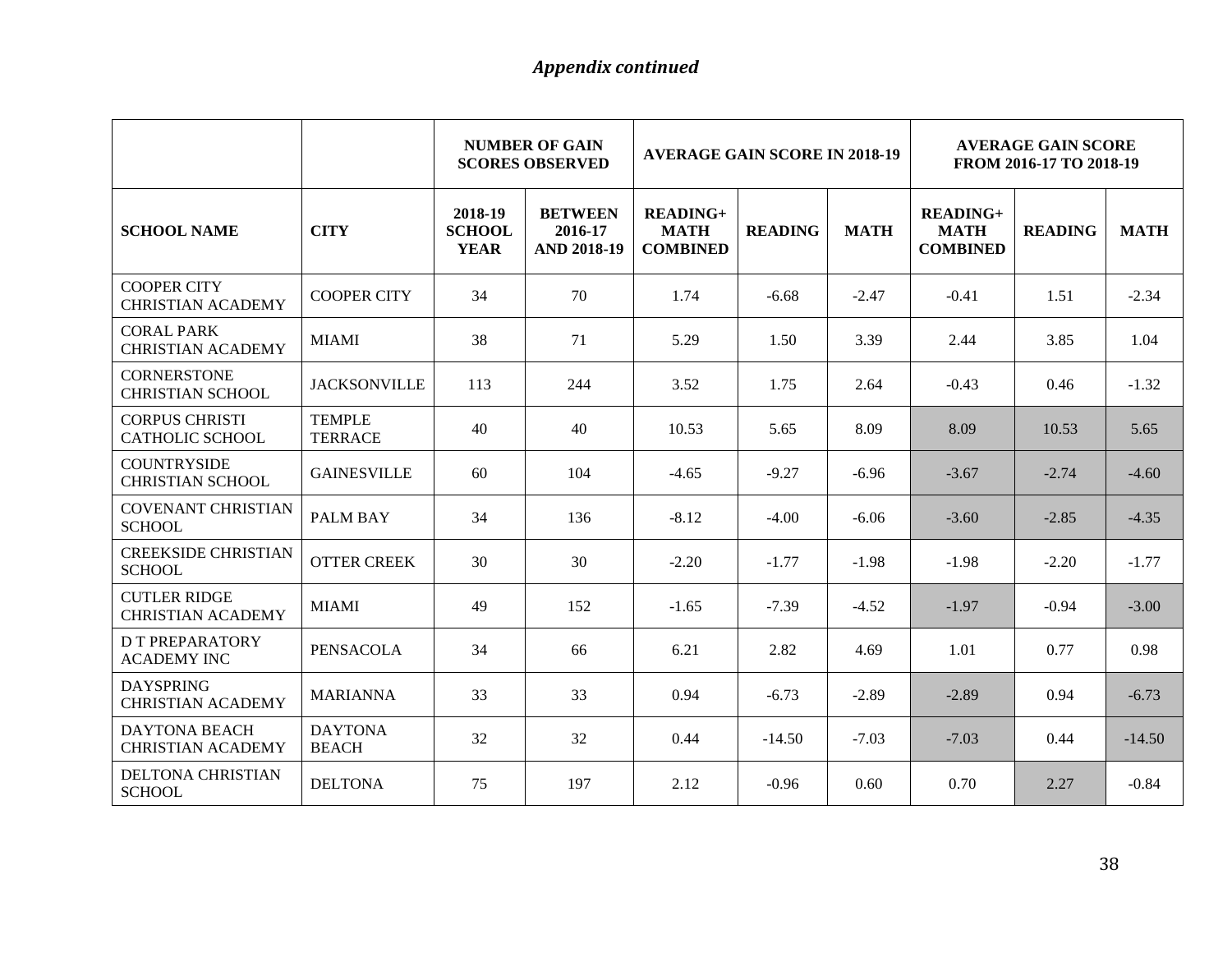|                                                  |                                 | <b>NUMBER OF GAIN</b><br><b>AVERAGE GAIN SCORE IN 2018-19</b><br><b>SCORES OBSERVED</b> |                                                 |                                                   | <b>AVERAGE GAIN SCORE</b><br>FROM 2016-17 TO 2018-19 |             |                                                   |                |             |
|--------------------------------------------------|---------------------------------|-----------------------------------------------------------------------------------------|-------------------------------------------------|---------------------------------------------------|------------------------------------------------------|-------------|---------------------------------------------------|----------------|-------------|
| <b>SCHOOL NAME</b>                               | <b>CITY</b>                     | 2018-19<br><b>SCHOOL</b><br><b>YEAR</b>                                                 | <b>BETWEEN</b><br>2016-17<br><b>AND 2018-19</b> | <b>READING+</b><br><b>MATH</b><br><b>COMBINED</b> | <b>READING</b>                                       | <b>MATH</b> | <b>READING+</b><br><b>MATH</b><br><b>COMBINED</b> | <b>READING</b> | <b>MATH</b> |
| <b>COOPER CITY</b><br><b>CHRISTIAN ACADEMY</b>   | <b>COOPER CITY</b>              | 34                                                                                      | 70                                              | 1.74                                              | $-6.68$                                              | $-2.47$     | $-0.41$                                           | 1.51           | $-2.34$     |
| <b>CORAL PARK</b><br><b>CHRISTIAN ACADEMY</b>    | <b>MIAMI</b>                    | 38                                                                                      | 71                                              | 5.29                                              | 1.50                                                 | 3.39        | 2.44                                              | 3.85           | 1.04        |
| <b>CORNERSTONE</b><br><b>CHRISTIAN SCHOOL</b>    | <b>JACKSONVILLE</b>             | 113                                                                                     | 244                                             | 3.52                                              | 1.75                                                 | 2.64        | $-0.43$                                           | 0.46           | $-1.32$     |
| <b>CORPUS CHRISTI</b><br><b>CATHOLIC SCHOOL</b>  | <b>TEMPLE</b><br><b>TERRACE</b> | 40                                                                                      | 40                                              | 10.53                                             | 5.65                                                 | 8.09        | 8.09                                              | 10.53          | 5.65        |
| <b>COUNTRYSIDE</b><br><b>CHRISTIAN SCHOOL</b>    | <b>GAINESVILLE</b>              | 60                                                                                      | 104                                             | $-4.65$                                           | $-9.27$                                              | $-6.96$     | $-3.67$                                           | $-2.74$        | $-4.60$     |
| <b>COVENANT CHRISTIAN</b><br><b>SCHOOL</b>       | PALM BAY                        | 34                                                                                      | 136                                             | $-8.12$                                           | $-4.00$                                              | $-6.06$     | $-3.60$                                           | $-2.85$        | $-4.35$     |
| <b>CREEKSIDE CHRISTIAN</b><br><b>SCHOOL</b>      | <b>OTTER CREEK</b>              | 30                                                                                      | 30                                              | $-2.20$                                           | $-1.77$                                              | $-1.98$     | $-1.98$                                           | $-2.20$        | $-1.77$     |
| <b>CUTLER RIDGE</b><br><b>CHRISTIAN ACADEMY</b>  | <b>MIAMI</b>                    | 49                                                                                      | 152                                             | $-1.65$                                           | $-7.39$                                              | $-4.52$     | $-1.97$                                           | $-0.94$        | $-3.00$     |
| <b>D T PREPARATORY</b><br><b>ACADEMY INC</b>     | <b>PENSACOLA</b>                | 34                                                                                      | 66                                              | 6.21                                              | 2.82                                                 | 4.69        | 1.01                                              | 0.77           | 0.98        |
| <b>DAYSPRING</b><br><b>CHRISTIAN ACADEMY</b>     | <b>MARIANNA</b>                 | 33                                                                                      | 33                                              | 0.94                                              | $-6.73$                                              | $-2.89$     | $-2.89$                                           | 0.94           | $-6.73$     |
| <b>DAYTONA BEACH</b><br><b>CHRISTIAN ACADEMY</b> | <b>DAYTONA</b><br><b>BEACH</b>  | 32                                                                                      | 32                                              | 0.44                                              | $-14.50$                                             | $-7.03$     | $-7.03$                                           | 0.44           | $-14.50$    |
| <b>DELTONA CHRISTIAN</b><br><b>SCHOOL</b>        | <b>DELTONA</b>                  | 75                                                                                      | 197                                             | 2.12                                              | $-0.96$                                              | 0.60        | 0.70                                              | 2.27           | $-0.84$     |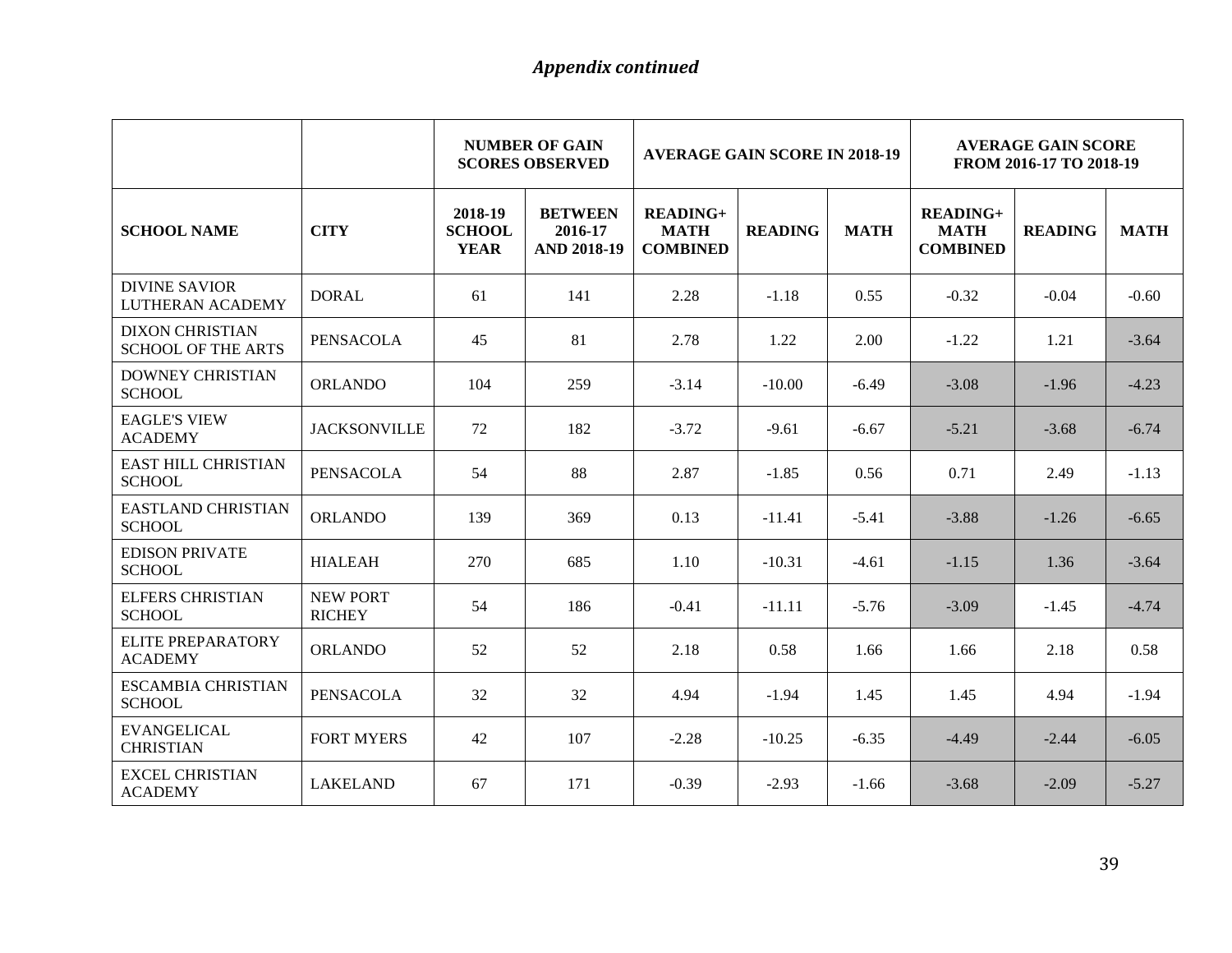|                                                     |                                  | <b>NUMBER OF GAIN</b><br><b>AVERAGE GAIN SCORE IN 2018-19</b><br><b>SCORES OBSERVED</b> |                                                 |                                                   | <b>AVERAGE GAIN SCORE</b><br>FROM 2016-17 TO 2018-19 |             |                                                   |                |             |
|-----------------------------------------------------|----------------------------------|-----------------------------------------------------------------------------------------|-------------------------------------------------|---------------------------------------------------|------------------------------------------------------|-------------|---------------------------------------------------|----------------|-------------|
| <b>SCHOOL NAME</b>                                  | <b>CITY</b>                      | 2018-19<br><b>SCHOOL</b><br><b>YEAR</b>                                                 | <b>BETWEEN</b><br>2016-17<br><b>AND 2018-19</b> | <b>READING+</b><br><b>MATH</b><br><b>COMBINED</b> | <b>READING</b>                                       | <b>MATH</b> | <b>READING+</b><br><b>MATH</b><br><b>COMBINED</b> | <b>READING</b> | <b>MATH</b> |
| <b>DIVINE SAVIOR</b><br>LUTHERAN ACADEMY            | <b>DORAL</b>                     | 61                                                                                      | 141                                             | 2.28                                              | $-1.18$                                              | 0.55        | $-0.32$                                           | $-0.04$        | $-0.60$     |
| <b>DIXON CHRISTIAN</b><br><b>SCHOOL OF THE ARTS</b> | <b>PENSACOLA</b>                 | 45                                                                                      | 81                                              | 2.78                                              | 1.22                                                 | 2.00        | $-1.22$                                           | 1.21           | $-3.64$     |
| <b>DOWNEY CHRISTIAN</b><br><b>SCHOOL</b>            | <b>ORLANDO</b>                   | 104                                                                                     | 259                                             | $-3.14$                                           | $-10.00$                                             | $-6.49$     | $-3.08$                                           | $-1.96$        | $-4.23$     |
| <b>EAGLE'S VIEW</b><br><b>ACADEMY</b>               | <b>JACKSONVILLE</b>              | 72                                                                                      | 182                                             | $-3.72$                                           | $-9.61$                                              | $-6.67$     | $-5.21$                                           | $-3.68$        | $-6.74$     |
| <b>EAST HILL CHRISTIAN</b><br><b>SCHOOL</b>         | <b>PENSACOLA</b>                 | 54                                                                                      | 88                                              | 2.87                                              | $-1.85$                                              | 0.56        | 0.71                                              | 2.49           | $-1.13$     |
| <b>EASTLAND CHRISTIAN</b><br><b>SCHOOL</b>          | <b>ORLANDO</b>                   | 139                                                                                     | 369                                             | 0.13                                              | $-11.41$                                             | $-5.41$     | $-3.88$                                           | $-1.26$        | $-6.65$     |
| <b>EDISON PRIVATE</b><br><b>SCHOOL</b>              | <b>HIALEAH</b>                   | 270                                                                                     | 685                                             | 1.10                                              | $-10.31$                                             | $-4.61$     | $-1.15$                                           | 1.36           | $-3.64$     |
| <b>ELFERS CHRISTIAN</b><br><b>SCHOOL</b>            | <b>NEW PORT</b><br><b>RICHEY</b> | 54                                                                                      | 186                                             | $-0.41$                                           | $-11.11$                                             | $-5.76$     | $-3.09$                                           | $-1.45$        | $-4.74$     |
| <b>ELITE PREPARATORY</b><br><b>ACADEMY</b>          | <b>ORLANDO</b>                   | 52                                                                                      | 52                                              | 2.18                                              | 0.58                                                 | 1.66        | 1.66                                              | 2.18           | 0.58        |
| <b>ESCAMBIA CHRISTIAN</b><br><b>SCHOOL</b>          | <b>PENSACOLA</b>                 | 32                                                                                      | 32                                              | 4.94                                              | $-1.94$                                              | 1.45        | 1.45                                              | 4.94           | $-1.94$     |
| <b>EVANGELICAL</b><br><b>CHRISTIAN</b>              | <b>FORT MYERS</b>                | 42                                                                                      | 107                                             | $-2.28$                                           | $-10.25$                                             | $-6.35$     | $-4.49$                                           | $-2.44$        | $-6.05$     |
| <b>EXCEL CHRISTIAN</b><br><b>ACADEMY</b>            | <b>LAKELAND</b>                  | 67                                                                                      | 171                                             | $-0.39$                                           | $-2.93$                                              | $-1.66$     | $-3.68$                                           | $-2.09$        | $-5.27$     |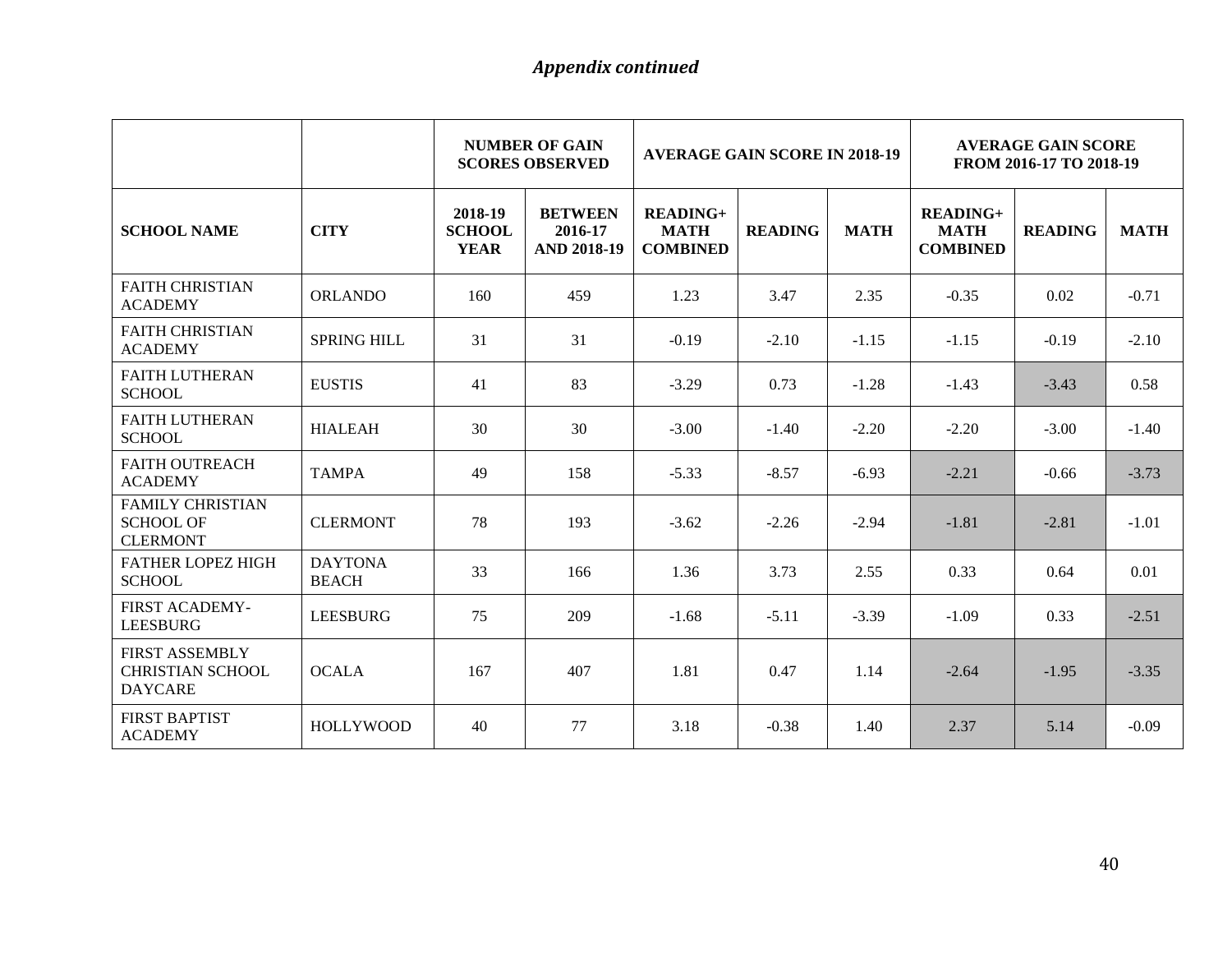|                                                                    |                                | <b>NUMBER OF GAIN</b><br><b>AVERAGE GAIN SCORE IN 2018-19</b><br><b>SCORES OBSERVED</b> |                                                 |                                                   |                | <b>AVERAGE GAIN SCORE</b><br>FROM 2016-17 TO 2018-19 |                                                   |                |             |
|--------------------------------------------------------------------|--------------------------------|-----------------------------------------------------------------------------------------|-------------------------------------------------|---------------------------------------------------|----------------|------------------------------------------------------|---------------------------------------------------|----------------|-------------|
| <b>SCHOOL NAME</b>                                                 | <b>CITY</b>                    | 2018-19<br><b>SCHOOL</b><br><b>YEAR</b>                                                 | <b>BETWEEN</b><br>2016-17<br><b>AND 2018-19</b> | <b>READING+</b><br><b>MATH</b><br><b>COMBINED</b> | <b>READING</b> | <b>MATH</b>                                          | <b>READING+</b><br><b>MATH</b><br><b>COMBINED</b> | <b>READING</b> | <b>MATH</b> |
| <b>FAITH CHRISTIAN</b><br><b>ACADEMY</b>                           | <b>ORLANDO</b>                 | 160                                                                                     | 459                                             | 1.23                                              | 3.47           | 2.35                                                 | $-0.35$                                           | 0.02           | $-0.71$     |
| <b>FAITH CHRISTIAN</b><br><b>ACADEMY</b>                           | <b>SPRING HILL</b>             | 31                                                                                      | 31                                              | $-0.19$                                           | $-2.10$        | $-1.15$                                              | $-1.15$                                           | $-0.19$        | $-2.10$     |
| <b>FAITH LUTHERAN</b><br><b>SCHOOL</b>                             | <b>EUSTIS</b>                  | 41                                                                                      | 83                                              | $-3.29$                                           | 0.73           | $-1.28$                                              | $-1.43$                                           | $-3.43$        | 0.58        |
| <b>FAITH LUTHERAN</b><br><b>SCHOOL</b>                             | <b>HIALEAH</b>                 | 30                                                                                      | 30                                              | $-3.00$                                           | $-1.40$        | $-2.20$                                              | $-2.20$                                           | $-3.00$        | $-1.40$     |
| <b>FAITH OUTREACH</b><br><b>ACADEMY</b>                            | <b>TAMPA</b>                   | 49                                                                                      | 158                                             | $-5.33$                                           | $-8.57$        | $-6.93$                                              | $-2.21$                                           | $-0.66$        | $-3.73$     |
| <b>FAMILY CHRISTIAN</b><br><b>SCHOOL OF</b><br><b>CLERMONT</b>     | <b>CLERMONT</b>                | 78                                                                                      | 193                                             | $-3.62$                                           | $-2.26$        | $-2.94$                                              | $-1.81$                                           | $-2.81$        | $-1.01$     |
| <b>FATHER LOPEZ HIGH</b><br><b>SCHOOL</b>                          | <b>DAYTONA</b><br><b>BEACH</b> | 33                                                                                      | 166                                             | 1.36                                              | 3.73           | 2.55                                                 | 0.33                                              | 0.64           | 0.01        |
| FIRST ACADEMY-<br><b>LEESBURG</b>                                  | <b>LEESBURG</b>                | 75                                                                                      | 209                                             | $-1.68$                                           | $-5.11$        | $-3.39$                                              | $-1.09$                                           | 0.33           | $-2.51$     |
| <b>FIRST ASSEMBLY</b><br><b>CHRISTIAN SCHOOL</b><br><b>DAYCARE</b> | <b>OCALA</b>                   | 167                                                                                     | 407                                             | 1.81                                              | 0.47           | 1.14                                                 | $-2.64$                                           | $-1.95$        | $-3.35$     |
| <b>FIRST BAPTIST</b><br><b>ACADEMY</b>                             | <b>HOLLYWOOD</b>               | 40                                                                                      | 77                                              | 3.18                                              | $-0.38$        | 1.40                                                 | 2.37                                              | 5.14           | $-0.09$     |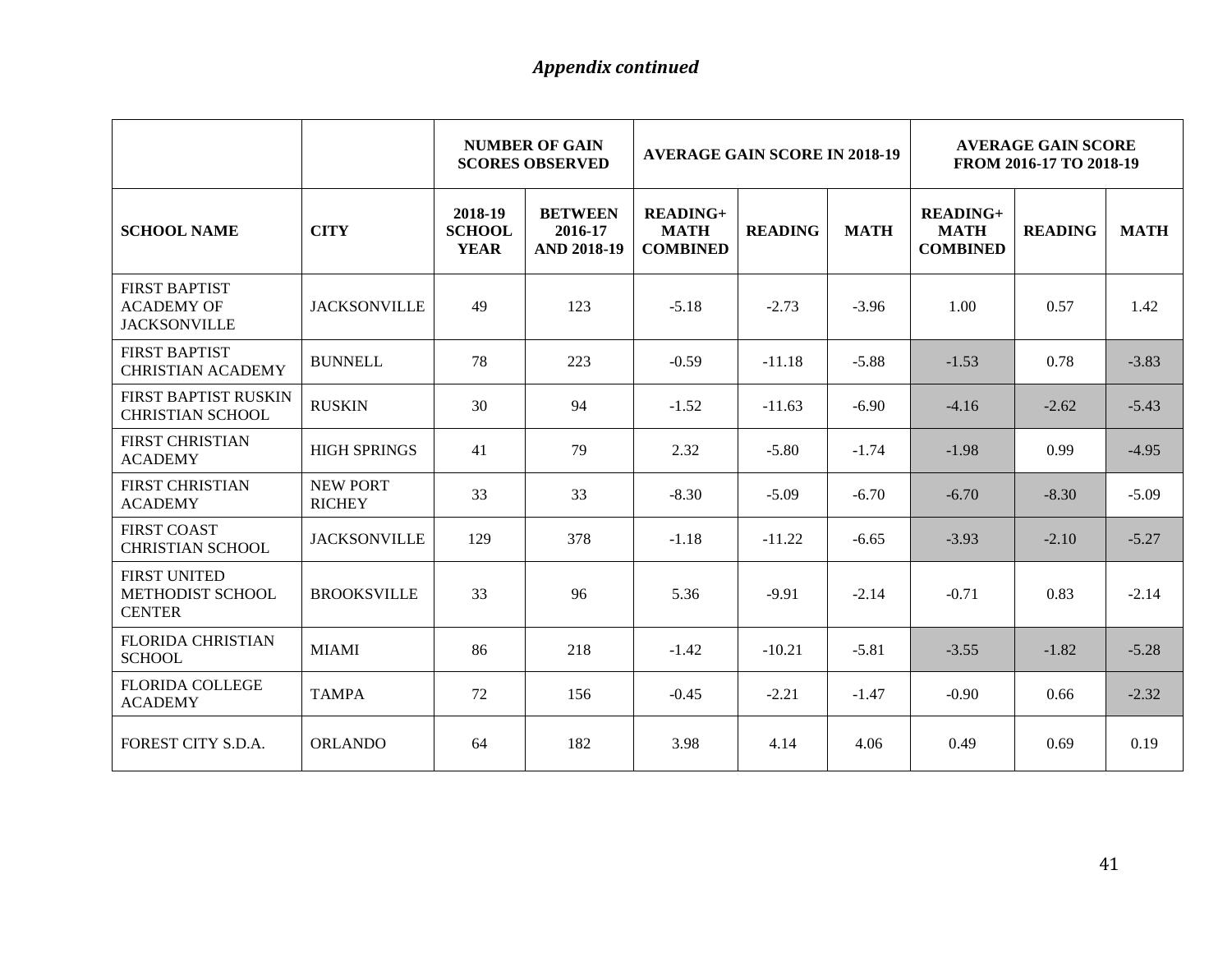|                                                                  |                                  | <b>NUMBER OF GAIN</b><br><b>AVERAGE GAIN SCORE IN 2018-19</b><br><b>SCORES OBSERVED</b> |                                                 |                                              | <b>AVERAGE GAIN SCORE</b><br>FROM 2016-17 TO 2018-19 |             |                                              |                |             |
|------------------------------------------------------------------|----------------------------------|-----------------------------------------------------------------------------------------|-------------------------------------------------|----------------------------------------------|------------------------------------------------------|-------------|----------------------------------------------|----------------|-------------|
| <b>SCHOOL NAME</b>                                               | <b>CITY</b>                      | 2018-19<br><b>SCHOOL</b><br><b>YEAR</b>                                                 | <b>BETWEEN</b><br>2016-17<br><b>AND 2018-19</b> | $READING+$<br><b>MATH</b><br><b>COMBINED</b> | <b>READING</b>                                       | <b>MATH</b> | $READING+$<br><b>MATH</b><br><b>COMBINED</b> | <b>READING</b> | <b>MATH</b> |
| <b>FIRST BAPTIST</b><br><b>ACADEMY OF</b><br><b>JACKSONVILLE</b> | <b>JACKSONVILLE</b>              | 49                                                                                      | 123                                             | $-5.18$                                      | $-2.73$                                              | $-3.96$     | 1.00                                         | 0.57           | 1.42        |
| <b>FIRST BAPTIST</b><br><b>CHRISTIAN ACADEMY</b>                 | <b>BUNNELL</b>                   | 78                                                                                      | 223                                             | $-0.59$                                      | $-11.18$                                             | $-5.88$     | $-1.53$                                      | 0.78           | $-3.83$     |
| FIRST BAPTIST RUSKIN<br><b>CHRISTIAN SCHOOL</b>                  | <b>RUSKIN</b>                    | 30                                                                                      | 94                                              | $-1.52$                                      | $-11.63$                                             | $-6.90$     | $-4.16$                                      | $-2.62$        | $-5.43$     |
| <b>FIRST CHRISTIAN</b><br><b>ACADEMY</b>                         | <b>HIGH SPRINGS</b>              | 41                                                                                      | 79                                              | 2.32                                         | $-5.80$                                              | $-1.74$     | $-1.98$                                      | 0.99           | $-4.95$     |
| <b>FIRST CHRISTIAN</b><br><b>ACADEMY</b>                         | <b>NEW PORT</b><br><b>RICHEY</b> | 33                                                                                      | 33                                              | $-8.30$                                      | $-5.09$                                              | $-6.70$     | $-6.70$                                      | $-8.30$        | $-5.09$     |
| <b>FIRST COAST</b><br><b>CHRISTIAN SCHOOL</b>                    | <b>JACKSONVILLE</b>              | 129                                                                                     | 378                                             | $-1.18$                                      | $-11.22$                                             | $-6.65$     | $-3.93$                                      | $-2.10$        | $-5.27$     |
| <b>FIRST UNITED</b><br>METHODIST SCHOOL<br><b>CENTER</b>         | <b>BROOKSVILLE</b>               | 33                                                                                      | 96                                              | 5.36                                         | $-9.91$                                              | $-2.14$     | $-0.71$                                      | 0.83           | $-2.14$     |
| <b>FLORIDA CHRISTIAN</b><br><b>SCHOOL</b>                        | <b>MIAMI</b>                     | 86                                                                                      | 218                                             | $-1.42$                                      | $-10.21$                                             | $-5.81$     | $-3.55$                                      | $-1.82$        | $-5.28$     |
| <b>FLORIDA COLLEGE</b><br><b>ACADEMY</b>                         | <b>TAMPA</b>                     | 72                                                                                      | 156                                             | $-0.45$                                      | $-2.21$                                              | $-1.47$     | $-0.90$                                      | 0.66           | $-2.32$     |
| FOREST CITY S.D.A.                                               | <b>ORLANDO</b>                   | 64                                                                                      | 182                                             | 3.98                                         | 4.14                                                 | 4.06        | 0.49                                         | 0.69           | 0.19        |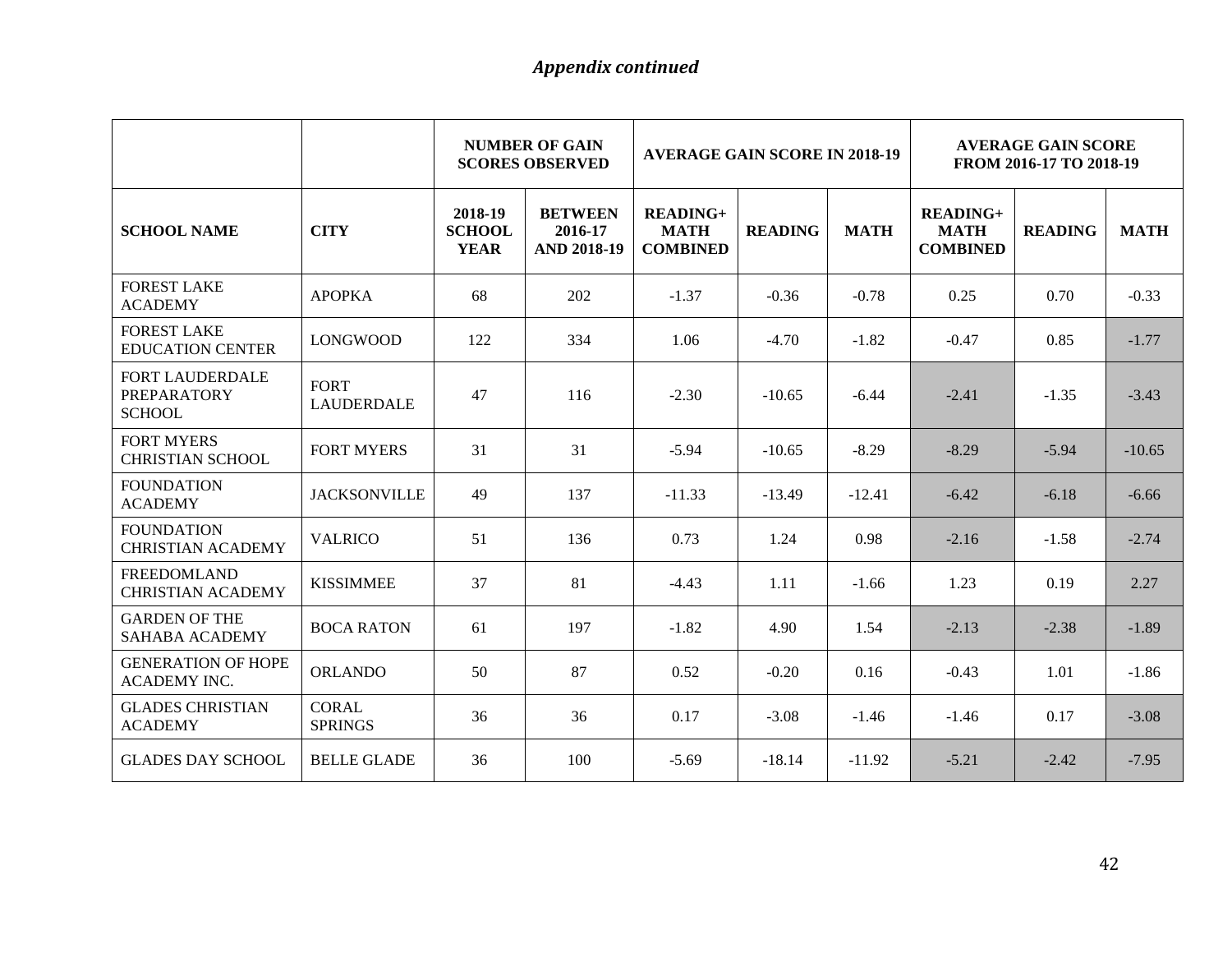|                                                               |                                  | <b>NUMBER OF GAIN</b><br><b>AVERAGE GAIN SCORE IN 2018-19</b><br><b>SCORES OBSERVED</b> |                                                 |                                                   |                | <b>AVERAGE GAIN SCORE</b><br>FROM 2016-17 TO 2018-19 |                                                   |                |             |
|---------------------------------------------------------------|----------------------------------|-----------------------------------------------------------------------------------------|-------------------------------------------------|---------------------------------------------------|----------------|------------------------------------------------------|---------------------------------------------------|----------------|-------------|
| <b>SCHOOL NAME</b>                                            | <b>CITY</b>                      | 2018-19<br><b>SCHOOL</b><br><b>YEAR</b>                                                 | <b>BETWEEN</b><br>2016-17<br><b>AND 2018-19</b> | <b>READING+</b><br><b>MATH</b><br><b>COMBINED</b> | <b>READING</b> | <b>MATH</b>                                          | <b>READING+</b><br><b>MATH</b><br><b>COMBINED</b> | <b>READING</b> | <b>MATH</b> |
| <b>FOREST LAKE</b><br><b>ACADEMY</b>                          | <b>APOPKA</b>                    | 68                                                                                      | 202                                             | $-1.37$                                           | $-0.36$        | $-0.78$                                              | 0.25                                              | 0.70           | $-0.33$     |
| <b>FOREST LAKE</b><br><b>EDUCATION CENTER</b>                 | <b>LONGWOOD</b>                  | 122                                                                                     | 334                                             | 1.06                                              | $-4.70$        | $-1.82$                                              | $-0.47$                                           | 0.85           | $-1.77$     |
| <b>FORT LAUDERDALE</b><br><b>PREPARATORY</b><br><b>SCHOOL</b> | <b>FORT</b><br><b>LAUDERDALE</b> | 47                                                                                      | 116                                             | $-2.30$                                           | $-10.65$       | $-6.44$                                              | $-2.41$                                           | $-1.35$        | $-3.43$     |
| <b>FORT MYERS</b><br><b>CHRISTIAN SCHOOL</b>                  | <b>FORT MYERS</b>                | 31                                                                                      | 31                                              | $-5.94$                                           | $-10.65$       | $-8.29$                                              | $-8.29$                                           | $-5.94$        | $-10.65$    |
| <b>FOUNDATION</b><br><b>ACADEMY</b>                           | <b>JACKSONVILLE</b>              | 49                                                                                      | 137                                             | $-11.33$                                          | $-13.49$       | $-12.41$                                             | $-6.42$                                           | $-6.18$        | $-6.66$     |
| <b>FOUNDATION</b><br><b>CHRISTIAN ACADEMY</b>                 | <b>VALRICO</b>                   | 51                                                                                      | 136                                             | 0.73                                              | 1.24           | 0.98                                                 | $-2.16$                                           | $-1.58$        | $-2.74$     |
| <b>FREEDOMLAND</b><br><b>CHRISTIAN ACADEMY</b>                | <b>KISSIMMEE</b>                 | 37                                                                                      | 81                                              | $-4.43$                                           | 1.11           | $-1.66$                                              | 1.23                                              | 0.19           | 2.27        |
| <b>GARDEN OF THE</b><br><b>SAHABA ACADEMY</b>                 | <b>BOCA RATON</b>                | 61                                                                                      | 197                                             | $-1.82$                                           | 4.90           | 1.54                                                 | $-2.13$                                           | $-2.38$        | $-1.89$     |
| <b>GENERATION OF HOPE</b><br><b>ACADEMY INC.</b>              | <b>ORLANDO</b>                   | 50                                                                                      | 87                                              | 0.52                                              | $-0.20$        | 0.16                                                 | $-0.43$                                           | 1.01           | $-1.86$     |
| <b>GLADES CHRISTIAN</b><br><b>ACADEMY</b>                     | <b>CORAL</b><br><b>SPRINGS</b>   | 36                                                                                      | 36                                              | 0.17                                              | $-3.08$        | $-1.46$                                              | $-1.46$                                           | 0.17           | $-3.08$     |
| <b>GLADES DAY SCHOOL</b>                                      | <b>BELLE GLADE</b>               | 36                                                                                      | 100                                             | $-5.69$                                           | $-18.14$       | $-11.92$                                             | $-5.21$                                           | $-2.42$        | $-7.95$     |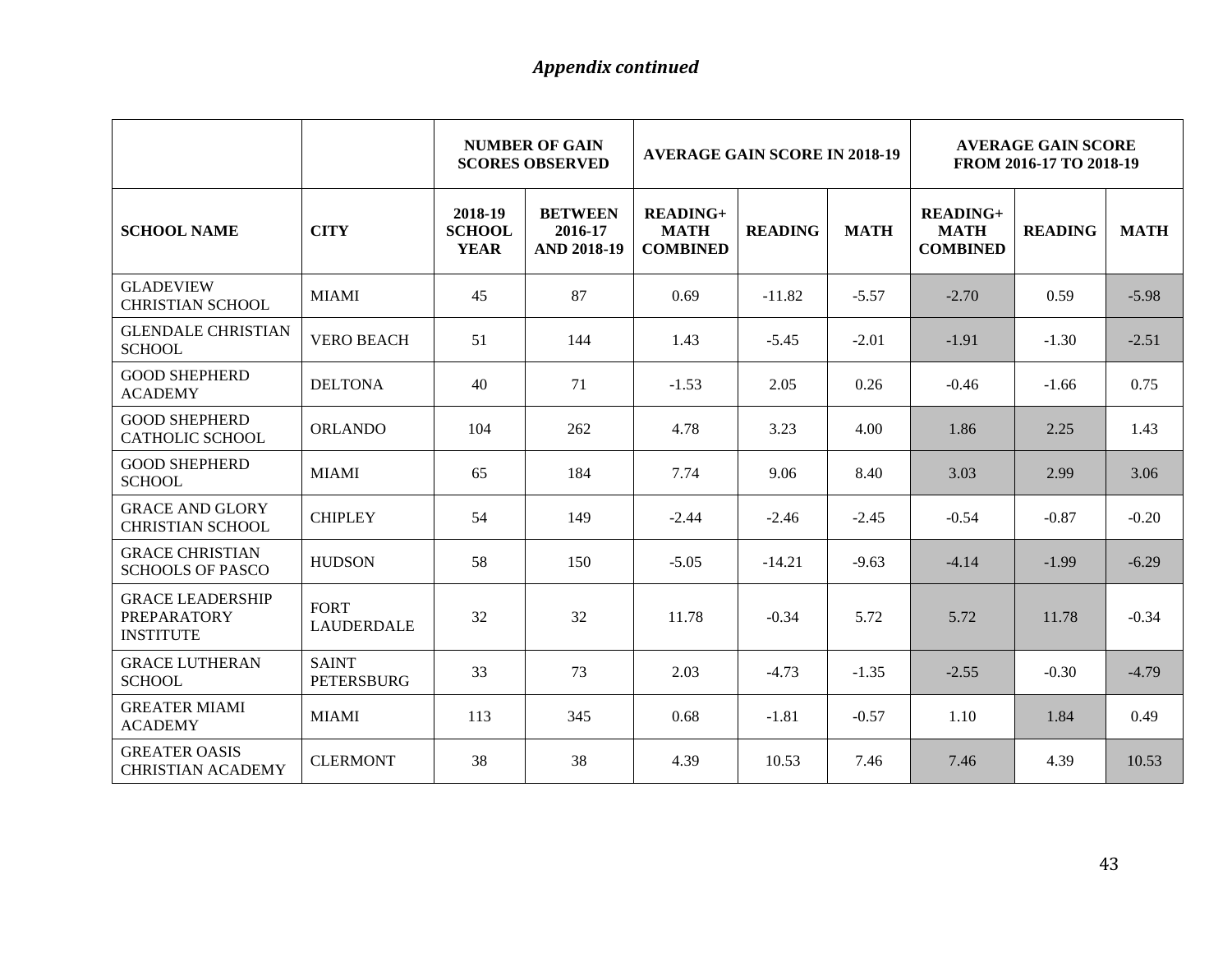|                                                                   |                                  | <b>NUMBER OF GAIN</b><br><b>AVERAGE GAIN SCORE IN 2018-19</b><br><b>SCORES OBSERVED</b> |                                                 |                                              | <b>AVERAGE GAIN SCORE</b><br>FROM 2016-17 TO 2018-19 |             |                                                   |                |             |
|-------------------------------------------------------------------|----------------------------------|-----------------------------------------------------------------------------------------|-------------------------------------------------|----------------------------------------------|------------------------------------------------------|-------------|---------------------------------------------------|----------------|-------------|
| <b>SCHOOL NAME</b>                                                | <b>CITY</b>                      | 2018-19<br><b>SCHOOL</b><br><b>YEAR</b>                                                 | <b>BETWEEN</b><br>2016-17<br><b>AND 2018-19</b> | $READING+$<br><b>MATH</b><br><b>COMBINED</b> | <b>READING</b>                                       | <b>MATH</b> | <b>READING+</b><br><b>MATH</b><br><b>COMBINED</b> | <b>READING</b> | <b>MATH</b> |
| <b>GLADEVIEW</b><br><b>CHRISTIAN SCHOOL</b>                       | <b>MIAMI</b>                     | 45                                                                                      | 87                                              | 0.69                                         | $-11.82$                                             | $-5.57$     | $-2.70$                                           | 0.59           | $-5.98$     |
| <b>GLENDALE CHRISTIAN</b><br><b>SCHOOL</b>                        | <b>VERO BEACH</b>                | 51                                                                                      | 144                                             | 1.43                                         | $-5.45$                                              | $-2.01$     | $-1.91$                                           | $-1.30$        | $-2.51$     |
| <b>GOOD SHEPHERD</b><br><b>ACADEMY</b>                            | <b>DELTONA</b>                   | 40                                                                                      | 71                                              | $-1.53$                                      | 2.05                                                 | 0.26        | $-0.46$                                           | $-1.66$        | 0.75        |
| <b>GOOD SHEPHERD</b><br><b>CATHOLIC SCHOOL</b>                    | <b>ORLANDO</b>                   | 104                                                                                     | 262                                             | 4.78                                         | 3.23                                                 | 4.00        | 1.86                                              | 2.25           | 1.43        |
| <b>GOOD SHEPHERD</b><br><b>SCHOOL</b>                             | <b>MIAMI</b>                     | 65                                                                                      | 184                                             | 7.74                                         | 9.06                                                 | 8.40        | 3.03                                              | 2.99           | 3.06        |
| <b>GRACE AND GLORY</b><br><b>CHRISTIAN SCHOOL</b>                 | <b>CHIPLEY</b>                   | 54                                                                                      | 149                                             | $-2.44$                                      | $-2.46$                                              | $-2.45$     | $-0.54$                                           | $-0.87$        | $-0.20$     |
| <b>GRACE CHRISTIAN</b><br><b>SCHOOLS OF PASCO</b>                 | <b>HUDSON</b>                    | 58                                                                                      | 150                                             | $-5.05$                                      | $-14.21$                                             | $-9.63$     | $-4.14$                                           | $-1.99$        | $-6.29$     |
| <b>GRACE LEADERSHIP</b><br><b>PREPARATORY</b><br><b>INSTITUTE</b> | <b>FORT</b><br><b>LAUDERDALE</b> | 32                                                                                      | 32                                              | 11.78                                        | $-0.34$                                              | 5.72        | 5.72                                              | 11.78          | $-0.34$     |
| <b>GRACE LUTHERAN</b><br><b>SCHOOL</b>                            | <b>SAINT</b><br>PETERSBURG       | 33                                                                                      | 73                                              | 2.03                                         | $-4.73$                                              | $-1.35$     | $-2.55$                                           | $-0.30$        | $-4.79$     |
| <b>GREATER MIAMI</b><br><b>ACADEMY</b>                            | <b>MIAMI</b>                     | 113                                                                                     | 345                                             | 0.68                                         | $-1.81$                                              | $-0.57$     | 1.10                                              | 1.84           | 0.49        |
| <b>GREATER OASIS</b><br><b>CHRISTIAN ACADEMY</b>                  | <b>CLERMONT</b>                  | 38                                                                                      | 38                                              | 4.39                                         | 10.53                                                | 7.46        | 7.46                                              | 4.39           | 10.53       |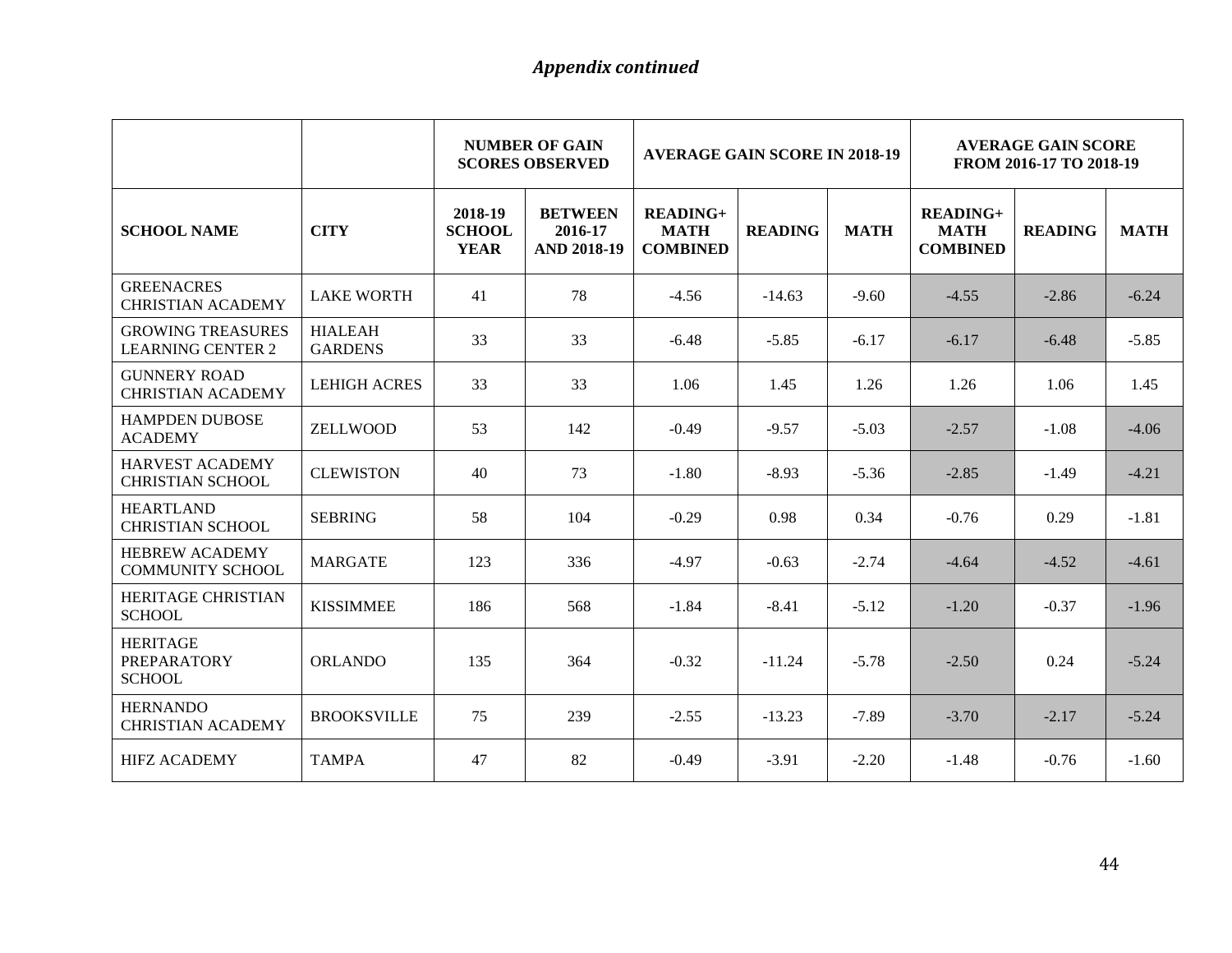|                                                        |                                  | <b>NUMBER OF GAIN</b><br><b>AVERAGE GAIN SCORE IN 2018-19</b><br><b>SCORES OBSERVED</b> |                                                 |                                                   |                | <b>AVERAGE GAIN SCORE</b><br>FROM 2016-17 TO 2018-19 |                                                   |                |             |
|--------------------------------------------------------|----------------------------------|-----------------------------------------------------------------------------------------|-------------------------------------------------|---------------------------------------------------|----------------|------------------------------------------------------|---------------------------------------------------|----------------|-------------|
| <b>SCHOOL NAME</b>                                     | <b>CITY</b>                      | 2018-19<br><b>SCHOOL</b><br><b>YEAR</b>                                                 | <b>BETWEEN</b><br>2016-17<br><b>AND 2018-19</b> | <b>READING+</b><br><b>MATH</b><br><b>COMBINED</b> | <b>READING</b> | <b>MATH</b>                                          | <b>READING+</b><br><b>MATH</b><br><b>COMBINED</b> | <b>READING</b> | <b>MATH</b> |
| <b>GREENACRES</b><br><b>CHRISTIAN ACADEMY</b>          | <b>LAKE WORTH</b>                | 41                                                                                      | 78                                              | $-4.56$                                           | $-14.63$       | $-9.60$                                              | $-4.55$                                           | $-2.86$        | $-6.24$     |
| <b>GROWING TREASURES</b><br><b>LEARNING CENTER 2</b>   | <b>HIALEAH</b><br><b>GARDENS</b> | 33                                                                                      | 33                                              | $-6.48$                                           | $-5.85$        | $-6.17$                                              | $-6.17$                                           | $-6.48$        | $-5.85$     |
| <b>GUNNERY ROAD</b><br><b>CHRISTIAN ACADEMY</b>        | <b>LEHIGH ACRES</b>              | 33                                                                                      | 33                                              | 1.06                                              | 1.45           | 1.26                                                 | 1.26                                              | 1.06           | 1.45        |
| <b>HAMPDEN DUBOSE</b><br><b>ACADEMY</b>                | ZELLWOOD                         | 53                                                                                      | 142                                             | $-0.49$                                           | $-9.57$        | $-5.03$                                              | $-2.57$                                           | $-1.08$        | $-4.06$     |
| <b>HARVEST ACADEMY</b><br><b>CHRISTIAN SCHOOL</b>      | <b>CLEWISTON</b>                 | 40                                                                                      | 73                                              | $-1.80$                                           | $-8.93$        | $-5.36$                                              | $-2.85$                                           | $-1.49$        | $-4.21$     |
| <b>HEARTLAND</b><br><b>CHRISTIAN SCHOOL</b>            | <b>SEBRING</b>                   | 58                                                                                      | 104                                             | $-0.29$                                           | 0.98           | 0.34                                                 | $-0.76$                                           | 0.29           | $-1.81$     |
| <b>HEBREW ACADEMY</b><br><b>COMMUNITY SCHOOL</b>       | <b>MARGATE</b>                   | 123                                                                                     | 336                                             | $-4.97$                                           | $-0.63$        | $-2.74$                                              | $-4.64$                                           | $-4.52$        | $-4.61$     |
| HERITAGE CHRISTIAN<br><b>SCHOOL</b>                    | <b>KISSIMMEE</b>                 | 186                                                                                     | 568                                             | $-1.84$                                           | $-8.41$        | $-5.12$                                              | $-1.20$                                           | $-0.37$        | $-1.96$     |
| <b>HERITAGE</b><br><b>PREPARATORY</b><br><b>SCHOOL</b> | <b>ORLANDO</b>                   | 135                                                                                     | 364                                             | $-0.32$                                           | $-11.24$       | $-5.78$                                              | $-2.50$                                           | 0.24           | $-5.24$     |
| <b>HERNANDO</b><br><b>CHRISTIAN ACADEMY</b>            | <b>BROOKSVILLE</b>               | 75                                                                                      | 239                                             | $-2.55$                                           | $-13.23$       | $-7.89$                                              | $-3.70$                                           | $-2.17$        | $-5.24$     |
| <b>HIFZ ACADEMY</b>                                    | <b>TAMPA</b>                     | 47                                                                                      | 82                                              | $-0.49$                                           | $-3.91$        | $-2.20$                                              | $-1.48$                                           | $-0.76$        | $-1.60$     |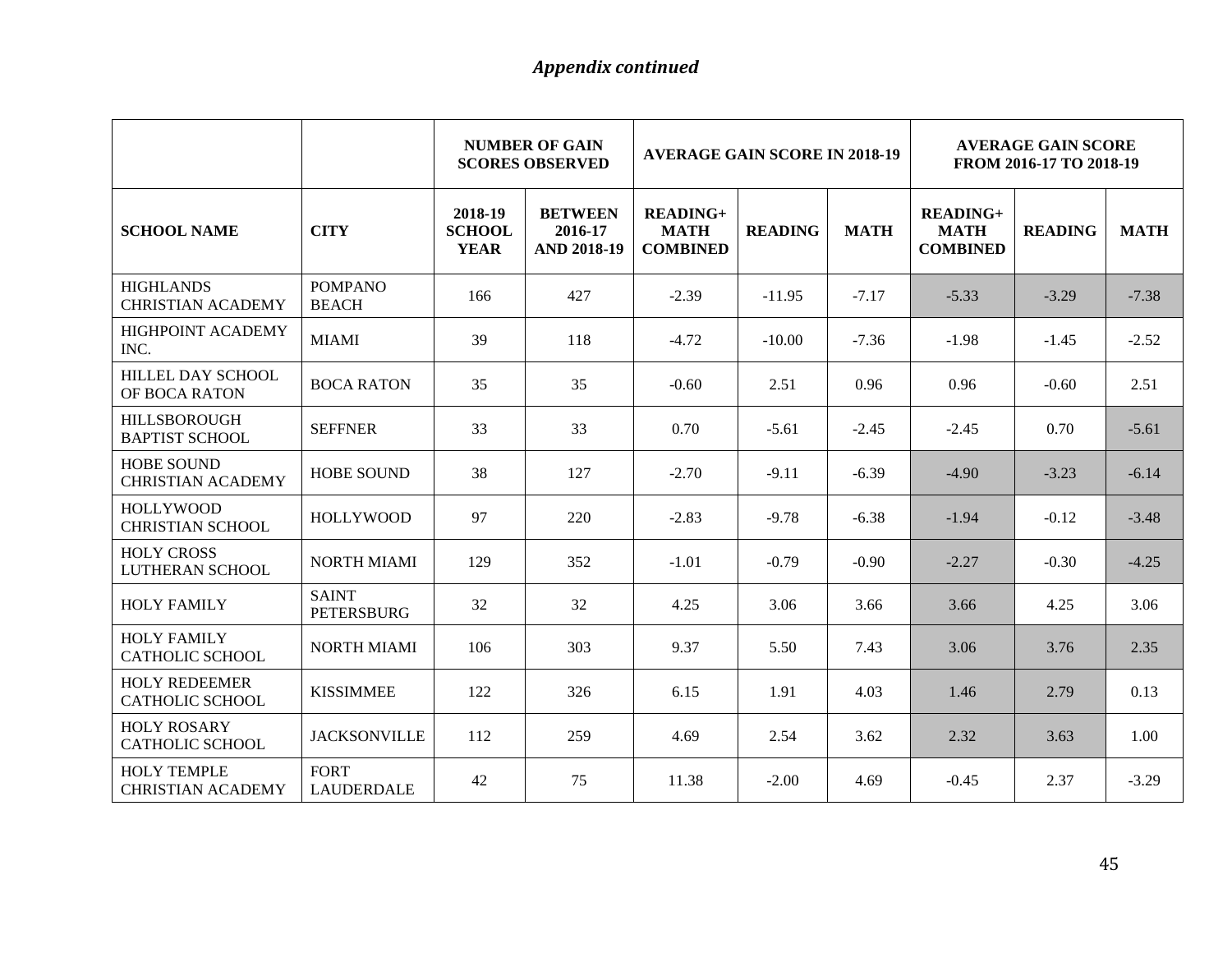|                                                |                                   | <b>NUMBER OF GAIN</b><br><b>AVERAGE GAIN SCORE IN 2018-19</b><br><b>SCORES OBSERVED</b> |                                                 |                                                   | <b>AVERAGE GAIN SCORE</b><br>FROM 2016-17 TO 2018-19 |             |                                                   |                |             |
|------------------------------------------------|-----------------------------------|-----------------------------------------------------------------------------------------|-------------------------------------------------|---------------------------------------------------|------------------------------------------------------|-------------|---------------------------------------------------|----------------|-------------|
| <b>SCHOOL NAME</b>                             | <b>CITY</b>                       | 2018-19<br><b>SCHOOL</b><br><b>YEAR</b>                                                 | <b>BETWEEN</b><br>2016-17<br><b>AND 2018-19</b> | <b>READING+</b><br><b>MATH</b><br><b>COMBINED</b> | <b>READING</b>                                       | <b>MATH</b> | <b>READING+</b><br><b>MATH</b><br><b>COMBINED</b> | <b>READING</b> | <b>MATH</b> |
| <b>HIGHLANDS</b><br><b>CHRISTIAN ACADEMY</b>   | <b>POMPANO</b><br><b>BEACH</b>    | 166                                                                                     | 427                                             | $-2.39$                                           | $-11.95$                                             | $-7.17$     | $-5.33$                                           | $-3.29$        | $-7.38$     |
| HIGHPOINT ACADEMY<br>INC.                      | <b>MIAMI</b>                      | 39                                                                                      | 118                                             | $-4.72$                                           | $-10.00$                                             | $-7.36$     | $-1.98$                                           | $-1.45$        | $-2.52$     |
| HILLEL DAY SCHOOL<br>OF BOCA RATON             | <b>BOCA RATON</b>                 | 35                                                                                      | 35                                              | $-0.60$                                           | 2.51                                                 | 0.96        | 0.96                                              | $-0.60$        | 2.51        |
| <b>HILLSBOROUGH</b><br><b>BAPTIST SCHOOL</b>   | <b>SEFFNER</b>                    | 33                                                                                      | 33                                              | 0.70                                              | $-5.61$                                              | $-2.45$     | $-2.45$                                           | 0.70           | $-5.61$     |
| <b>HOBE SOUND</b><br><b>CHRISTIAN ACADEMY</b>  | <b>HOBE SOUND</b>                 | 38                                                                                      | 127                                             | $-2.70$                                           | $-9.11$                                              | $-6.39$     | $-4.90$                                           | $-3.23$        | $-6.14$     |
| <b>HOLLYWOOD</b><br><b>CHRISTIAN SCHOOL</b>    | <b>HOLLYWOOD</b>                  | 97                                                                                      | 220                                             | $-2.83$                                           | $-9.78$                                              | $-6.38$     | $-1.94$                                           | $-0.12$        | $-3.48$     |
| <b>HOLY CROSS</b><br>LUTHERAN SCHOOL           | <b>NORTH MIAMI</b>                | 129                                                                                     | 352                                             | $-1.01$                                           | $-0.79$                                              | $-0.90$     | $-2.27$                                           | $-0.30$        | $-4.25$     |
| <b>HOLY FAMILY</b>                             | <b>SAINT</b><br><b>PETERSBURG</b> | 32                                                                                      | 32                                              | 4.25                                              | 3.06                                                 | 3.66        | 3.66                                              | 4.25           | 3.06        |
| <b>HOLY FAMILY</b><br>CATHOLIC SCHOOL          | <b>NORTH MIAMI</b>                | 106                                                                                     | 303                                             | 9.37                                              | 5.50                                                 | 7.43        | 3.06                                              | 3.76           | 2.35        |
| <b>HOLY REDEEMER</b><br><b>CATHOLIC SCHOOL</b> | <b>KISSIMMEE</b>                  | 122                                                                                     | 326                                             | 6.15                                              | 1.91                                                 | 4.03        | 1.46                                              | 2.79           | 0.13        |
| <b>HOLY ROSARY</b><br><b>CATHOLIC SCHOOL</b>   | <b>JACKSONVILLE</b>               | 112                                                                                     | 259                                             | 4.69                                              | 2.54                                                 | 3.62        | 2.32                                              | 3.63           | 1.00        |
| <b>HOLY TEMPLE</b><br><b>CHRISTIAN ACADEMY</b> | <b>FORT</b><br><b>LAUDERDALE</b>  | 42                                                                                      | 75                                              | 11.38                                             | $-2.00$                                              | 4.69        | $-0.45$                                           | 2.37           | $-3.29$     |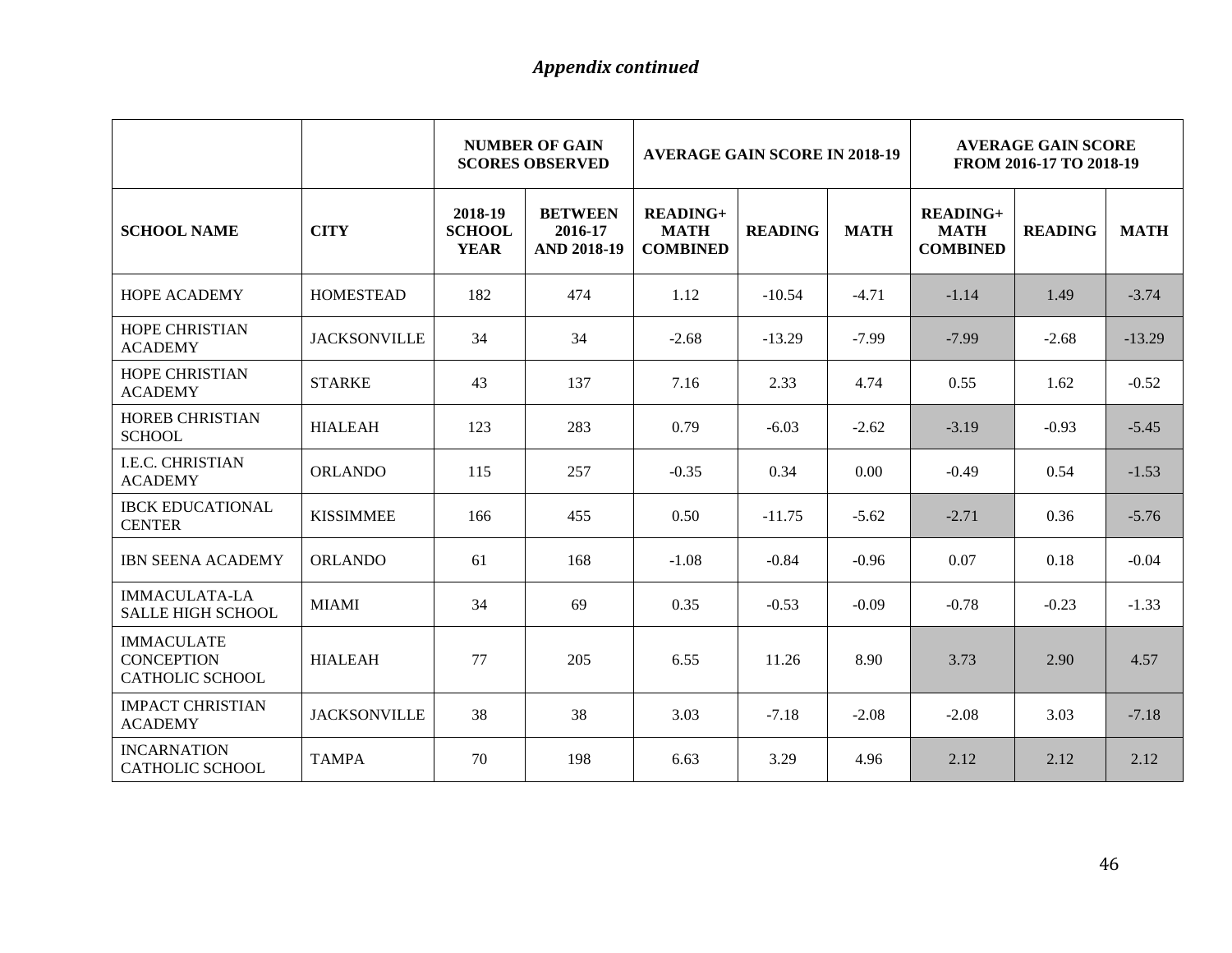|                                                                  |                     |                                         | <b>NUMBER OF GAIN</b><br><b>AVERAGE GAIN SCORE IN 2018-19</b><br><b>SCORES OBSERVED</b> |                                                   |                |             | <b>AVERAGE GAIN SCORE</b><br>FROM 2016-17 TO 2018-19 |                |             |
|------------------------------------------------------------------|---------------------|-----------------------------------------|-----------------------------------------------------------------------------------------|---------------------------------------------------|----------------|-------------|------------------------------------------------------|----------------|-------------|
| <b>SCHOOL NAME</b>                                               | <b>CITY</b>         | 2018-19<br><b>SCHOOL</b><br><b>YEAR</b> | <b>BETWEEN</b><br>2016-17<br><b>AND 2018-19</b>                                         | <b>READING+</b><br><b>MATH</b><br><b>COMBINED</b> | <b>READING</b> | <b>MATH</b> | <b>READING+</b><br><b>MATH</b><br><b>COMBINED</b>    | <b>READING</b> | <b>MATH</b> |
| <b>HOPE ACADEMY</b>                                              | <b>HOMESTEAD</b>    | 182                                     | 474                                                                                     | 1.12                                              | $-10.54$       | $-4.71$     | $-1.14$                                              | 1.49           | $-3.74$     |
| HOPE CHRISTIAN<br><b>ACADEMY</b>                                 | <b>JACKSONVILLE</b> | 34                                      | 34                                                                                      | $-2.68$                                           | $-13.29$       | $-7.99$     | $-7.99$                                              | $-2.68$        | $-13.29$    |
| <b>HOPE CHRISTIAN</b><br><b>ACADEMY</b>                          | <b>STARKE</b>       | 43                                      | 137                                                                                     | 7.16                                              | 2.33           | 4.74        | 0.55                                                 | 1.62           | $-0.52$     |
| HOREB CHRISTIAN<br><b>SCHOOL</b>                                 | <b>HIALEAH</b>      | 123                                     | 283                                                                                     | 0.79                                              | $-6.03$        | $-2.62$     | $-3.19$                                              | $-0.93$        | $-5.45$     |
| <b>I.E.C. CHRISTIAN</b><br><b>ACADEMY</b>                        | <b>ORLANDO</b>      | 115                                     | 257                                                                                     | $-0.35$                                           | 0.34           | 0.00        | $-0.49$                                              | 0.54           | $-1.53$     |
| <b>IBCK EDUCATIONAL</b><br><b>CENTER</b>                         | <b>KISSIMMEE</b>    | 166                                     | 455                                                                                     | 0.50                                              | $-11.75$       | $-5.62$     | $-2.71$                                              | 0.36           | $-5.76$     |
| <b>IBN SEENA ACADEMY</b>                                         | <b>ORLANDO</b>      | 61                                      | 168                                                                                     | $-1.08$                                           | $-0.84$        | $-0.96$     | 0.07                                                 | 0.18           | $-0.04$     |
| <b>IMMACULATA-LA</b><br><b>SALLE HIGH SCHOOL</b>                 | <b>MIAMI</b>        | 34                                      | 69                                                                                      | 0.35                                              | $-0.53$        | $-0.09$     | $-0.78$                                              | $-0.23$        | $-1.33$     |
| <b>IMMACULATE</b><br><b>CONCEPTION</b><br><b>CATHOLIC SCHOOL</b> | <b>HIALEAH</b>      | 77                                      | 205                                                                                     | 6.55                                              | 11.26          | 8.90        | 3.73                                                 | 2.90           | 4.57        |
| <b>IMPACT CHRISTIAN</b><br><b>ACADEMY</b>                        | <b>JACKSONVILLE</b> | 38                                      | 38                                                                                      | 3.03                                              | $-7.18$        | $-2.08$     | $-2.08$                                              | 3.03           | $-7.18$     |
| <b>INCARNATION</b><br><b>CATHOLIC SCHOOL</b>                     | <b>TAMPA</b>        | 70                                      | 198                                                                                     | 6.63                                              | 3.29           | 4.96        | 2.12                                                 | 2.12           | 2.12        |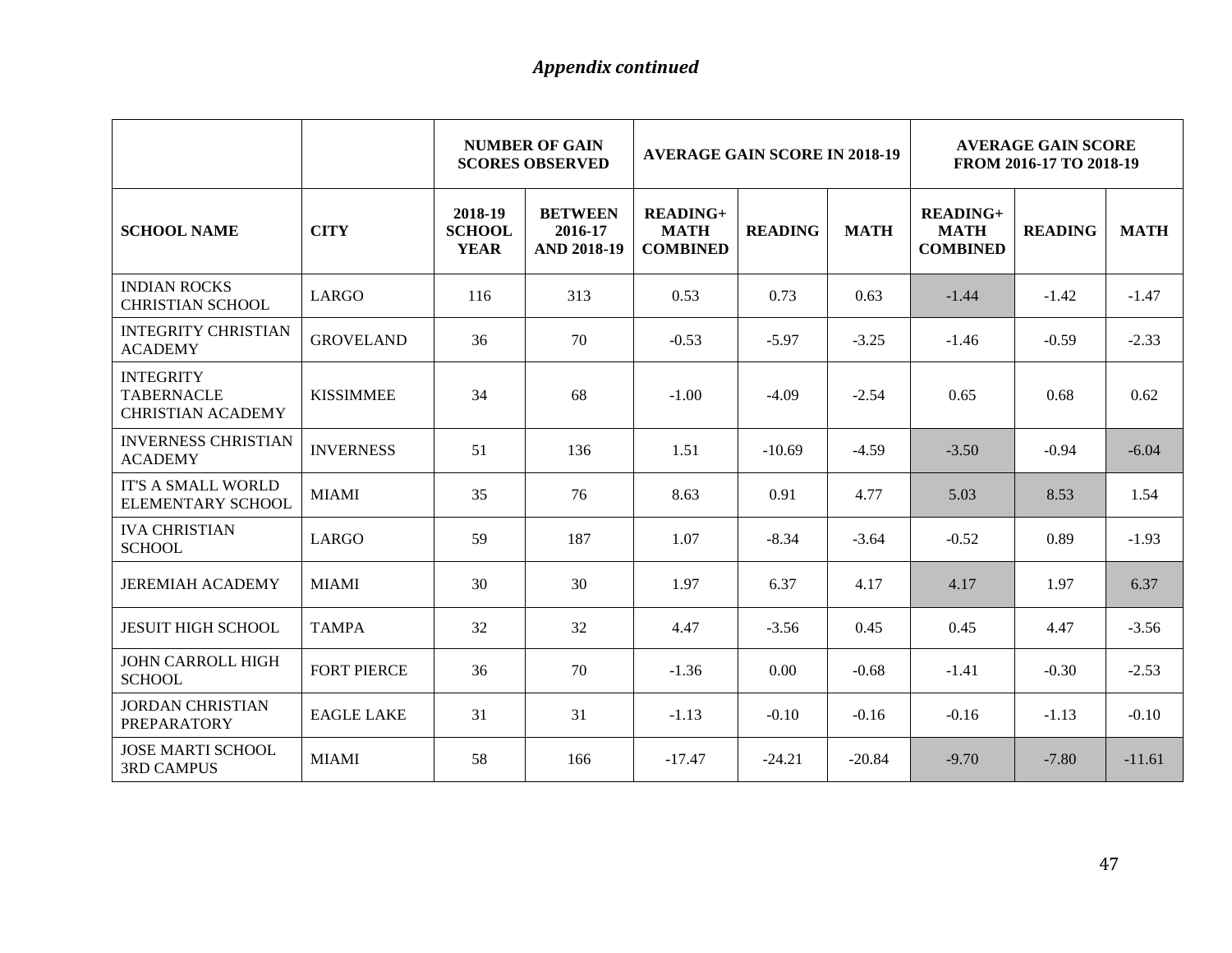|                                                                   |                    | <b>NUMBER OF GAIN</b><br><b>AVERAGE GAIN SCORE IN 2018-19</b><br><b>SCORES OBSERVED</b> |                                                 |                                              | <b>AVERAGE GAIN SCORE</b><br>FROM 2016-17 TO 2018-19 |             |                                              |                |             |
|-------------------------------------------------------------------|--------------------|-----------------------------------------------------------------------------------------|-------------------------------------------------|----------------------------------------------|------------------------------------------------------|-------------|----------------------------------------------|----------------|-------------|
| <b>SCHOOL NAME</b>                                                | <b>CITY</b>        | 2018-19<br><b>SCHOOL</b><br><b>YEAR</b>                                                 | <b>BETWEEN</b><br>2016-17<br><b>AND 2018-19</b> | $READING+$<br><b>MATH</b><br><b>COMBINED</b> | <b>READING</b>                                       | <b>MATH</b> | $READING+$<br><b>MATH</b><br><b>COMBINED</b> | <b>READING</b> | <b>MATH</b> |
| <b>INDIAN ROCKS</b><br><b>CHRISTIAN SCHOOL</b>                    | LARGO              | 116                                                                                     | 313                                             | 0.53                                         | 0.73                                                 | 0.63        | $-1.44$                                      | $-1.42$        | $-1.47$     |
| <b>INTEGRITY CHRISTIAN</b><br><b>ACADEMY</b>                      | <b>GROVELAND</b>   | 36                                                                                      | 70                                              | $-0.53$                                      | $-5.97$                                              | $-3.25$     | $-1.46$                                      | $-0.59$        | $-2.33$     |
| <b>INTEGRITY</b><br><b>TABERNACLE</b><br><b>CHRISTIAN ACADEMY</b> | <b>KISSIMMEE</b>   | 34                                                                                      | 68                                              | $-1.00$                                      | $-4.09$                                              | $-2.54$     | 0.65                                         | 0.68           | 0.62        |
| <b>INVERNESS CHRISTIAN</b><br><b>ACADEMY</b>                      | <b>INVERNESS</b>   | 51                                                                                      | 136                                             | 1.51                                         | $-10.69$                                             | $-4.59$     | $-3.50$                                      | $-0.94$        | $-6.04$     |
| <b>IT'S A SMALL WORLD</b><br>ELEMENTARY SCHOOL                    | <b>MIAMI</b>       | 35                                                                                      | 76                                              | 8.63                                         | 0.91                                                 | 4.77        | 5.03                                         | 8.53           | 1.54        |
| <b>IVA CHRISTIAN</b><br><b>SCHOOL</b>                             | LARGO              | 59                                                                                      | 187                                             | 1.07                                         | $-8.34$                                              | $-3.64$     | $-0.52$                                      | 0.89           | $-1.93$     |
| <b>JEREMIAH ACADEMY</b>                                           | <b>MIAMI</b>       | 30                                                                                      | 30                                              | 1.97                                         | 6.37                                                 | 4.17        | 4.17                                         | 1.97           | 6.37        |
| <b>JESUIT HIGH SCHOOL</b>                                         | <b>TAMPA</b>       | 32                                                                                      | 32                                              | 4.47                                         | $-3.56$                                              | 0.45        | 0.45                                         | 4.47           | $-3.56$     |
| <b>JOHN CARROLL HIGH</b><br><b>SCHOOL</b>                         | <b>FORT PIERCE</b> | 36                                                                                      | 70                                              | $-1.36$                                      | 0.00                                                 | $-0.68$     | $-1.41$                                      | $-0.30$        | $-2.53$     |
| <b>JORDAN CHRISTIAN</b><br><b>PREPARATORY</b>                     | <b>EAGLE LAKE</b>  | 31                                                                                      | 31                                              | $-1.13$                                      | $-0.10$                                              | $-0.16$     | $-0.16$                                      | $-1.13$        | $-0.10$     |
| <b>JOSE MARTI SCHOOL</b><br><b>3RD CAMPUS</b>                     | <b>MIAMI</b>       | 58                                                                                      | 166                                             | $-17.47$                                     | $-24.21$                                             | $-20.84$    | $-9.70$                                      | $-7.80$        | $-11.61$    |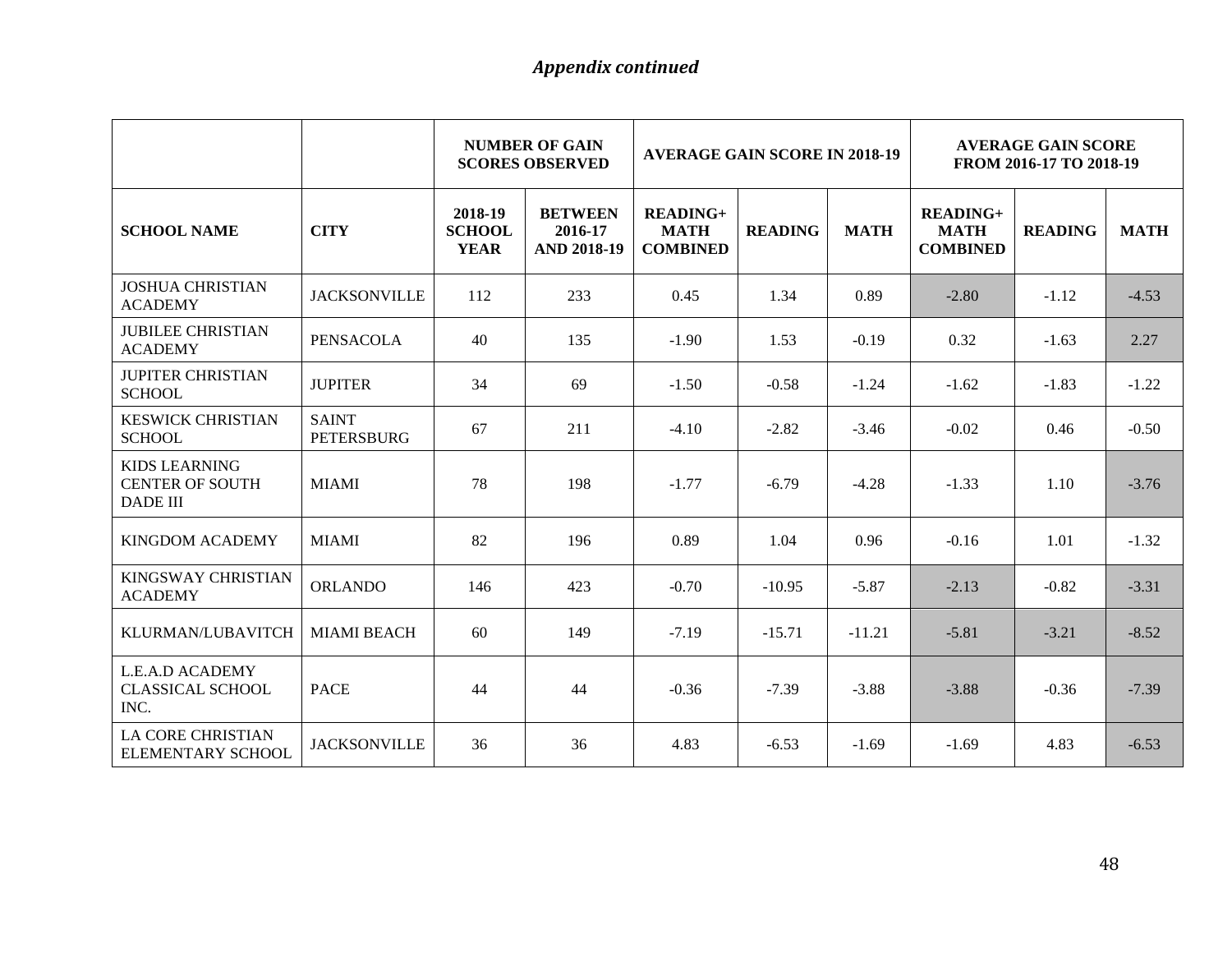|                                                                   |                                   |                                         | <b>NUMBER OF GAIN</b><br><b>SCORES OBSERVED</b> |                                              | <b>AVERAGE GAIN SCORE IN 2018-19</b> |             |                                              | <b>AVERAGE GAIN SCORE</b><br>FROM 2016-17 TO 2018-19 |             |  |
|-------------------------------------------------------------------|-----------------------------------|-----------------------------------------|-------------------------------------------------|----------------------------------------------|--------------------------------------|-------------|----------------------------------------------|------------------------------------------------------|-------------|--|
| <b>SCHOOL NAME</b>                                                | <b>CITY</b>                       | 2018-19<br><b>SCHOOL</b><br><b>YEAR</b> | <b>BETWEEN</b><br>2016-17<br><b>AND 2018-19</b> | $READING+$<br><b>MATH</b><br><b>COMBINED</b> | <b>READING</b>                       | <b>MATH</b> | $READING+$<br><b>MATH</b><br><b>COMBINED</b> | <b>READING</b>                                       | <b>MATH</b> |  |
| <b>JOSHUA CHRISTIAN</b><br><b>ACADEMY</b>                         | <b>JACKSONVILLE</b>               | 112                                     | 233                                             | 0.45                                         | 1.34                                 | 0.89        | $-2.80$                                      | $-1.12$                                              | $-4.53$     |  |
| <b>JUBILEE CHRISTIAN</b><br><b>ACADEMY</b>                        | <b>PENSACOLA</b>                  | 40                                      | 135                                             | $-1.90$                                      | 1.53                                 | $-0.19$     | 0.32                                         | $-1.63$                                              | 2.27        |  |
| <b>JUPITER CHRISTIAN</b><br><b>SCHOOL</b>                         | <b>JUPITER</b>                    | 34                                      | 69                                              | $-1.50$                                      | $-0.58$                              | $-1.24$     | $-1.62$                                      | $-1.83$                                              | $-1.22$     |  |
| <b>KESWICK CHRISTIAN</b><br><b>SCHOOL</b>                         | <b>SAINT</b><br><b>PETERSBURG</b> | 67                                      | 211                                             | $-4.10$                                      | $-2.82$                              | $-3.46$     | $-0.02$                                      | 0.46                                                 | $-0.50$     |  |
| <b>KIDS LEARNING</b><br><b>CENTER OF SOUTH</b><br><b>DADE III</b> | <b>MIAMI</b>                      | 78                                      | 198                                             | $-1.77$                                      | $-6.79$                              | $-4.28$     | $-1.33$                                      | 1.10                                                 | $-3.76$     |  |
| <b>KINGDOM ACADEMY</b>                                            | <b>MIAMI</b>                      | 82                                      | 196                                             | 0.89                                         | 1.04                                 | 0.96        | $-0.16$                                      | 1.01                                                 | $-1.32$     |  |
| <b>KINGSWAY CHRISTIAN</b><br><b>ACADEMY</b>                       | <b>ORLANDO</b>                    | 146                                     | 423                                             | $-0.70$                                      | $-10.95$                             | $-5.87$     | $-2.13$                                      | $-0.82$                                              | $-3.31$     |  |
| KLURMAN/LUBAVITCH                                                 | <b>MIAMI BEACH</b>                | 60                                      | 149                                             | $-7.19$                                      | $-15.71$                             | $-11.21$    | $-5.81$                                      | $-3.21$                                              | $-8.52$     |  |
| L.E.A.D ACADEMY<br><b>CLASSICAL SCHOOL</b><br>INC.                | <b>PACE</b>                       | 44                                      | 44                                              | $-0.36$                                      | $-7.39$                              | $-3.88$     | $-3.88$                                      | $-0.36$                                              | $-7.39$     |  |
| <b>LA CORE CHRISTIAN</b><br>ELEMENTARY SCHOOL                     | <b>JACKSONVILLE</b>               | 36                                      | 36                                              | 4.83                                         | $-6.53$                              | $-1.69$     | $-1.69$                                      | 4.83                                                 | $-6.53$     |  |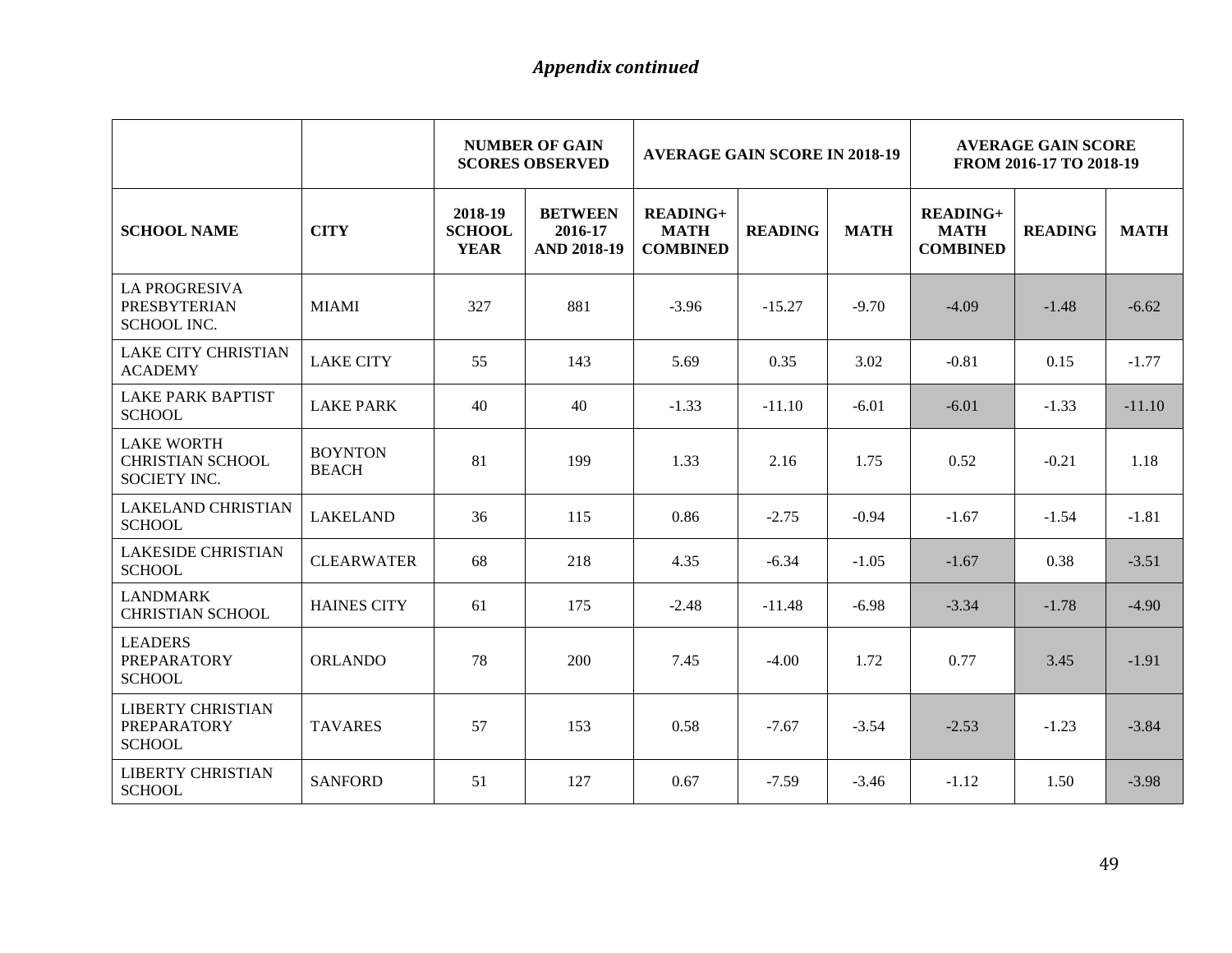|                                                                     |                                | <b>NUMBER OF GAIN</b><br><b>AVERAGE GAIN SCORE IN 2018-19</b><br><b>SCORES OBSERVED</b> |                                                 |                                                   | <b>AVERAGE GAIN SCORE</b><br>FROM 2016-17 TO 2018-19 |             |                                                   |                |             |
|---------------------------------------------------------------------|--------------------------------|-----------------------------------------------------------------------------------------|-------------------------------------------------|---------------------------------------------------|------------------------------------------------------|-------------|---------------------------------------------------|----------------|-------------|
| <b>SCHOOL NAME</b>                                                  | <b>CITY</b>                    | 2018-19<br><b>SCHOOL</b><br><b>YEAR</b>                                                 | <b>BETWEEN</b><br>2016-17<br><b>AND 2018-19</b> | <b>READING+</b><br><b>MATH</b><br><b>COMBINED</b> | <b>READING</b>                                       | <b>MATH</b> | <b>READING+</b><br><b>MATH</b><br><b>COMBINED</b> | <b>READING</b> | <b>MATH</b> |
| <b>LA PROGRESIVA</b><br><b>PRESBYTERIAN</b><br><b>SCHOOL INC.</b>   | <b>MIAMI</b>                   | 327                                                                                     | 881                                             | $-3.96$                                           | $-15.27$                                             | $-9.70$     | $-4.09$                                           | $-1.48$        | $-6.62$     |
| <b>LAKE CITY CHRISTIAN</b><br><b>ACADEMY</b>                        | <b>LAKE CITY</b>               | 55                                                                                      | 143                                             | 5.69                                              | 0.35                                                 | 3.02        | $-0.81$                                           | 0.15           | $-1.77$     |
| <b>LAKE PARK BAPTIST</b><br><b>SCHOOL</b>                           | <b>LAKE PARK</b>               | 40                                                                                      | 40                                              | $-1.33$                                           | $-11.10$                                             | $-6.01$     | $-6.01$                                           | $-1.33$        | $-11.10$    |
| <b>LAKE WORTH</b><br><b>CHRISTIAN SCHOOL</b><br><b>SOCIETY INC.</b> | <b>BOYNTON</b><br><b>BEACH</b> | 81                                                                                      | 199                                             | 1.33                                              | 2.16                                                 | 1.75        | 0.52                                              | $-0.21$        | 1.18        |
| <b>LAKELAND CHRISTIAN</b><br><b>SCHOOL</b>                          | <b>LAKELAND</b>                | 36                                                                                      | 115                                             | 0.86                                              | $-2.75$                                              | $-0.94$     | $-1.67$                                           | $-1.54$        | $-1.81$     |
| <b>LAKESIDE CHRISTIAN</b><br><b>SCHOOL</b>                          | <b>CLEARWATER</b>              | 68                                                                                      | 218                                             | 4.35                                              | $-6.34$                                              | $-1.05$     | $-1.67$                                           | 0.38           | $-3.51$     |
| <b>LANDMARK</b><br><b>CHRISTIAN SCHOOL</b>                          | <b>HAINES CITY</b>             | 61                                                                                      | 175                                             | $-2.48$                                           | $-11.48$                                             | $-6.98$     | $-3.34$                                           | $-1.78$        | $-4.90$     |
| <b>LEADERS</b><br><b>PREPARATORY</b><br><b>SCHOOL</b>               | <b>ORLANDO</b>                 | 78                                                                                      | 200                                             | 7.45                                              | $-4.00$                                              | 1.72        | 0.77                                              | 3.45           | $-1.91$     |
| <b>LIBERTY CHRISTIAN</b><br>PREPARATORY<br><b>SCHOOL</b>            | <b>TAVARES</b>                 | 57                                                                                      | 153                                             | 0.58                                              | $-7.67$                                              | $-3.54$     | $-2.53$                                           | $-1.23$        | $-3.84$     |
| <b>LIBERTY CHRISTIAN</b><br><b>SCHOOL</b>                           | <b>SANFORD</b>                 | 51                                                                                      | 127                                             | 0.67                                              | $-7.59$                                              | $-3.46$     | $-1.12$                                           | 1.50           | $-3.98$     |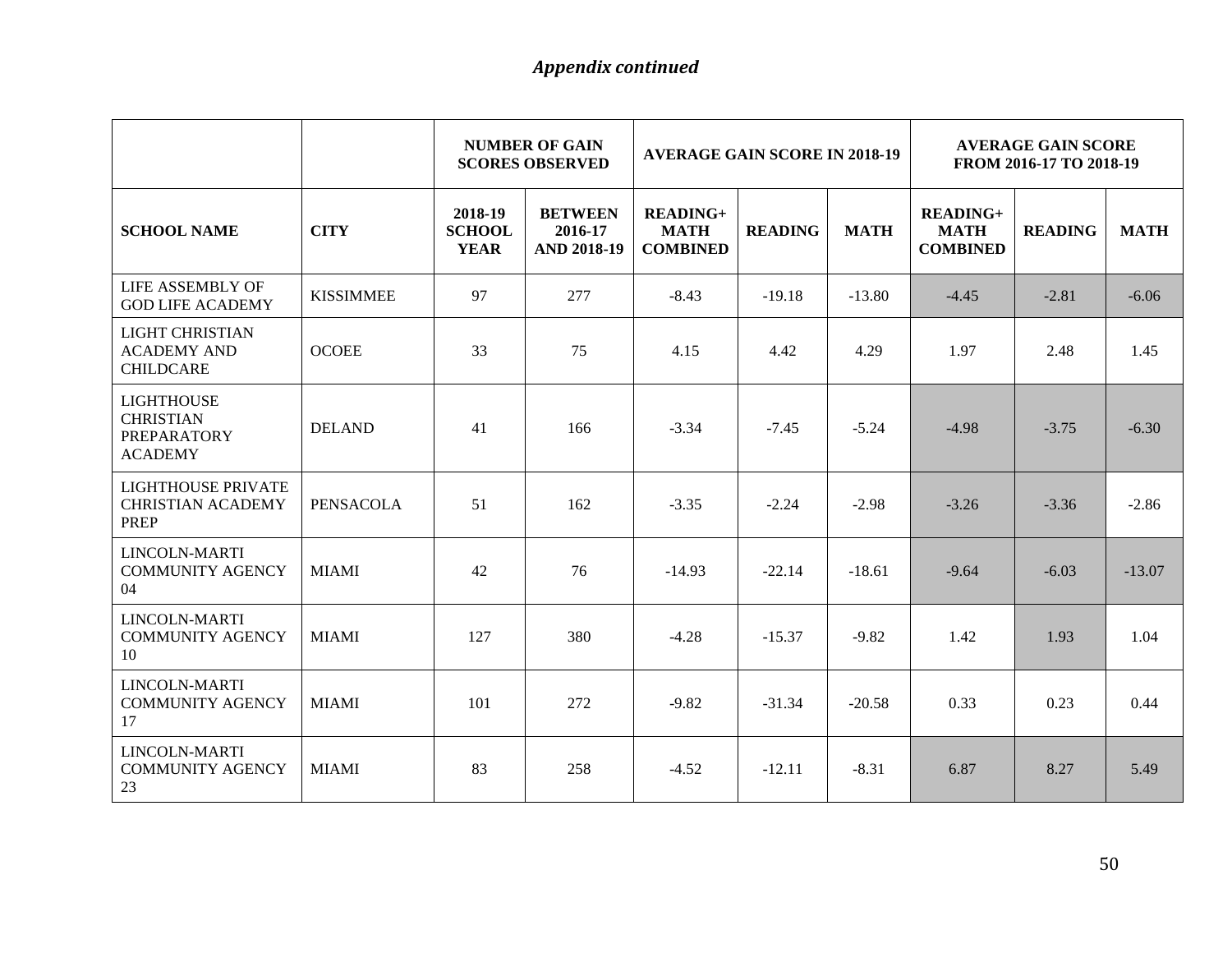|                                                                        |                  | <b>NUMBER OF GAIN</b><br><b>AVERAGE GAIN SCORE IN 2018-19</b><br><b>SCORES OBSERVED</b> |                                                 |                                                   | <b>AVERAGE GAIN SCORE</b><br>FROM 2016-17 TO 2018-19 |             |                                                   |                |             |
|------------------------------------------------------------------------|------------------|-----------------------------------------------------------------------------------------|-------------------------------------------------|---------------------------------------------------|------------------------------------------------------|-------------|---------------------------------------------------|----------------|-------------|
| <b>SCHOOL NAME</b>                                                     | <b>CITY</b>      | 2018-19<br><b>SCHOOL</b><br><b>YEAR</b>                                                 | <b>BETWEEN</b><br>2016-17<br><b>AND 2018-19</b> | <b>READING+</b><br><b>MATH</b><br><b>COMBINED</b> | <b>READING</b>                                       | <b>MATH</b> | <b>READING+</b><br><b>MATH</b><br><b>COMBINED</b> | <b>READING</b> | <b>MATH</b> |
| LIFE ASSEMBLY OF<br><b>GOD LIFE ACADEMY</b>                            | <b>KISSIMMEE</b> | 97                                                                                      | 277                                             | $-8.43$                                           | $-19.18$                                             | $-13.80$    | $-4.45$                                           | $-2.81$        | $-6.06$     |
| LIGHT CHRISTIAN<br><b>ACADEMY AND</b><br><b>CHILDCARE</b>              | <b>OCOEE</b>     | 33                                                                                      | 75                                              | 4.15                                              | 4.42                                                 | 4.29        | 1.97                                              | 2.48           | 1.45        |
| <b>LIGHTHOUSE</b><br><b>CHRISTIAN</b><br>PREPARATORY<br><b>ACADEMY</b> | <b>DELAND</b>    | 41                                                                                      | 166                                             | $-3.34$                                           | $-7.45$                                              | $-5.24$     | $-4.98$                                           | $-3.75$        | $-6.30$     |
| <b>LIGHTHOUSE PRIVATE</b><br><b>CHRISTIAN ACADEMY</b><br><b>PREP</b>   | <b>PENSACOLA</b> | 51                                                                                      | 162                                             | $-3.35$                                           | $-2.24$                                              | $-2.98$     | $-3.26$                                           | $-3.36$        | $-2.86$     |
| LINCOLN-MARTI<br><b>COMMUNITY AGENCY</b><br>04                         | <b>MIAMI</b>     | 42                                                                                      | 76                                              | $-14.93$                                          | $-22.14$                                             | $-18.61$    | $-9.64$                                           | $-6.03$        | $-13.07$    |
| <b>LINCOLN-MARTI</b><br><b>COMMUNITY AGENCY</b><br>10                  | <b>MIAMI</b>     | 127                                                                                     | 380                                             | $-4.28$                                           | $-15.37$                                             | $-9.82$     | 1.42                                              | 1.93           | 1.04        |
| LINCOLN-MARTI<br><b>COMMUNITY AGENCY</b><br>17                         | <b>MIAMI</b>     | 101                                                                                     | 272                                             | $-9.82$                                           | $-31.34$                                             | $-20.58$    | 0.33                                              | 0.23           | 0.44        |
| <b>LINCOLN-MARTI</b><br><b>COMMUNITY AGENCY</b><br>23                  | <b>MIAMI</b>     | 83                                                                                      | 258                                             | $-4.52$                                           | $-12.11$                                             | $-8.31$     | 6.87                                              | 8.27           | 5.49        |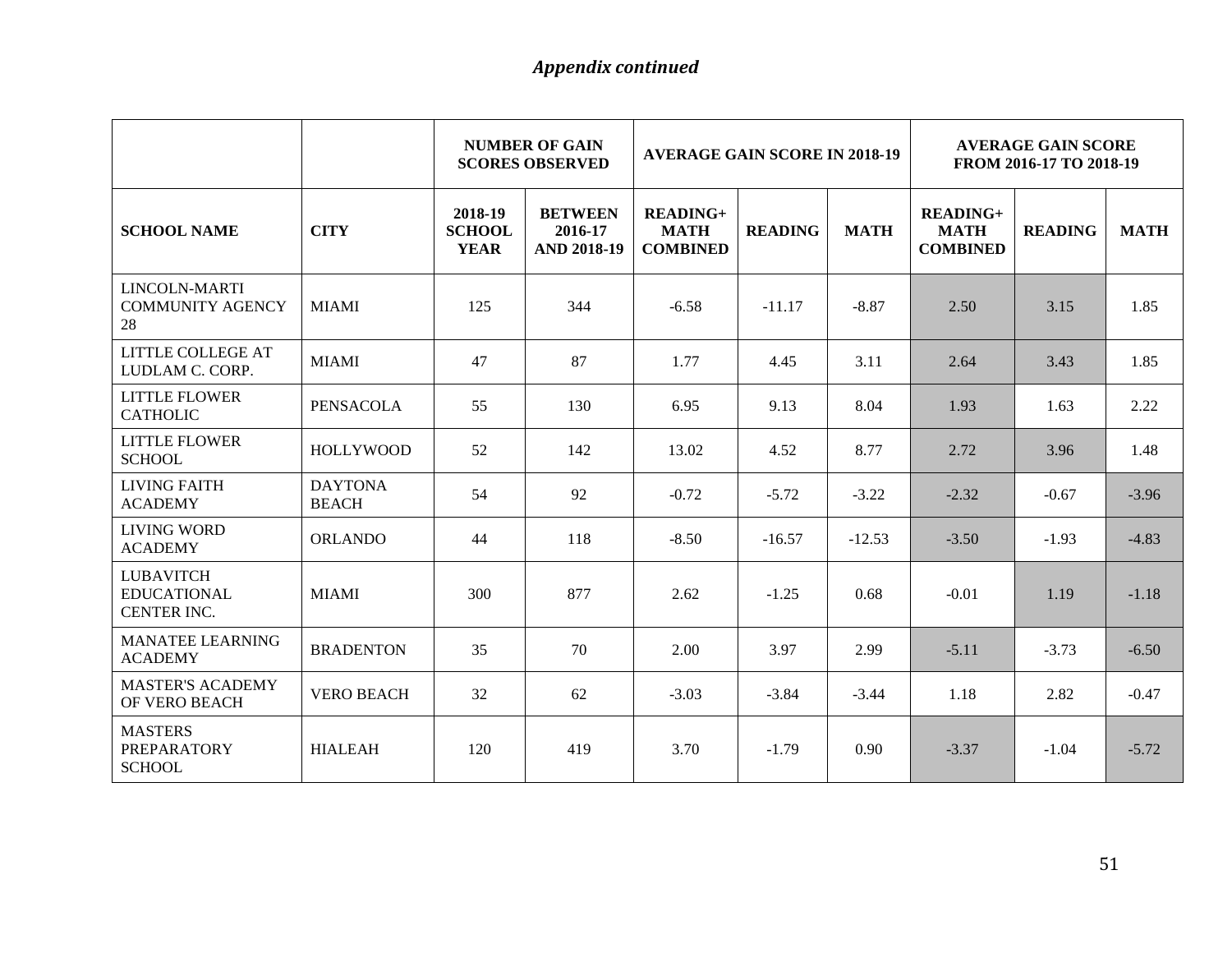|                                                       |                                | <b>NUMBER OF GAIN</b><br><b>AVERAGE GAIN SCORE IN 2018-19</b><br><b>SCORES OBSERVED</b> |                                                 |                                                   | <b>AVERAGE GAIN SCORE</b><br>FROM 2016-17 TO 2018-19 |             |                                              |                |             |
|-------------------------------------------------------|--------------------------------|-----------------------------------------------------------------------------------------|-------------------------------------------------|---------------------------------------------------|------------------------------------------------------|-------------|----------------------------------------------|----------------|-------------|
| <b>SCHOOL NAME</b>                                    | <b>CITY</b>                    | 2018-19<br><b>SCHOOL</b><br><b>YEAR</b>                                                 | <b>BETWEEN</b><br>2016-17<br><b>AND 2018-19</b> | <b>READING+</b><br><b>MATH</b><br><b>COMBINED</b> | <b>READING</b>                                       | <b>MATH</b> | $READING+$<br><b>MATH</b><br><b>COMBINED</b> | <b>READING</b> | <b>MATH</b> |
| LINCOLN-MARTI<br><b>COMMUNITY AGENCY</b><br>28        | <b>MIAMI</b>                   | 125                                                                                     | 344                                             | $-6.58$                                           | $-11.17$                                             | $-8.87$     | 2.50                                         | 3.15           | 1.85        |
| <b>LITTLE COLLEGE AT</b><br>LUDLAM C. CORP.           | <b>MIAMI</b>                   | 47                                                                                      | 87                                              | 1.77                                              | 4.45                                                 | 3.11        | 2.64                                         | 3.43           | 1.85        |
| <b>LITTLE FLOWER</b><br><b>CATHOLIC</b>               | <b>PENSACOLA</b>               | 55                                                                                      | 130                                             | 6.95                                              | 9.13                                                 | 8.04        | 1.93                                         | 1.63           | 2.22        |
| <b>LITTLE FLOWER</b><br><b>SCHOOL</b>                 | <b>HOLLYWOOD</b>               | 52                                                                                      | 142                                             | 13.02                                             | 4.52                                                 | 8.77        | 2.72                                         | 3.96           | 1.48        |
| <b>LIVING FAITH</b><br><b>ACADEMY</b>                 | <b>DAYTONA</b><br><b>BEACH</b> | 54                                                                                      | 92                                              | $-0.72$                                           | $-5.72$                                              | $-3.22$     | $-2.32$                                      | $-0.67$        | $-3.96$     |
| <b>LIVING WORD</b><br><b>ACADEMY</b>                  | <b>ORLANDO</b>                 | 44                                                                                      | 118                                             | $-8.50$                                           | $-16.57$                                             | $-12.53$    | $-3.50$                                      | $-1.93$        | $-4.83$     |
| <b>LUBAVITCH</b><br><b>EDUCATIONAL</b><br>CENTER INC. | <b>MIAMI</b>                   | 300                                                                                     | 877                                             | 2.62                                              | $-1.25$                                              | 0.68        | $-0.01$                                      | 1.19           | $-1.18$     |
| <b>MANATEE LEARNING</b><br><b>ACADEMY</b>             | <b>BRADENTON</b>               | 35                                                                                      | 70                                              | 2.00                                              | 3.97                                                 | 2.99        | $-5.11$                                      | $-3.73$        | $-6.50$     |
| <b>MASTER'S ACADEMY</b><br>OF VERO BEACH              | <b>VERO BEACH</b>              | 32                                                                                      | 62                                              | $-3.03$                                           | $-3.84$                                              | $-3.44$     | 1.18                                         | 2.82           | $-0.47$     |
| <b>MASTERS</b><br><b>PREPARATORY</b><br><b>SCHOOL</b> | <b>HIALEAH</b>                 | 120                                                                                     | 419                                             | 3.70                                              | $-1.79$                                              | 0.90        | $-3.37$                                      | $-1.04$        | $-5.72$     |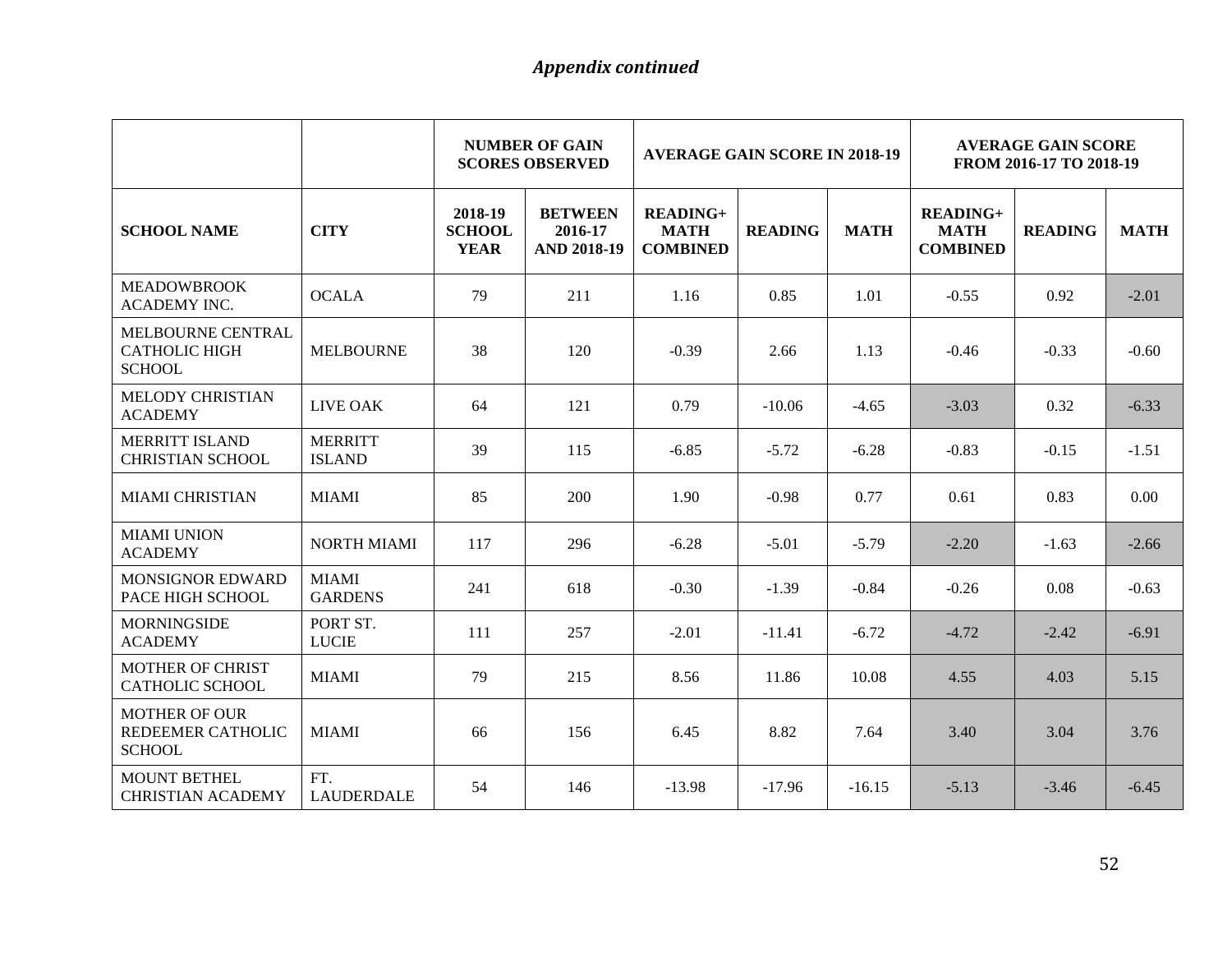|                                                            |                                 | <b>NUMBER OF GAIN</b><br><b>AVERAGE GAIN SCORE IN 2018-19</b><br><b>SCORES OBSERVED</b> |                                                 |                                                   | <b>AVERAGE GAIN SCORE</b><br>FROM 2016-17 TO 2018-19 |             |                                                   |                |             |
|------------------------------------------------------------|---------------------------------|-----------------------------------------------------------------------------------------|-------------------------------------------------|---------------------------------------------------|------------------------------------------------------|-------------|---------------------------------------------------|----------------|-------------|
| <b>SCHOOL NAME</b>                                         | <b>CITY</b>                     | 2018-19<br><b>SCHOOL</b><br><b>YEAR</b>                                                 | <b>BETWEEN</b><br>2016-17<br><b>AND 2018-19</b> | <b>READING+</b><br><b>MATH</b><br><b>COMBINED</b> | <b>READING</b>                                       | <b>MATH</b> | <b>READING+</b><br><b>MATH</b><br><b>COMBINED</b> | <b>READING</b> | <b>MATH</b> |
| <b>MEADOWBROOK</b><br><b>ACADEMY INC.</b>                  | <b>OCALA</b>                    | 79                                                                                      | 211                                             | 1.16                                              | 0.85                                                 | 1.01        | $-0.55$                                           | 0.92           | $-2.01$     |
| MELBOURNE CENTRAL<br><b>CATHOLIC HIGH</b><br><b>SCHOOL</b> | <b>MELBOURNE</b>                | 38                                                                                      | 120                                             | $-0.39$                                           | 2.66                                                 | 1.13        | $-0.46$                                           | $-0.33$        | $-0.60$     |
| MELODY CHRISTIAN<br><b>ACADEMY</b>                         | LIVE OAK                        | 64                                                                                      | 121                                             | 0.79                                              | $-10.06$                                             | $-4.65$     | $-3.03$                                           | 0.32           | $-6.33$     |
| <b>MERRITT ISLAND</b><br><b>CHRISTIAN SCHOOL</b>           | <b>MERRITT</b><br><b>ISLAND</b> | 39                                                                                      | 115                                             | $-6.85$                                           | $-5.72$                                              | $-6.28$     | $-0.83$                                           | $-0.15$        | $-1.51$     |
| <b>MIAMI CHRISTIAN</b>                                     | <b>MIAMI</b>                    | 85                                                                                      | 200                                             | 1.90                                              | $-0.98$                                              | 0.77        | 0.61                                              | 0.83           | 0.00        |
| <b>MIAMI UNION</b><br><b>ACADEMY</b>                       | <b>NORTH MIAMI</b>              | 117                                                                                     | 296                                             | $-6.28$                                           | $-5.01$                                              | $-5.79$     | $-2.20$                                           | $-1.63$        | $-2.66$     |
| <b>MONSIGNOR EDWARD</b><br>PACE HIGH SCHOOL                | <b>MIAMI</b><br><b>GARDENS</b>  | 241                                                                                     | 618                                             | $-0.30$                                           | $-1.39$                                              | $-0.84$     | $-0.26$                                           | 0.08           | $-0.63$     |
| <b>MORNINGSIDE</b><br><b>ACADEMY</b>                       | PORT ST.<br><b>LUCIE</b>        | 111                                                                                     | 257                                             | $-2.01$                                           | $-11.41$                                             | $-6.72$     | $-4.72$                                           | $-2.42$        | $-6.91$     |
| <b>MOTHER OF CHRIST</b><br><b>CATHOLIC SCHOOL</b>          | <b>MIAMI</b>                    | 79                                                                                      | 215                                             | 8.56                                              | 11.86                                                | 10.08       | 4.55                                              | 4.03           | 5.15        |
| <b>MOTHER OF OUR</b><br>REDEEMER CATHOLIC<br><b>SCHOOL</b> | <b>MIAMI</b>                    | 66                                                                                      | 156                                             | 6.45                                              | 8.82                                                 | 7.64        | 3.40                                              | 3.04           | 3.76        |
| <b>MOUNT BETHEL</b><br><b>CHRISTIAN ACADEMY</b>            | FT.<br><b>LAUDERDALE</b>        | 54                                                                                      | 146                                             | $-13.98$                                          | $-17.96$                                             | $-16.15$    | $-5.13$                                           | $-3.46$        | $-6.45$     |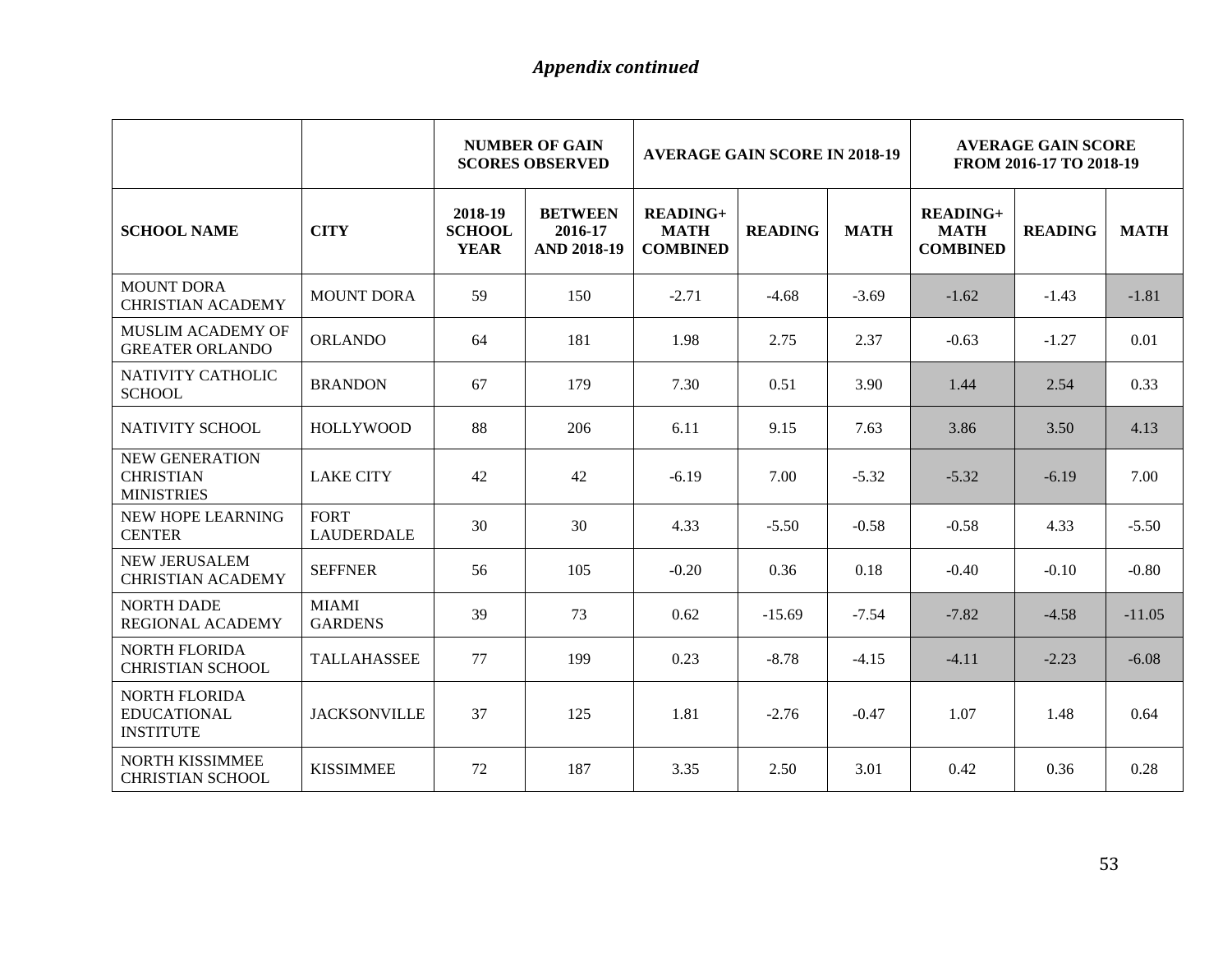|                                                                |                                  |                                         | <b>NUMBER OF GAIN</b><br><b>SCORES OBSERVED</b> | <b>AVERAGE GAIN SCORE IN 2018-19</b>              |                |             | <b>AVERAGE GAIN SCORE</b><br>FROM 2016-17 TO 2018-19 |                |             |
|----------------------------------------------------------------|----------------------------------|-----------------------------------------|-------------------------------------------------|---------------------------------------------------|----------------|-------------|------------------------------------------------------|----------------|-------------|
| <b>SCHOOL NAME</b>                                             | <b>CITY</b>                      | 2018-19<br><b>SCHOOL</b><br><b>YEAR</b> | <b>BETWEEN</b><br>2016-17<br><b>AND 2018-19</b> | <b>READING+</b><br><b>MATH</b><br><b>COMBINED</b> | <b>READING</b> | <b>MATH</b> | <b>READING+</b><br><b>MATH</b><br><b>COMBINED</b>    | <b>READING</b> | <b>MATH</b> |
| <b>MOUNT DORA</b><br><b>CHRISTIAN ACADEMY</b>                  | <b>MOUNT DORA</b>                | 59                                      | 150                                             | $-2.71$                                           | $-4.68$        | $-3.69$     | $-1.62$                                              | $-1.43$        | $-1.81$     |
| <b>MUSLIM ACADEMY OF</b><br><b>GREATER ORLANDO</b>             | <b>ORLANDO</b>                   | 64                                      | 181                                             | 1.98                                              | 2.75           | 2.37        | $-0.63$                                              | $-1.27$        | 0.01        |
| NATIVITY CATHOLIC<br><b>SCHOOL</b>                             | <b>BRANDON</b>                   | 67                                      | 179                                             | 7.30                                              | 0.51           | 3.90        | 1.44                                                 | 2.54           | 0.33        |
| NATIVITY SCHOOL                                                | <b>HOLLYWOOD</b>                 | 88                                      | 206                                             | 6.11                                              | 9.15           | 7.63        | 3.86                                                 | 3.50           | 4.13        |
| <b>NEW GENERATION</b><br><b>CHRISTIAN</b><br><b>MINISTRIES</b> | <b>LAKE CITY</b>                 | 42                                      | 42                                              | $-6.19$                                           | 7.00           | $-5.32$     | $-5.32$                                              | $-6.19$        | 7.00        |
| NEW HOPE LEARNING<br><b>CENTER</b>                             | <b>FORT</b><br><b>LAUDERDALE</b> | 30                                      | 30                                              | 4.33                                              | $-5.50$        | $-0.58$     | $-0.58$                                              | 4.33           | $-5.50$     |
| <b>NEW JERUSALEM</b><br><b>CHRISTIAN ACADEMY</b>               | <b>SEFFNER</b>                   | 56                                      | 105                                             | $-0.20$                                           | 0.36           | 0.18        | $-0.40$                                              | $-0.10$        | $-0.80$     |
| <b>NORTH DADE</b><br><b>REGIONAL ACADEMY</b>                   | <b>MIAMI</b><br><b>GARDENS</b>   | 39                                      | 73                                              | 0.62                                              | $-15.69$       | $-7.54$     | $-7.82$                                              | $-4.58$        | $-11.05$    |
| NORTH FLORIDA<br><b>CHRISTIAN SCHOOL</b>                       | <b>TALLAHASSEE</b>               | 77                                      | 199                                             | 0.23                                              | $-8.78$        | $-4.15$     | $-4.11$                                              | $-2.23$        | $-6.08$     |
| <b>NORTH FLORIDA</b><br><b>EDUCATIONAL</b><br><b>INSTITUTE</b> | <b>JACKSONVILLE</b>              | 37                                      | 125                                             | 1.81                                              | $-2.76$        | $-0.47$     | 1.07                                                 | 1.48           | 0.64        |
| <b>NORTH KISSIMMEE</b><br><b>CHRISTIAN SCHOOL</b>              | <b>KISSIMMEE</b>                 | 72                                      | 187                                             | 3.35                                              | 2.50           | 3.01        | 0.42                                                 | 0.36           | 0.28        |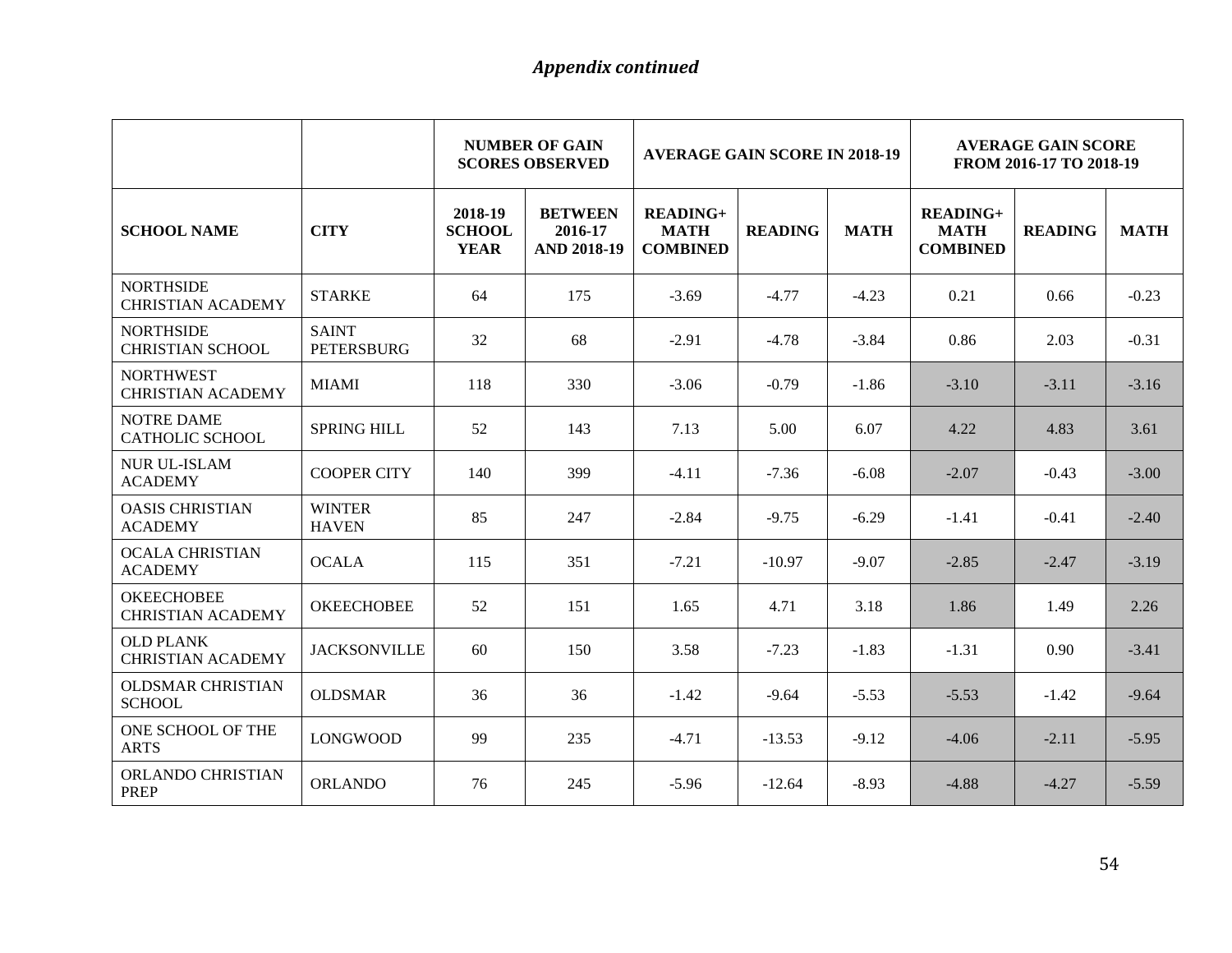|                                               |                                   | <b>NUMBER OF GAIN</b><br><b>AVERAGE GAIN SCORE IN 2018-19</b><br><b>SCORES OBSERVED</b> |                                                 |                                                   | <b>AVERAGE GAIN SCORE</b><br>FROM 2016-17 TO 2018-19 |             |                                                   |                |             |
|-----------------------------------------------|-----------------------------------|-----------------------------------------------------------------------------------------|-------------------------------------------------|---------------------------------------------------|------------------------------------------------------|-------------|---------------------------------------------------|----------------|-------------|
| <b>SCHOOL NAME</b>                            | <b>CITY</b>                       | 2018-19<br><b>SCHOOL</b><br><b>YEAR</b>                                                 | <b>BETWEEN</b><br>2016-17<br><b>AND 2018-19</b> | <b>READING+</b><br><b>MATH</b><br><b>COMBINED</b> | <b>READING</b>                                       | <b>MATH</b> | <b>READING+</b><br><b>MATH</b><br><b>COMBINED</b> | <b>READING</b> | <b>MATH</b> |
| <b>NORTHSIDE</b><br><b>CHRISTIAN ACADEMY</b>  | <b>STARKE</b>                     | 64                                                                                      | 175                                             | $-3.69$                                           | $-4.77$                                              | $-4.23$     | 0.21                                              | 0.66           | $-0.23$     |
| <b>NORTHSIDE</b><br><b>CHRISTIAN SCHOOL</b>   | <b>SAINT</b><br><b>PETERSBURG</b> | 32                                                                                      | 68                                              | $-2.91$                                           | $-4.78$                                              | $-3.84$     | 0.86                                              | 2.03           | $-0.31$     |
| <b>NORTHWEST</b><br><b>CHRISTIAN ACADEMY</b>  | <b>MIAMI</b>                      | 118                                                                                     | 330                                             | $-3.06$                                           | $-0.79$                                              | $-1.86$     | $-3.10$                                           | $-3.11$        | $-3.16$     |
| <b>NOTRE DAME</b><br>CATHOLIC SCHOOL          | <b>SPRING HILL</b>                | 52                                                                                      | 143                                             | 7.13                                              | 5.00                                                 | 6.07        | 4.22                                              | 4.83           | 3.61        |
| <b>NUR UL-ISLAM</b><br><b>ACADEMY</b>         | <b>COOPER CITY</b>                | 140                                                                                     | 399                                             | $-4.11$                                           | $-7.36$                                              | $-6.08$     | $-2.07$                                           | $-0.43$        | $-3.00$     |
| <b>OASIS CHRISTIAN</b><br><b>ACADEMY</b>      | <b>WINTER</b><br><b>HAVEN</b>     | 85                                                                                      | 247                                             | $-2.84$                                           | $-9.75$                                              | $-6.29$     | $-1.41$                                           | $-0.41$        | $-2.40$     |
| <b>OCALA CHRISTIAN</b><br><b>ACADEMY</b>      | <b>OCALA</b>                      | 115                                                                                     | 351                                             | $-7.21$                                           | $-10.97$                                             | $-9.07$     | $-2.85$                                           | $-2.47$        | $-3.19$     |
| <b>OKEECHOBEE</b><br><b>CHRISTIAN ACADEMY</b> | <b>OKEECHOBEE</b>                 | 52                                                                                      | 151                                             | 1.65                                              | 4.71                                                 | 3.18        | 1.86                                              | 1.49           | 2.26        |
| <b>OLD PLANK</b><br><b>CHRISTIAN ACADEMY</b>  | <b>JACKSONVILLE</b>               | 60                                                                                      | 150                                             | 3.58                                              | $-7.23$                                              | $-1.83$     | $-1.31$                                           | 0.90           | $-3.41$     |
| <b>OLDSMAR CHRISTIAN</b><br><b>SCHOOL</b>     | <b>OLDSMAR</b>                    | 36                                                                                      | 36                                              | $-1.42$                                           | $-9.64$                                              | $-5.53$     | $-5.53$                                           | $-1.42$        | $-9.64$     |
| ONE SCHOOL OF THE<br><b>ARTS</b>              | <b>LONGWOOD</b>                   | 99                                                                                      | 235                                             | $-4.71$                                           | $-13.53$                                             | $-9.12$     | $-4.06$                                           | $-2.11$        | $-5.95$     |
| <b>ORLANDO CHRISTIAN</b><br><b>PREP</b>       | <b>ORLANDO</b>                    | 76                                                                                      | 245                                             | $-5.96$                                           | $-12.64$                                             | $-8.93$     | $-4.88$                                           | $-4.27$        | $-5.59$     |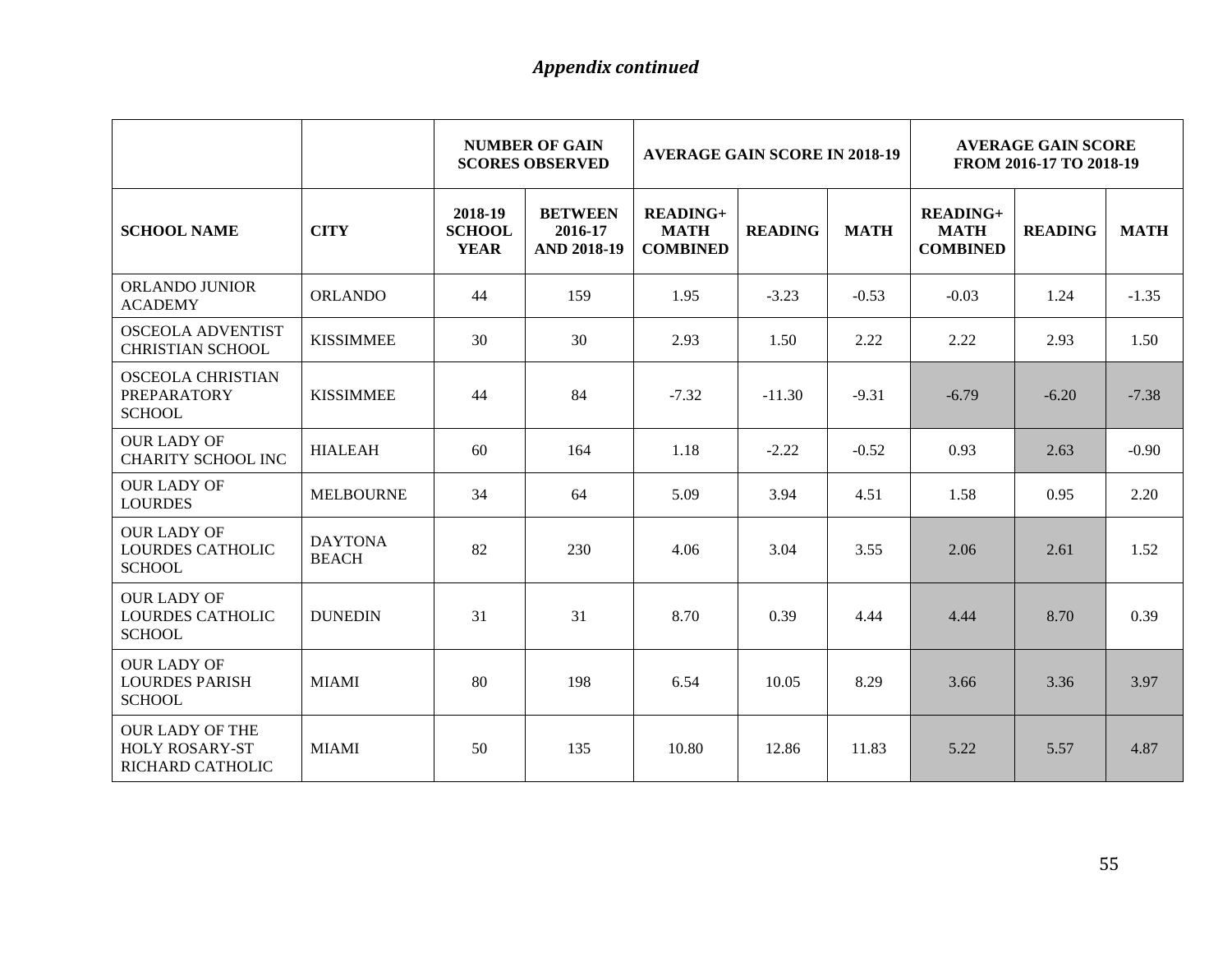|                                                                     |                                |                                         | <b>NUMBER OF GAIN</b><br><b>SCORES OBSERVED</b> | <b>AVERAGE GAIN SCORE IN 2018-19</b>         |                |             | <b>AVERAGE GAIN SCORE</b><br>FROM 2016-17 TO 2018-19 |                |             |
|---------------------------------------------------------------------|--------------------------------|-----------------------------------------|-------------------------------------------------|----------------------------------------------|----------------|-------------|------------------------------------------------------|----------------|-------------|
| <b>SCHOOL NAME</b>                                                  | <b>CITY</b>                    | 2018-19<br><b>SCHOOL</b><br><b>YEAR</b> | <b>BETWEEN</b><br>2016-17<br><b>AND 2018-19</b> | $READING+$<br><b>MATH</b><br><b>COMBINED</b> | <b>READING</b> | <b>MATH</b> | $READING+$<br><b>MATH</b><br><b>COMBINED</b>         | <b>READING</b> | <b>MATH</b> |
| <b>ORLANDO JUNIOR</b><br><b>ACADEMY</b>                             | <b>ORLANDO</b>                 | 44                                      | 159                                             | 1.95                                         | $-3.23$        | $-0.53$     | $-0.03$                                              | 1.24           | $-1.35$     |
| <b>OSCEOLA ADVENTIST</b><br><b>CHRISTIAN SCHOOL</b>                 | <b>KISSIMMEE</b>               | 30                                      | 30                                              | 2.93                                         | 1.50           | 2.22        | 2.22                                                 | 2.93           | 1.50        |
| <b>OSCEOLA CHRISTIAN</b><br><b>PREPARATORY</b><br><b>SCHOOL</b>     | <b>KISSIMMEE</b>               | 44                                      | 84                                              | $-7.32$                                      | $-11.30$       | $-9.31$     | $-6.79$                                              | $-6.20$        | $-7.38$     |
| <b>OUR LADY OF</b><br><b>CHARITY SCHOOL INC</b>                     | <b>HIALEAH</b>                 | 60                                      | 164                                             | 1.18                                         | $-2.22$        | $-0.52$     | 0.93                                                 | 2.63           | $-0.90$     |
| <b>OUR LADY OF</b><br><b>LOURDES</b>                                | <b>MELBOURNE</b>               | 34                                      | 64                                              | 5.09                                         | 3.94           | 4.51        | 1.58                                                 | 0.95           | 2.20        |
| <b>OUR LADY OF</b><br><b>LOURDES CATHOLIC</b><br><b>SCHOOL</b>      | <b>DAYTONA</b><br><b>BEACH</b> | 82                                      | 230                                             | 4.06                                         | 3.04           | 3.55        | 2.06                                                 | 2.61           | 1.52        |
| <b>OUR LADY OF</b><br><b>LOURDES CATHOLIC</b><br><b>SCHOOL</b>      | <b>DUNEDIN</b>                 | 31                                      | 31                                              | 8.70                                         | 0.39           | 4.44        | 4.44                                                 | 8.70           | 0.39        |
| <b>OUR LADY OF</b><br><b>LOURDES PARISH</b><br><b>SCHOOL</b>        | <b>MIAMI</b>                   | 80                                      | 198                                             | 6.54                                         | 10.05          | 8.29        | 3.66                                                 | 3.36           | 3.97        |
| <b>OUR LADY OF THE</b><br><b>HOLY ROSARY-ST</b><br>RICHARD CATHOLIC | <b>MIAMI</b>                   | 50                                      | 135                                             | 10.80                                        | 12.86          | 11.83       | 5.22                                                 | 5.57           | 4.87        |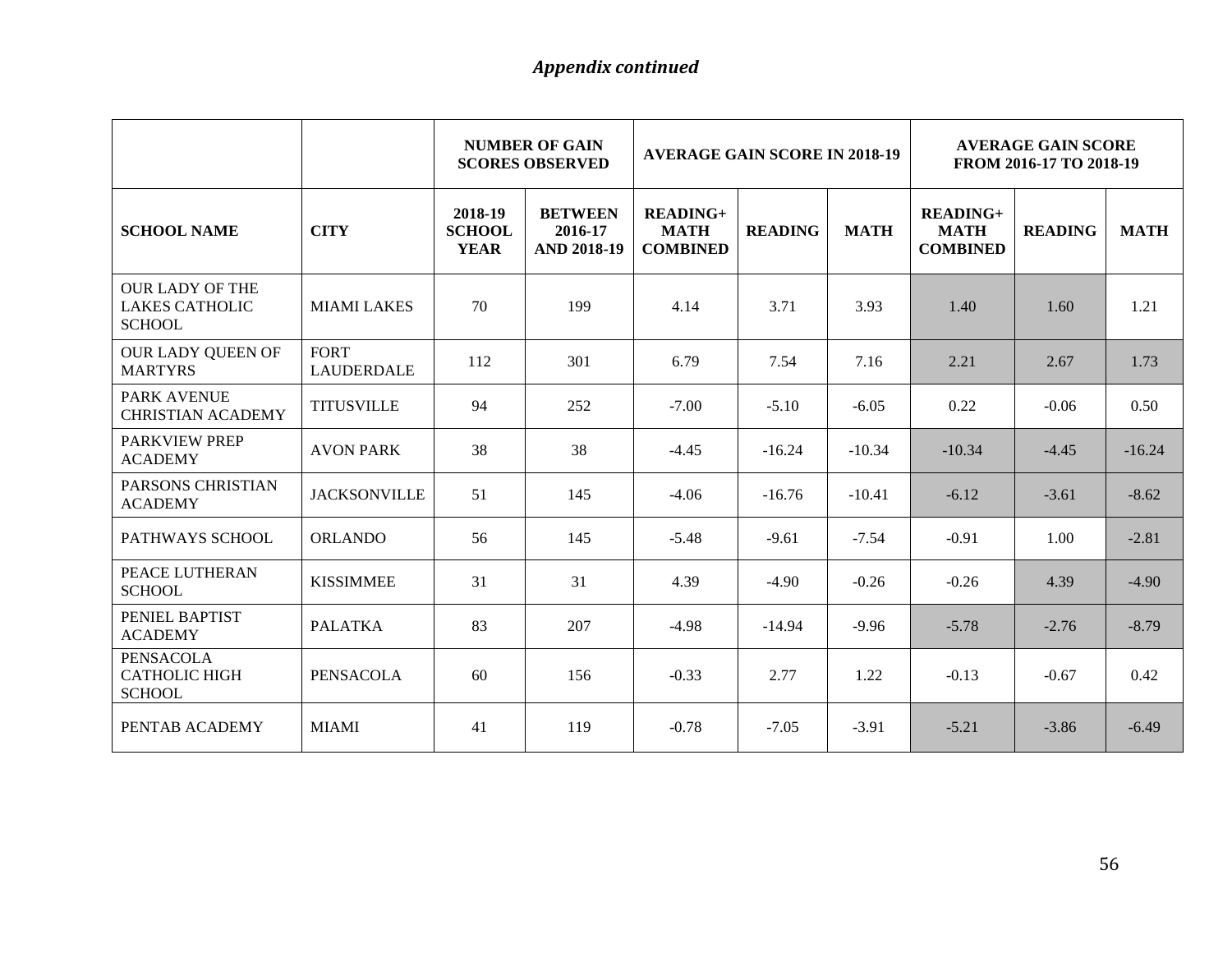|                                                                  |                                  |                                         | <b>NUMBER OF GAIN</b><br><b>SCORES OBSERVED</b> | <b>AVERAGE GAIN SCORE IN 2018-19</b>              |                |             | <b>AVERAGE GAIN SCORE</b><br>FROM 2016-17 TO 2018-19 |                |             |
|------------------------------------------------------------------|----------------------------------|-----------------------------------------|-------------------------------------------------|---------------------------------------------------|----------------|-------------|------------------------------------------------------|----------------|-------------|
| <b>SCHOOL NAME</b>                                               | <b>CITY</b>                      | 2018-19<br><b>SCHOOL</b><br><b>YEAR</b> | <b>BETWEEN</b><br>2016-17<br><b>AND 2018-19</b> | <b>READING+</b><br><b>MATH</b><br><b>COMBINED</b> | <b>READING</b> | <b>MATH</b> | <b>READING+</b><br><b>MATH</b><br><b>COMBINED</b>    | <b>READING</b> | <b>MATH</b> |
| <b>OUR LADY OF THE</b><br><b>LAKES CATHOLIC</b><br><b>SCHOOL</b> | <b>MIAMI LAKES</b>               | 70                                      | 199                                             | 4.14                                              | 3.71           | 3.93        | 1.40                                                 | 1.60           | 1.21        |
| OUR LADY QUEEN OF<br><b>MARTYRS</b>                              | <b>FORT</b><br><b>LAUDERDALE</b> | 112                                     | 301                                             | 6.79                                              | 7.54           | 7.16        | 2.21                                                 | 2.67           | 1.73        |
| <b>PARK AVENUE</b><br><b>CHRISTIAN ACADEMY</b>                   | <b>TITUSVILLE</b>                | 94                                      | 252                                             | $-7.00$                                           | $-5.10$        | $-6.05$     | 0.22                                                 | $-0.06$        | 0.50        |
| <b>PARKVIEW PREP</b><br><b>ACADEMY</b>                           | <b>AVON PARK</b>                 | 38                                      | 38                                              | $-4.45$                                           | $-16.24$       | $-10.34$    | $-10.34$                                             | $-4.45$        | $-16.24$    |
| PARSONS CHRISTIAN<br><b>ACADEMY</b>                              | <b>JACKSONVILLE</b>              | 51                                      | 145                                             | $-4.06$                                           | $-16.76$       | $-10.41$    | $-6.12$                                              | $-3.61$        | $-8.62$     |
| PATHWAYS SCHOOL                                                  | <b>ORLANDO</b>                   | 56                                      | 145                                             | $-5.48$                                           | $-9.61$        | $-7.54$     | $-0.91$                                              | 1.00           | $-2.81$     |
| PEACE LUTHERAN<br><b>SCHOOL</b>                                  | <b>KISSIMMEE</b>                 | 31                                      | 31                                              | 4.39                                              | $-4.90$        | $-0.26$     | $-0.26$                                              | 4.39           | $-4.90$     |
| PENIEL BAPTIST<br><b>ACADEMY</b>                                 | <b>PALATKA</b>                   | 83                                      | 207                                             | $-4.98$                                           | $-14.94$       | $-9.96$     | $-5.78$                                              | $-2.76$        | $-8.79$     |
| <b>PENSACOLA</b><br><b>CATHOLIC HIGH</b><br><b>SCHOOL</b>        | <b>PENSACOLA</b>                 | 60                                      | 156                                             | $-0.33$                                           | 2.77           | 1.22        | $-0.13$                                              | $-0.67$        | 0.42        |
| PENTAB ACADEMY                                                   | <b>MIAMI</b>                     | 41                                      | 119                                             | $-0.78$                                           | $-7.05$        | $-3.91$     | $-5.21$                                              | $-3.86$        | $-6.49$     |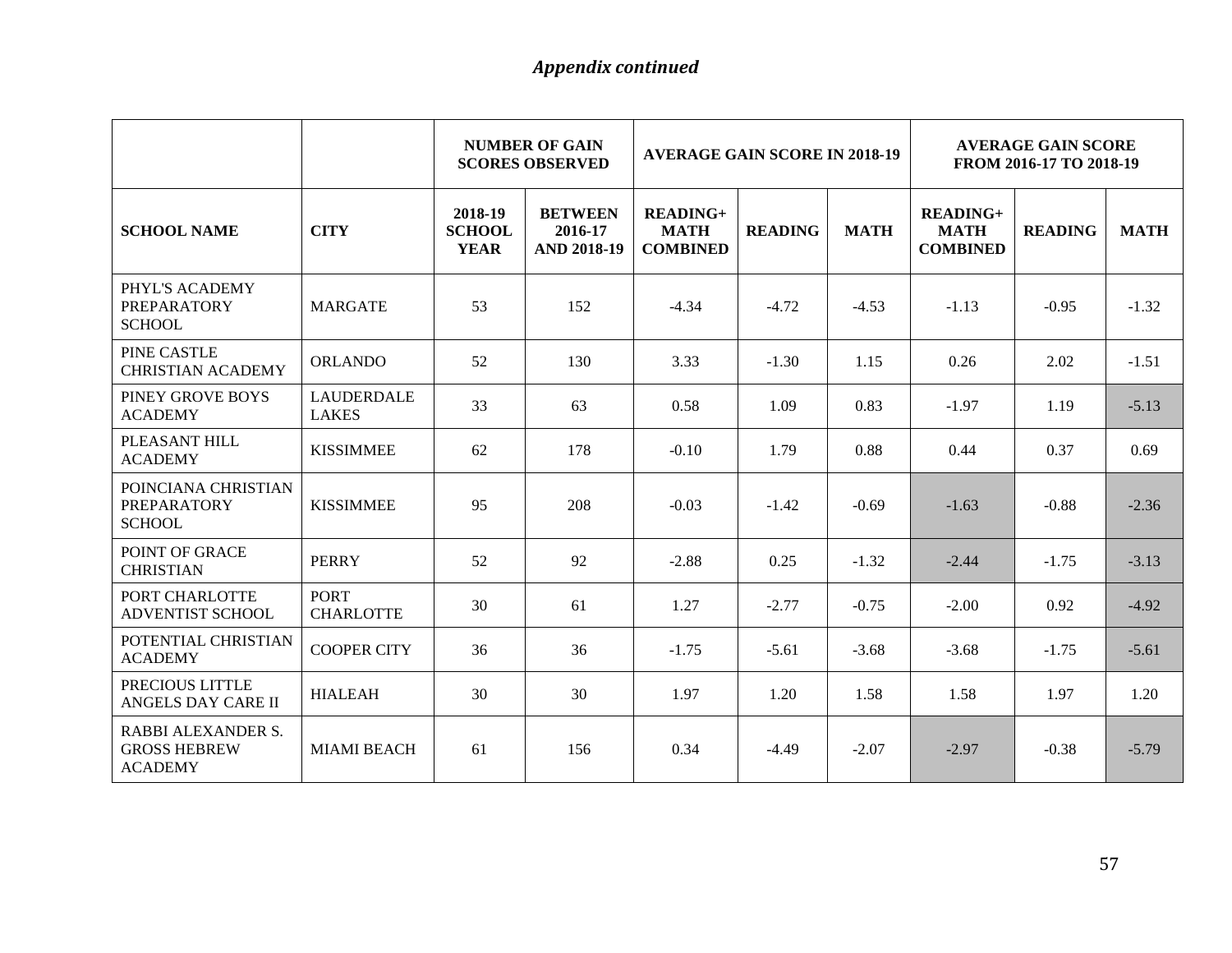|                                                                    |                                   |                                         | <b>NUMBER OF GAIN</b><br><b>SCORES OBSERVED</b> |                                                   | <b>AVERAGE GAIN SCORE IN 2018-19</b> |             |                                              | <b>AVERAGE GAIN SCORE</b><br>FROM 2016-17 TO 2018-19 |             |  |
|--------------------------------------------------------------------|-----------------------------------|-----------------------------------------|-------------------------------------------------|---------------------------------------------------|--------------------------------------|-------------|----------------------------------------------|------------------------------------------------------|-------------|--|
| <b>SCHOOL NAME</b>                                                 | <b>CITY</b>                       | 2018-19<br><b>SCHOOL</b><br><b>YEAR</b> | <b>BETWEEN</b><br>2016-17<br><b>AND 2018-19</b> | <b>READING+</b><br><b>MATH</b><br><b>COMBINED</b> | <b>READING</b>                       | <b>MATH</b> | $READING+$<br><b>MATH</b><br><b>COMBINED</b> | <b>READING</b>                                       | <b>MATH</b> |  |
| PHYL'S ACADEMY<br><b>PREPARATORY</b><br><b>SCHOOL</b>              | <b>MARGATE</b>                    | 53                                      | 152                                             | $-4.34$                                           | $-4.72$                              | $-4.53$     | $-1.13$                                      | $-0.95$                                              | $-1.32$     |  |
| PINE CASTLE<br><b>CHRISTIAN ACADEMY</b>                            | <b>ORLANDO</b>                    | 52                                      | 130                                             | 3.33                                              | $-1.30$                              | 1.15        | 0.26                                         | 2.02                                                 | $-1.51$     |  |
| PINEY GROVE BOYS<br><b>ACADEMY</b>                                 | <b>LAUDERDALE</b><br><b>LAKES</b> | 33                                      | 63                                              | 0.58                                              | 1.09                                 | 0.83        | $-1.97$                                      | 1.19                                                 | $-5.13$     |  |
| PLEASANT HILL<br><b>ACADEMY</b>                                    | <b>KISSIMMEE</b>                  | 62                                      | 178                                             | $-0.10$                                           | 1.79                                 | 0.88        | 0.44                                         | 0.37                                                 | 0.69        |  |
| POINCIANA CHRISTIAN<br><b>PREPARATORY</b><br><b>SCHOOL</b>         | <b>KISSIMMEE</b>                  | 95                                      | 208                                             | $-0.03$                                           | $-1.42$                              | $-0.69$     | $-1.63$                                      | $-0.88$                                              | $-2.36$     |  |
| POINT OF GRACE<br><b>CHRISTIAN</b>                                 | <b>PERRY</b>                      | 52                                      | 92                                              | $-2.88$                                           | 0.25                                 | $-1.32$     | $-2.44$                                      | $-1.75$                                              | $-3.13$     |  |
| PORT CHARLOTTE<br><b>ADVENTIST SCHOOL</b>                          | <b>PORT</b><br><b>CHARLOTTE</b>   | 30                                      | 61                                              | 1.27                                              | $-2.77$                              | $-0.75$     | $-2.00$                                      | 0.92                                                 | $-4.92$     |  |
| POTENTIAL CHRISTIAN<br><b>ACADEMY</b>                              | <b>COOPER CITY</b>                | 36                                      | 36                                              | $-1.75$                                           | $-5.61$                              | $-3.68$     | $-3.68$                                      | $-1.75$                                              | $-5.61$     |  |
| PRECIOUS LITTLE<br>ANGELS DAY CARE II                              | <b>HIALEAH</b>                    | 30                                      | 30                                              | 1.97                                              | 1.20                                 | 1.58        | 1.58                                         | 1.97                                                 | 1.20        |  |
| <b>RABBI ALEXANDER S.</b><br><b>GROSS HEBREW</b><br><b>ACADEMY</b> | <b>MIAMI BEACH</b>                | 61                                      | 156                                             | 0.34                                              | $-4.49$                              | $-2.07$     | $-2.97$                                      | $-0.38$                                              | $-5.79$     |  |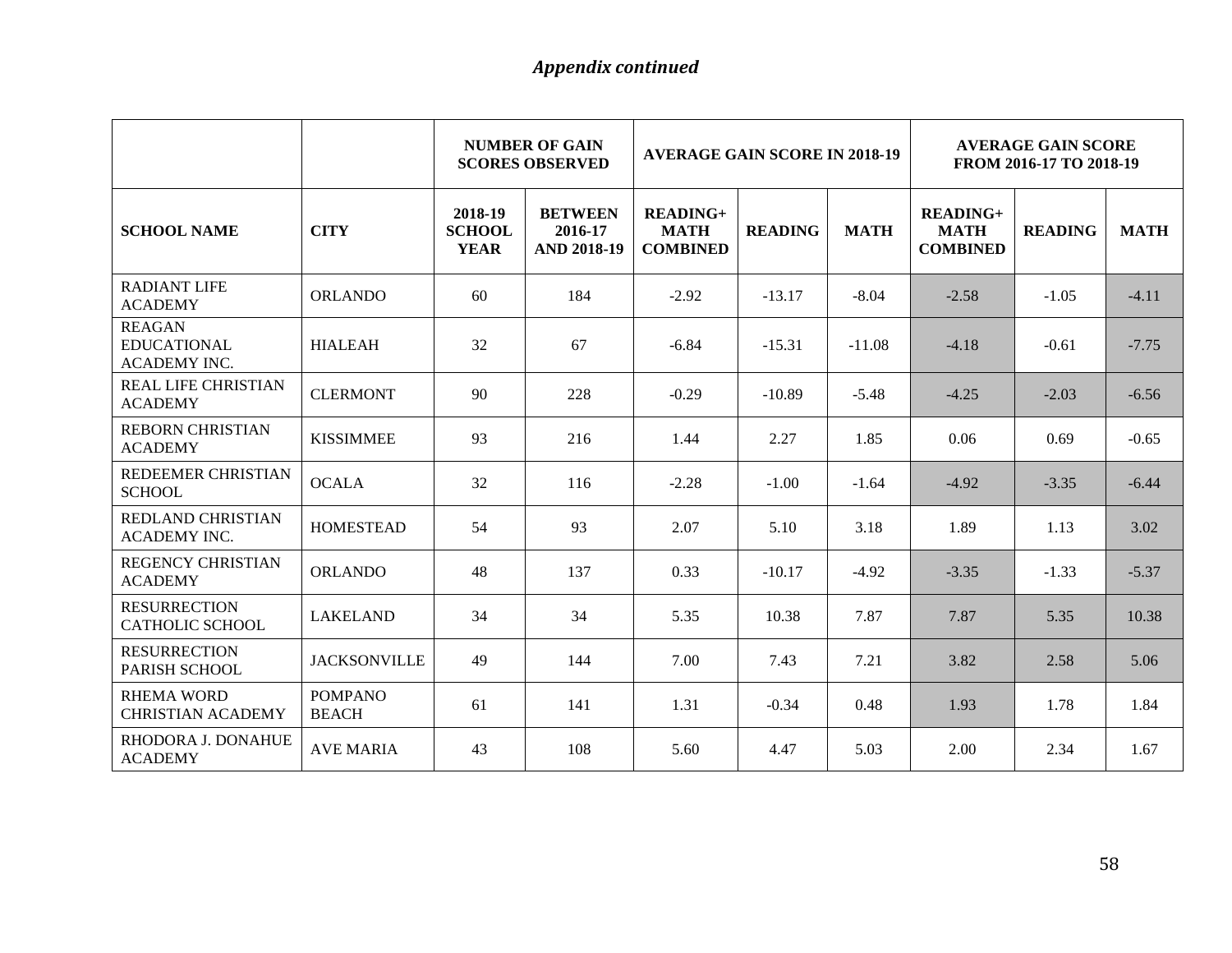|                                                            |                                |                                         | <b>NUMBER OF GAIN</b><br><b>SCORES OBSERVED</b> | <b>AVERAGE GAIN SCORE IN 2018-19</b>         |                |             | <b>AVERAGE GAIN SCORE</b><br>FROM 2016-17 TO 2018-19 |                |             |
|------------------------------------------------------------|--------------------------------|-----------------------------------------|-------------------------------------------------|----------------------------------------------|----------------|-------------|------------------------------------------------------|----------------|-------------|
| <b>SCHOOL NAME</b>                                         | <b>CITY</b>                    | 2018-19<br><b>SCHOOL</b><br><b>YEAR</b> | <b>BETWEEN</b><br>2016-17<br><b>AND 2018-19</b> | $READING+$<br><b>MATH</b><br><b>COMBINED</b> | <b>READING</b> | <b>MATH</b> | $READING+$<br><b>MATH</b><br><b>COMBINED</b>         | <b>READING</b> | <b>MATH</b> |
| <b>RADIANT LIFE</b><br><b>ACADEMY</b>                      | <b>ORLANDO</b>                 | 60                                      | 184                                             | $-2.92$                                      | $-13.17$       | $-8.04$     | $-2.58$                                              | $-1.05$        | $-4.11$     |
| <b>REAGAN</b><br><b>EDUCATIONAL</b><br><b>ACADEMY INC.</b> | <b>HIALEAH</b>                 | 32                                      | 67                                              | $-6.84$                                      | $-15.31$       | $-11.08$    | $-4.18$                                              | $-0.61$        | $-7.75$     |
| <b>REAL LIFE CHRISTIAN</b><br><b>ACADEMY</b>               | <b>CLERMONT</b>                | 90                                      | 228                                             | $-0.29$                                      | $-10.89$       | $-5.48$     | $-4.25$                                              | $-2.03$        | $-6.56$     |
| <b>REBORN CHRISTIAN</b><br><b>ACADEMY</b>                  | <b>KISSIMMEE</b>               | 93                                      | 216                                             | 1.44                                         | 2.27           | 1.85        | 0.06                                                 | 0.69           | $-0.65$     |
| REDEEMER CHRISTIAN<br><b>SCHOOL</b>                        | <b>OCALA</b>                   | 32                                      | 116                                             | $-2.28$                                      | $-1.00$        | $-1.64$     | $-4.92$                                              | $-3.35$        | $-6.44$     |
| REDLAND CHRISTIAN<br><b>ACADEMY INC.</b>                   | <b>HOMESTEAD</b>               | 54                                      | 93                                              | 2.07                                         | 5.10           | 3.18        | 1.89                                                 | 1.13           | 3.02        |
| <b>REGENCY CHRISTIAN</b><br><b>ACADEMY</b>                 | <b>ORLANDO</b>                 | 48                                      | 137                                             | 0.33                                         | $-10.17$       | $-4.92$     | $-3.35$                                              | $-1.33$        | $-5.37$     |
| <b>RESURRECTION</b><br>CATHOLIC SCHOOL                     | <b>LAKELAND</b>                | 34                                      | 34                                              | 5.35                                         | 10.38          | 7.87        | 7.87                                                 | 5.35           | 10.38       |
| <b>RESURRECTION</b><br>PARISH SCHOOL                       | <b>JACKSONVILLE</b>            | 49                                      | 144                                             | 7.00                                         | 7.43           | 7.21        | 3.82                                                 | 2.58           | 5.06        |
| <b>RHEMA WORD</b><br><b>CHRISTIAN ACADEMY</b>              | <b>POMPANO</b><br><b>BEACH</b> | 61                                      | 141                                             | 1.31                                         | $-0.34$        | 0.48        | 1.93                                                 | 1.78           | 1.84        |
| RHODORA J. DONAHUE<br><b>ACADEMY</b>                       | <b>AVE MARIA</b>               | 43                                      | 108                                             | 5.60                                         | 4.47           | 5.03        | 2.00                                                 | 2.34           | 1.67        |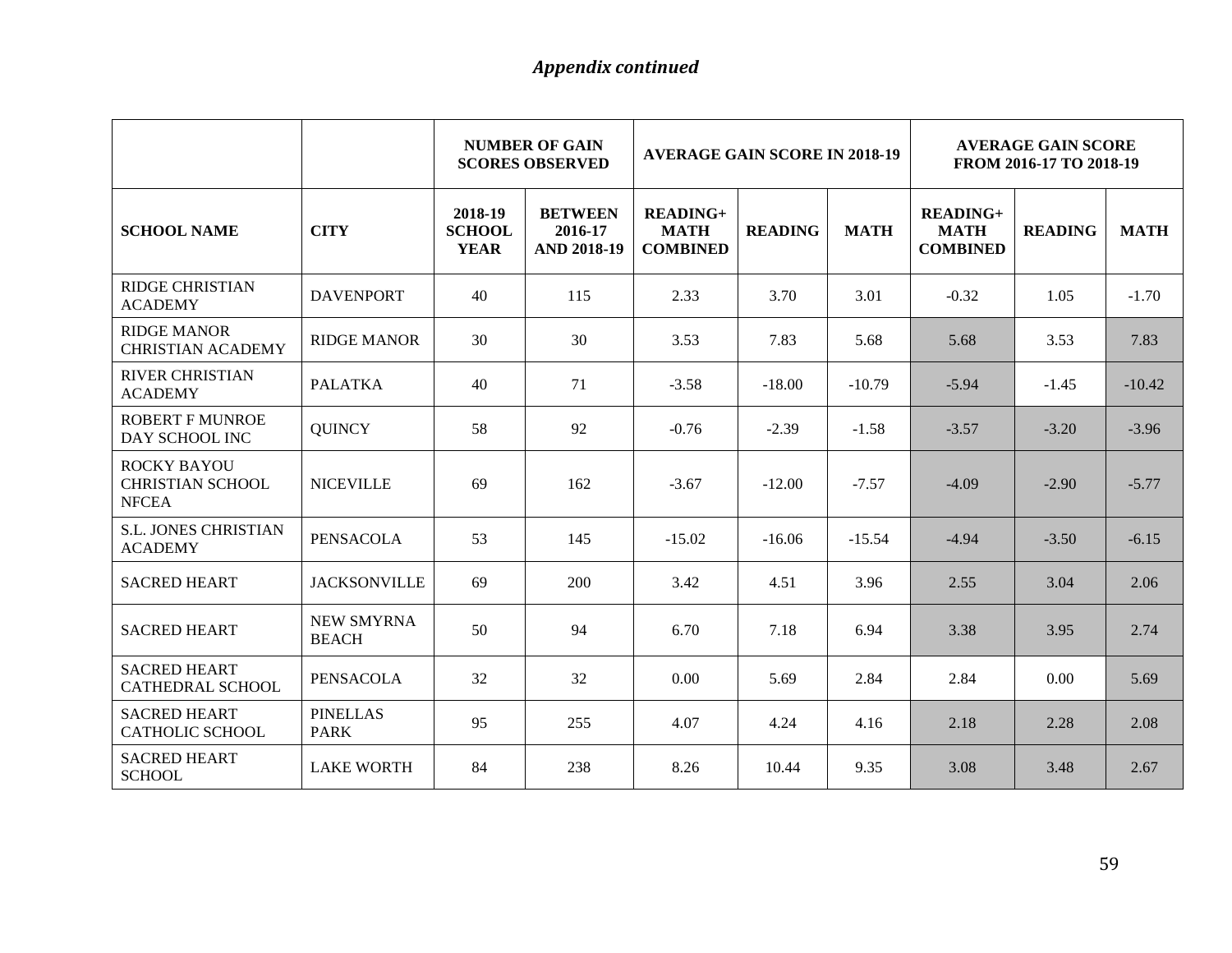|                                                               |                                   |                                         | <b>NUMBER OF GAIN</b><br><b>SCORES OBSERVED</b> | <b>AVERAGE GAIN SCORE IN 2018-19</b>              |                |             | <b>AVERAGE GAIN SCORE</b><br>FROM 2016-17 TO 2018-19 |                |             |
|---------------------------------------------------------------|-----------------------------------|-----------------------------------------|-------------------------------------------------|---------------------------------------------------|----------------|-------------|------------------------------------------------------|----------------|-------------|
| <b>SCHOOL NAME</b>                                            | <b>CITY</b>                       | 2018-19<br><b>SCHOOL</b><br><b>YEAR</b> | <b>BETWEEN</b><br>2016-17<br><b>AND 2018-19</b> | <b>READING+</b><br><b>MATH</b><br><b>COMBINED</b> | <b>READING</b> | <b>MATH</b> | <b>READING+</b><br><b>MATH</b><br><b>COMBINED</b>    | <b>READING</b> | <b>MATH</b> |
| <b>RIDGE CHRISTIAN</b><br><b>ACADEMY</b>                      | <b>DAVENPORT</b>                  | 40                                      | 115                                             | 2.33                                              | 3.70           | 3.01        | $-0.32$                                              | 1.05           | $-1.70$     |
| <b>RIDGE MANOR</b><br><b>CHRISTIAN ACADEMY</b>                | <b>RIDGE MANOR</b>                | 30                                      | 30                                              | 3.53                                              | 7.83           | 5.68        | 5.68                                                 | 3.53           | 7.83        |
| <b>RIVER CHRISTIAN</b><br><b>ACADEMY</b>                      | <b>PALATKA</b>                    | 40                                      | 71                                              | $-3.58$                                           | $-18.00$       | $-10.79$    | $-5.94$                                              | $-1.45$        | $-10.42$    |
| <b>ROBERT F MUNROE</b><br>DAY SCHOOL INC                      | <b>QUINCY</b>                     | 58                                      | 92                                              | $-0.76$                                           | $-2.39$        | $-1.58$     | $-3.57$                                              | $-3.20$        | $-3.96$     |
| <b>ROCKY BAYOU</b><br><b>CHRISTIAN SCHOOL</b><br><b>NFCEA</b> | <b>NICEVILLE</b>                  | 69                                      | 162                                             | $-3.67$                                           | $-12.00$       | $-7.57$     | $-4.09$                                              | $-2.90$        | $-5.77$     |
| <b>S.L. JONES CHRISTIAN</b><br><b>ACADEMY</b>                 | <b>PENSACOLA</b>                  | 53                                      | 145                                             | $-15.02$                                          | $-16.06$       | $-15.54$    | $-4.94$                                              | $-3.50$        | $-6.15$     |
| <b>SACRED HEART</b>                                           | <b>JACKSONVILLE</b>               | 69                                      | 200                                             | 3.42                                              | 4.51           | 3.96        | 2.55                                                 | 3.04           | 2.06        |
| <b>SACRED HEART</b>                                           | <b>NEW SMYRNA</b><br><b>BEACH</b> | 50                                      | 94                                              | 6.70                                              | 7.18           | 6.94        | 3.38                                                 | 3.95           | 2.74        |
| <b>SACRED HEART</b><br><b>CATHEDRAL SCHOOL</b>                | PENSACOLA                         | 32                                      | 32                                              | 0.00                                              | 5.69           | 2.84        | 2.84                                                 | 0.00           | 5.69        |
| <b>SACRED HEART</b><br><b>CATHOLIC SCHOOL</b>                 | <b>PINELLAS</b><br><b>PARK</b>    | 95                                      | 255                                             | 4.07                                              | 4.24           | 4.16        | 2.18                                                 | 2.28           | 2.08        |
| <b>SACRED HEART</b><br><b>SCHOOL</b>                          | <b>LAKE WORTH</b>                 | 84                                      | 238                                             | 8.26                                              | 10.44          | 9.35        | 3.08                                                 | 3.48           | 2.67        |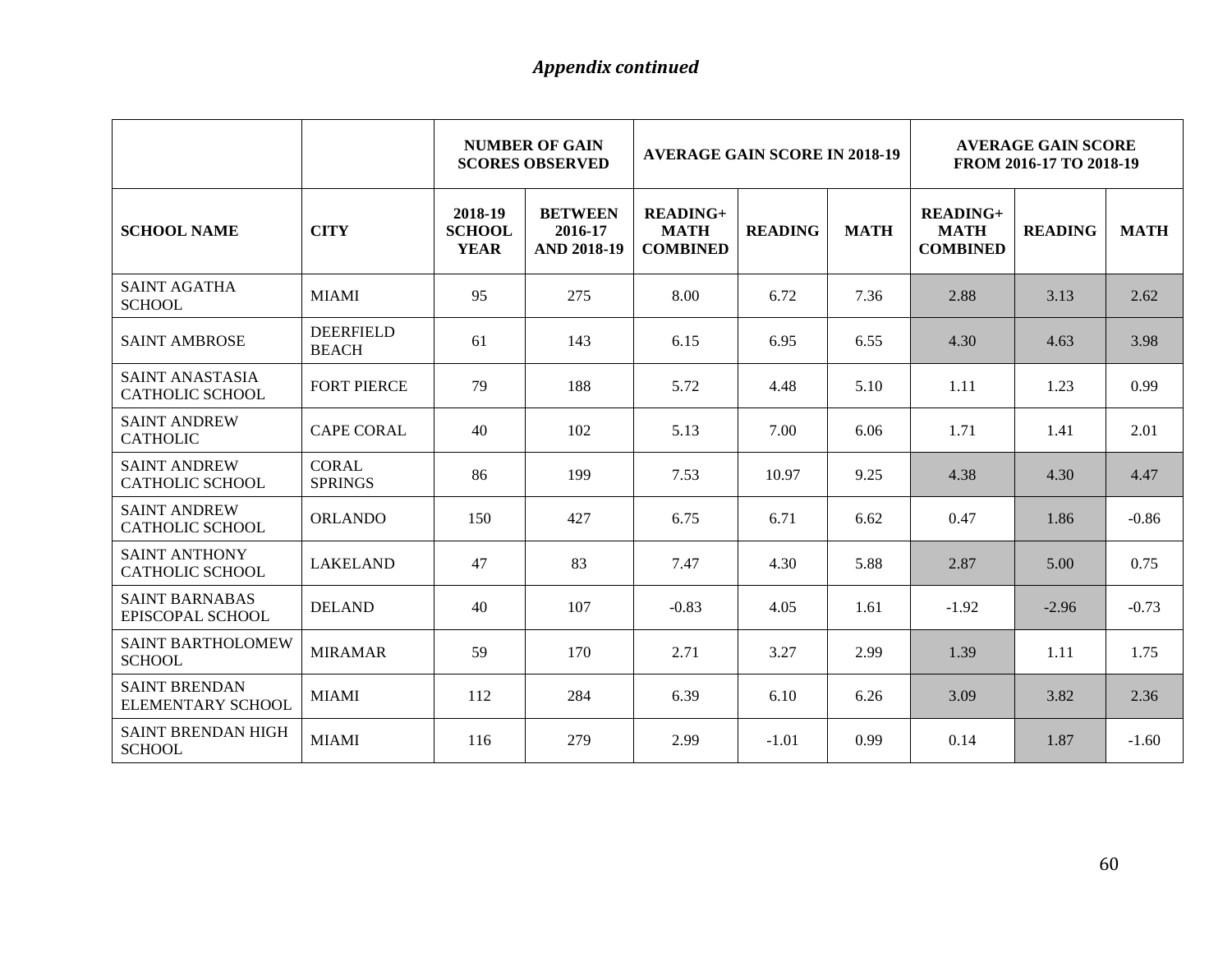|                                                |                                  |                                         | <b>NUMBER OF GAIN</b><br><b>SCORES OBSERVED</b> | <b>AVERAGE GAIN SCORE IN 2018-19</b>              |                |             | <b>AVERAGE GAIN SCORE</b><br>FROM 2016-17 TO 2018-19 |                |             |
|------------------------------------------------|----------------------------------|-----------------------------------------|-------------------------------------------------|---------------------------------------------------|----------------|-------------|------------------------------------------------------|----------------|-------------|
| <b>SCHOOL NAME</b>                             | <b>CITY</b>                      | 2018-19<br><b>SCHOOL</b><br><b>YEAR</b> | <b>BETWEEN</b><br>2016-17<br><b>AND 2018-19</b> | <b>READING+</b><br><b>MATH</b><br><b>COMBINED</b> | <b>READING</b> | <b>MATH</b> | <b>READING+</b><br><b>MATH</b><br><b>COMBINED</b>    | <b>READING</b> | <b>MATH</b> |
| <b>SAINT AGATHA</b><br><b>SCHOOL</b>           | <b>MIAMI</b>                     | 95                                      | 275                                             | 8.00                                              | 6.72           | 7.36        | 2.88                                                 | 3.13           | 2.62        |
| <b>SAINT AMBROSE</b>                           | <b>DEERFIELD</b><br><b>BEACH</b> | 61                                      | 143                                             | 6.15                                              | 6.95           | 6.55        | 4.30                                                 | 4.63           | 3.98        |
| SAINT ANASTASIA<br>CATHOLIC SCHOOL             | <b>FORT PIERCE</b>               | 79                                      | 188                                             | 5.72                                              | 4.48           | 5.10        | 1.11                                                 | 1.23           | 0.99        |
| <b>SAINT ANDREW</b><br><b>CATHOLIC</b>         | <b>CAPE CORAL</b>                | 40                                      | 102                                             | 5.13                                              | 7.00           | 6.06        | 1.71                                                 | 1.41           | 2.01        |
| <b>SAINT ANDREW</b><br>CATHOLIC SCHOOL         | <b>CORAL</b><br><b>SPRINGS</b>   | 86                                      | 199                                             | 7.53                                              | 10.97          | 9.25        | 4.38                                                 | 4.30           | 4.47        |
| <b>SAINT ANDREW</b><br><b>CATHOLIC SCHOOL</b>  | <b>ORLANDO</b>                   | 150                                     | 427                                             | 6.75                                              | 6.71           | 6.62        | 0.47                                                 | 1.86           | $-0.86$     |
| <b>SAINT ANTHONY</b><br><b>CATHOLIC SCHOOL</b> | <b>LAKELAND</b>                  | 47                                      | 83                                              | 7.47                                              | 4.30           | 5.88        | 2.87                                                 | 5.00           | 0.75        |
| <b>SAINT BARNABAS</b><br>EPISCOPAL SCHOOL      | <b>DELAND</b>                    | 40                                      | 107                                             | $-0.83$                                           | 4.05           | 1.61        | $-1.92$                                              | $-2.96$        | $-0.73$     |
| <b>SAINT BARTHOLOMEW</b><br><b>SCHOOL</b>      | <b>MIRAMAR</b>                   | 59                                      | 170                                             | 2.71                                              | 3.27           | 2.99        | 1.39                                                 | 1.11           | 1.75        |
| <b>SAINT BRENDAN</b><br>ELEMENTARY SCHOOL      | <b>MIAMI</b>                     | 112                                     | 284                                             | 6.39                                              | 6.10           | 6.26        | 3.09                                                 | 3.82           | 2.36        |
| <b>SAINT BRENDAN HIGH</b><br><b>SCHOOL</b>     | <b>MIAMI</b>                     | 116                                     | 279                                             | 2.99                                              | $-1.01$        | 0.99        | 0.14                                                 | 1.87           | $-1.60$     |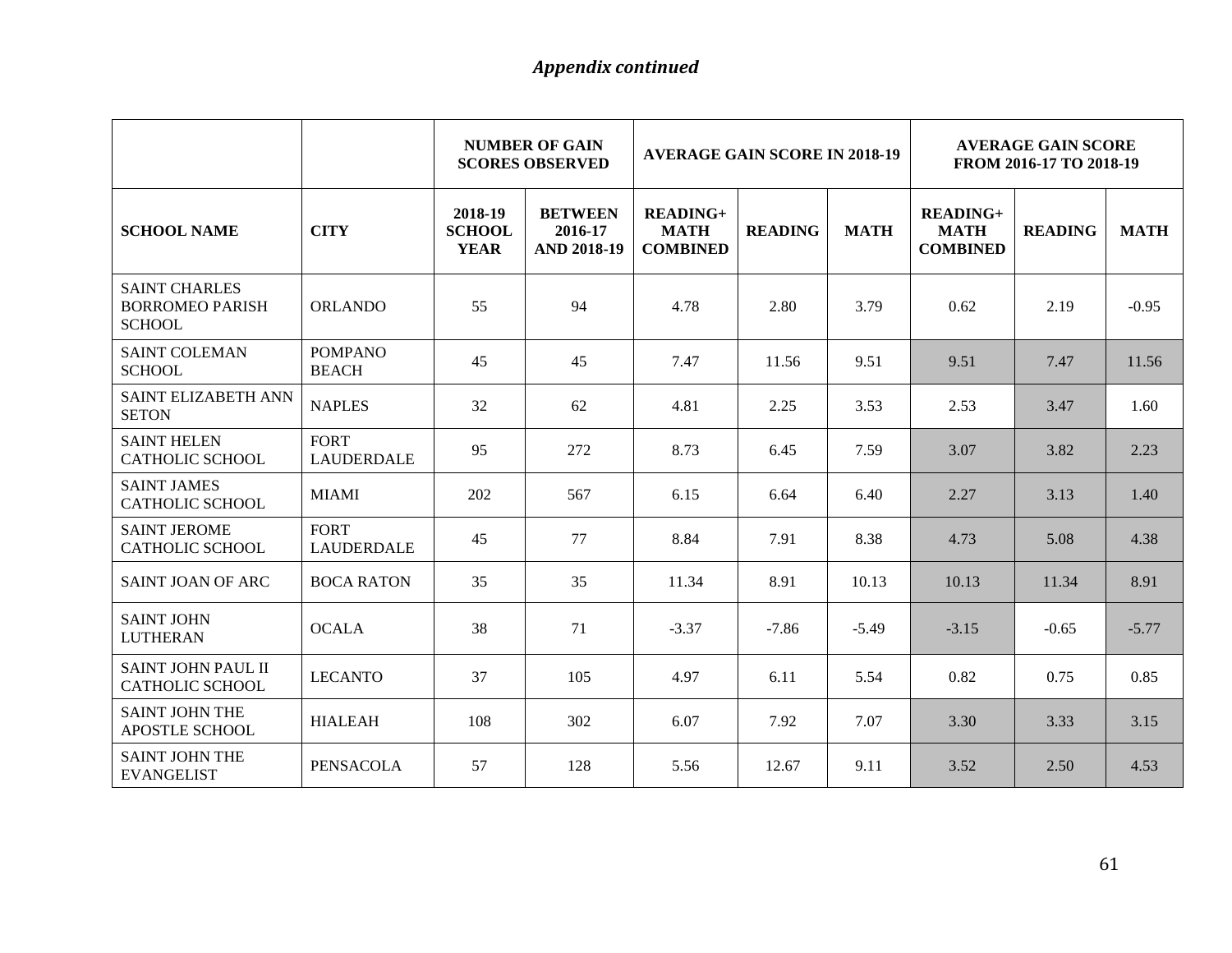|                                                                 |                                  | <b>NUMBER OF GAIN</b><br><b>AVERAGE GAIN SCORE IN 2018-19</b><br><b>SCORES OBSERVED</b> |                                                 |                                                   | <b>AVERAGE GAIN SCORE</b><br>FROM 2016-17 TO 2018-19 |             |                                              |                |             |
|-----------------------------------------------------------------|----------------------------------|-----------------------------------------------------------------------------------------|-------------------------------------------------|---------------------------------------------------|------------------------------------------------------|-------------|----------------------------------------------|----------------|-------------|
| <b>SCHOOL NAME</b>                                              | <b>CITY</b>                      | 2018-19<br><b>SCHOOL</b><br><b>YEAR</b>                                                 | <b>BETWEEN</b><br>2016-17<br><b>AND 2018-19</b> | <b>READING+</b><br><b>MATH</b><br><b>COMBINED</b> | <b>READING</b>                                       | <b>MATH</b> | $READING+$<br><b>MATH</b><br><b>COMBINED</b> | <b>READING</b> | <b>MATH</b> |
| <b>SAINT CHARLES</b><br><b>BORROMEO PARISH</b><br><b>SCHOOL</b> | <b>ORLANDO</b>                   | 55                                                                                      | 94                                              | 4.78                                              | 2.80                                                 | 3.79        | 0.62                                         | 2.19           | $-0.95$     |
| <b>SAINT COLEMAN</b><br><b>SCHOOL</b>                           | <b>POMPANO</b><br><b>BEACH</b>   | 45                                                                                      | 45                                              | 7.47                                              | 11.56                                                | 9.51        | 9.51                                         | 7.47           | 11.56       |
| SAINT ELIZABETH ANN<br><b>SETON</b>                             | <b>NAPLES</b>                    | 32                                                                                      | 62                                              | 4.81                                              | 2.25                                                 | 3.53        | 2.53                                         | 3.47           | 1.60        |
| <b>SAINT HELEN</b><br><b>CATHOLIC SCHOOL</b>                    | <b>FORT</b><br><b>LAUDERDALE</b> | 95                                                                                      | 272                                             | 8.73                                              | 6.45                                                 | 7.59        | 3.07                                         | 3.82           | 2.23        |
| <b>SAINT JAMES</b><br><b>CATHOLIC SCHOOL</b>                    | <b>MIAMI</b>                     | 202                                                                                     | 567                                             | 6.15                                              | 6.64                                                 | 6.40        | 2.27                                         | 3.13           | 1.40        |
| <b>SAINT JEROME</b><br><b>CATHOLIC SCHOOL</b>                   | <b>FORT</b><br><b>LAUDERDALE</b> | 45                                                                                      | 77                                              | 8.84                                              | 7.91                                                 | 8.38        | 4.73                                         | 5.08           | 4.38        |
| SAINT JOAN OF ARC                                               | <b>BOCA RATON</b>                | 35                                                                                      | 35                                              | 11.34                                             | 8.91                                                 | 10.13       | 10.13                                        | 11.34          | 8.91        |
| <b>SAINT JOHN</b><br><b>LUTHERAN</b>                            | <b>OCALA</b>                     | 38                                                                                      | 71                                              | $-3.37$                                           | $-7.86$                                              | $-5.49$     | $-3.15$                                      | $-0.65$        | $-5.77$     |
| <b>SAINT JOHN PAUL II</b><br><b>CATHOLIC SCHOOL</b>             | <b>LECANTO</b>                   | 37                                                                                      | 105                                             | 4.97                                              | 6.11                                                 | 5.54        | 0.82                                         | 0.75           | 0.85        |
| <b>SAINT JOHN THE</b><br>APOSTLE SCHOOL                         | <b>HIALEAH</b>                   | 108                                                                                     | 302                                             | 6.07                                              | 7.92                                                 | 7.07        | 3.30                                         | 3.33           | 3.15        |
| <b>SAINT JOHN THE</b><br><b>EVANGELIST</b>                      | <b>PENSACOLA</b>                 | 57                                                                                      | 128                                             | 5.56                                              | 12.67                                                | 9.11        | 3.52                                         | 2.50           | 4.53        |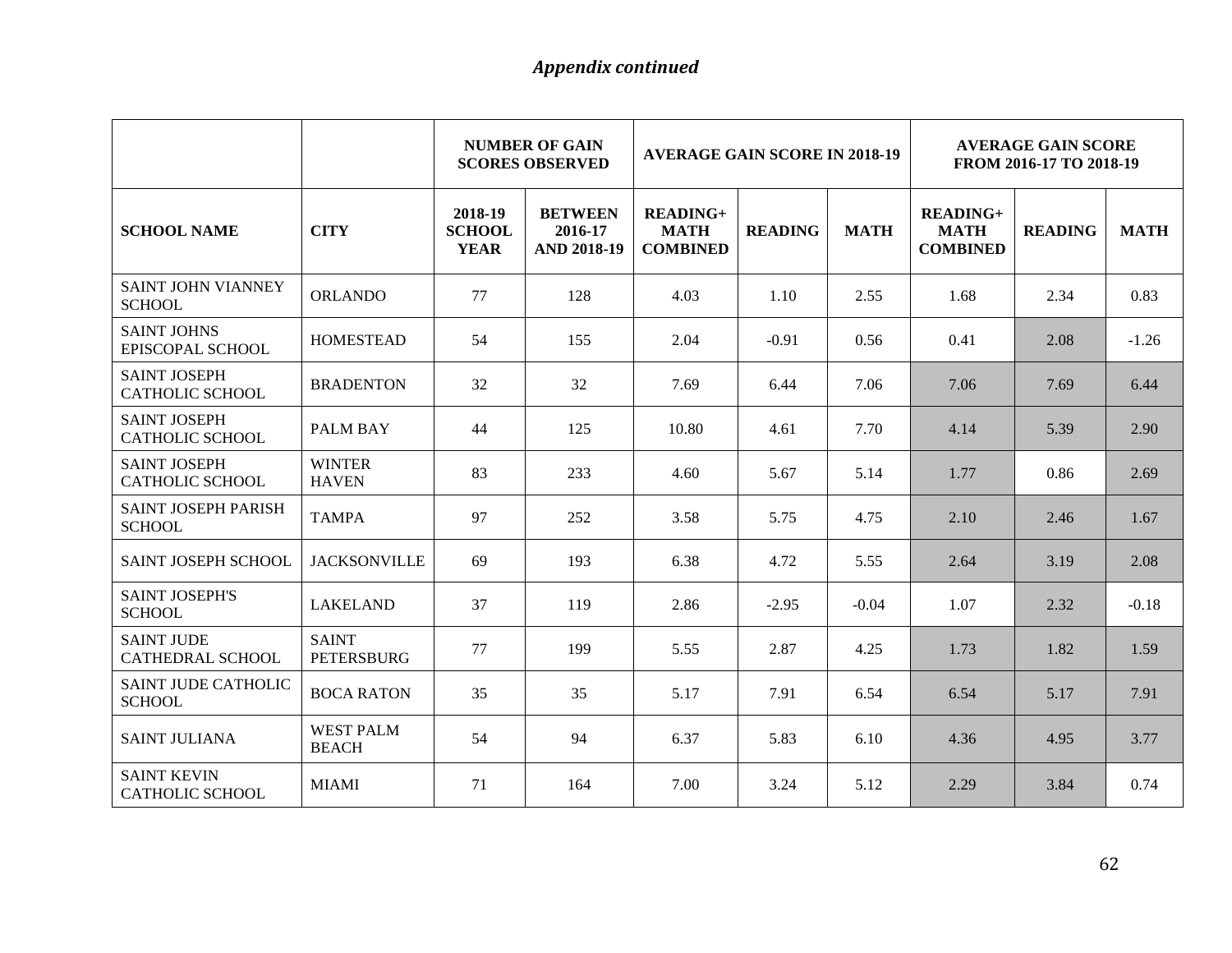|                                               |                                   | <b>NUMBER OF GAIN</b><br><b>AVERAGE GAIN SCORE IN 2018-19</b><br><b>SCORES OBSERVED</b> |                                                 |                                                   | <b>AVERAGE GAIN SCORE</b><br>FROM 2016-17 TO 2018-19 |             |                                                   |                |             |
|-----------------------------------------------|-----------------------------------|-----------------------------------------------------------------------------------------|-------------------------------------------------|---------------------------------------------------|------------------------------------------------------|-------------|---------------------------------------------------|----------------|-------------|
| <b>SCHOOL NAME</b>                            | <b>CITY</b>                       | 2018-19<br><b>SCHOOL</b><br><b>YEAR</b>                                                 | <b>BETWEEN</b><br>2016-17<br><b>AND 2018-19</b> | <b>READING+</b><br><b>MATH</b><br><b>COMBINED</b> | <b>READING</b>                                       | <b>MATH</b> | <b>READING+</b><br><b>MATH</b><br><b>COMBINED</b> | <b>READING</b> | <b>MATH</b> |
| <b>SAINT JOHN VIANNEY</b><br><b>SCHOOL</b>    | <b>ORLANDO</b>                    | 77                                                                                      | 128                                             | 4.03                                              | 1.10                                                 | 2.55        | 1.68                                              | 2.34           | 0.83        |
| <b>SAINT JOHNS</b><br>EPISCOPAL SCHOOL        | <b>HOMESTEAD</b>                  | 54                                                                                      | 155                                             | 2.04                                              | $-0.91$                                              | 0.56        | 0.41                                              | 2.08           | $-1.26$     |
| <b>SAINT JOSEPH</b><br><b>CATHOLIC SCHOOL</b> | <b>BRADENTON</b>                  | 32                                                                                      | 32                                              | 7.69                                              | 6.44                                                 | 7.06        | 7.06                                              | 7.69           | 6.44        |
| <b>SAINT JOSEPH</b><br><b>CATHOLIC SCHOOL</b> | <b>PALM BAY</b>                   | 44                                                                                      | 125                                             | 10.80                                             | 4.61                                                 | 7.70        | 4.14                                              | 5.39           | 2.90        |
| <b>SAINT JOSEPH</b><br><b>CATHOLIC SCHOOL</b> | <b>WINTER</b><br><b>HAVEN</b>     | 83                                                                                      | 233                                             | 4.60                                              | 5.67                                                 | 5.14        | 1.77                                              | 0.86           | 2.69        |
| SAINT JOSEPH PARISH<br><b>SCHOOL</b>          | <b>TAMPA</b>                      | 97                                                                                      | 252                                             | 3.58                                              | 5.75                                                 | 4.75        | 2.10                                              | 2.46           | 1.67        |
| <b>SAINT JOSEPH SCHOOL</b>                    | <b>JACKSONVILLE</b>               | 69                                                                                      | 193                                             | 6.38                                              | 4.72                                                 | 5.55        | 2.64                                              | 3.19           | 2.08        |
| <b>SAINT JOSEPH'S</b><br><b>SCHOOL</b>        | <b>LAKELAND</b>                   | 37                                                                                      | 119                                             | 2.86                                              | $-2.95$                                              | $-0.04$     | 1.07                                              | 2.32           | $-0.18$     |
| <b>SAINT JUDE</b><br><b>CATHEDRAL SCHOOL</b>  | <b>SAINT</b><br><b>PETERSBURG</b> | 77                                                                                      | 199                                             | 5.55                                              | 2.87                                                 | 4.25        | 1.73                                              | 1.82           | 1.59        |
| <b>SAINT JUDE CATHOLIC</b><br><b>SCHOOL</b>   | <b>BOCA RATON</b>                 | 35                                                                                      | 35                                              | 5.17                                              | 7.91                                                 | 6.54        | 6.54                                              | 5.17           | 7.91        |
| <b>SAINT JULIANA</b>                          | <b>WEST PALM</b><br><b>BEACH</b>  | 54                                                                                      | 94                                              | 6.37                                              | 5.83                                                 | 6.10        | 4.36                                              | 4.95           | 3.77        |
| <b>SAINT KEVIN</b><br>CATHOLIC SCHOOL         | <b>MIAMI</b>                      | 71                                                                                      | 164                                             | 7.00                                              | 3.24                                                 | 5.12        | 2.29                                              | 3.84           | 0.74        |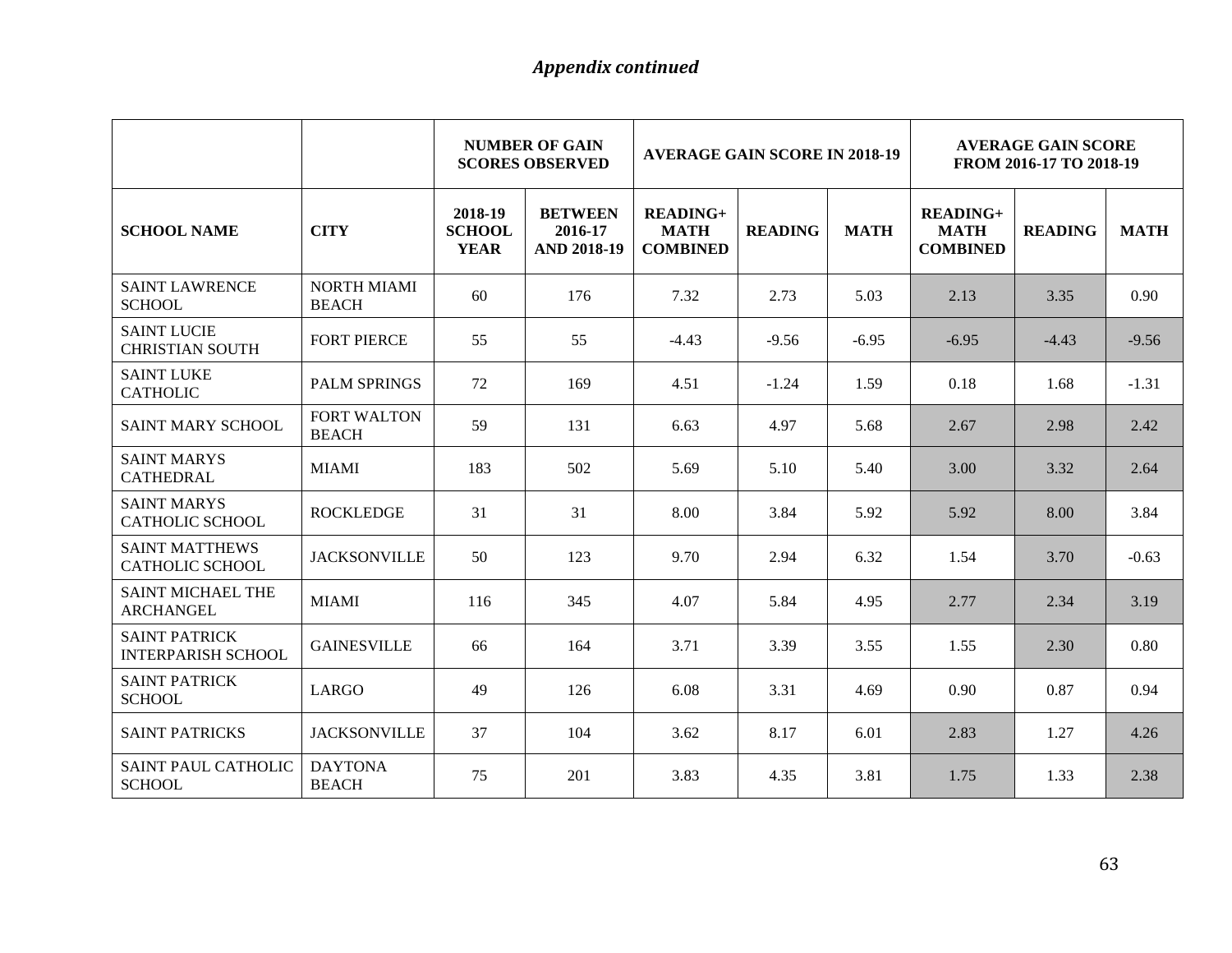|                                                   |                                    |                                         | <b>NUMBER OF GAIN</b><br><b>SCORES OBSERVED</b> | <b>AVERAGE GAIN SCORE IN 2018-19</b>              |                |             | <b>AVERAGE GAIN SCORE</b><br>FROM 2016-17 TO 2018-19 |                |             |
|---------------------------------------------------|------------------------------------|-----------------------------------------|-------------------------------------------------|---------------------------------------------------|----------------|-------------|------------------------------------------------------|----------------|-------------|
| <b>SCHOOL NAME</b>                                | <b>CITY</b>                        | 2018-19<br><b>SCHOOL</b><br><b>YEAR</b> | <b>BETWEEN</b><br>2016-17<br><b>AND 2018-19</b> | <b>READING+</b><br><b>MATH</b><br><b>COMBINED</b> | <b>READING</b> | <b>MATH</b> | <b>READING+</b><br><b>MATH</b><br><b>COMBINED</b>    | <b>READING</b> | <b>MATH</b> |
| <b>SAINT LAWRENCE</b><br><b>SCHOOL</b>            | <b>NORTH MIAMI</b><br><b>BEACH</b> | 60                                      | 176                                             | 7.32                                              | 2.73           | 5.03        | 2.13                                                 | 3.35           | 0.90        |
| <b>SAINT LUCIE</b><br><b>CHRISTIAN SOUTH</b>      | <b>FORT PIERCE</b>                 | 55                                      | 55                                              | $-4.43$                                           | $-9.56$        | $-6.95$     | $-6.95$                                              | $-4.43$        | $-9.56$     |
| <b>SAINT LUKE</b><br><b>CATHOLIC</b>              | <b>PALM SPRINGS</b>                | 72                                      | 169                                             | 4.51                                              | $-1.24$        | 1.59        | 0.18                                                 | 1.68           | $-1.31$     |
| <b>SAINT MARY SCHOOL</b>                          | <b>FORT WALTON</b><br><b>BEACH</b> | 59                                      | 131                                             | 6.63                                              | 4.97           | 5.68        | 2.67                                                 | 2.98           | 2.42        |
| <b>SAINT MARYS</b><br><b>CATHEDRAL</b>            | <b>MIAMI</b>                       | 183                                     | 502                                             | 5.69                                              | 5.10           | 5.40        | 3.00                                                 | 3.32           | 2.64        |
| <b>SAINT MARYS</b><br><b>CATHOLIC SCHOOL</b>      | <b>ROCKLEDGE</b>                   | 31                                      | 31                                              | 8.00                                              | 3.84           | 5.92        | 5.92                                                 | 8.00           | 3.84        |
| <b>SAINT MATTHEWS</b><br><b>CATHOLIC SCHOOL</b>   | <b>JACKSONVILLE</b>                | 50                                      | 123                                             | 9.70                                              | 2.94           | 6.32        | 1.54                                                 | 3.70           | $-0.63$     |
| <b>SAINT MICHAEL THE</b><br><b>ARCHANGEL</b>      | <b>MIAMI</b>                       | 116                                     | 345                                             | 4.07                                              | 5.84           | 4.95        | 2.77                                                 | 2.34           | 3.19        |
| <b>SAINT PATRICK</b><br><b>INTERPARISH SCHOOL</b> | <b>GAINESVILLE</b>                 | 66                                      | 164                                             | 3.71                                              | 3.39           | 3.55        | 1.55                                                 | 2.30           | 0.80        |
| <b>SAINT PATRICK</b><br><b>SCHOOL</b>             | LARGO                              | 49                                      | 126                                             | 6.08                                              | 3.31           | 4.69        | 0.90                                                 | 0.87           | 0.94        |
| <b>SAINT PATRICKS</b>                             | <b>JACKSONVILLE</b>                | 37                                      | 104                                             | 3.62                                              | 8.17           | 6.01        | 2.83                                                 | 1.27           | 4.26        |
| <b>SAINT PAUL CATHOLIC</b><br><b>SCHOOL</b>       | <b>DAYTONA</b><br><b>BEACH</b>     | 75                                      | 201                                             | 3.83                                              | 4.35           | 3.81        | 1.75                                                 | 1.33           | 2.38        |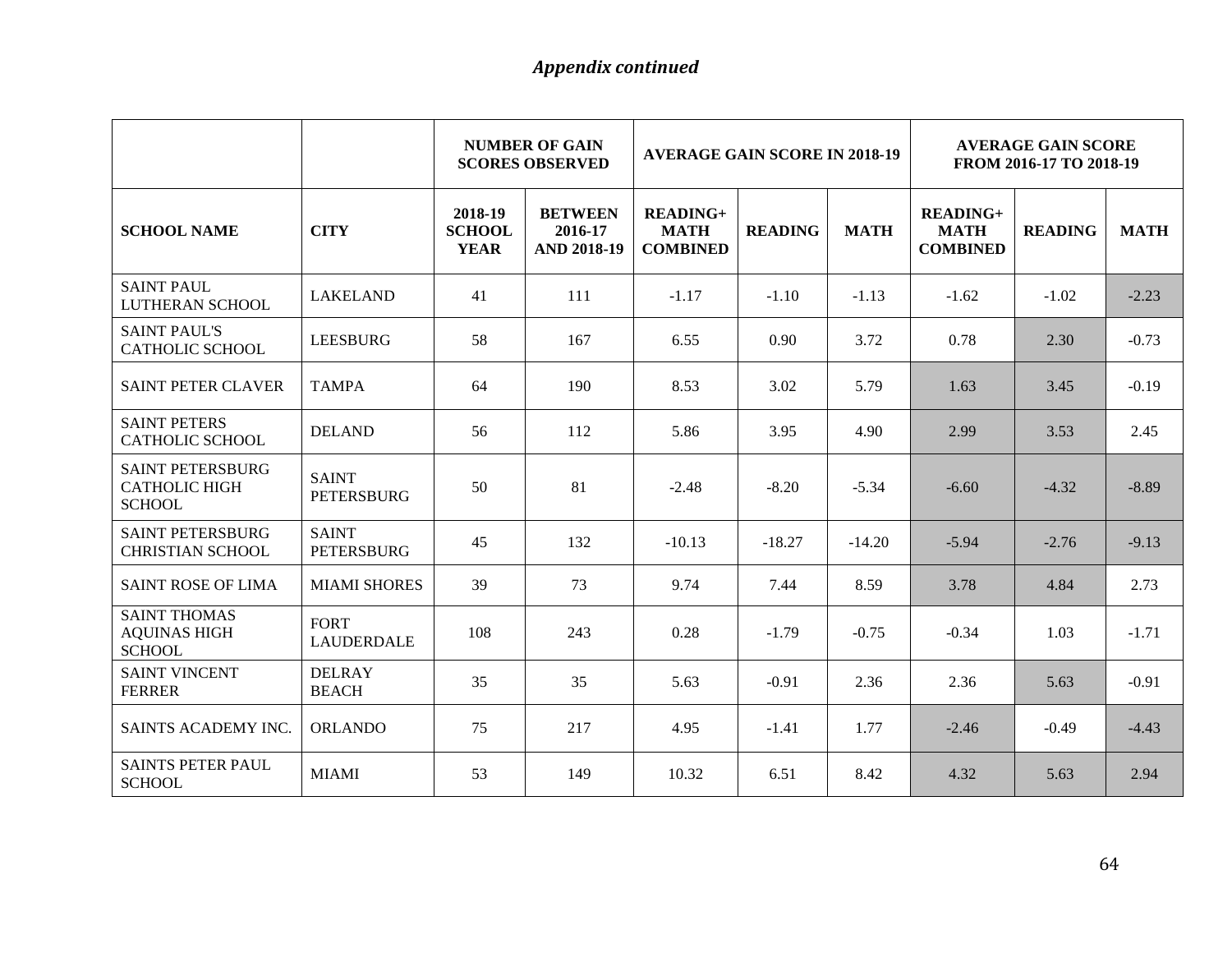|                                                                  |                                   | <b>NUMBER OF GAIN</b><br><b>AVERAGE GAIN SCORE IN 2018-19</b><br><b>SCORES OBSERVED</b> |                                                 |                                                   |                | <b>AVERAGE GAIN SCORE</b><br>FROM 2016-17 TO 2018-19 |                                                   |                |             |
|------------------------------------------------------------------|-----------------------------------|-----------------------------------------------------------------------------------------|-------------------------------------------------|---------------------------------------------------|----------------|------------------------------------------------------|---------------------------------------------------|----------------|-------------|
| <b>SCHOOL NAME</b>                                               | <b>CITY</b>                       | 2018-19<br><b>SCHOOL</b><br><b>YEAR</b>                                                 | <b>BETWEEN</b><br>2016-17<br><b>AND 2018-19</b> | <b>READING+</b><br><b>MATH</b><br><b>COMBINED</b> | <b>READING</b> | <b>MATH</b>                                          | <b>READING+</b><br><b>MATH</b><br><b>COMBINED</b> | <b>READING</b> | <b>MATH</b> |
| <b>SAINT PAUL</b><br>LUTHERAN SCHOOL                             | <b>LAKELAND</b>                   | 41                                                                                      | 111                                             | $-1.17$                                           | $-1.10$        | $-1.13$                                              | $-1.62$                                           | $-1.02$        | $-2.23$     |
| <b>SAINT PAUL'S</b><br><b>CATHOLIC SCHOOL</b>                    | <b>LEESBURG</b>                   | 58                                                                                      | 167                                             | 6.55                                              | 0.90           | 3.72                                                 | 0.78                                              | 2.30           | $-0.73$     |
| <b>SAINT PETER CLAVER</b>                                        | <b>TAMPA</b>                      | 64                                                                                      | 190                                             | 8.53                                              | 3.02           | 5.79                                                 | 1.63                                              | 3.45           | $-0.19$     |
| <b>SAINT PETERS</b><br><b>CATHOLIC SCHOOL</b>                    | <b>DELAND</b>                     | 56                                                                                      | 112                                             | 5.86                                              | 3.95           | 4.90                                                 | 2.99                                              | 3.53           | 2.45        |
| <b>SAINT PETERSBURG</b><br><b>CATHOLIC HIGH</b><br><b>SCHOOL</b> | <b>SAINT</b><br><b>PETERSBURG</b> | 50                                                                                      | 81                                              | $-2.48$                                           | $-8.20$        | $-5.34$                                              | $-6.60$                                           | $-4.32$        | $-8.89$     |
| <b>SAINT PETERSBURG</b><br><b>CHRISTIAN SCHOOL</b>               | <b>SAINT</b><br><b>PETERSBURG</b> | 45                                                                                      | 132                                             | $-10.13$                                          | $-18.27$       | $-14.20$                                             | $-5.94$                                           | $-2.76$        | $-9.13$     |
| <b>SAINT ROSE OF LIMA</b>                                        | <b>MIAMI SHORES</b>               | 39                                                                                      | 73                                              | 9.74                                              | 7.44           | 8.59                                                 | 3.78                                              | 4.84           | 2.73        |
| <b>SAINT THOMAS</b><br><b>AQUINAS HIGH</b><br><b>SCHOOL</b>      | <b>FORT</b><br><b>LAUDERDALE</b>  | 108                                                                                     | 243                                             | 0.28                                              | $-1.79$        | $-0.75$                                              | $-0.34$                                           | 1.03           | $-1.71$     |
| <b>SAINT VINCENT</b><br><b>FERRER</b>                            | <b>DELRAY</b><br><b>BEACH</b>     | 35                                                                                      | 35                                              | 5.63                                              | $-0.91$        | 2.36                                                 | 2.36                                              | 5.63           | $-0.91$     |
| SAINTS ACADEMY INC.                                              | <b>ORLANDO</b>                    | 75                                                                                      | 217                                             | 4.95                                              | $-1.41$        | 1.77                                                 | $-2.46$                                           | $-0.49$        | $-4.43$     |
| <b>SAINTS PETER PAUL</b><br><b>SCHOOL</b>                        | <b>MIAMI</b>                      | 53                                                                                      | 149                                             | 10.32                                             | 6.51           | 8.42                                                 | 4.32                                              | 5.63           | 2.94        |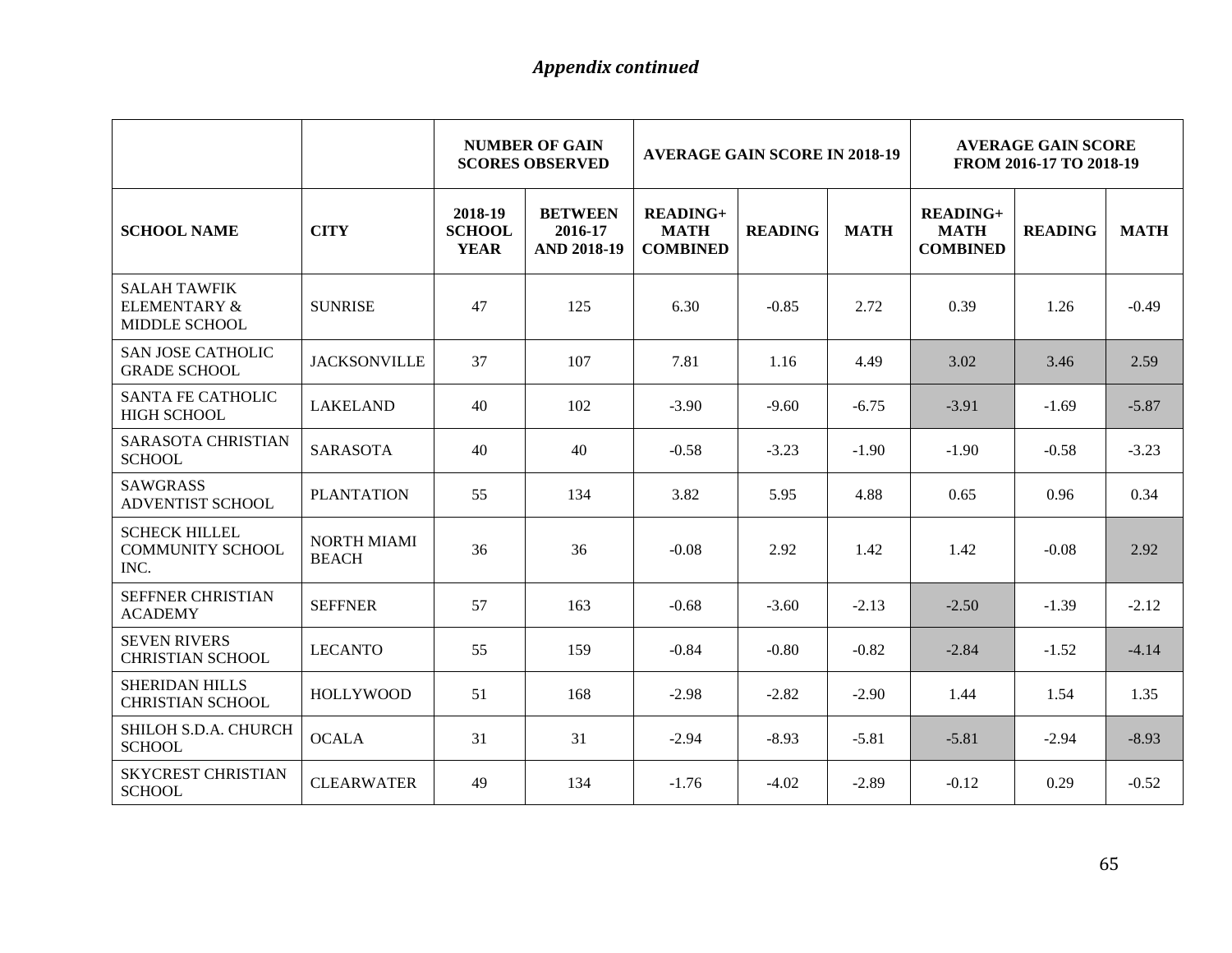|                                                                        |                                    | <b>NUMBER OF GAIN</b><br><b>AVERAGE GAIN SCORE IN 2018-19</b><br><b>SCORES OBSERVED</b> |                                                 |                                                   | <b>AVERAGE GAIN SCORE</b><br>FROM 2016-17 TO 2018-19 |             |                                                   |                |             |
|------------------------------------------------------------------------|------------------------------------|-----------------------------------------------------------------------------------------|-------------------------------------------------|---------------------------------------------------|------------------------------------------------------|-------------|---------------------------------------------------|----------------|-------------|
| <b>SCHOOL NAME</b>                                                     | <b>CITY</b>                        | 2018-19<br><b>SCHOOL</b><br><b>YEAR</b>                                                 | <b>BETWEEN</b><br>2016-17<br><b>AND 2018-19</b> | <b>READING+</b><br><b>MATH</b><br><b>COMBINED</b> | <b>READING</b>                                       | <b>MATH</b> | <b>READING+</b><br><b>MATH</b><br><b>COMBINED</b> | <b>READING</b> | <b>MATH</b> |
| <b>SALAH TAWFIK</b><br><b>ELEMENTARY &amp;</b><br><b>MIDDLE SCHOOL</b> | <b>SUNRISE</b>                     | 47                                                                                      | 125                                             | 6.30                                              | $-0.85$                                              | 2.72        | 0.39                                              | 1.26           | $-0.49$     |
| <b>SAN JOSE CATHOLIC</b><br><b>GRADE SCHOOL</b>                        | <b>JACKSONVILLE</b>                | 37                                                                                      | 107                                             | 7.81                                              | 1.16                                                 | 4.49        | 3.02                                              | 3.46           | 2.59        |
| <b>SANTA FE CATHOLIC</b><br><b>HIGH SCHOOL</b>                         | <b>LAKELAND</b>                    | 40                                                                                      | 102                                             | $-3.90$                                           | $-9.60$                                              | $-6.75$     | $-3.91$                                           | $-1.69$        | $-5.87$     |
| SARASOTA CHRISTIAN<br><b>SCHOOL</b>                                    | <b>SARASOTA</b>                    | 40                                                                                      | 40                                              | $-0.58$                                           | $-3.23$                                              | $-1.90$     | $-1.90$                                           | $-0.58$        | $-3.23$     |
| <b>SAWGRASS</b><br>ADVENTIST SCHOOL                                    | <b>PLANTATION</b>                  | 55                                                                                      | 134                                             | 3.82                                              | 5.95                                                 | 4.88        | 0.65                                              | 0.96           | 0.34        |
| <b>SCHECK HILLEL</b><br><b>COMMUNITY SCHOOL</b><br>INC.                | <b>NORTH MIAMI</b><br><b>BEACH</b> | 36                                                                                      | 36                                              | $-0.08$                                           | 2.92                                                 | 1.42        | 1.42                                              | $-0.08$        | 2.92        |
| SEFFNER CHRISTIAN<br><b>ACADEMY</b>                                    | <b>SEFFNER</b>                     | 57                                                                                      | 163                                             | $-0.68$                                           | $-3.60$                                              | $-2.13$     | $-2.50$                                           | $-1.39$        | $-2.12$     |
| <b>SEVEN RIVERS</b><br><b>CHRISTIAN SCHOOL</b>                         | <b>LECANTO</b>                     | 55                                                                                      | 159                                             | $-0.84$                                           | $-0.80$                                              | $-0.82$     | $-2.84$                                           | $-1.52$        | $-4.14$     |
| <b>SHERIDAN HILLS</b><br><b>CHRISTIAN SCHOOL</b>                       | <b>HOLLYWOOD</b>                   | 51                                                                                      | 168                                             | $-2.98$                                           | $-2.82$                                              | $-2.90$     | 1.44                                              | 1.54           | 1.35        |
| SHILOH S.D.A. CHURCH<br><b>SCHOOL</b>                                  | <b>OCALA</b>                       | 31                                                                                      | 31                                              | $-2.94$                                           | $-8.93$                                              | $-5.81$     | $-5.81$                                           | $-2.94$        | $-8.93$     |
| <b>SKYCREST CHRISTIAN</b><br><b>SCHOOL</b>                             | <b>CLEARWATER</b>                  | 49                                                                                      | 134                                             | $-1.76$                                           | $-4.02$                                              | $-2.89$     | $-0.12$                                           | 0.29           | $-0.52$     |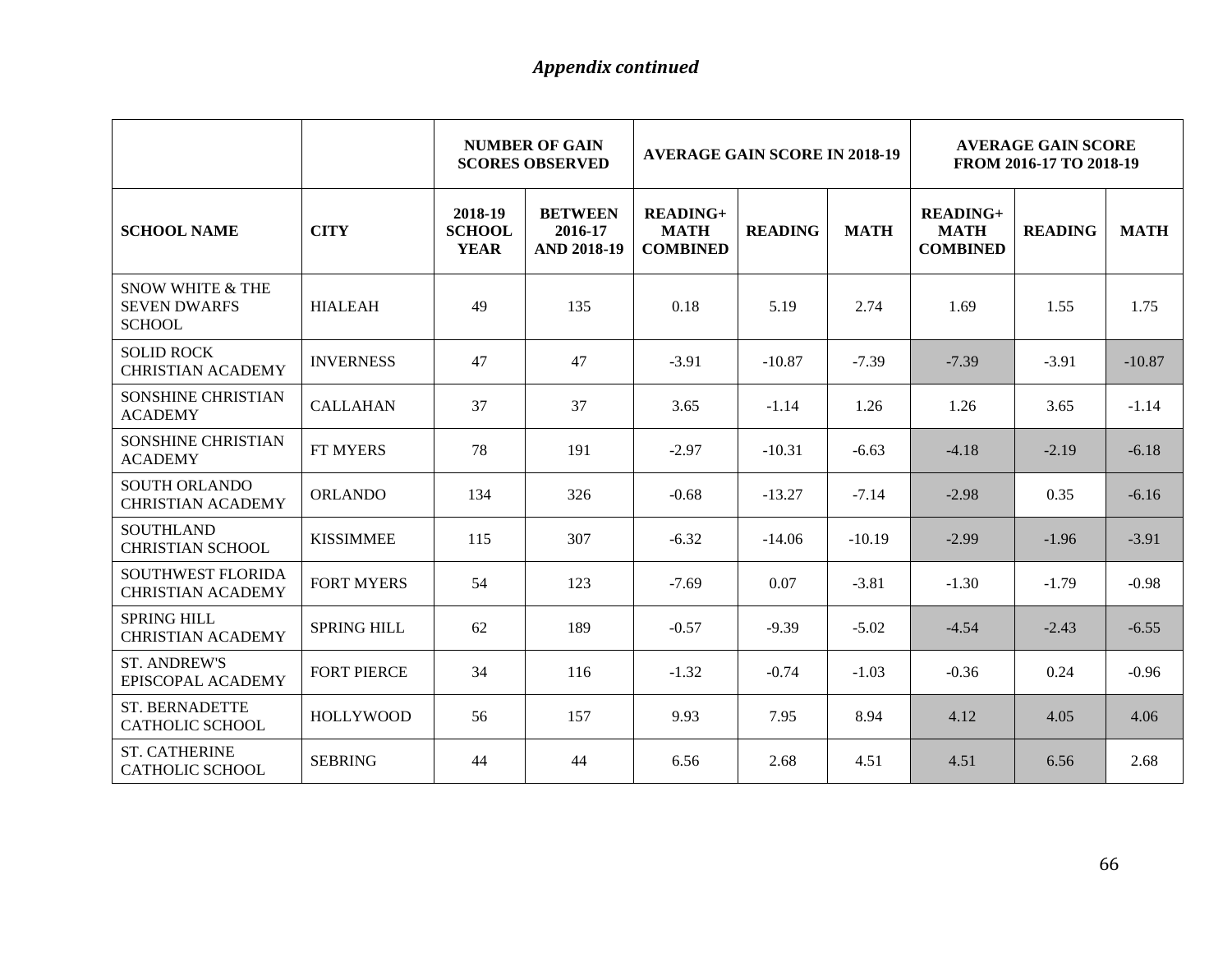|                                                                     |                    | <b>NUMBER OF GAIN</b><br><b>AVERAGE GAIN SCORE IN 2018-19</b><br><b>SCORES OBSERVED</b> |                                                 |                                              | <b>AVERAGE GAIN SCORE</b><br>FROM 2016-17 TO 2018-19 |             |                                              |                |             |
|---------------------------------------------------------------------|--------------------|-----------------------------------------------------------------------------------------|-------------------------------------------------|----------------------------------------------|------------------------------------------------------|-------------|----------------------------------------------|----------------|-------------|
| <b>SCHOOL NAME</b>                                                  | <b>CITY</b>        | 2018-19<br><b>SCHOOL</b><br><b>YEAR</b>                                                 | <b>BETWEEN</b><br>2016-17<br><b>AND 2018-19</b> | $READING+$<br><b>MATH</b><br><b>COMBINED</b> | <b>READING</b>                                       | <b>MATH</b> | $READING+$<br><b>MATH</b><br><b>COMBINED</b> | <b>READING</b> | <b>MATH</b> |
| <b>SNOW WHITE &amp; THE</b><br><b>SEVEN DWARFS</b><br><b>SCHOOL</b> | <b>HIALEAH</b>     | 49                                                                                      | 135                                             | 0.18                                         | 5.19                                                 | 2.74        | 1.69                                         | 1.55           | 1.75        |
| <b>SOLID ROCK</b><br><b>CHRISTIAN ACADEMY</b>                       | <b>INVERNESS</b>   | 47                                                                                      | 47                                              | $-3.91$                                      | $-10.87$                                             | $-7.39$     | $-7.39$                                      | $-3.91$        | $-10.87$    |
| <b>SONSHINE CHRISTIAN</b><br><b>ACADEMY</b>                         | <b>CALLAHAN</b>    | 37                                                                                      | 37                                              | 3.65                                         | $-1.14$                                              | 1.26        | 1.26                                         | 3.65           | $-1.14$     |
| <b>SONSHINE CHRISTIAN</b><br><b>ACADEMY</b>                         | FT MYERS           | 78                                                                                      | 191                                             | $-2.97$                                      | $-10.31$                                             | $-6.63$     | $-4.18$                                      | $-2.19$        | $-6.18$     |
| <b>SOUTH ORLANDO</b><br><b>CHRISTIAN ACADEMY</b>                    | <b>ORLANDO</b>     | 134                                                                                     | 326                                             | $-0.68$                                      | $-13.27$                                             | $-7.14$     | $-2.98$                                      | 0.35           | $-6.16$     |
| <b>SOUTHLAND</b><br><b>CHRISTIAN SCHOOL</b>                         | <b>KISSIMMEE</b>   | 115                                                                                     | 307                                             | $-6.32$                                      | $-14.06$                                             | $-10.19$    | $-2.99$                                      | $-1.96$        | $-3.91$     |
| <b>SOUTHWEST FLORIDA</b><br><b>CHRISTIAN ACADEMY</b>                | <b>FORT MYERS</b>  | 54                                                                                      | 123                                             | $-7.69$                                      | 0.07                                                 | $-3.81$     | $-1.30$                                      | $-1.79$        | $-0.98$     |
| <b>SPRING HILL</b><br><b>CHRISTIAN ACADEMY</b>                      | <b>SPRING HILL</b> | 62                                                                                      | 189                                             | $-0.57$                                      | $-9.39$                                              | $-5.02$     | $-4.54$                                      | $-2.43$        | $-6.55$     |
| <b>ST. ANDREW'S</b><br>EPISCOPAL ACADEMY                            | <b>FORT PIERCE</b> | 34                                                                                      | 116                                             | $-1.32$                                      | $-0.74$                                              | $-1.03$     | $-0.36$                                      | 0.24           | $-0.96$     |
| <b>ST. BERNADETTE</b><br><b>CATHOLIC SCHOOL</b>                     | <b>HOLLYWOOD</b>   | 56                                                                                      | 157                                             | 9.93                                         | 7.95                                                 | 8.94        | 4.12                                         | 4.05           | 4.06        |
| <b>ST. CATHERINE</b><br><b>CATHOLIC SCHOOL</b>                      | <b>SEBRING</b>     | 44                                                                                      | 44                                              | 6.56                                         | 2.68                                                 | 4.51        | 4.51                                         | 6.56           | 2.68        |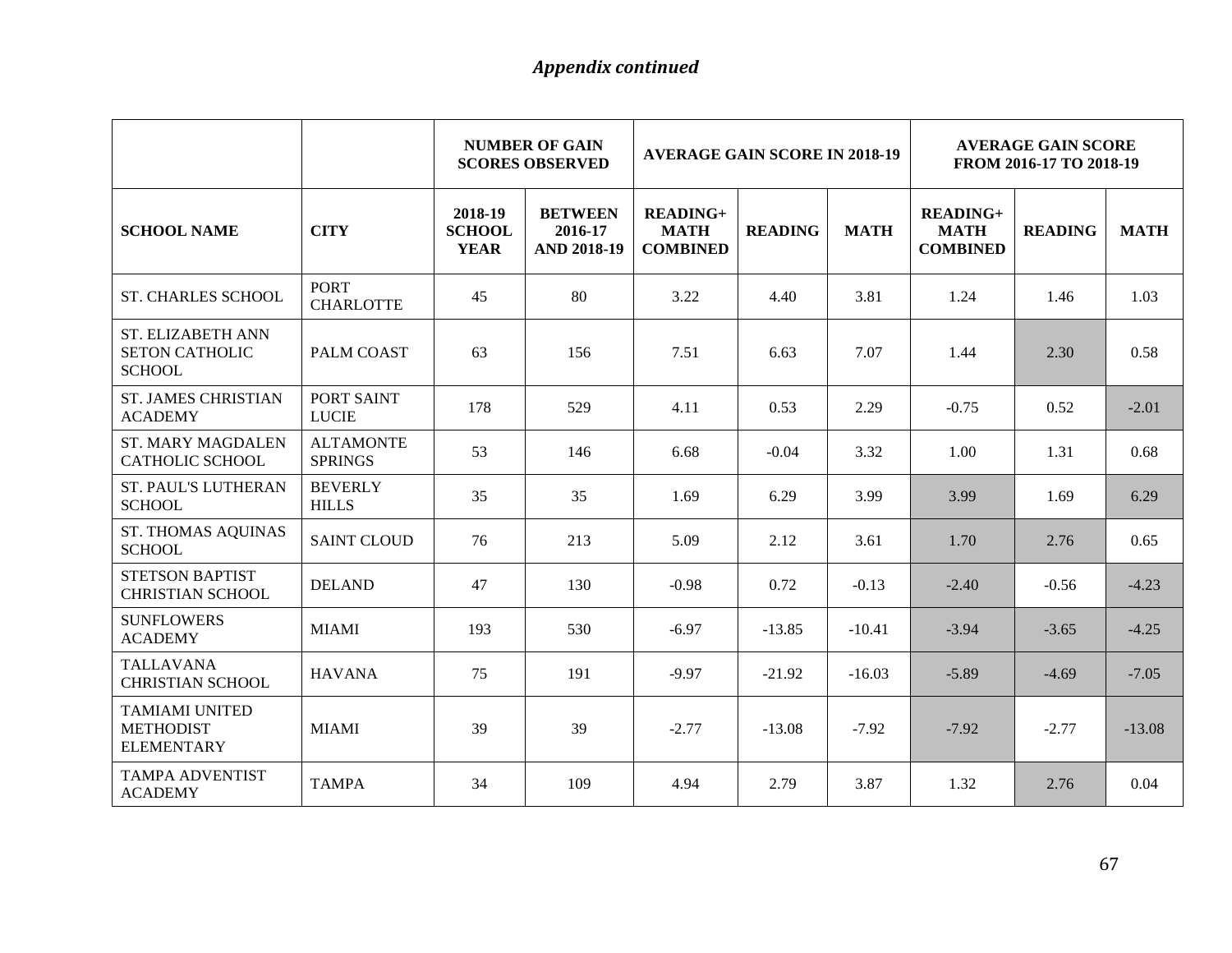|                                                                |                                    |                                         | <b>NUMBER OF GAIN</b><br><b>AVERAGE GAIN SCORE IN 2018-19</b><br><b>SCORES OBSERVED</b> |                                                   |                | <b>AVERAGE GAIN SCORE</b><br>FROM 2016-17 TO 2018-19 |                                                   |                |             |
|----------------------------------------------------------------|------------------------------------|-----------------------------------------|-----------------------------------------------------------------------------------------|---------------------------------------------------|----------------|------------------------------------------------------|---------------------------------------------------|----------------|-------------|
| <b>SCHOOL NAME</b>                                             | <b>CITY</b>                        | 2018-19<br><b>SCHOOL</b><br><b>YEAR</b> | <b>BETWEEN</b><br>2016-17<br><b>AND 2018-19</b>                                         | <b>READING+</b><br><b>MATH</b><br><b>COMBINED</b> | <b>READING</b> | <b>MATH</b>                                          | <b>READING+</b><br><b>MATH</b><br><b>COMBINED</b> | <b>READING</b> | <b>MATH</b> |
| <b>ST. CHARLES SCHOOL</b>                                      | <b>PORT</b><br><b>CHARLOTTE</b>    | 45                                      | 80                                                                                      | 3.22                                              | 4.40           | 3.81                                                 | 1.24                                              | 1.46           | 1.03        |
| ST. ELIZABETH ANN<br><b>SETON CATHOLIC</b><br><b>SCHOOL</b>    | PALM COAST                         | 63                                      | 156                                                                                     | 7.51                                              | 6.63           | 7.07                                                 | 1.44                                              | 2.30           | 0.58        |
| <b>ST. JAMES CHRISTIAN</b><br><b>ACADEMY</b>                   | PORT SAINT<br><b>LUCIE</b>         | 178                                     | 529                                                                                     | 4.11                                              | 0.53           | 2.29                                                 | $-0.75$                                           | 0.52           | $-2.01$     |
| <b>ST. MARY MAGDALEN</b><br><b>CATHOLIC SCHOOL</b>             | <b>ALTAMONTE</b><br><b>SPRINGS</b> | 53                                      | 146                                                                                     | 6.68                                              | $-0.04$        | 3.32                                                 | 1.00                                              | 1.31           | 0.68        |
| <b>ST. PAUL'S LUTHERAN</b><br><b>SCHOOL</b>                    | <b>BEVERLY</b><br><b>HILLS</b>     | 35                                      | 35                                                                                      | 1.69                                              | 6.29           | 3.99                                                 | 3.99                                              | 1.69           | 6.29        |
| <b>ST. THOMAS AQUINAS</b><br><b>SCHOOL</b>                     | <b>SAINT CLOUD</b>                 | 76                                      | 213                                                                                     | 5.09                                              | 2.12           | 3.61                                                 | 1.70                                              | 2.76           | 0.65        |
| <b>STETSON BAPTIST</b><br><b>CHRISTIAN SCHOOL</b>              | <b>DELAND</b>                      | 47                                      | 130                                                                                     | $-0.98$                                           | 0.72           | $-0.13$                                              | $-2.40$                                           | $-0.56$        | $-4.23$     |
| <b>SUNFLOWERS</b><br><b>ACADEMY</b>                            | <b>MIAMI</b>                       | 193                                     | 530                                                                                     | $-6.97$                                           | $-13.85$       | $-10.41$                                             | $-3.94$                                           | $-3.65$        | $-4.25$     |
| <b>TALLAVANA</b><br><b>CHRISTIAN SCHOOL</b>                    | <b>HAVANA</b>                      | 75                                      | 191                                                                                     | $-9.97$                                           | $-21.92$       | $-16.03$                                             | $-5.89$                                           | $-4.69$        | $-7.05$     |
| <b>TAMIAMI UNITED</b><br><b>METHODIST</b><br><b>ELEMENTARY</b> | <b>MIAMI</b>                       | 39                                      | 39                                                                                      | $-2.77$                                           | $-13.08$       | $-7.92$                                              | $-7.92$                                           | $-2.77$        | $-13.08$    |
| <b>TAMPA ADVENTIST</b><br><b>ACADEMY</b>                       | <b>TAMPA</b>                       | 34                                      | 109                                                                                     | 4.94                                              | 2.79           | 3.87                                                 | 1.32                                              | 2.76           | 0.04        |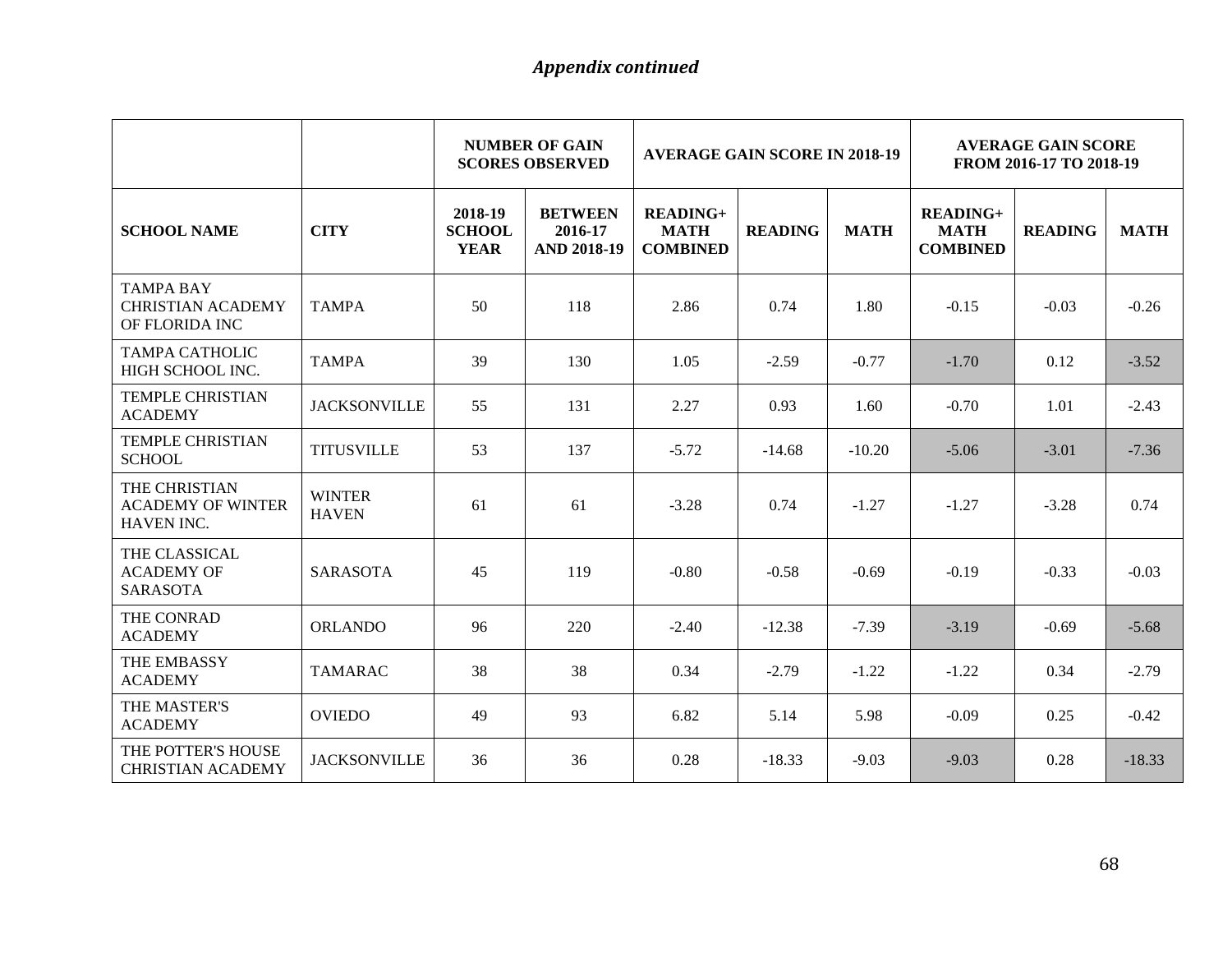|                                                                |                               |                                         | <b>NUMBER OF GAIN</b><br><b>AVERAGE GAIN SCORE IN 2018-19</b><br><b>SCORES OBSERVED</b> |                                                   |                |             | <b>AVERAGE GAIN SCORE</b><br>FROM 2016-17 TO 2018-19 |                |             |  |
|----------------------------------------------------------------|-------------------------------|-----------------------------------------|-----------------------------------------------------------------------------------------|---------------------------------------------------|----------------|-------------|------------------------------------------------------|----------------|-------------|--|
| <b>SCHOOL NAME</b>                                             | <b>CITY</b>                   | 2018-19<br><b>SCHOOL</b><br><b>YEAR</b> | <b>BETWEEN</b><br>2016-17<br><b>AND 2018-19</b>                                         | <b>READING+</b><br><b>MATH</b><br><b>COMBINED</b> | <b>READING</b> | <b>MATH</b> | <b>READING+</b><br><b>MATH</b><br><b>COMBINED</b>    | <b>READING</b> | <b>MATH</b> |  |
| <b>TAMPA BAY</b><br><b>CHRISTIAN ACADEMY</b><br>OF FLORIDA INC | <b>TAMPA</b>                  | 50                                      | 118                                                                                     | 2.86                                              | 0.74           | 1.80        | $-0.15$                                              | $-0.03$        | $-0.26$     |  |
| <b>TAMPA CATHOLIC</b><br>HIGH SCHOOL INC.                      | <b>TAMPA</b>                  | 39                                      | 130                                                                                     | 1.05                                              | $-2.59$        | $-0.77$     | $-1.70$                                              | 0.12           | $-3.52$     |  |
| <b>TEMPLE CHRISTIAN</b><br><b>ACADEMY</b>                      | <b>JACKSONVILLE</b>           | 55                                      | 131                                                                                     | 2.27                                              | 0.93           | 1.60        | $-0.70$                                              | 1.01           | $-2.43$     |  |
| <b>TEMPLE CHRISTIAN</b><br><b>SCHOOL</b>                       | <b>TITUSVILLE</b>             | 53                                      | 137                                                                                     | $-5.72$                                           | $-14.68$       | $-10.20$    | $-5.06$                                              | $-3.01$        | $-7.36$     |  |
| THE CHRISTIAN<br><b>ACADEMY OF WINTER</b><br>HAVEN INC.        | <b>WINTER</b><br><b>HAVEN</b> | 61                                      | 61                                                                                      | $-3.28$                                           | 0.74           | $-1.27$     | $-1.27$                                              | $-3.28$        | 0.74        |  |
| THE CLASSICAL<br><b>ACADEMY OF</b><br><b>SARASOTA</b>          | <b>SARASOTA</b>               | 45                                      | 119                                                                                     | $-0.80$                                           | $-0.58$        | $-0.69$     | $-0.19$                                              | $-0.33$        | $-0.03$     |  |
| THE CONRAD<br><b>ACADEMY</b>                                   | <b>ORLANDO</b>                | 96                                      | 220                                                                                     | $-2.40$                                           | $-12.38$       | $-7.39$     | $-3.19$                                              | $-0.69$        | $-5.68$     |  |
| THE EMBASSY<br><b>ACADEMY</b>                                  | <b>TAMARAC</b>                | 38                                      | 38                                                                                      | 0.34                                              | $-2.79$        | $-1.22$     | $-1.22$                                              | 0.34           | $-2.79$     |  |
| THE MASTER'S<br><b>ACADEMY</b>                                 | <b>OVIEDO</b>                 | 49                                      | 93                                                                                      | 6.82                                              | 5.14           | 5.98        | $-0.09$                                              | 0.25           | $-0.42$     |  |
| THE POTTER'S HOUSE<br><b>CHRISTIAN ACADEMY</b>                 | <b>JACKSONVILLE</b>           | 36                                      | 36                                                                                      | 0.28                                              | $-18.33$       | $-9.03$     | $-9.03$                                              | 0.28           | $-18.33$    |  |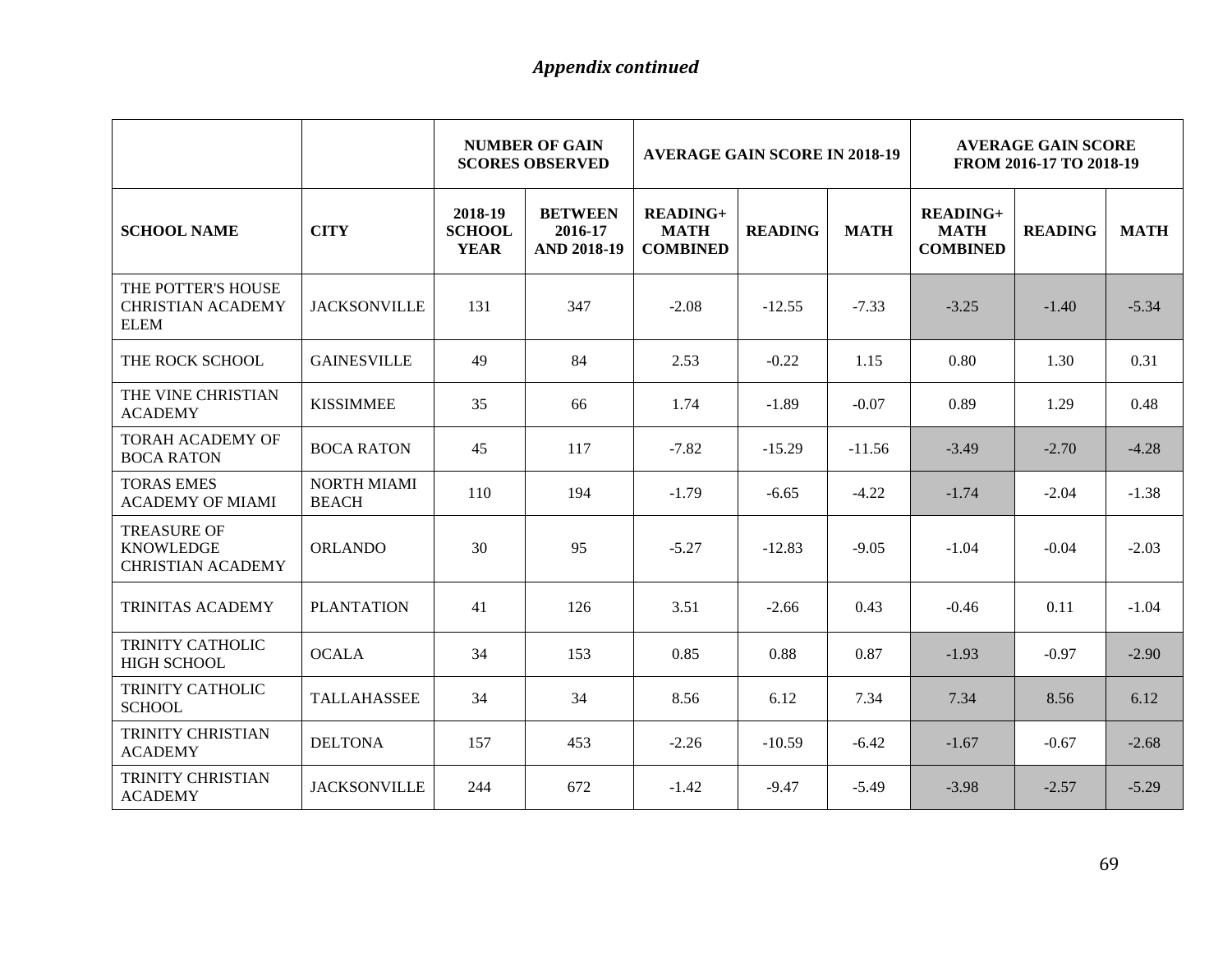|                                                                    |                                    |                                         | <b>NUMBER OF GAIN</b><br><b>SCORES OBSERVED</b> | <b>AVERAGE GAIN SCORE IN 2018-19</b>              |                |             | <b>AVERAGE GAIN SCORE</b><br>FROM 2016-17 TO 2018-19 |                |             |
|--------------------------------------------------------------------|------------------------------------|-----------------------------------------|-------------------------------------------------|---------------------------------------------------|----------------|-------------|------------------------------------------------------|----------------|-------------|
| <b>SCHOOL NAME</b>                                                 | <b>CITY</b>                        | 2018-19<br><b>SCHOOL</b><br><b>YEAR</b> | <b>BETWEEN</b><br>2016-17<br><b>AND 2018-19</b> | <b>READING+</b><br><b>MATH</b><br><b>COMBINED</b> | <b>READING</b> | <b>MATH</b> | <b>READING+</b><br><b>MATH</b><br><b>COMBINED</b>    | <b>READING</b> | <b>MATH</b> |
| THE POTTER'S HOUSE<br><b>CHRISTIAN ACADEMY</b><br><b>ELEM</b>      | <b>JACKSONVILLE</b>                | 131                                     | 347                                             | $-2.08$                                           | $-12.55$       | $-7.33$     | $-3.25$                                              | $-1.40$        | $-5.34$     |
| THE ROCK SCHOOL                                                    | <b>GAINESVILLE</b>                 | 49                                      | 84                                              | 2.53                                              | $-0.22$        | 1.15        | 0.80                                                 | 1.30           | 0.31        |
| THE VINE CHRISTIAN<br><b>ACADEMY</b>                               | <b>KISSIMMEE</b>                   | 35                                      | 66                                              | 1.74                                              | $-1.89$        | $-0.07$     | 0.89                                                 | 1.29           | 0.48        |
| TORAH ACADEMY OF<br><b>BOCA RATON</b>                              | <b>BOCA RATON</b>                  | 45                                      | 117                                             | $-7.82$                                           | $-15.29$       | $-11.56$    | $-3.49$                                              | $-2.70$        | $-4.28$     |
| <b>TORAS EMES</b><br><b>ACADEMY OF MIAMI</b>                       | <b>NORTH MIAMI</b><br><b>BEACH</b> | 110                                     | 194                                             | $-1.79$                                           | $-6.65$        | $-4.22$     | $-1.74$                                              | $-2.04$        | $-1.38$     |
| <b>TREASURE OF</b><br><b>KNOWLEDGE</b><br><b>CHRISTIAN ACADEMY</b> | <b>ORLANDO</b>                     | 30                                      | 95                                              | $-5.27$                                           | $-12.83$       | $-9.05$     | $-1.04$                                              | $-0.04$        | $-2.03$     |
| TRINITAS ACADEMY                                                   | <b>PLANTATION</b>                  | 41                                      | 126                                             | 3.51                                              | $-2.66$        | 0.43        | $-0.46$                                              | 0.11           | $-1.04$     |
| TRINITY CATHOLIC<br><b>HIGH SCHOOL</b>                             | <b>OCALA</b>                       | 34                                      | 153                                             | 0.85                                              | 0.88           | 0.87        | $-1.93$                                              | $-0.97$        | $-2.90$     |
| TRINITY CATHOLIC<br><b>SCHOOL</b>                                  | <b>TALLAHASSEE</b>                 | 34                                      | 34                                              | 8.56                                              | 6.12           | 7.34        | 7.34                                                 | 8.56           | 6.12        |
| TRINITY CHRISTIAN<br><b>ACADEMY</b>                                | <b>DELTONA</b>                     | 157                                     | 453                                             | $-2.26$                                           | $-10.59$       | $-6.42$     | $-1.67$                                              | $-0.67$        | $-2.68$     |
| TRINITY CHRISTIAN<br><b>ACADEMY</b>                                | <b>JACKSONVILLE</b>                | 244                                     | 672                                             | $-1.42$                                           | $-9.47$        | $-5.49$     | $-3.98$                                              | $-2.57$        | $-5.29$     |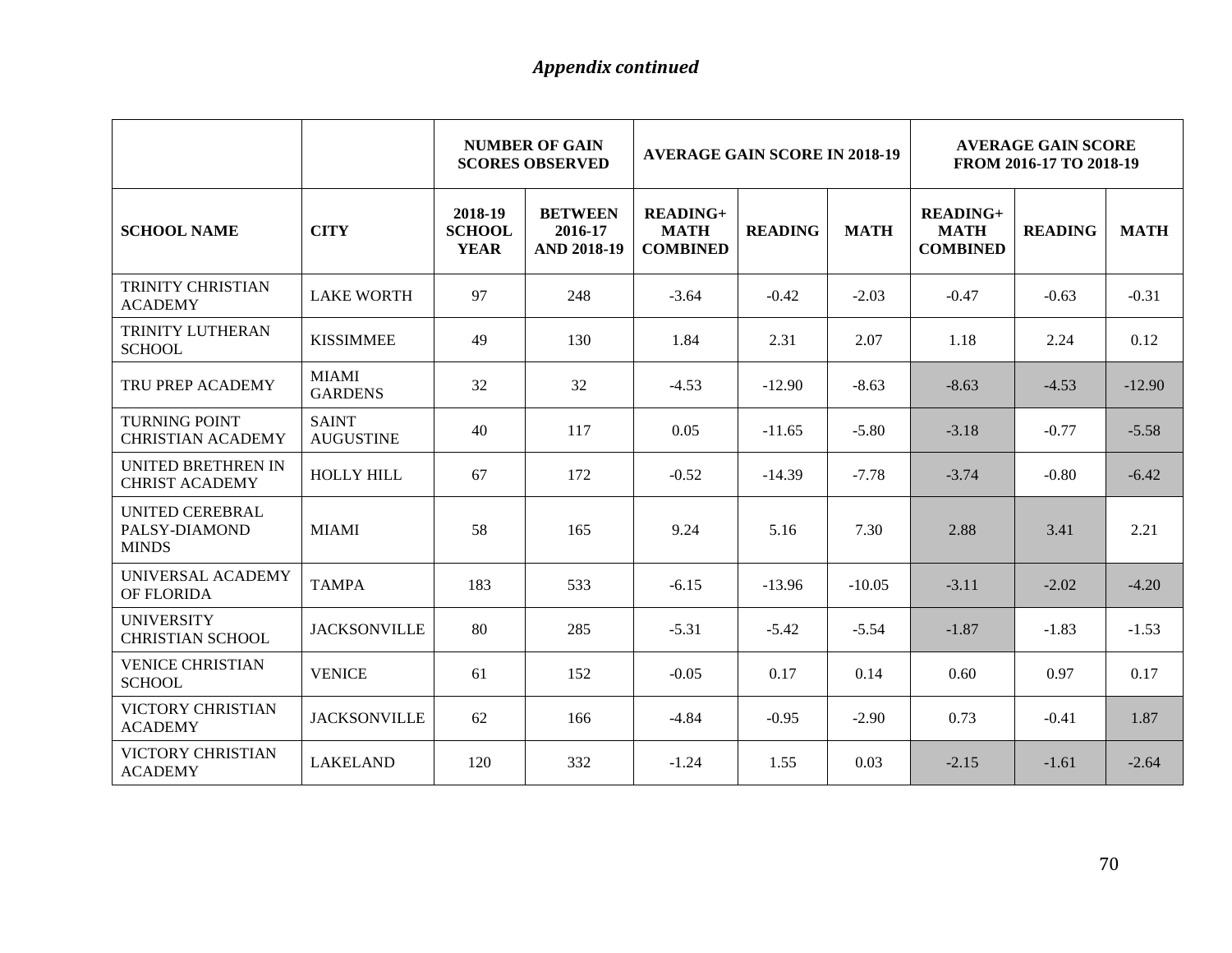|                                                    |                                  |                                         | <b>NUMBER OF GAIN</b><br><b>SCORES OBSERVED</b> | <b>AVERAGE GAIN SCORE IN 2018-19</b>              |                |             | <b>AVERAGE GAIN SCORE</b><br>FROM 2016-17 TO 2018-19 |                |             |  |
|----------------------------------------------------|----------------------------------|-----------------------------------------|-------------------------------------------------|---------------------------------------------------|----------------|-------------|------------------------------------------------------|----------------|-------------|--|
| <b>SCHOOL NAME</b>                                 | <b>CITY</b>                      | 2018-19<br><b>SCHOOL</b><br><b>YEAR</b> | <b>BETWEEN</b><br>2016-17<br><b>AND 2018-19</b> | <b>READING+</b><br><b>MATH</b><br><b>COMBINED</b> | <b>READING</b> | <b>MATH</b> | <b>READING+</b><br><b>MATH</b><br><b>COMBINED</b>    | <b>READING</b> | <b>MATH</b> |  |
| TRINITY CHRISTIAN<br><b>ACADEMY</b>                | <b>LAKE WORTH</b>                | 97                                      | 248                                             | $-3.64$                                           | $-0.42$        | $-2.03$     | $-0.47$                                              | $-0.63$        | $-0.31$     |  |
| TRINITY LUTHERAN<br><b>SCHOOL</b>                  | <b>KISSIMMEE</b>                 | 49                                      | 130                                             | 1.84                                              | 2.31           | 2.07        | 1.18                                                 | 2.24           | 0.12        |  |
| TRU PREP ACADEMY                                   | <b>MIAMI</b><br><b>GARDENS</b>   | 32                                      | 32                                              | $-4.53$                                           | $-12.90$       | $-8.63$     | $-8.63$                                              | $-4.53$        | $-12.90$    |  |
| <b>TURNING POINT</b><br><b>CHRISTIAN ACADEMY</b>   | <b>SAINT</b><br><b>AUGUSTINE</b> | 40                                      | 117                                             | 0.05                                              | $-11.65$       | $-5.80$     | $-3.18$                                              | $-0.77$        | $-5.58$     |  |
| <b>UNITED BRETHREN IN</b><br><b>CHRIST ACADEMY</b> | <b>HOLLY HILL</b>                | 67                                      | 172                                             | $-0.52$                                           | $-14.39$       | $-7.78$     | $-3.74$                                              | $-0.80$        | $-6.42$     |  |
| UNITED CEREBRAL<br>PALSY-DIAMOND<br><b>MINDS</b>   | <b>MIAMI</b>                     | 58                                      | 165                                             | 9.24                                              | 5.16           | 7.30        | 2.88                                                 | 3.41           | 2.21        |  |
| UNIVERSAL ACADEMY<br>OF FLORIDA                    | <b>TAMPA</b>                     | 183                                     | 533                                             | $-6.15$                                           | $-13.96$       | $-10.05$    | $-3.11$                                              | $-2.02$        | $-4.20$     |  |
| <b>UNIVERSITY</b><br><b>CHRISTIAN SCHOOL</b>       | <b>JACKSONVILLE</b>              | 80                                      | 285                                             | $-5.31$                                           | $-5.42$        | $-5.54$     | $-1.87$                                              | $-1.83$        | $-1.53$     |  |
| <b>VENICE CHRISTIAN</b><br><b>SCHOOL</b>           | <b>VENICE</b>                    | 61                                      | 152                                             | $-0.05$                                           | 0.17           | 0.14        | 0.60                                                 | 0.97           | 0.17        |  |
| <b>VICTORY CHRISTIAN</b><br><b>ACADEMY</b>         | <b>JACKSONVILLE</b>              | 62                                      | 166                                             | $-4.84$                                           | $-0.95$        | $-2.90$     | 0.73                                                 | $-0.41$        | 1.87        |  |
| <b>VICTORY CHRISTIAN</b><br><b>ACADEMY</b>         | <b>LAKELAND</b>                  | 120                                     | 332                                             | $-1.24$                                           | 1.55           | 0.03        | $-2.15$                                              | $-1.61$        | $-2.64$     |  |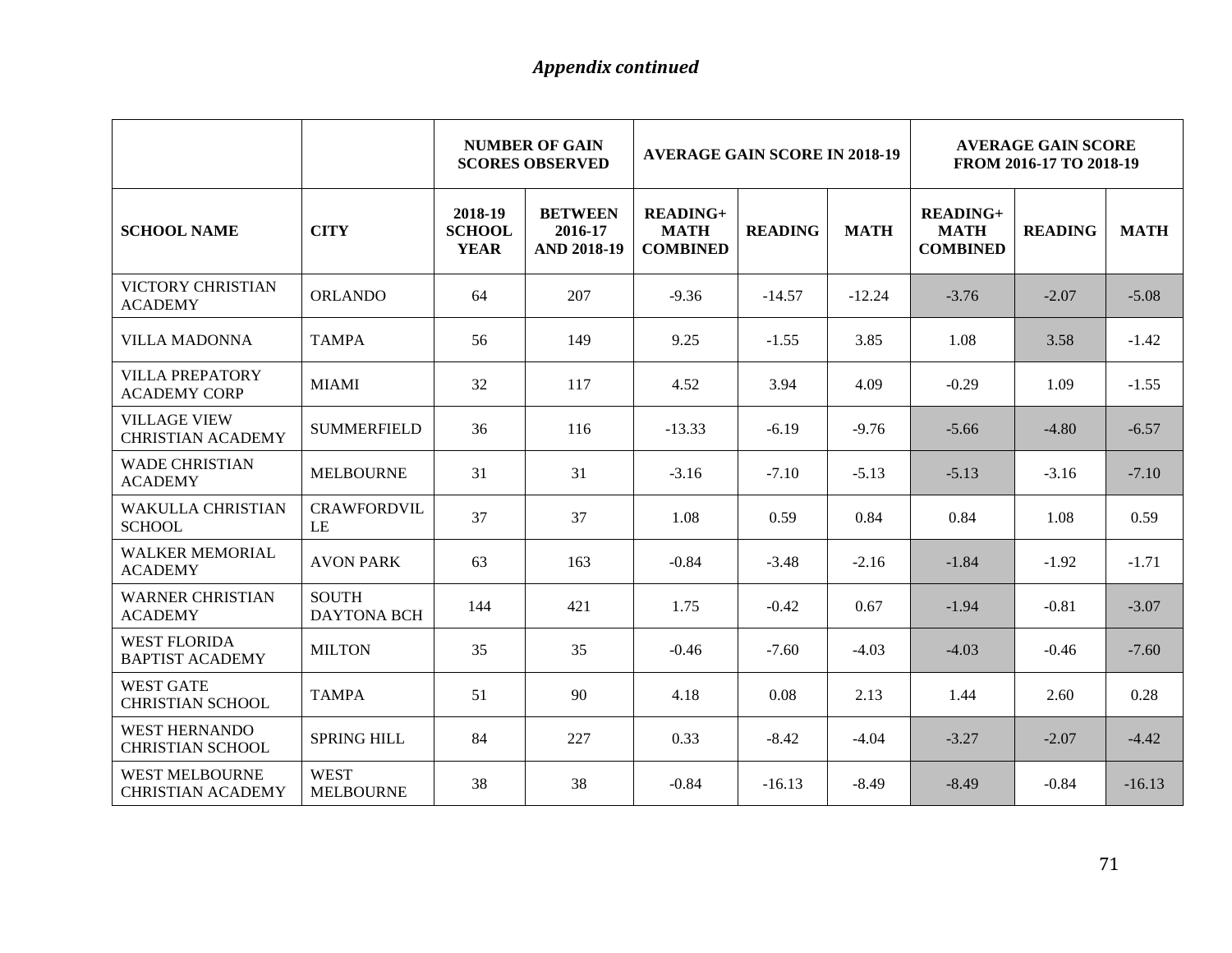|                                                   |                                    |                                         | <b>NUMBER OF GAIN</b><br><b>AVERAGE GAIN SCORE IN 2018-19</b><br><b>SCORES OBSERVED</b> |                                                   |                | <b>AVERAGE GAIN SCORE</b><br>FROM 2016-17 TO 2018-19 |                                                   |                |             |
|---------------------------------------------------|------------------------------------|-----------------------------------------|-----------------------------------------------------------------------------------------|---------------------------------------------------|----------------|------------------------------------------------------|---------------------------------------------------|----------------|-------------|
| <b>SCHOOL NAME</b>                                | <b>CITY</b>                        | 2018-19<br><b>SCHOOL</b><br><b>YEAR</b> | <b>BETWEEN</b><br>2016-17<br><b>AND 2018-19</b>                                         | <b>READING+</b><br><b>MATH</b><br><b>COMBINED</b> | <b>READING</b> | <b>MATH</b>                                          | <b>READING+</b><br><b>MATH</b><br><b>COMBINED</b> | <b>READING</b> | <b>MATH</b> |
| <b>VICTORY CHRISTIAN</b><br><b>ACADEMY</b>        | <b>ORLANDO</b>                     | 64                                      | 207                                                                                     | $-9.36$                                           | $-14.57$       | $-12.24$                                             | $-3.76$                                           | $-2.07$        | $-5.08$     |
| <b>VILLA MADONNA</b>                              | <b>TAMPA</b>                       | 56                                      | 149                                                                                     | 9.25                                              | $-1.55$        | 3.85                                                 | 1.08                                              | 3.58           | $-1.42$     |
| <b>VILLA PREPATORY</b><br><b>ACADEMY CORP</b>     | <b>MIAMI</b>                       | 32                                      | 117                                                                                     | 4.52                                              | 3.94           | 4.09                                                 | $-0.29$                                           | 1.09           | $-1.55$     |
| <b>VILLAGE VIEW</b><br><b>CHRISTIAN ACADEMY</b>   | <b>SUMMERFIELD</b>                 | 36                                      | 116                                                                                     | $-13.33$                                          | $-6.19$        | $-9.76$                                              | $-5.66$                                           | $-4.80$        | $-6.57$     |
| <b>WADE CHRISTIAN</b><br><b>ACADEMY</b>           | <b>MELBOURNE</b>                   | 31                                      | 31                                                                                      | $-3.16$                                           | $-7.10$        | $-5.13$                                              | $-5.13$                                           | $-3.16$        | $-7.10$     |
| <b>WAKULLA CHRISTIAN</b><br><b>SCHOOL</b>         | <b>CRAWFORDVIL</b><br>LE           | 37                                      | 37                                                                                      | 1.08                                              | 0.59           | 0.84                                                 | 0.84                                              | 1.08           | 0.59        |
| <b>WALKER MEMORIAL</b><br><b>ACADEMY</b>          | <b>AVON PARK</b>                   | 63                                      | 163                                                                                     | $-0.84$                                           | $-3.48$        | $-2.16$                                              | $-1.84$                                           | $-1.92$        | $-1.71$     |
| <b>WARNER CHRISTIAN</b><br><b>ACADEMY</b>         | <b>SOUTH</b><br><b>DAYTONA BCH</b> | 144                                     | 421                                                                                     | 1.75                                              | $-0.42$        | 0.67                                                 | $-1.94$                                           | $-0.81$        | $-3.07$     |
| <b>WEST FLORIDA</b><br><b>BAPTIST ACADEMY</b>     | <b>MILTON</b>                      | 35                                      | 35                                                                                      | $-0.46$                                           | $-7.60$        | $-4.03$                                              | $-4.03$                                           | $-0.46$        | $-7.60$     |
| <b>WEST GATE</b><br><b>CHRISTIAN SCHOOL</b>       | <b>TAMPA</b>                       | 51                                      | 90                                                                                      | 4.18                                              | 0.08           | 2.13                                                 | 1.44                                              | 2.60           | 0.28        |
| <b>WEST HERNANDO</b><br><b>CHRISTIAN SCHOOL</b>   | <b>SPRING HILL</b>                 | 84                                      | 227                                                                                     | 0.33                                              | $-8.42$        | $-4.04$                                              | $-3.27$                                           | $-2.07$        | $-4.42$     |
| <b>WEST MELBOURNE</b><br><b>CHRISTIAN ACADEMY</b> | <b>WEST</b><br><b>MELBOURNE</b>    | 38                                      | 38                                                                                      | $-0.84$                                           | $-16.13$       | $-8.49$                                              | $-8.49$                                           | $-0.84$        | $-16.13$    |